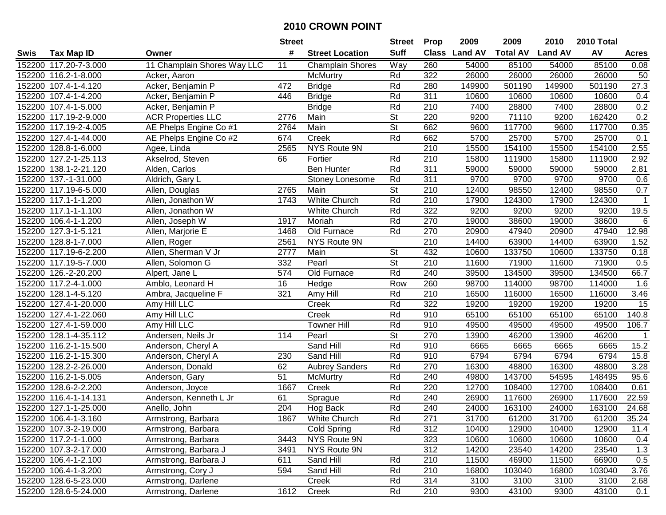|        |                       |                             | <b>Street</b> |                         | <b>Street</b> | <b>Prop</b>  | 2009           | 2009            | 2010           | 2010 Total |                |
|--------|-----------------------|-----------------------------|---------------|-------------------------|---------------|--------------|----------------|-----------------|----------------|------------|----------------|
| Swis   | <b>Tax Map ID</b>     | Owner                       | #             | <b>Street Location</b>  | <b>Suff</b>   | <b>Class</b> | <b>Land AV</b> | <b>Total AV</b> | <b>Land AV</b> | AV         | <b>Acres</b>   |
|        | 152200 117.20-7-3.000 | 11 Champlain Shores Way LLC | 11            | <b>Champlain Shores</b> | Way           | 260          | 54000          | 85100           | 54000          | 85100      | 0.08           |
|        | 152200 116.2-1-8.000  | Acker, Aaron                |               | McMurtry                | Rd            | 322          | 26000          | 26000           | 26000          | 26000      | 50             |
|        | 152200 107.4-1-4.120  | Acker, Benjamin P           | 472           | <b>Bridge</b>           | Rd            | 280          | 149900         | 501190          | 149900         | 501190     | 27.3           |
|        | 152200 107.4-1-4.200  | Acker, Benjamin P           | 446           | <b>Bridge</b>           | Rd            | 311          | 10600          | 10600           | 10600          | 10600      | 0.4            |
|        | 152200 107.4-1-5.000  | Acker, Benjamin P           |               | <b>Bridge</b>           | Rd            | 210          | 7400           | 28800           | 7400           | 28800      | 0.2            |
|        | 152200 117.19-2-9.000 | <b>ACR Properties LLC</b>   | 2776          | Main                    | <b>St</b>     | 220          | 9200           | 71110           | 9200           | 162420     | 0.2            |
|        | 152200 117.19-2-4.005 | AE Phelps Engine Co #1      | 2764          | Main                    | <b>St</b>     | 662          | 9600           | 117700          | 9600           | 117700     | 0.35           |
|        | 152200 127.4-1-44.000 | AE Phelps Engine Co #2      | 674           | Creek                   | Rd            | 662          | 5700           | 25700           | 5700           | 25700      | 0.1            |
| 152200 | 128.8-1-6.000         | Agee, Linda                 | 2565          | NYS Route 9N            |               | 210          | 15500          | 154100          | 15500          | 154100     | 2.55           |
| 152200 | 127.2-1-25.113        | Akselrod, Steven            | 66            | Fortier                 | Rd            | 210          | 15800          | 111900          | 15800          | 111900     | 2.92           |
| 152200 | 138.1-2-21.120        | Alden, Carlos               |               | <b>Ben Hunter</b>       | Rd            | 311          | 59000          | 59000           | 59000          | 59000      | 2.81           |
|        | 152200 137.-1-31.000  | Aldrich, Gary L             |               | Stoney Lonesome         | Rd            | 311          | 9700           | 9700            | 9700           | 9700       | 0.6            |
|        | 152200 117.19-6-5.000 | Allen, Douglas              | 2765          | Main                    | <b>St</b>     | 210          | 12400          | 98550           | 12400          | 98550      | 0.7            |
|        | 152200 117.1-1-1.200  | Allen, Jonathon W           | 1743          | White Church            | Rd            | 210          | 17900          | 124300          | 17900          | 124300     | $\mathbf 1$    |
|        | 152200 117.1-1-1.100  | Allen, Jonathon W           |               | <b>White Church</b>     | Rd            | 322          | 9200           | 9200            | 9200           | 9200       | 19.5           |
|        | 152200 106.4-1-1.200  | Allen, Joseph W             | 1917          | Moriah                  | Rd            | 270          | 19000          | 38600           | 19000          | 38600      | 6              |
|        | 152200 127.3-1-5.121  | Allen, Marjorie E           | 1468          | Old Furnace             | Rd            | 270          | 20900          | 47940           | 20900          | 47940      | 12.98          |
|        | 152200 128.8-1-7.000  | Allen, Roger                | 2561          | NYS Route 9N            |               | 210          | 14400          | 63900           | 14400          | 63900      | 1.52           |
|        | 152200 117.19-6-2.200 | Allen, Sherman V Jr         | 2777          | Main                    | <b>St</b>     | 432          | 10600          | 133750          | 10600          | 133750     | 0.18           |
|        | 152200 117.19-5-7.000 | Allen, Solomon G            | 332           | Pearl                   | <b>St</b>     | 210          | 11600          | 71900           | 11600          | 71900      | 0.5            |
|        | 152200 126.-2-20.200  | Alpert, Jane L              | 574           | Old Furnace             | Rd            | 240          | 39500          | 134500          | 39500          | 134500     | 66.7           |
|        | 152200 117.2-4-1.000  | Amblo, Leonard H            | 16            | Hedge                   | Row           | 260          | 98700          | 114000          | 98700          | 114000     | 1.6            |
| 152200 | 128.1-4-5.120         | Ambra, Jacqueline F         | 321           | Amy Hill                | Rd            | 210          | 16500          | 116000          | 16500          | 116000     | 3.46           |
| 152200 | 127.4-1-20.000        | Amy Hill LLC                |               | Creek                   | Rd            | 322          | 19200          | 19200           | 19200          | 19200      | 15             |
| 152200 | 127.4-1-22.060        | Amy Hill LLC                |               | Creek                   | Rd            | 910          | 65100          | 65100           | 65100          | 65100      | 140.8          |
| 152200 | 127.4-1-59.000        | Amy Hill LLC                |               | <b>Towner Hill</b>      | Rd            | 910          | 49500          | 49500           | 49500          | 49500      | 106.7          |
| 152200 | 128.1-4-35.112        | Andersen, Neils Jr          | 114           | Pearl                   | St            | 270          | 13900          | 46200           | 13900          | 46200      | $\overline{1}$ |
|        | 152200 116.2-1-15.500 | Anderson, Cheryl A          |               | Sand Hill               | Rd            | 910          | 6665           | 6665            | 6665           | 6665       | 15.2           |
|        | 152200 116.2-1-15.300 | Anderson, Cheryl A          | 230           | Sand Hill               | Rd            | 910          | 6794           | 6794            | 6794           | 6794       | 15.8           |
| 152200 | 128.2-2-26.000        | Anderson, Donald            | 62            | <b>Aubrey Sanders</b>   | Rd            | 270          | 16300          | 48800           | 16300          | 48800      | 3.28           |
| 152200 | 116.2-1-5.005         | Anderson, Gary              | 51            | McMurtry                | Rd            | 240          | 49800          | 143700          | 54595          | 148495     | 95.6           |
| 152200 | 128.6-2-2.200         | Anderson, Joyce             | 1667          | Creek                   | Rd            | 220          | 12700          | 108400          | 12700          | 108400     | 0.61           |
|        | 152200 116.4-1-14.131 | Anderson, Kenneth L Jr      | 61            | Sprague                 | Rd            | 240          | 26900          | 117600          | 26900          | 117600     | 22.59          |
|        | 152200 127.1-1-25.000 | Anello, John                | 204           | Hog Back                | Rd            | 240          | 24000          | 163100          | 24000          | 163100     | 24.68          |
|        | 152200 106.4-1-3.160  | Armstrong, Barbara          | 1867          | White Church            | Rd            | 271          | 31700          | 61200           | 31700          | 61200      | 35.24          |
|        | 152200 107.3-2-19.000 | Armstrong, Barbara          |               | Cold Spring             | Rd            | 312          | 10400          | 12900           | 10400          | 12900      | 11.4           |
|        | 152200 117.2-1-1.000  | Armstrong, Barbara          | 3443          | NYS Route 9N            |               | 323          | 10600          | 10600           | 10600          | 10600      | 0.4            |
|        | 152200 107.3-2-17.000 | Armstrong, Barbara J        | 3491          | NYS Route 9N            |               | 312          | 14200          | 23540           | 14200          | 23540      | 1.3            |
|        | 152200 106.4-1-2.100  | Armstrong, Barbara J        | 611           | Sand Hill               | Rd            | 210          | 11500          | 46900           | 11500          | 66900      | 0.5            |
|        | 152200 106.4-1-3.200  | Armstrong, Cory J           | 594           | Sand Hill               | Rd            | 210          | 16800          | 103040          | 16800          | 103040     | 3.76           |
|        | 152200 128.6-5-23.000 | Armstrong, Darlene          |               | Creek                   | Rd            | 314          | 3100           | 3100            | 3100           | 3100       | 2.68           |
|        | 152200 128.6-5-24.000 | Armstrong, Darlene          | 1612          | Creek                   | Rd            | 210          | 9300           | 43100           | 9300           | 43100      | 0.1            |
|        |                       |                             |               |                         |               |              |                |                 |                |            |                |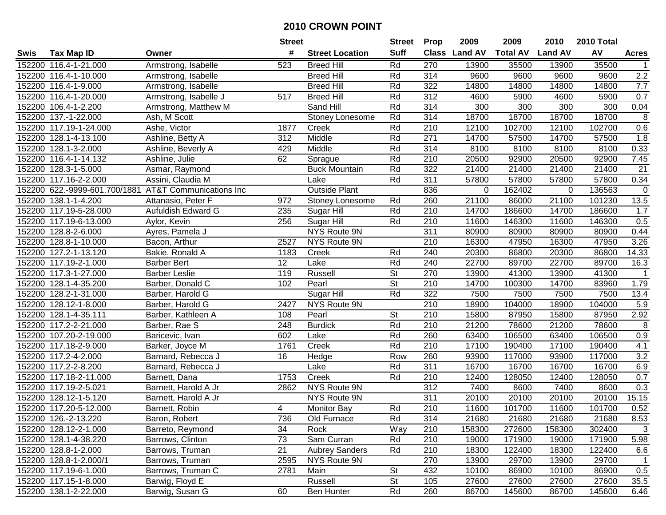|        |                        |                                                       | <b>Street</b> |                        | <b>Street</b> | <b>Prop</b>      | 2009           | 2009            | 2010           | <b>2010 Total</b> |                |
|--------|------------------------|-------------------------------------------------------|---------------|------------------------|---------------|------------------|----------------|-----------------|----------------|-------------------|----------------|
| Swis   | <b>Tax Map ID</b>      | Owner                                                 | #             | <b>Street Location</b> | <b>Suff</b>   | <b>Class</b>     | <b>Land AV</b> | <b>Total AV</b> | <b>Land AV</b> | AV                | <b>Acres</b>   |
|        | 152200 116.4-1-21.000  | Armstrong, Isabelle                                   | 523           | <b>Breed Hill</b>      | Rd            | 270              | 13900          | 35500           | 13900          | 35500             |                |
|        | 152200 116.4-1-10.000  | Armstrong, Isabelle                                   |               | <b>Breed Hill</b>      | Rd            | 314              | 9600           | 9600            | 9600           | 9600              | 2.2            |
|        | 152200 116.4-1-9.000   | Armstrong, Isabelle                                   |               | <b>Breed Hill</b>      | Rd            | 322              | 14800          | 14800           | 14800          | 14800             | 7.7            |
|        | 152200 116.4-1-20.000  | Armstrong, Isabelle J                                 | 517           | <b>Breed Hill</b>      | Rd            | 312              | 4600           | 5900            | 4600           | 5900              | 0.7            |
|        | 152200 106.4-1-2.200   | Armstrong, Matthew M                                  |               | Sand Hill              | Rd            | 314              | 300            | 300             | 300            | 300               | 0.04           |
|        | 152200 137.-1-22.000   | Ash, M Scott                                          |               | Stoney Lonesome        | Rd            | 314              | 18700          | 18700           | 18700          | 18700             | $\overline{8}$ |
|        | 152200 117.19-1-24.000 | Ashe, Victor                                          | 1877          | Creek                  | Rd            | 210              | 12100          | 102700          | 12100          | 102700            | 0.6            |
|        | 152200 128.1-4-13.100  | Ashline, Betty A                                      | 312           | Middle                 | Rd            | 271              | 14700          | 57500           | 14700          | 57500             | 1.8            |
|        | 152200 128.1-3-2.000   | Ashline, Beverly A                                    | 429           | Middle                 | Rd            | 314              | 8100           | 8100            | 8100           | 8100              | 0.33           |
|        | 152200 116.4-1-14.132  | Ashline, Julie                                        | 62            | Sprague                | Rd            | 210              | 20500          | 92900           | 20500          | 92900             | 7.45           |
|        | 152200 128.3-1-5.000   | Asmar, Raymond                                        |               | <b>Buck Mountain</b>   | Rd            | 322              | 21400          | 21400           | 21400          | 21400             | 21             |
|        | 152200 117.16-2-2.000  | Assini, Claudia M                                     |               | Lake                   | Rd            | 311              | 57800          | 57800           | 57800          | 57800             | 0.34           |
|        |                        | 152200 622.-9999-601.700/1881 AT&T Communications Inc |               | <b>Outside Plant</b>   |               | 836              | 0              | 162402          | $\mathbf 0$    | 136563            | $\mathbf 0$    |
|        | 152200 138.1-1-4.200   | Attanasio, Peter F                                    | 972           | Stoney Lonesome        | Rd            | 260              | 21100          | 86000           | 21100          | 101230            | 13.5           |
|        | 152200 117.19-5-28.000 | Aufuldish Edward G                                    | 235           | Sugar Hill             | Rd            | 210              | 14700          | 186600          | 14700          | 186600            | 1.7            |
|        | 152200 117.19-6-13.000 | Aylor, Kevin                                          | 256           | Sugar Hill             | Rd            | 210              | 11600          | 146300          | 11600          | 146300            | 0.5            |
|        | 152200 128.8-2-6.000   | Ayres, Pamela J                                       |               | NYS Route 9N           |               | 311              | 80900          | 80900           | 80900          | 80900             | 0.44           |
|        | 152200 128.8-1-10.000  | Bacon, Arthur                                         | 2527          | NYS Route 9N           |               | 210              | 16300          | 47950           | 16300          | 47950             | 3.26           |
|        | 152200 127.2-1-13.120  | Bakie, Ronald A                                       | 1183          | Creek                  | Rd            | 240              | 20300          | 86800           | 20300          | 86800             | 14.33          |
|        | 152200 117.19-2-1.000  | <b>Barber Bert</b>                                    | 12            | Lake                   | Rd            | 240              | 22700          | 89700           | 22700          | 89700             | 16.3           |
|        | 152200 117.3-1-27.000  | <b>Barber Leslie</b>                                  | 119           | Russell                | <b>St</b>     | 270              | 13900          | 41300           | 13900          | 41300             | 1              |
|        | 152200 128.1-4-35.200  | Barber, Donald C                                      | 102           | Pearl                  | <b>St</b>     | 210              | 14700          | 100300          | 14700          | 83960             | 1.79           |
| 152200 | 128.2-1-31.000         | Barber, Harold G                                      |               | Sugar Hill             | Rd            | 322              | 7500           | 7500            | 7500           | 7500              | 13.4           |
| 152200 | 128.12-1-8.000         | Barber, Harold G                                      | 2427          | NYS Route 9N           |               | 210              | 18900          | 104000          | 18900          | 104000            | 5.9            |
| 152200 | 128.1-4-35.111         | Barber, Kathleen A                                    | 108           | Pearl                  | St            | 210              | 15800          | 87950           | 15800          | 87950             | 2.92           |
|        | 152200 117.2-2-21.000  | Barber, Rae S                                         | 248           | <b>Burdick</b>         | Rd            | 210              | 21200          | 78600           | 21200          | 78600             | 8              |
|        | 152200 107.20-2-19.000 | Baricevic, Ivan                                       | 602           | Lake                   | Rd            | 260              | 63400          | 106500          | 63400          | 106500            | 0.9            |
|        | 152200 117.18-2-9.000  | Barker, Joyce M                                       | 1761          | Creek                  | Rd            | 210              | 17100          | 190400          | 17100          | 190400            | 4.1            |
|        | 152200 117.2-4-2.000   | Barnard, Rebecca J                                    | 16            | Hedge                  | Row           | 260              | 93900          | 117000          | 93900          | 117000            | 3.2            |
|        | 152200 117.2-2-8.200   | Barnard, Rebecca J                                    |               | Lake                   | Rd            | 311              | 16700          | 16700           | 16700          | 16700             | 6.9            |
|        | 152200 117.18-2-11.000 | Barnett, Dana                                         | 1753          | Creek                  | Rd            | $\overline{210}$ | 12400          | 128050          | 12400          | 128050            | 0.7            |
|        | 152200 117.19-2-5.021  | Barnett, Harold A Jr                                  | 2862          | NYS Route 9N           |               | 312              | 7400           | 8600            | 7400           | 8600              | 0.3            |
|        | 152200 128.12-1-5.120  | Barnett, Harold A Jr                                  |               | NYS Route 9N           |               | 311              | 20100          | 20100           | 20100          | 20100             | 15.15          |
|        | 152200 117.20-5-12.000 | Barnett, Robin                                        | 4             | <b>Monitor Bay</b>     | Rd            | 210              | 11600          | 101700          | 11600          | 101700            | 0.52           |
|        | 152200 126.-2-13.220   | Baron, Robert                                         | 736           | Old Furnace            | Rd            | 314              | 21680          | 21680           | 21680          | 21680             | 8.53           |
|        | 152200 128.12-2-1.000  | Barreto, Reymond                                      | 34            | Rock                   | Way           | 210              | 158300         | 272600          | 158300         | 302400            | 3              |
|        | 152200 128.1-4-38.220  | Barrows, Clinton                                      | 73            | Sam Curran             | Rd            | 210              | 19000          | 171900          | 19000          | 171900            | 5.98           |
|        | 152200 128.8-1-2.000   | Barrows, Truman                                       | 21            | <b>Aubrey Sanders</b>  | Rd            | 210              | 18300          | 122400          | 18300          | 122400            | 6.6            |
|        | 152200 128.8-1-2.000/1 | Barrows, Truman                                       | 2595          | NYS Route 9N           |               | 270              | 13900          | 29700           | 13900          | 29700             | $\overline{1}$ |
|        | 152200 117.19-6-1.000  | Barrows, Truman C                                     | 2781          | Main                   | <b>St</b>     | 432              | 10100          | 86900           | 10100          | 86900             | 0.5            |
|        | 152200 117.15-1-8.000  | Barwig, Floyd E                                       |               | Russell                | <b>St</b>     | 105              | 27600          | 27600           | 27600          | 27600             | 35.5           |
|        | 152200 138.1-2-22.000  | Barwig, Susan G                                       | 60            | Ben Hunter             | Rd            | 260              | 86700          | 145600          | 86700          | 145600            | 6.46           |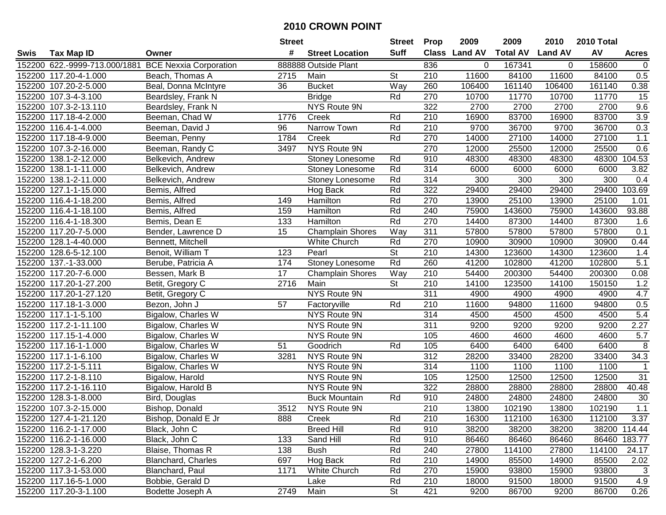|        |                               |                               | <b>Street</b> |                         | <b>Street</b> | <b>Prop</b>      | 2009          | 2009            | 2010           | 2010 Total |              |
|--------|-------------------------------|-------------------------------|---------------|-------------------------|---------------|------------------|---------------|-----------------|----------------|------------|--------------|
| Swis   | <b>Tax Map ID</b>             | Owner                         | #             | <b>Street Location</b>  | Suff          |                  | Class Land AV | <b>Total AV</b> | <b>Land AV</b> | AV         | <b>Acres</b> |
|        | 152200 622.-9999-713.000/1881 | <b>BCE Nexxia Corporation</b> |               | 888888 Outside Plant    |               | 836              | 0             | 167341          | 0              | 158600     | 0            |
|        | 152200 117.20-4-1.000         | Beach, Thomas A               | 2715          | Main                    | St            | 210              | 11600         | 84100           | 11600          | 84100      | 0.5          |
|        | 152200 107.20-2-5.000         | Beal, Donna McIntyre          | 36            | <b>Bucket</b>           | Way           | 260              | 106400        | 161140          | 106400         | 161140     | 0.38         |
|        | 152200 107.3-4-3.100          | Beardsley, Frank N            |               | <b>Bridge</b>           | Rd            | 270              | 10700         | 11770           | 10700          | 11770      | 15           |
|        | 152200 107.3-2-13.110         | Beardsley, Frank N            |               | NYS Route 9N            |               | 322              | 2700          | 2700            | 2700           | 2700       | 9.6          |
|        | 152200 117.18-4-2.000         | Beeman, Chad W                | 1776          | Creek                   | Rd            | 210              | 16900         | 83700           | 16900          | 83700      | 3.9          |
|        | 152200 116.4-1-4.000          | Beeman, David J               | 96            | Narrow Town             | Rd            | 210              | 9700          | 36700           | 9700           | 36700      | 0.3          |
|        | 152200 117.18-4-9.000         | Beeman, Penny                 | 1784          | Creek                   | Rd            | 270              | 14000         | 27100           | 14000          | 27100      | 1.1          |
|        | 152200 107.3-2-16.000         | Beeman, Randy C               | 3497          | <b>NYS Route 9N</b>     |               | 270              | 12000         | 25500           | 12000          | 25500      | 0.6          |
| 152200 | 138.1-2-12.000                | Belkevich, Andrew             |               | Stoney Lonesome         | Rd            | 910              | 48300         | 48300           | 48300          | 48300      | 104.53       |
|        | 152200 138.1-1-11.000         | Belkevich, Andrew             |               | Stoney Lonesome         | Rd            | 314              | 6000          | 6000            | 6000           | 6000       | 3.82         |
|        | 152200 138.1-2-11.000         | Belkevich, Andrew             |               | Stoney Lonesome         | Rd            | 314              | 300           | 300             | 300            | 300        | 0.4          |
|        | 152200 127.1-1-15.000         | Bemis, Alfred                 |               | Hog Back                | Rd            | 322              | 29400         | 29400           | 29400          | 29400      | 103.69       |
|        | 152200 116.4-1-18.200         | Bemis, Alfred                 | 149           | Hamilton                | Rd            | 270              | 13900         | 25100           | 13900          | 25100      | 1.01         |
|        | 152200 116.4-1-18.100         | Bemis, Alfred                 | 159           | Hamilton                | Rd            | 240              | 75900         | 143600          | 75900          | 143600     | 93.88        |
|        | 152200 116.4-1-18.300         | Bemis, Dean E                 | 133           | Hamilton                | Rd            | 270              | 14400         | 87300           | 14400          | 87300      | 1.6          |
|        | 152200 117.20-7-5.000         | Bender, Lawrence D            | 15            | <b>Champlain Shores</b> | Way           | 311              | 57800         | 57800           | 57800          | 57800      | 0.1          |
|        | 152200 128.1-4-40.000         | Bennett, Mitchell             |               | White Church            | Rd            | 270              | 10900         | 30900           | 10900          | 30900      | 0.44         |
|        | 152200 128.6-5-12.100         | Benoit, William T             | 123           | Pearl                   | <b>St</b>     | 210              | 14300         | 123600          | 14300          | 123600     | 1.4          |
|        | 152200 137.-1-33.000          | Berube, Patricia A            | 174           | <b>Stoney Lonesome</b>  | Rd            | 260              | 41200         | 102800          | 41200          | 102800     | 5.1          |
|        | 152200 117.20-7-6.000         | Bessen, Mark B                | 17            | <b>Champlain Shores</b> | Way           | 210              | 54400         | 200300          | 54400          | 200300     | 0.08         |
|        | 152200 117.20-1-27.200        | Betit, Gregory C              | 2716          | Main                    | St            | 210              | 14100         | 123500          | 14100          | 150150     | 1.2          |
|        | 152200 117.20-1-27.120        | Betit, Gregory C              |               | NYS Route 9N            |               | 311              | 4900          | 4900            | 4900           | 4900       | 4.7          |
|        | 152200 117.18-1-3.000         | Bezon, John J                 | 57            | Factoryville            | Rd            | 210              | 11600         | 94800           | 11600          | 94800      | 0.5          |
|        | 152200 117.1-1-5.100          | Bigalow, Charles W            |               | NYS Route 9N            |               | 314              | 4500          | 4500            | 4500           | 4500       | 5.4          |
|        | 152200 117.2-1-11.100         | Bigalow, Charles W            |               | NYS Route 9N            |               | 311              | 9200          | 9200            | 9200           | 9200       | 2.27         |
|        | 152200 117.15-1-4.000         | Bigalow, Charles W            |               | NYS Route 9N            |               | 105              | 4600          | 4600            | 4600           | 4600       | 5.7          |
|        | 152200 117.16-1-1.000         | Bigalow, Charles W            | 51            | Goodrich                | Rd            | 105              | 6400          | 6400            | 6400           | 6400       | 8            |
|        | 152200 117.1-1-6.100          | Bigalow, Charles W            | 3281          | NYS Route 9N            |               | $\overline{312}$ | 28200         | 33400           | 28200          | 33400      | 34.3         |
|        | 152200 117.2-1-5.111          | Bigalow, Charles W            |               | NYS Route 9N            |               | 314              | 1100          | 1100            | 1100           | 1100       | $\mathbf{1}$ |
|        | 152200 117.2-1-8.110          | Bigalow, Harold               |               | NYS Route 9N            |               | 105              | 12500         | 12500           | 12500          | 12500      | 31           |
|        | 152200 117.2-1-16.110         | Bigalow, Harold B             |               | NYS Route 9N            |               | 322              | 28800         | 28800           | 28800          | 28800      | 40.48        |
|        | 152200 128.3-1-8.000          | Bird, Douglas                 |               | <b>Buck Mountain</b>    | Rd            | 910              | 24800         | 24800           | 24800          | 24800      | 30           |
|        | 152200 107.3-2-15.000         | Bishop, Donald                | 3512          | NYS Route 9N            |               | 210              | 13800         | 102190          | 13800          | 102190     | 1.1          |
|        | 152200 127.4-1-21.120         | Bishop, Donald E Jr           | 888           | Creek                   | Rd            | 210              | 16300         | 112100          | 16300          | 112100     | 3.37         |
|        | 152200 116.2-1-17.000         | Black, John C                 |               | <b>Breed Hill</b>       | Rd            | 910              | 38200         | 38200           | 38200          |            | 38200 114.44 |
|        | 152200 116.2-1-16.000         | Black, John C                 | 133           | Sand Hill               | Rd            | 910              | 86460         | 86460           | 86460          |            | 86460 183.77 |
|        | 152200 128.3-1-3.220          | Blaise, Thomas R              | 138           | <b>Bush</b>             | Rd            | 240              | 27800         | 114100          | 27800          | 114100     | 24.17        |
|        | 152200 127.2-1-6.200          | <b>Blanchard, Charles</b>     | 697           | Hog Back                | Rd            | 210              | 14900         | 85500           | 14900          | 85500      | 2.02         |
|        | 152200 117.3-1-53.000         | Blanchard, Paul               | 1171          | White Church            | Rd            | 270              | 15900         | 93800           | 15900          | 93800      | 3            |
|        | 152200 117.16-5-1.000         | Bobbie, Gerald D              |               | Lake                    | Rd            | 210              | 18000         | 91500           | 18000          | 91500      | 4.9          |
|        | 152200 117.20-3-1.100         | Bodette Joseph A              | 2749          | Main                    | <b>St</b>     | 421              | 9200          | 86700           | 9200           | 86700      | 0.26         |
|        |                               |                               |               |                         |               |                  |               |                 |                |            |              |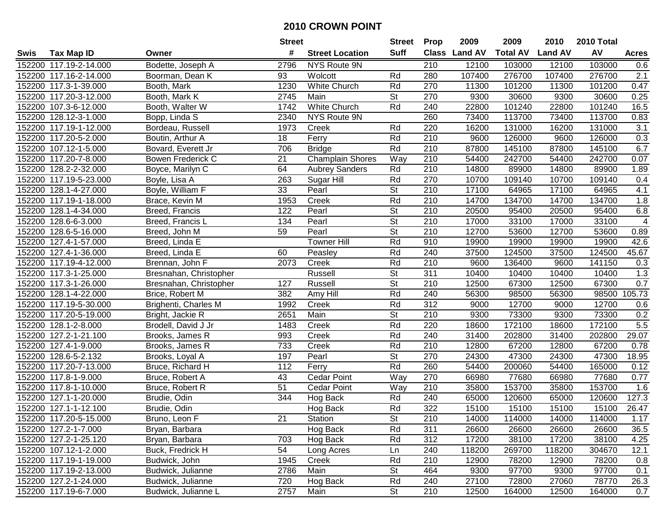|        |                        |                        | <b>Street</b>   |                         | <b>Street</b>            | <b>Prop</b>      | 2009           | 2009            | 2010           | 2010 Total |                  |
|--------|------------------------|------------------------|-----------------|-------------------------|--------------------------|------------------|----------------|-----------------|----------------|------------|------------------|
| Swis   | <b>Tax Map ID</b>      | Owner                  | #               | <b>Street Location</b>  | <b>Suff</b>              | <b>Class</b>     | <b>Land AV</b> | <b>Total AV</b> | <b>Land AV</b> | AV         | <b>Acres</b>     |
|        | 152200 117.19-2-14.000 | Bodette, Joseph A      | 2796            | NYS Route 9N            |                          | 210              | 12100          | 103000          | 12100          | 103000     | 0.6              |
|        | 152200 117.16-2-14.000 | Boorman, Dean K        | 93              | Wolcott                 | Rd                       | 280              | 107400         | 276700          | 107400         | 276700     | 2.1              |
|        | 152200 117.3-1-39.000  | Booth, Mark            | 1230            | White Church            | Rd                       | 270              | 11300          | 101200          | 11300          | 101200     | 0.47             |
|        | 152200 117.20-3-12.000 | Booth, Mark K          | 2745            | Main                    | <b>St</b>                | 270              | 9300           | 30600           | 9300           | 30600      | 0.25             |
|        | 152200 107.3-6-12.000  | Booth, Walter W        | 1742            | <b>White Church</b>     | Rd                       | 240              | 22800          | 101240          | 22800          | 101240     | 16.5             |
|        | 152200 128.12-3-1.000  | Bopp, Linda S          | 2340            | NYS Route 9N            |                          | 260              | 73400          | 113700          | 73400          | 113700     | 0.83             |
|        | 152200 117.19-1-12.000 | Bordeau, Russell       | 1973            | Creek                   | Rd                       | 220              | 16200          | 131000          | 16200          | 131000     | 3.1              |
|        | 152200 117.20-5-2.000  | Boutin, Arthur A       | 18              | Ferry                   | Rd                       | $\overline{210}$ | 9600           | 126000          | 9600           | 126000     | 0.3              |
|        | 152200 107.12-1-5.000  | Bovard, Everett Jr     | 706             | <b>Bridge</b>           | Rd                       | 210              | 87800          | 145100          | 87800          | 145100     | 6.7              |
|        | 152200 117.20-7-8.000  | Bowen Frederick C      | 21              | <b>Champlain Shores</b> | Way                      | 210              | 54400          | 242700          | 54400          | 242700     | 0.07             |
|        | 152200 128.2-2-32.000  | Boyce, Marilyn C       | 64              | <b>Aubrey Sanders</b>   | Rd                       | 210              | 14800          | 89900           | 14800          | 89900      | 1.89             |
|        | 152200 117.19-5-23.000 | Boyle, Lisa A          | 263             | Sugar Hill              | Rd                       | 270              | 10700          | 109140          | 10700          | 109140     | 0.4              |
|        | 152200 128.1-4-27.000  | Boyle, William F       | 33              | Pearl                   | <b>St</b>                | 210              | 17100          | 64965           | 17100          | 64965      | 4.1              |
|        | 152200 117.19-1-18.000 | Brace, Kevin M         | 1953            | Creek                   | Rd                       | 210              | 14700          | 134700          | 14700          | 134700     | 1.8              |
| 152200 | 128.1-4-34.000         | Breed, Francis         | 122             | Pearl                   | $\overline{\mathsf{St}}$ | 210              | 20500          | 95400           | 20500          | 95400      | 6.8              |
|        | 152200 128.6-6-3.000   | Breed, Francis L       | 134             | Pearl                   | <b>St</b>                | 210              | 17000          | 33100           | 17000          | 33100      | 4                |
| 152200 | 128.6-5-16.000         | Breed, John M          | 59              | Pearl                   | $\overline{\mathsf{St}}$ | 210              | 12700          | 53600           | 12700          | 53600      | 0.89             |
|        | 152200 127.4-1-57.000  | Breed, Linda E         |                 | <b>Towner Hill</b>      | Rd                       | 910              | 19900          | 19900           | 19900          | 19900      | 42.6             |
|        | 152200 127.4-1-36.000  | Breed, Linda E         | 60              | Peasley                 | Rd                       | 240              | 37500          | 124500          | 37500          | 124500     | 45.67            |
|        | 152200 117.19-4-12.000 | Brennan, John F        | 2073            | Creek                   | Rd                       | 210              | 9600           | 136400          | 9600           | 141150     | 0.3              |
|        | 152200 117.3-1-25.000  | Bresnahan, Christopher |                 | Russell                 | <b>St</b>                | 311              | 10400          | 10400           | 10400          | 10400      | $\overline{1.3}$ |
|        | 152200 117.3-1-26.000  | Bresnahan, Christopher | 127             | <b>Russell</b>          | <b>St</b>                | 210              | 12500          | 67300           | 12500          | 67300      | 0.7              |
|        | 152200 128.1-4-22.000  | Brice, Robert M        | 382             | Amy Hill                | Rd                       | 240              | 56300          | 98500           | 56300          | 98500      | 105.73           |
|        | 152200 117.19-5-30.000 | Brighenti, Charles M   | 1992            | Creek                   | Rd                       | 312              | 9000           | 12700           | 9000           | 12700      | 0.6              |
|        | 152200 117.20-5-19.000 | Bright, Jackie R       | 2651            | Main                    | $\overline{\mathsf{St}}$ | 210              | 9300           | 73300           | 9300           | 73300      | 0.2              |
|        | 152200 128.1-2-8.000   | Brodell, David J Jr    | 1483            | Creek                   | Rd                       | 220              | 18600          | 172100          | 18600          | 172100     | 5.5              |
|        | 152200 127.2-1-21.100  | Brooks, James R        | 993             | Creek                   | Rd                       | 240              | 31400          | 202800          | 31400          | 202800     | 29.07            |
|        | 152200 127.4-1-9.000   | Brooks, James R        | 733             | Creek                   | Rd                       | 210              | 12800          | 67200           | 12800          | 67200      | 0.78             |
|        | 152200 128.6-5-2.132   | Brooks, Loyal A        | 197             | Pearl                   | $\overline{\mathsf{St}}$ | 270              | 24300          | 47300           | 24300          | 47300      | 18.95            |
|        | 152200 117.20-7-13.000 | Bruce, Richard H       | 112             | Ferry                   | Rd                       | 260              | 54400          | 200060          | 54400          | 165000     | 0.12             |
|        | 152200 117.8-1-9.000   | Bruce, Robert A        | $\overline{43}$ | <b>Cedar Point</b>      | Way                      | 270              | 66980          | 77680           | 66980          | 77680      | 0.77             |
|        | 152200 117.8-1-10.000  | Bruce, Robert R        | $\overline{51}$ | <b>Cedar Point</b>      | Way                      | 210              | 35800          | 153700          | 35800          | 153700     | 1.6              |
|        | 152200 127.1-1-20.000  | Brudie, Odin           | 344             | Hog Back                | Rd                       | 240              | 65000          | 120600          | 65000          | 120600     | 127.3            |
|        | 152200 127.1-1-12.100  | Brudie, Odin           |                 | Hog Back                | Rd                       | $\overline{322}$ | 15100          | 15100           | 15100          | 15100      | 26.47            |
|        | 152200 117.20-5-15.000 | Bruno, Leon F          | 21              | Station                 | St                       | 210              | 14000          | 114000          | 14000          | 114000     | 1.17             |
|        | 152200 127.2-1-7.000   | Bryan, Barbara         |                 | Hog Back                | Rd                       | 311              | 26600          | 26600           | 26600          | 26600      | 36.5             |
|        | 152200 127.2-1-25.120  | Bryan, Barbara         | 703             | Hog Back                | Rd                       | 312              | 17200          | 38100           | 17200          | 38100      | 4.25             |
|        | 152200 107.12-1-2.000  | Buck, Fredrick H       | 54              | Long Acres              | Ln                       | 240              | 118200         | 269700          | 118200         | 304670     | 12.1             |
|        | 152200 117.19-1-19.000 | Budwick, John          | 1945            | Creek                   | Rd                       | 210              | 12900          | 78200           | 12900          | 78200      | 0.8              |
|        | 152200 117.19-2-13.000 | Budwick, Julianne      | 2786            | Main                    | <b>St</b>                | 464              | 9300           | 97700           | 9300           | 97700      | 0.1              |
|        | 152200 127.2-1-24.000  | Budwick, Julianne      | 720             | Hog Back                | Rd                       | 240              | 27100          | 72800           | 27060          | 78770      | 26.3             |
|        | 152200 117.19-6-7.000  | Budwick, Julianne L    | 2757            | Main                    | <b>St</b>                | 210              | 12500          | 164000          | 12500          | 164000     | 0.7              |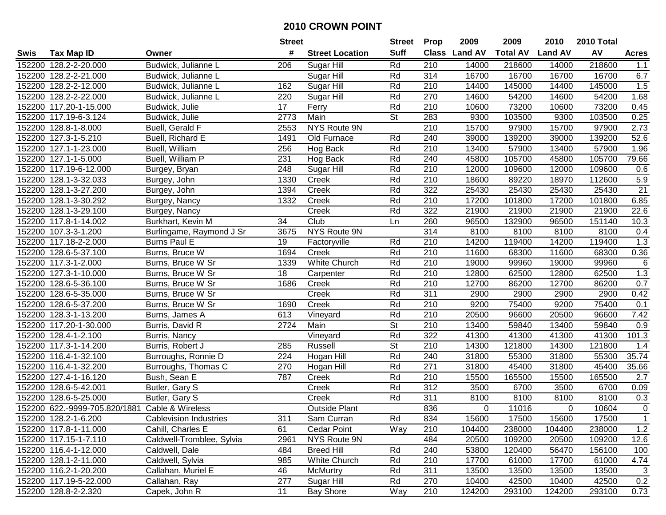|        |                                                |                               | <b>Street</b> |                        | <b>Street</b>            | <b>Prop</b>      | 2009           | 2009            | 2010           | 2010 Total |              |
|--------|------------------------------------------------|-------------------------------|---------------|------------------------|--------------------------|------------------|----------------|-----------------|----------------|------------|--------------|
| Swis   | <b>Tax Map ID</b>                              | Owner                         | #             | <b>Street Location</b> | <b>Suff</b>              | <b>Class</b>     | <b>Land AV</b> | <b>Total AV</b> | <b>Land AV</b> | AV         | <b>Acres</b> |
|        | 152200 128.2-2-20.000                          | Budwick, Julianne L           | 206           | Sugar Hill             | Rd                       | 210              | 14000          | 218600          | 14000          | 218600     | 1.1          |
|        | 152200 128.2-2-21.000                          | Budwick, Julianne L           |               | Sugar Hill             | Rd                       | 314              | 16700          | 16700           | 16700          | 16700      | 6.7          |
|        | 152200 128.2-2-12.000                          | Budwick, Julianne L           | 162           | Sugar Hill             | Rd                       | 210              | 14400          | 145000          | 14400          | 145000     | 1.5          |
|        | 152200 128.2-2-22.000                          | Budwick, Julianne L           | 220           | Sugar Hill             | Rd                       | 270              | 14600          | 54200           | 14600          | 54200      | 1.68         |
|        | 152200 117.20-1-15.000                         | Budwick, Julie                | 17            | Ferry                  | Rd                       | 210              | 10600          | 73200           | 10600          | 73200      | 0.45         |
|        | 152200 117.19-6-3.124                          | Budwick, Julie                | 2773          | Main                   | $\overline{\mathsf{St}}$ | 283              | 9300           | 103500          | 9300           | 103500     | 0.25         |
|        | 152200 128.8-1-8.000                           | Buell, Gerald F               | 2553          | NYS Route 9N           |                          | 210              | 15700          | 97900           | 15700          | 97900      | 2.73         |
| 152200 | 127.3-1-5.210                                  | Buell, Richard E              | 1491          | Old Furnace            | Rd                       | 240              | 39000          | 139200          | 39000          | 139200     | 52.6         |
|        | 152200 127.1-1-23.000                          | Buell, William                | 256           | Hog Back               | Rd                       | 210              | 13400          | 57900           | 13400          | 57900      | 1.96         |
|        | 152200 127.1-1-5.000                           | Buell, William P              | 231           | Hog Back               | Rd                       | 240              | 45800          | 105700          | 45800          | 105700     | 79.66        |
|        | 152200 117.19-6-12.000                         | Burgey, Bryan                 | 248           | Sugar Hill             | Rd                       | 210              | 12000          | 109600          | 12000          | 109600     | 0.6          |
|        | 152200 128.1-3-32.033                          | Burgey, John                  | 1330          | Creek                  | Rd                       | 210              | 18600          | 89220           | 18970          | 112600     | 5.9          |
|        | 152200 128.1-3-27.200                          | Burgey, John                  | 1394          | Creek                  | Rd                       | 322              | 25430          | 25430           | 25430          | 25430      | 21           |
|        | 152200 128.1-3-30.292                          | Burgey, Nancy                 | 1332          | Creek                  | Rd                       | 210              | 17200          | 101800          | 17200          | 101800     | 6.85         |
|        | 152200 128.1-3-29.100                          | Burgey, Nancy                 |               | Creek                  | Rd                       | 322              | 21900          | 21900           | 21900          | 21900      | 22.6         |
|        | 152200 117.8-1-14.002                          | Burkhart, Kevin M             | 34            | Club                   | Ln                       | 260              | 96500          | 132900          | 96500          | 151140     | 10.3         |
|        | 152200 107.3-3-1.200                           | Burlingame, Raymond J Sr      | 3675          | NYS Route 9N           |                          | 314              | 8100           | 8100            | 8100           | 8100       | 0.4          |
|        | 152200 117.18-2-2.000                          | <b>Burns Paul E</b>           | 19            | Factoryville           | Rd                       | 210              | 14200          | 119400          | 14200          | 119400     | 1.3          |
|        | 152200 128.6-5-37.100                          | Burns, Bruce W                | 1694          | Creek                  | Rd                       | 210              | 11600          | 68300           | 11600          | 68300      | 0.36         |
|        | 152200 117.3-1-2.000                           | Burns, Bruce W Sr             | 1339          | White Church           | Rd                       | 210              | 19000          | 99960           | 19000          | 99960      | 6            |
|        | 152200 127.3-1-10.000                          | Burns, Bruce W Sr             | 18            | Carpenter              | Rd                       | 210              | 12800          | 62500           | 12800          | 62500      | 1.3          |
|        | 152200 128.6-5-36.100                          | Burns, Bruce W Sr             | 1686          | Creek                  | Rd                       | 210              | 12700          | 86200           | 12700          | 86200      | 0.7          |
| 152200 | 128.6-5-35.000                                 | Burns, Bruce W Sr             |               | Creek                  | Rd                       | 311              | 2900           | 2900            | 2900           | 2900       | 0.42         |
| 152200 | 128.6-5-37.200                                 | Burns, Bruce W Sr             | 1690          | Creek                  | Rd                       | 210              | 9200           | 75400           | 9200           | 75400      | 0.1          |
| 152200 | 128.3-1-13.200                                 | Burns, James A                | 613           | Vineyard               | Rd                       | 210              | 20500          | 96600           | 20500          | 96600      | 7.42         |
|        | 152200 117.20-1-30.000                         | Burris, David R               | 2724          | Main                   | St                       | 210              | 13400          | 59840           | 13400          | 59840      | 0.9          |
|        | 152200 128.4-1-2.100                           | Burris, Nancy                 |               | Vineyard               | Rd                       | 322              | 41300          | 41300           | 41300          | 41300      | 101.3        |
|        | 152200 117.3-1-14.200                          | Burris, Robert J              | 285           | Russell                | <b>St</b>                | 210              | 14300          | 121800          | 14300          | 121800     | 1.4          |
|        | 152200 116.4-1-32.100                          | Burroughs, Ronnie D           | 224           | Hogan Hill             | Rd                       | 240              | 31800          | 55300           | 31800          | 55300      | 35.74        |
|        | 152200 116.4-1-32.200                          | Burroughs, Thomas C           | 270           | Hogan Hill             | Rd                       | $\overline{271}$ | 31800          | 45400           | 31800          | 45400      | 35.66        |
|        | 152200 127.4-1-16.120                          | Bush, Sean E                  | 787           | Creek                  | Rd                       | $\overline{210}$ | 15500          | 165500          | 15500          | 165500     | 2.7          |
|        | 152200 128.6-5-42.001                          | Butler, Gary S                |               | Creek                  | Rd                       | 312              | 3500           | 6700            | 3500           | 6700       | 0.09         |
|        | 152200 128.6-5-25.000                          | Butler, Gary S                |               | Creek                  | Rd                       | 311              | 8100           | 8100            | 8100           | 8100       | 0.3          |
|        | 152200 622.-9999-705.820/1881 Cable & Wireless |                               |               | <b>Outside Plant</b>   |                          | 836              | 0              | 11016           | $\Omega$       | 10604      | $\mathbf 0$  |
|        | 152200 128.2-1-6.200                           | <b>Cablevision Industries</b> | 311           | Sam Curran             | Rd                       | 834              | 15600          | 17500           | 15600          | 17500      | 1            |
|        | 152200 117.8-1-11.000                          | Cahill, Charles E             | 61            | <b>Cedar Point</b>     | Way                      | 210              | 104400         | 238000          | 104400         | 238000     | 1.2          |
|        | 152200 117.15-1-7.110                          | Caldwell-Tromblee, Sylvia     | 2961          | NYS Route 9N           |                          | 484              | 20500          | 109200          | 20500          | 109200     | 12.6         |
|        | 152200 116.4-1-12.000                          | Caldwell, Dale                | 484           | <b>Breed Hill</b>      | Rd                       | 240              | 53800          | 120400          | 56470          | 156100     | 100          |
|        | 152200 128.1-2-11.000                          | Caldwell, Sylvia              | 985           | White Church           | Rd                       | 210              | 17700          | 61000           | 17700          | 61000      | 4.74         |
|        | 152200 116.2-1-20.200                          | Callahan, Muriel E            | 46            | <b>McMurtry</b>        | Rd                       | 311              | 13500          | 13500           | 13500          | 13500      | 3            |
|        | 152200 117.19-5-22.000                         | Callahan, Ray                 | 277           | Sugar Hill             | Rd                       | 270              | 10400          | 42500           | 10400          | 42500      | 0.2          |
|        | 152200 128.8-2-2.320                           | Capek, John R                 | 11            | <b>Bay Shore</b>       | Way                      | 210              | 124200         | 293100          | 124200         | 293100     | 0.73         |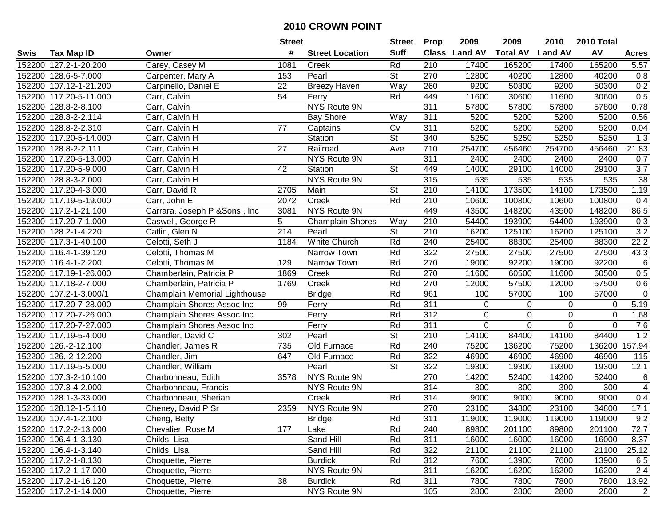|        |                        |                                | <b>Street</b>    |                         | <b>Street</b>            | <b>Prop</b>      | 2009           | 2009            | 2010           | 2010 Total  |                  |
|--------|------------------------|--------------------------------|------------------|-------------------------|--------------------------|------------------|----------------|-----------------|----------------|-------------|------------------|
| Swis   | <b>Tax Map ID</b>      | Owner                          | #                | <b>Street Location</b>  | <b>Suff</b>              | <b>Class</b>     | <b>Land AV</b> | <b>Total AV</b> | <b>Land AV</b> | AV          | <b>Acres</b>     |
|        | 152200 127.2-1-20.200  | Carey, Casey M                 | 1081             | Creek                   | Rd                       | 210              | 17400          | 165200          | 17400          | 165200      | 5.57             |
|        | 152200 128.6-5-7.000   | Carpenter, Mary A              | 153              | Pearl                   | St                       | 270              | 12800          | 40200           | 12800          | 40200       | 0.8              |
|        | 152200 107.12-1-21.200 | Carpinello, Daniel E           | 22               | <b>Breezy Haven</b>     | Way                      | 260              | 9200           | 50300           | 9200           | 50300       | 0.2              |
|        | 152200 117.20-5-11.000 | Carr, Calvin                   | 54               | Ferry                   | Rd                       | 449              | 11600          | 30600           | 11600          | 30600       | 0.5              |
|        | 152200 128.8-2-8.100   | Carr, Calvin                   |                  | NYS Route 9N            |                          | 311              | 57800          | 57800           | 57800          | 57800       | 0.78             |
|        | 152200 128.8-2-2.114   | Carr, Calvin H                 |                  | <b>Bay Shore</b>        | Way                      | 311              | 5200           | 5200            | 5200           | 5200        | 0.56             |
|        | 152200 128.8-2-2.310   | Carr, Calvin H                 | 77               | Captains                | Cv                       | 311              | 5200           | 5200            | 5200           | 5200        | 0.04             |
|        | 152200 117.20-5-14.000 | Carr, Calvin H                 |                  | Station                 | $\overline{\mathsf{St}}$ | 340              | 5250           | 5250            | 5250           | 5250        | $\overline{1.3}$ |
|        | 152200 128.8-2-2.111   | Carr, Calvin H                 | $\overline{27}$  | Railroad                | Ave                      | $\overline{710}$ | 254700         | 456460          | 254700         | 456460      | 21.83            |
|        | 152200 117.20-5-13.000 | Carr, Calvin H                 |                  | NYS Route 9N            |                          | 311              | 2400           | 2400            | 2400           | 2400        | 0.7              |
|        | 152200 117.20-5-9.000  | Carr, Calvin H                 | 42               | Station                 | St                       | 449              | 14000          | 29100           | 14000          | 29100       | 3.7              |
|        | 152200 128.8-3-2.000   | Carr, Calvin H                 |                  | NYS Route 9N            |                          | 315              | 535            | 535             | 535            | 535         | 38               |
|        | 152200 117.20-4-3.000  | Carr, David R                  | 2705             | Main                    | <b>St</b>                | 210              | 14100          | 173500          | 14100          | 173500      | 1.19             |
|        | 152200 117.19-5-19.000 | Carr, John E                   | 2072             | Creek                   | Rd                       | 210              | 10600          | 100800          | 10600          | 100800      | 0.4              |
| 152200 | 117.2-1-21.100         | Carrara, Joseph P & Sons, Inc. | 3081             | NYS Route 9N            |                          | 449              | 43500          | 148200          | 43500          | 148200      | 86.5             |
|        | 152200 117.20-7-1.000  | Caswell, George R              | 5                | <b>Champlain Shores</b> | Way                      | 210              | 54400          | 193900          | 54400          | 193900      | 0.3              |
|        | 152200 128.2-1-4.220   | Catlin, Glen N                 | $\overline{214}$ | Pearl                   | <b>St</b>                | 210              | 16200          | 125100          | 16200          | 125100      | $\overline{3.2}$ |
| 152200 | 117.3-1-40.100         | Celotti, Seth J                | 1184             | White Church            | Rd                       | 240              | 25400          | 88300           | 25400          | 88300       | 22.2             |
|        | 152200 116.4-1-39.120  | Celotti, Thomas M              |                  | Narrow Town             | Rd                       | 322              | 27500          | 27500           | 27500          | 27500       | 43.3             |
|        | 152200 116.4-1-2.200   | Celotti, Thomas M              | 129              | Narrow Town             | Rd                       | 270              | 19000          | 92200           | 19000          | 92200       | 6                |
|        | 152200 117.19-1-26.000 | Chamberlain, Patricia P        | 1869             | Creek                   | Rd                       | 270              | 11600          | 60500           | 11600          | 60500       | 0.5              |
|        | 152200 117.18-2-7.000  | Chamberlain, Patricia P        | 1769             | Creek                   | Rd                       | 270              | 12000          | 57500           | 12000          | 57500       | 0.6              |
|        | 152200 107.2-1-3.000/1 | Champlain Memorial Lighthouse  |                  | <b>Bridge</b>           | Rd                       | 961              | 100            | 57000           | 100            | 57000       | $\mathbf 0$      |
| 152200 | 117.20-7-28.000        | Champlain Shores Assoc Inc     | 99               | Ferry                   | Rd                       | 311              | 0              | 0               | 0              | 0           | 5.19             |
|        | 152200 117.20-7-26.000 | Champlain Shores Assoc Inc     |                  | Ferry                   | Rd                       | 312              | $\mathbf 0$    | $\mathbf 0$     | $\mathbf 0$    | $\mathbf 0$ | 1.68             |
|        | 152200 117.20-7-27.000 | Champlain Shores Assoc Inc     |                  | Ferry                   | Rd                       | 311              | $\overline{0}$ | $\mathbf 0$     | $\mathbf 0$    | $\mathbf 0$ | 7.6              |
|        | 152200 117.19-5-4.000  | Chandler, David C              | 302              | Pearl                   | $\overline{\mathsf{St}}$ | 210              | 14100          | 84400           | 14100          | 84400       | 1.2              |
|        | 152200 126.-2-12.100   | Chandler, James R              | 735              | Old Furnace             | Rd                       | 240              | 75200          | 136200          | 75200          | 136200      | 157.94           |
|        | 152200 126.-2-12.200   | Chandler, Jim                  | 647              | Old Furnace             | Rd                       | 322              | 46900          | 46900           | 46900          | 46900       | 115              |
|        | 152200 117.19-5-5.000  | Chandler, William              |                  | Pearl                   | $\overline{\mathsf{St}}$ | 322              | 19300          | 19300           | 19300          | 19300       | 12.1             |
|        | 152200 107.3-2-10.100  | Charbonneau, Edith             | 3578             | <b>NYS Route 9N</b>     |                          | 270              | 14200          | 52400           | 14200          | 52400       | 6                |
|        | 152200 107.3-4-2.000   | Charbonneau, Francis           |                  | NYS Route 9N            |                          | 314              | 300            | 300             | 300            | 300         | $\overline{4}$   |
|        | 152200 128.1-3-33.000  | Charbonneau, Sherian           |                  | Creek                   | Rd                       | 314              | 9000           | 9000            | 9000           | 9000        | 0.4              |
|        | 152200 128.12-1-5.110  | Cheney, David P Sr             | 2359             | NYS Route 9N            |                          | 270              | 23100          | 34800           | 23100          | 34800       | 17.1             |
|        | 152200 107.4-1-2.100   | Cheng, Betty                   |                  | <b>Bridge</b>           | Rd                       | 311              | 119000         | 119000          | 119000         | 119000      | 9.2              |
|        | 152200 117.2-2-13.000  | Chevalier, Rose M              | 177              | Lake                    | Rd                       | 240              | 89800          | 201100          | 89800          | 201100      | 72.7             |
|        | 152200 106.4-1-3.130   | Childs, Lisa                   |                  | Sand Hill               | Rd                       | 311              | 16000          | 16000           | 16000          | 16000       | 8.37             |
|        | 152200 106.4-1-3.140   | Childs, Lisa                   |                  | Sand Hill               | Rd                       | 322              | 21100          | 21100           | 21100          | 21100       | 25.12            |
|        | 152200 117.2-1-8.130   | Choquette, Pierre              |                  | <b>Burdick</b>          | Rd                       | 312              | 7600           | 13900           | 7600           | 13900       | 6.5              |
|        | 152200 117.2-1-17.000  | Choquette, Pierre              |                  | NYS Route 9N            |                          | 311              | 16200          | 16200           | 16200          | 16200       | 2.4              |
|        | 152200 117.2-1-16.120  | Choquette, Pierre              | 38               | <b>Burdick</b>          | Rd                       | 311              | 7800           | 7800            | 7800           | 7800        | 13.92            |
|        | 152200 117.2-1-14.000  | Choquette, Pierre              |                  | NYS Route 9N            |                          | 105              | 2800           | 2800            | 2800           | 2800        | 2                |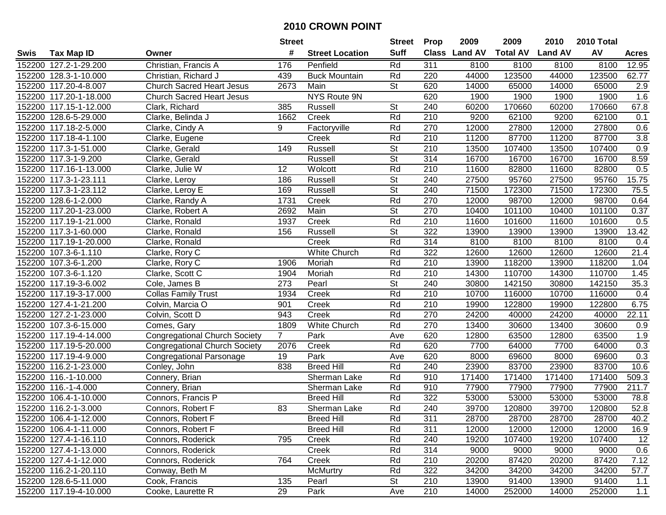|        |                              |                                      | <b>Street</b>  |                        | Street                   | <b>Prop</b>      | 2009          | 2009            | 2010           | 2010 Total |                  |
|--------|------------------------------|--------------------------------------|----------------|------------------------|--------------------------|------------------|---------------|-----------------|----------------|------------|------------------|
| Swis   | <b>Tax Map ID</b>            | Owner                                | #              | <b>Street Location</b> | <b>Suff</b>              |                  | Class Land AV | <b>Total AV</b> | <b>Land AV</b> | AV         | <b>Acres</b>     |
|        | 152200 127.2-1-29.200        | Christian, Francis A                 | 176            | Penfield               | Rd                       | 311              | 8100          | 8100            | 8100           | 8100       | 12.95            |
|        | 152200 128.3-1-10.000        | Christian, Richard J                 | 439            | <b>Buck Mountain</b>   | Rd                       | 220              | 44000         | 123500          | 44000          | 123500     | 62.77            |
|        | 152200 117.20-4-8.007        | Church Sacred Heart Jesus            | 2673           | Main                   | <b>St</b>                | 620              | 14000         | 65000           | 14000          | 65000      | 2.9              |
|        | 152200 117.20-1-18.000       | <b>Church Sacred Heart Jesus</b>     |                | <b>NYS Route 9N</b>    |                          | 620              | 1900          | 1900            | 1900           | 1900       | 1.6              |
|        | 152200 117.15-1-12.000       | Clark, Richard                       | 385            | Russell                | <b>St</b>                | 240              | 60200         | 170660          | 60200          | 170660     | 67.8             |
|        | 152200 128.6-5-29.000        | Clarke, Belinda J                    | 1662           | Creek                  | Rd                       | 210              | 9200          | 62100           | 9200           | 62100      | 0.1              |
|        | 152200 117.18-2-5.000        | Clarke, Cindy A                      | 9              | Factoryville           | Rd                       | 270              | 12000         | 27800           | 12000          | 27800      | 0.6              |
|        | 152200 117.18-4-1.100        | Clarke, Eugene                       |                | Creek                  | Rd                       | $\overline{210}$ | 11200         | 87700           | 11200          | 87700      | $\overline{3.8}$ |
|        | 152200 117.3-1-51.000        | Clarke, Gerald                       | 149            | Russell                | $\overline{\mathsf{St}}$ | 210              | 13500         | 107400          | 13500          | 107400     | 0.9              |
|        | 152200 117.3-1-9.200         | Clarke, Gerald                       |                | Russell                | <b>St</b>                | 314              | 16700         | 16700           | 16700          | 16700      | 8.59             |
|        | 152200 117.16-1-13.000       | Clarke, Julie W                      | 12             | Wolcott                | Rd                       | 210              | 11600         | 82800           | 11600          | 82800      | 0.5              |
|        | 152200 117.3-1-23.111        | Clarke, Leroy                        | 186            | Russell                | <b>St</b>                | 240              | 27500         | 95760           | 27500          | 95760      | 15.75            |
|        | 152200 117.3-1-23.112        | Clarke, Leroy E                      | 169            | Russell                | $\overline{\mathsf{St}}$ | 240              | 71500         | 172300          | 71500          | 172300     | 75.5             |
|        | 152200 128.6-1-2.000         | Clarke, Randy A                      | 1731           | Creek                  | Rd                       | 270              | 12000         | 98700           | 12000          | 98700      | 0.64             |
|        | 152200 117.20-1-23.000       | Clarke, Robert A                     | 2692           | Main                   | $\overline{\mathsf{St}}$ | 270              | 10400         | 101100          | 10400          | 101100     | 0.37             |
|        | 152200 117.19-1-21.000       | Clarke, Ronald                       | 1937           | Creek                  | Rd                       | 210              | 11600         | 101600          | 11600          | 101600     | 0.5              |
|        | 152200 117.3-1-60.000        | Clarke, Ronald                       | 156            | Russell                | $\overline{\mathsf{St}}$ | 322              | 13900         | 13900           | 13900          | 13900      | 13.42            |
|        | 152200 117.19-1-20.000       | Clarke, Ronald                       |                | Creek                  | Rd                       | 314              | 8100          | 8100            | 8100           | 8100       | 0.4              |
|        | 152200 107.3-6-1.110         | Clarke, Rory C                       |                | <b>White Church</b>    | Rd                       | 322              | 12600         | 12600           | 12600          | 12600      | 21.4             |
|        | 152200 107.3-6-1.200         | Clarke, Rory C                       | 1906           | Moriah                 | Rd                       | 210              | 13900         | 118200          | 13900          | 118200     | 1.04             |
|        | 152200 107.3-6-1.120         | Clarke, Scott C                      | 1904           | Moriah                 | Rd                       | 210              | 14300         | 110700          | 14300          | 110700     | 1.45             |
|        | 152200 117.19-3-6.002        | Cole, James B                        | 273            | Pearl                  | <b>St</b>                | 240              | 30800         | 142150          | 30800          | 142150     | 35.3             |
|        | 152200 117.19-3-17.000       | <b>Collas Family Trust</b>           | 1934           | Creek                  | Rd                       | 210              | 10700         | 116000          | 10700          | 116000     | 0.4              |
|        | 152200 127.4-1-21.200        | Colvin, Marcia O                     | 901            | Creek                  | Rd                       | 210              | 19900         | 122800          | 19900          | 122800     | 6.75             |
| 152200 | $\overline{127.2}$ -1-23.000 | Colvin, Scott D                      | 943            | Creek                  | Rd                       | 270              | 24200         | 40000           | 24200          | 40000      | 22.11            |
|        | 152200 107.3-6-15.000        | Comes, Gary                          | 1809           | White Church           | Rd                       | 270              | 13400         | 30600           | 13400          | 30600      | 0.9              |
|        | 152200 117.19-4-14.000       | <b>Congregational Church Society</b> | $\overline{7}$ | Park                   | Ave                      | 620              | 12800         | 63500           | 12800          | 63500      | 1.9              |
|        | 152200 117.19-5-20.000       | <b>Congregational Church Society</b> | 2076           | Creek                  | Rd                       | 620              | 7700          | 64000           | 7700           | 64000      | 0.3              |
|        | 152200 117.19-4-9.000        | Congregational Parsonage             | 19             | Park                   | Ave                      | 620              | 8000          | 69600           | 8000           | 69600      | 0.3              |
|        | 152200 116.2-1-23.000        | Conley, John                         | 838            | <b>Breed Hill</b>      | Rd                       | 240              | 23900         | 83700           | 23900          | 83700      | 10.6             |
|        | 152200 116.-1-10.000         | Connery, Brian                       |                | Sherman Lake           | Rd                       | 910              | 171400        | 171400          | 171400         | 171400     | 509.3            |
|        | 152200 116.-1-4.000          | Connery, Brian                       |                | Sherman Lake           | Rd                       | 910              | 77900         | 77900           | 77900          | 77900      | 211.7            |
|        | 152200 106.4-1-10.000        | Connors, Francis P                   |                | <b>Breed Hill</b>      | Rd                       | 322              | 53000         | 53000           | 53000          | 53000      | 78.8             |
|        | 152200 116.2-1-3.000         | Connors, Robert F                    | 83             | Sherman Lake           | Rd                       | 240              | 39700         | 120800          | 39700          | 120800     | 52.8             |
|        | 152200 106.4-1-12.000        | Connors, Robert F                    |                | <b>Breed Hill</b>      | Rd                       | 311              | 28700         | 28700           | 28700          | 28700      | 40.2             |
|        | 152200 106.4-1-11.000        | Connors, Robert F                    |                | <b>Breed Hill</b>      | Rd                       | 311              | 12000         | 12000           | 12000          | 12000      | 16.9             |
|        | 152200 127.4-1-16.110        | Connors, Roderick                    | 795            | Creek                  | Rd                       | 240              | 19200         | 107400          | 19200          | 107400     | 12               |
|        | 152200 127.4-1-13.000        | Connors, Roderick                    |                | Creek                  | Rd                       | 314              | 9000          | 9000            | 9000           | 9000       | 0.6              |
|        | 152200 127.4-1-12.000        | Connors, Roderick                    | 764            | Creek                  | Rd                       | 210              | 20200         | 87420           | 20200          | 87420      | 7.12             |
|        | 152200 116.2-1-20.110        | Conway, Beth M                       |                | <b>McMurtry</b>        | Rd                       | 322              | 34200         | 34200           | 34200          | 34200      | 57.7             |
|        | 152200 128.6-5-11.000        | Cook, Francis                        | 135            | Pearl                  | St                       | 210              | 13900         | 91400           | 13900          | 91400      | 1.1              |
|        | 152200 117.19-4-10.000       | Cooke, Laurette R                    | 29             | Park                   | Ave                      | 210              | 14000         | 252000          | 14000          | 252000     | 1.1              |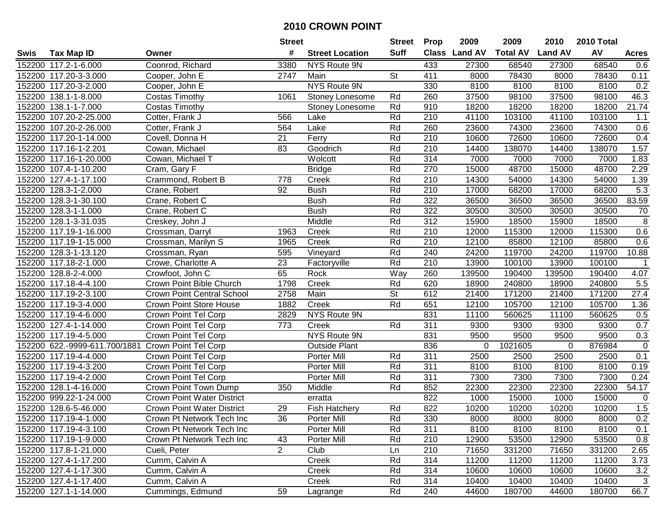| #<br><b>Suff</b><br>AV<br>Class Land AV<br><b>Total AV</b><br><b>Land AV</b><br><b>Tax Map ID</b><br><b>Street Location</b><br>Swis<br>Owner<br><b>Acres</b><br>3380<br>152200 117.2-1-6.000<br>Coonrod, Richard<br>NYS Route 9N<br>433<br>27300<br>68540<br>27300<br>68540<br>0.6<br><b>St</b><br>411<br>152200 117.20-3-3.000<br>2747<br>Main<br>8000<br>78430<br>0.11<br>Cooper, John E<br>8000<br>78430<br>NYS Route 9N<br>8100<br>152200 117.20-3-2.000<br>330<br>8100<br>8100<br>8100<br>0.2<br>Cooper, John E<br>98100<br>37500<br>98100<br>46.3<br>152200 138.1-1-8.000<br>1061<br>Rd<br>260<br>37500<br>Costas Timothy<br>Stoney Lonesome<br>152200 138.1-1-7.000<br>Rd<br>910<br>18200<br>18200<br>18200<br>18200<br>21.74<br>Costas Timothy<br>Stoney Lonesome<br>152200 107.20-2-25.000<br>566<br>Rd<br>210<br>41100<br>103100<br>41100<br>103100<br>1.1<br>Cotter, Frank J<br>Lake<br>152200 107.20-2-26.000<br>74300<br>74300<br>Cotter, Frank J<br>564<br>Lake<br>Rd<br>260<br>23600<br>23600<br>0.6<br>152200 117.20-1-14.000<br>$\overline{21}$<br>$\overline{210}$<br>72600<br>72600<br>0.4<br>Covell, Donna H<br>Ferry<br>Rd<br>10600<br>10600<br>1.57<br>152200 117.16-1-2.201<br>83<br>Rd<br>210<br>14400<br>138070<br>14400<br>138070<br>Cowan, Michael<br>Goodrich<br>152200 117.16-1-20.000<br>Cowan, Michael T<br>Wolcott<br>Rd<br>314<br>7000<br>7000<br>7000<br>1.83<br>7000<br>Rd<br>152200 107.4-1-10.200<br>Cram, Gary F<br><b>Bridge</b><br>270<br>15000<br>48700<br>15000<br>48700<br>2.29<br>Rd<br>152200 127.4-1-17.100<br>Creek<br>210<br>14300<br>54000<br>14300<br>54000<br>1.39<br>Crammond, Robert B<br>778<br>Rd<br>92<br><b>Bush</b><br>210<br>68200<br>68200<br>5.3<br>152200 128.3-1-2.000<br>Crane, Robert<br>17000<br>17000<br>322<br>83.59<br>152200 128.3-1-30.100<br><b>Bush</b><br>Rd<br>36500<br>36500<br>36500<br>36500<br>Crane, Robert C<br>Rd<br>322<br>152200<br>128.3-1-1.000<br><b>Bush</b><br>30500<br>30500<br>30500<br>30500<br>70<br>Crane, Robert C<br>312<br>8<br>Middle<br>Rd<br>15900<br>18500<br>15900<br>18500<br>152200 128.1-3-31.035<br>Creskey, John J<br>Rd<br>210<br>0.6<br>152200 117.19-1-16.000<br>1963<br>12000<br>115300<br>12000<br>115300<br>Creek<br>Crossman, Darryl<br>1965<br>Rd<br>210<br>85800<br>12100<br>85800<br>0.6<br>152200 117.19-1-15.000<br>Crossman, Marilyn S<br>Creek<br>12100<br>119700<br>152200 128.3-1-13.120<br>Rd<br>240<br>119700<br>24200<br>10.88<br>Crossman, Ryan<br>595<br>Vineyard<br>24200<br>152200 117.18-2-1.000<br>Rd<br>210<br>13900<br>100100<br>13900<br>100100<br>Crowe, Charlotte A<br>23<br>Factoryville<br>$\mathbf 1$<br>152200 128.8-2-4.000<br>65<br>Way<br>139500<br>Crowfoot, John C<br>Rock<br>260<br>190400<br>139500<br>190400<br>4.07<br>152200 117.18-4-4.100<br>Crown Point Bible Church<br>1798<br>Rd<br>620<br>18900<br>240800<br>18900<br>240800<br>5.5<br>Creek<br>2758<br>Main<br><b>St</b><br>612<br>27.4<br>152200 117.19-2-3.100<br><b>Crown Point Central School</b><br>21400<br>171200<br>21400<br>171200<br>152200 117.19-3-4.000<br>1882<br>Rd<br>651<br>12100<br>105700<br>12100<br>105700<br>1.36<br><b>Crown Point Store House</b><br>Creek<br>152200 117.19-4-6.000<br>2829<br>NYS Route 9N<br>831<br>560625<br>560625<br>Crown Point Tel Corp<br>11100<br>11100<br>0.5<br>773<br>Rd<br>311<br>0.7<br>152200 127.4-1-14.000<br>Crown Point Tel Corp<br>9300<br>9300<br>Creek<br>9300<br>9300<br>NYS Route 9N<br>831<br>152200 117.19-4-5.000<br>Crown Point Tel Corp<br>9500<br>9500<br>0.3<br>9500<br>9500<br>836<br>1021605<br>876984<br>152200 622.-9999-611.700/1881<br><b>Crown Point Tel Corp</b><br><b>Outside Plant</b><br>$\mathbf 0$<br>0<br>0<br>311<br>152200 117.19-4-4.000<br>Porter Mill<br>Rd<br>2500<br>2500<br>2500<br>2500<br>Crown Point Tel Corp<br>0.1<br>Rd<br>311<br>8100<br>152200 117.19-4-3.200<br>Crown Point Tel Corp<br>Porter Mill<br>8100<br>8100<br>8100<br>0.19<br>152200 117.19-4-2.000<br>Rd<br>311<br>7300<br>7300<br>7300<br>7300<br>Crown Point Tel Corp<br><b>Porter Mill</b><br>0.24<br>152200 128.1-4-16.000<br>Middle<br>Rd<br>852<br>22300<br>22300<br>54.17<br>Crown Point Town Dump<br>350<br>22300<br>22300<br>822<br>152200 999.22-1-24.000<br>15000<br>15000<br>1000<br>1000<br><b>Crown Point Water District</b><br>$\mathbf 0$<br>erratta<br>822<br>1.5<br>152200 128.6-5-46.000<br>29<br>Rd<br>10200<br>10200<br>10200<br><b>Crown Point Water District</b><br><b>Fish Hatchery</b><br>10200<br>152200 117.19-4-1.000<br>Crown Pt Network Tech Inc<br>36<br>Porter Mill<br>Rd<br>330<br>8000<br>8000<br>8000<br>8000<br>0.2<br>Rd<br>311<br>152200 117.19-4-3.100<br>Crown Pt Network Tech Inc<br>Porter Mill<br>8100<br>8100<br>8100<br>8100<br>0.1<br>152200 117.19-1-9.000<br>Crown Pt Network Tech Inc<br>43<br>Porter Mill<br>Rd<br>210<br>12900<br>53500<br>12900<br>53500<br>0.8<br>$\overline{2}$<br>152200 117.8-1-21.000<br>Cueli, Peter<br>Club<br>210<br>71650<br>331200<br>71650<br>331200<br>Ln<br>2.65<br>152200 127.4-1-17.200<br>Cumm, Calvin A<br>Creek<br>Rd<br>314<br>11200<br>11200<br>11200<br>11200<br>3.73<br>314<br>3.2<br>152200 127.4-1-17.300<br>Cumm, Calvin A<br>Creek<br>Rd<br>10600<br>10600<br>10600<br>10600<br>152200 127.4-1-17.400<br>Cumm, Calvin A<br>Creek<br>Rd<br>314<br>10400<br>10400<br>10400<br>3<br>10400 |  |                  | <b>Street</b> |          | <b>Street</b> | <b>Prop</b> | 2009  | 2009   | 2010  | 2010 Total |      |
|--------------------------------------------------------------------------------------------------------------------------------------------------------------------------------------------------------------------------------------------------------------------------------------------------------------------------------------------------------------------------------------------------------------------------------------------------------------------------------------------------------------------------------------------------------------------------------------------------------------------------------------------------------------------------------------------------------------------------------------------------------------------------------------------------------------------------------------------------------------------------------------------------------------------------------------------------------------------------------------------------------------------------------------------------------------------------------------------------------------------------------------------------------------------------------------------------------------------------------------------------------------------------------------------------------------------------------------------------------------------------------------------------------------------------------------------------------------------------------------------------------------------------------------------------------------------------------------------------------------------------------------------------------------------------------------------------------------------------------------------------------------------------------------------------------------------------------------------------------------------------------------------------------------------------------------------------------------------------------------------------------------------------------------------------------------------------------------------------------------------------------------------------------------------------------------------------------------------------------------------------------------------------------------------------------------------------------------------------------------------------------------------------------------------------------------------------------------------------------------------------------------------------------------------------------------------------------------------------------------------------------------------------------------------------------------------------------------------------------------------------------------------------------------------------------------------------------------------------------------------------------------------------------------------------------------------------------------------------------------------------------------------------------------------------------------------------------------------------------------------------------------------------------------------------------------------------------------------------------------------------------------------------------------------------------------------------------------------------------------------------------------------------------------------------------------------------------------------------------------------------------------------------------------------------------------------------------------------------------------------------------------------------------------------------------------------------------------------------------------------------------------------------------------------------------------------------------------------------------------------------------------------------------------------------------------------------------------------------------------------------------------------------------------------------------------------------------------------------------------------------------------------------------------------------------------------------------------------------------------------------------------------------------------------------------------------------------------------------------------------------------------------------------------------------------------------------------------------------------------------------------------------------------------------------------------------------------------------------------------------------------------------------------------------------------------------------------------------------------------------------------------------------------------------------------------------------------------------------------------------------------------------------------------------------------------------------------------------------------------------------------------------------------------------------------------------------------------------------------------------------------------------------------------------------------------------------------------------------------------------------------------------------------------------------------------------------------------------------------------------|--|------------------|---------------|----------|---------------|-------------|-------|--------|-------|------------|------|
|                                                                                                                                                                                                                                                                                                                                                                                                                                                                                                                                                                                                                                                                                                                                                                                                                                                                                                                                                                                                                                                                                                                                                                                                                                                                                                                                                                                                                                                                                                                                                                                                                                                                                                                                                                                                                                                                                                                                                                                                                                                                                                                                                                                                                                                                                                                                                                                                                                                                                                                                                                                                                                                                                                                                                                                                                                                                                                                                                                                                                                                                                                                                                                                                                                                                                                                                                                                                                                                                                                                                                                                                                                                                                                                                                                                                                                                                                                                                                                                                                                                                                                                                                                                                                                                                                                                                                                                                                                                                                                                                                                                                                                                                                                                                                                                                                                                                                                                                                                                                                                                                                                                                                                                                                                                                                                                                                                    |  |                  |               |          |               |             |       |        |       |            |      |
|                                                                                                                                                                                                                                                                                                                                                                                                                                                                                                                                                                                                                                                                                                                                                                                                                                                                                                                                                                                                                                                                                                                                                                                                                                                                                                                                                                                                                                                                                                                                                                                                                                                                                                                                                                                                                                                                                                                                                                                                                                                                                                                                                                                                                                                                                                                                                                                                                                                                                                                                                                                                                                                                                                                                                                                                                                                                                                                                                                                                                                                                                                                                                                                                                                                                                                                                                                                                                                                                                                                                                                                                                                                                                                                                                                                                                                                                                                                                                                                                                                                                                                                                                                                                                                                                                                                                                                                                                                                                                                                                                                                                                                                                                                                                                                                                                                                                                                                                                                                                                                                                                                                                                                                                                                                                                                                                                                    |  |                  |               |          |               |             |       |        |       |            |      |
|                                                                                                                                                                                                                                                                                                                                                                                                                                                                                                                                                                                                                                                                                                                                                                                                                                                                                                                                                                                                                                                                                                                                                                                                                                                                                                                                                                                                                                                                                                                                                                                                                                                                                                                                                                                                                                                                                                                                                                                                                                                                                                                                                                                                                                                                                                                                                                                                                                                                                                                                                                                                                                                                                                                                                                                                                                                                                                                                                                                                                                                                                                                                                                                                                                                                                                                                                                                                                                                                                                                                                                                                                                                                                                                                                                                                                                                                                                                                                                                                                                                                                                                                                                                                                                                                                                                                                                                                                                                                                                                                                                                                                                                                                                                                                                                                                                                                                                                                                                                                                                                                                                                                                                                                                                                                                                                                                                    |  |                  |               |          |               |             |       |        |       |            |      |
|                                                                                                                                                                                                                                                                                                                                                                                                                                                                                                                                                                                                                                                                                                                                                                                                                                                                                                                                                                                                                                                                                                                                                                                                                                                                                                                                                                                                                                                                                                                                                                                                                                                                                                                                                                                                                                                                                                                                                                                                                                                                                                                                                                                                                                                                                                                                                                                                                                                                                                                                                                                                                                                                                                                                                                                                                                                                                                                                                                                                                                                                                                                                                                                                                                                                                                                                                                                                                                                                                                                                                                                                                                                                                                                                                                                                                                                                                                                                                                                                                                                                                                                                                                                                                                                                                                                                                                                                                                                                                                                                                                                                                                                                                                                                                                                                                                                                                                                                                                                                                                                                                                                                                                                                                                                                                                                                                                    |  |                  |               |          |               |             |       |        |       |            |      |
|                                                                                                                                                                                                                                                                                                                                                                                                                                                                                                                                                                                                                                                                                                                                                                                                                                                                                                                                                                                                                                                                                                                                                                                                                                                                                                                                                                                                                                                                                                                                                                                                                                                                                                                                                                                                                                                                                                                                                                                                                                                                                                                                                                                                                                                                                                                                                                                                                                                                                                                                                                                                                                                                                                                                                                                                                                                                                                                                                                                                                                                                                                                                                                                                                                                                                                                                                                                                                                                                                                                                                                                                                                                                                                                                                                                                                                                                                                                                                                                                                                                                                                                                                                                                                                                                                                                                                                                                                                                                                                                                                                                                                                                                                                                                                                                                                                                                                                                                                                                                                                                                                                                                                                                                                                                                                                                                                                    |  |                  |               |          |               |             |       |        |       |            |      |
|                                                                                                                                                                                                                                                                                                                                                                                                                                                                                                                                                                                                                                                                                                                                                                                                                                                                                                                                                                                                                                                                                                                                                                                                                                                                                                                                                                                                                                                                                                                                                                                                                                                                                                                                                                                                                                                                                                                                                                                                                                                                                                                                                                                                                                                                                                                                                                                                                                                                                                                                                                                                                                                                                                                                                                                                                                                                                                                                                                                                                                                                                                                                                                                                                                                                                                                                                                                                                                                                                                                                                                                                                                                                                                                                                                                                                                                                                                                                                                                                                                                                                                                                                                                                                                                                                                                                                                                                                                                                                                                                                                                                                                                                                                                                                                                                                                                                                                                                                                                                                                                                                                                                                                                                                                                                                                                                                                    |  |                  |               |          |               |             |       |        |       |            |      |
|                                                                                                                                                                                                                                                                                                                                                                                                                                                                                                                                                                                                                                                                                                                                                                                                                                                                                                                                                                                                                                                                                                                                                                                                                                                                                                                                                                                                                                                                                                                                                                                                                                                                                                                                                                                                                                                                                                                                                                                                                                                                                                                                                                                                                                                                                                                                                                                                                                                                                                                                                                                                                                                                                                                                                                                                                                                                                                                                                                                                                                                                                                                                                                                                                                                                                                                                                                                                                                                                                                                                                                                                                                                                                                                                                                                                                                                                                                                                                                                                                                                                                                                                                                                                                                                                                                                                                                                                                                                                                                                                                                                                                                                                                                                                                                                                                                                                                                                                                                                                                                                                                                                                                                                                                                                                                                                                                                    |  |                  |               |          |               |             |       |        |       |            |      |
|                                                                                                                                                                                                                                                                                                                                                                                                                                                                                                                                                                                                                                                                                                                                                                                                                                                                                                                                                                                                                                                                                                                                                                                                                                                                                                                                                                                                                                                                                                                                                                                                                                                                                                                                                                                                                                                                                                                                                                                                                                                                                                                                                                                                                                                                                                                                                                                                                                                                                                                                                                                                                                                                                                                                                                                                                                                                                                                                                                                                                                                                                                                                                                                                                                                                                                                                                                                                                                                                                                                                                                                                                                                                                                                                                                                                                                                                                                                                                                                                                                                                                                                                                                                                                                                                                                                                                                                                                                                                                                                                                                                                                                                                                                                                                                                                                                                                                                                                                                                                                                                                                                                                                                                                                                                                                                                                                                    |  |                  |               |          |               |             |       |        |       |            |      |
|                                                                                                                                                                                                                                                                                                                                                                                                                                                                                                                                                                                                                                                                                                                                                                                                                                                                                                                                                                                                                                                                                                                                                                                                                                                                                                                                                                                                                                                                                                                                                                                                                                                                                                                                                                                                                                                                                                                                                                                                                                                                                                                                                                                                                                                                                                                                                                                                                                                                                                                                                                                                                                                                                                                                                                                                                                                                                                                                                                                                                                                                                                                                                                                                                                                                                                                                                                                                                                                                                                                                                                                                                                                                                                                                                                                                                                                                                                                                                                                                                                                                                                                                                                                                                                                                                                                                                                                                                                                                                                                                                                                                                                                                                                                                                                                                                                                                                                                                                                                                                                                                                                                                                                                                                                                                                                                                                                    |  |                  |               |          |               |             |       |        |       |            |      |
|                                                                                                                                                                                                                                                                                                                                                                                                                                                                                                                                                                                                                                                                                                                                                                                                                                                                                                                                                                                                                                                                                                                                                                                                                                                                                                                                                                                                                                                                                                                                                                                                                                                                                                                                                                                                                                                                                                                                                                                                                                                                                                                                                                                                                                                                                                                                                                                                                                                                                                                                                                                                                                                                                                                                                                                                                                                                                                                                                                                                                                                                                                                                                                                                                                                                                                                                                                                                                                                                                                                                                                                                                                                                                                                                                                                                                                                                                                                                                                                                                                                                                                                                                                                                                                                                                                                                                                                                                                                                                                                                                                                                                                                                                                                                                                                                                                                                                                                                                                                                                                                                                                                                                                                                                                                                                                                                                                    |  |                  |               |          |               |             |       |        |       |            |      |
|                                                                                                                                                                                                                                                                                                                                                                                                                                                                                                                                                                                                                                                                                                                                                                                                                                                                                                                                                                                                                                                                                                                                                                                                                                                                                                                                                                                                                                                                                                                                                                                                                                                                                                                                                                                                                                                                                                                                                                                                                                                                                                                                                                                                                                                                                                                                                                                                                                                                                                                                                                                                                                                                                                                                                                                                                                                                                                                                                                                                                                                                                                                                                                                                                                                                                                                                                                                                                                                                                                                                                                                                                                                                                                                                                                                                                                                                                                                                                                                                                                                                                                                                                                                                                                                                                                                                                                                                                                                                                                                                                                                                                                                                                                                                                                                                                                                                                                                                                                                                                                                                                                                                                                                                                                                                                                                                                                    |  |                  |               |          |               |             |       |        |       |            |      |
|                                                                                                                                                                                                                                                                                                                                                                                                                                                                                                                                                                                                                                                                                                                                                                                                                                                                                                                                                                                                                                                                                                                                                                                                                                                                                                                                                                                                                                                                                                                                                                                                                                                                                                                                                                                                                                                                                                                                                                                                                                                                                                                                                                                                                                                                                                                                                                                                                                                                                                                                                                                                                                                                                                                                                                                                                                                                                                                                                                                                                                                                                                                                                                                                                                                                                                                                                                                                                                                                                                                                                                                                                                                                                                                                                                                                                                                                                                                                                                                                                                                                                                                                                                                                                                                                                                                                                                                                                                                                                                                                                                                                                                                                                                                                                                                                                                                                                                                                                                                                                                                                                                                                                                                                                                                                                                                                                                    |  |                  |               |          |               |             |       |        |       |            |      |
|                                                                                                                                                                                                                                                                                                                                                                                                                                                                                                                                                                                                                                                                                                                                                                                                                                                                                                                                                                                                                                                                                                                                                                                                                                                                                                                                                                                                                                                                                                                                                                                                                                                                                                                                                                                                                                                                                                                                                                                                                                                                                                                                                                                                                                                                                                                                                                                                                                                                                                                                                                                                                                                                                                                                                                                                                                                                                                                                                                                                                                                                                                                                                                                                                                                                                                                                                                                                                                                                                                                                                                                                                                                                                                                                                                                                                                                                                                                                                                                                                                                                                                                                                                                                                                                                                                                                                                                                                                                                                                                                                                                                                                                                                                                                                                                                                                                                                                                                                                                                                                                                                                                                                                                                                                                                                                                                                                    |  |                  |               |          |               |             |       |        |       |            |      |
|                                                                                                                                                                                                                                                                                                                                                                                                                                                                                                                                                                                                                                                                                                                                                                                                                                                                                                                                                                                                                                                                                                                                                                                                                                                                                                                                                                                                                                                                                                                                                                                                                                                                                                                                                                                                                                                                                                                                                                                                                                                                                                                                                                                                                                                                                                                                                                                                                                                                                                                                                                                                                                                                                                                                                                                                                                                                                                                                                                                                                                                                                                                                                                                                                                                                                                                                                                                                                                                                                                                                                                                                                                                                                                                                                                                                                                                                                                                                                                                                                                                                                                                                                                                                                                                                                                                                                                                                                                                                                                                                                                                                                                                                                                                                                                                                                                                                                                                                                                                                                                                                                                                                                                                                                                                                                                                                                                    |  |                  |               |          |               |             |       |        |       |            |      |
|                                                                                                                                                                                                                                                                                                                                                                                                                                                                                                                                                                                                                                                                                                                                                                                                                                                                                                                                                                                                                                                                                                                                                                                                                                                                                                                                                                                                                                                                                                                                                                                                                                                                                                                                                                                                                                                                                                                                                                                                                                                                                                                                                                                                                                                                                                                                                                                                                                                                                                                                                                                                                                                                                                                                                                                                                                                                                                                                                                                                                                                                                                                                                                                                                                                                                                                                                                                                                                                                                                                                                                                                                                                                                                                                                                                                                                                                                                                                                                                                                                                                                                                                                                                                                                                                                                                                                                                                                                                                                                                                                                                                                                                                                                                                                                                                                                                                                                                                                                                                                                                                                                                                                                                                                                                                                                                                                                    |  |                  |               |          |               |             |       |        |       |            |      |
|                                                                                                                                                                                                                                                                                                                                                                                                                                                                                                                                                                                                                                                                                                                                                                                                                                                                                                                                                                                                                                                                                                                                                                                                                                                                                                                                                                                                                                                                                                                                                                                                                                                                                                                                                                                                                                                                                                                                                                                                                                                                                                                                                                                                                                                                                                                                                                                                                                                                                                                                                                                                                                                                                                                                                                                                                                                                                                                                                                                                                                                                                                                                                                                                                                                                                                                                                                                                                                                                                                                                                                                                                                                                                                                                                                                                                                                                                                                                                                                                                                                                                                                                                                                                                                                                                                                                                                                                                                                                                                                                                                                                                                                                                                                                                                                                                                                                                                                                                                                                                                                                                                                                                                                                                                                                                                                                                                    |  |                  |               |          |               |             |       |        |       |            |      |
|                                                                                                                                                                                                                                                                                                                                                                                                                                                                                                                                                                                                                                                                                                                                                                                                                                                                                                                                                                                                                                                                                                                                                                                                                                                                                                                                                                                                                                                                                                                                                                                                                                                                                                                                                                                                                                                                                                                                                                                                                                                                                                                                                                                                                                                                                                                                                                                                                                                                                                                                                                                                                                                                                                                                                                                                                                                                                                                                                                                                                                                                                                                                                                                                                                                                                                                                                                                                                                                                                                                                                                                                                                                                                                                                                                                                                                                                                                                                                                                                                                                                                                                                                                                                                                                                                                                                                                                                                                                                                                                                                                                                                                                                                                                                                                                                                                                                                                                                                                                                                                                                                                                                                                                                                                                                                                                                                                    |  |                  |               |          |               |             |       |        |       |            |      |
|                                                                                                                                                                                                                                                                                                                                                                                                                                                                                                                                                                                                                                                                                                                                                                                                                                                                                                                                                                                                                                                                                                                                                                                                                                                                                                                                                                                                                                                                                                                                                                                                                                                                                                                                                                                                                                                                                                                                                                                                                                                                                                                                                                                                                                                                                                                                                                                                                                                                                                                                                                                                                                                                                                                                                                                                                                                                                                                                                                                                                                                                                                                                                                                                                                                                                                                                                                                                                                                                                                                                                                                                                                                                                                                                                                                                                                                                                                                                                                                                                                                                                                                                                                                                                                                                                                                                                                                                                                                                                                                                                                                                                                                                                                                                                                                                                                                                                                                                                                                                                                                                                                                                                                                                                                                                                                                                                                    |  |                  |               |          |               |             |       |        |       |            |      |
|                                                                                                                                                                                                                                                                                                                                                                                                                                                                                                                                                                                                                                                                                                                                                                                                                                                                                                                                                                                                                                                                                                                                                                                                                                                                                                                                                                                                                                                                                                                                                                                                                                                                                                                                                                                                                                                                                                                                                                                                                                                                                                                                                                                                                                                                                                                                                                                                                                                                                                                                                                                                                                                                                                                                                                                                                                                                                                                                                                                                                                                                                                                                                                                                                                                                                                                                                                                                                                                                                                                                                                                                                                                                                                                                                                                                                                                                                                                                                                                                                                                                                                                                                                                                                                                                                                                                                                                                                                                                                                                                                                                                                                                                                                                                                                                                                                                                                                                                                                                                                                                                                                                                                                                                                                                                                                                                                                    |  |                  |               |          |               |             |       |        |       |            |      |
|                                                                                                                                                                                                                                                                                                                                                                                                                                                                                                                                                                                                                                                                                                                                                                                                                                                                                                                                                                                                                                                                                                                                                                                                                                                                                                                                                                                                                                                                                                                                                                                                                                                                                                                                                                                                                                                                                                                                                                                                                                                                                                                                                                                                                                                                                                                                                                                                                                                                                                                                                                                                                                                                                                                                                                                                                                                                                                                                                                                                                                                                                                                                                                                                                                                                                                                                                                                                                                                                                                                                                                                                                                                                                                                                                                                                                                                                                                                                                                                                                                                                                                                                                                                                                                                                                                                                                                                                                                                                                                                                                                                                                                                                                                                                                                                                                                                                                                                                                                                                                                                                                                                                                                                                                                                                                                                                                                    |  |                  |               |          |               |             |       |        |       |            |      |
|                                                                                                                                                                                                                                                                                                                                                                                                                                                                                                                                                                                                                                                                                                                                                                                                                                                                                                                                                                                                                                                                                                                                                                                                                                                                                                                                                                                                                                                                                                                                                                                                                                                                                                                                                                                                                                                                                                                                                                                                                                                                                                                                                                                                                                                                                                                                                                                                                                                                                                                                                                                                                                                                                                                                                                                                                                                                                                                                                                                                                                                                                                                                                                                                                                                                                                                                                                                                                                                                                                                                                                                                                                                                                                                                                                                                                                                                                                                                                                                                                                                                                                                                                                                                                                                                                                                                                                                                                                                                                                                                                                                                                                                                                                                                                                                                                                                                                                                                                                                                                                                                                                                                                                                                                                                                                                                                                                    |  |                  |               |          |               |             |       |        |       |            |      |
|                                                                                                                                                                                                                                                                                                                                                                                                                                                                                                                                                                                                                                                                                                                                                                                                                                                                                                                                                                                                                                                                                                                                                                                                                                                                                                                                                                                                                                                                                                                                                                                                                                                                                                                                                                                                                                                                                                                                                                                                                                                                                                                                                                                                                                                                                                                                                                                                                                                                                                                                                                                                                                                                                                                                                                                                                                                                                                                                                                                                                                                                                                                                                                                                                                                                                                                                                                                                                                                                                                                                                                                                                                                                                                                                                                                                                                                                                                                                                                                                                                                                                                                                                                                                                                                                                                                                                                                                                                                                                                                                                                                                                                                                                                                                                                                                                                                                                                                                                                                                                                                                                                                                                                                                                                                                                                                                                                    |  |                  |               |          |               |             |       |        |       |            |      |
|                                                                                                                                                                                                                                                                                                                                                                                                                                                                                                                                                                                                                                                                                                                                                                                                                                                                                                                                                                                                                                                                                                                                                                                                                                                                                                                                                                                                                                                                                                                                                                                                                                                                                                                                                                                                                                                                                                                                                                                                                                                                                                                                                                                                                                                                                                                                                                                                                                                                                                                                                                                                                                                                                                                                                                                                                                                                                                                                                                                                                                                                                                                                                                                                                                                                                                                                                                                                                                                                                                                                                                                                                                                                                                                                                                                                                                                                                                                                                                                                                                                                                                                                                                                                                                                                                                                                                                                                                                                                                                                                                                                                                                                                                                                                                                                                                                                                                                                                                                                                                                                                                                                                                                                                                                                                                                                                                                    |  |                  |               |          |               |             |       |        |       |            |      |
|                                                                                                                                                                                                                                                                                                                                                                                                                                                                                                                                                                                                                                                                                                                                                                                                                                                                                                                                                                                                                                                                                                                                                                                                                                                                                                                                                                                                                                                                                                                                                                                                                                                                                                                                                                                                                                                                                                                                                                                                                                                                                                                                                                                                                                                                                                                                                                                                                                                                                                                                                                                                                                                                                                                                                                                                                                                                                                                                                                                                                                                                                                                                                                                                                                                                                                                                                                                                                                                                                                                                                                                                                                                                                                                                                                                                                                                                                                                                                                                                                                                                                                                                                                                                                                                                                                                                                                                                                                                                                                                                                                                                                                                                                                                                                                                                                                                                                                                                                                                                                                                                                                                                                                                                                                                                                                                                                                    |  |                  |               |          |               |             |       |        |       |            |      |
|                                                                                                                                                                                                                                                                                                                                                                                                                                                                                                                                                                                                                                                                                                                                                                                                                                                                                                                                                                                                                                                                                                                                                                                                                                                                                                                                                                                                                                                                                                                                                                                                                                                                                                                                                                                                                                                                                                                                                                                                                                                                                                                                                                                                                                                                                                                                                                                                                                                                                                                                                                                                                                                                                                                                                                                                                                                                                                                                                                                                                                                                                                                                                                                                                                                                                                                                                                                                                                                                                                                                                                                                                                                                                                                                                                                                                                                                                                                                                                                                                                                                                                                                                                                                                                                                                                                                                                                                                                                                                                                                                                                                                                                                                                                                                                                                                                                                                                                                                                                                                                                                                                                                                                                                                                                                                                                                                                    |  |                  |               |          |               |             |       |        |       |            |      |
|                                                                                                                                                                                                                                                                                                                                                                                                                                                                                                                                                                                                                                                                                                                                                                                                                                                                                                                                                                                                                                                                                                                                                                                                                                                                                                                                                                                                                                                                                                                                                                                                                                                                                                                                                                                                                                                                                                                                                                                                                                                                                                                                                                                                                                                                                                                                                                                                                                                                                                                                                                                                                                                                                                                                                                                                                                                                                                                                                                                                                                                                                                                                                                                                                                                                                                                                                                                                                                                                                                                                                                                                                                                                                                                                                                                                                                                                                                                                                                                                                                                                                                                                                                                                                                                                                                                                                                                                                                                                                                                                                                                                                                                                                                                                                                                                                                                                                                                                                                                                                                                                                                                                                                                                                                                                                                                                                                    |  |                  |               |          |               |             |       |        |       |            |      |
|                                                                                                                                                                                                                                                                                                                                                                                                                                                                                                                                                                                                                                                                                                                                                                                                                                                                                                                                                                                                                                                                                                                                                                                                                                                                                                                                                                                                                                                                                                                                                                                                                                                                                                                                                                                                                                                                                                                                                                                                                                                                                                                                                                                                                                                                                                                                                                                                                                                                                                                                                                                                                                                                                                                                                                                                                                                                                                                                                                                                                                                                                                                                                                                                                                                                                                                                                                                                                                                                                                                                                                                                                                                                                                                                                                                                                                                                                                                                                                                                                                                                                                                                                                                                                                                                                                                                                                                                                                                                                                                                                                                                                                                                                                                                                                                                                                                                                                                                                                                                                                                                                                                                                                                                                                                                                                                                                                    |  |                  |               |          |               |             |       |        |       |            |      |
|                                                                                                                                                                                                                                                                                                                                                                                                                                                                                                                                                                                                                                                                                                                                                                                                                                                                                                                                                                                                                                                                                                                                                                                                                                                                                                                                                                                                                                                                                                                                                                                                                                                                                                                                                                                                                                                                                                                                                                                                                                                                                                                                                                                                                                                                                                                                                                                                                                                                                                                                                                                                                                                                                                                                                                                                                                                                                                                                                                                                                                                                                                                                                                                                                                                                                                                                                                                                                                                                                                                                                                                                                                                                                                                                                                                                                                                                                                                                                                                                                                                                                                                                                                                                                                                                                                                                                                                                                                                                                                                                                                                                                                                                                                                                                                                                                                                                                                                                                                                                                                                                                                                                                                                                                                                                                                                                                                    |  |                  |               |          |               |             |       |        |       |            |      |
|                                                                                                                                                                                                                                                                                                                                                                                                                                                                                                                                                                                                                                                                                                                                                                                                                                                                                                                                                                                                                                                                                                                                                                                                                                                                                                                                                                                                                                                                                                                                                                                                                                                                                                                                                                                                                                                                                                                                                                                                                                                                                                                                                                                                                                                                                                                                                                                                                                                                                                                                                                                                                                                                                                                                                                                                                                                                                                                                                                                                                                                                                                                                                                                                                                                                                                                                                                                                                                                                                                                                                                                                                                                                                                                                                                                                                                                                                                                                                                                                                                                                                                                                                                                                                                                                                                                                                                                                                                                                                                                                                                                                                                                                                                                                                                                                                                                                                                                                                                                                                                                                                                                                                                                                                                                                                                                                                                    |  |                  |               |          |               |             |       |        |       |            |      |
|                                                                                                                                                                                                                                                                                                                                                                                                                                                                                                                                                                                                                                                                                                                                                                                                                                                                                                                                                                                                                                                                                                                                                                                                                                                                                                                                                                                                                                                                                                                                                                                                                                                                                                                                                                                                                                                                                                                                                                                                                                                                                                                                                                                                                                                                                                                                                                                                                                                                                                                                                                                                                                                                                                                                                                                                                                                                                                                                                                                                                                                                                                                                                                                                                                                                                                                                                                                                                                                                                                                                                                                                                                                                                                                                                                                                                                                                                                                                                                                                                                                                                                                                                                                                                                                                                                                                                                                                                                                                                                                                                                                                                                                                                                                                                                                                                                                                                                                                                                                                                                                                                                                                                                                                                                                                                                                                                                    |  |                  |               |          |               |             |       |        |       |            |      |
|                                                                                                                                                                                                                                                                                                                                                                                                                                                                                                                                                                                                                                                                                                                                                                                                                                                                                                                                                                                                                                                                                                                                                                                                                                                                                                                                                                                                                                                                                                                                                                                                                                                                                                                                                                                                                                                                                                                                                                                                                                                                                                                                                                                                                                                                                                                                                                                                                                                                                                                                                                                                                                                                                                                                                                                                                                                                                                                                                                                                                                                                                                                                                                                                                                                                                                                                                                                                                                                                                                                                                                                                                                                                                                                                                                                                                                                                                                                                                                                                                                                                                                                                                                                                                                                                                                                                                                                                                                                                                                                                                                                                                                                                                                                                                                                                                                                                                                                                                                                                                                                                                                                                                                                                                                                                                                                                                                    |  |                  |               |          |               |             |       |        |       |            |      |
|                                                                                                                                                                                                                                                                                                                                                                                                                                                                                                                                                                                                                                                                                                                                                                                                                                                                                                                                                                                                                                                                                                                                                                                                                                                                                                                                                                                                                                                                                                                                                                                                                                                                                                                                                                                                                                                                                                                                                                                                                                                                                                                                                                                                                                                                                                                                                                                                                                                                                                                                                                                                                                                                                                                                                                                                                                                                                                                                                                                                                                                                                                                                                                                                                                                                                                                                                                                                                                                                                                                                                                                                                                                                                                                                                                                                                                                                                                                                                                                                                                                                                                                                                                                                                                                                                                                                                                                                                                                                                                                                                                                                                                                                                                                                                                                                                                                                                                                                                                                                                                                                                                                                                                                                                                                                                                                                                                    |  |                  |               |          |               |             |       |        |       |            |      |
|                                                                                                                                                                                                                                                                                                                                                                                                                                                                                                                                                                                                                                                                                                                                                                                                                                                                                                                                                                                                                                                                                                                                                                                                                                                                                                                                                                                                                                                                                                                                                                                                                                                                                                                                                                                                                                                                                                                                                                                                                                                                                                                                                                                                                                                                                                                                                                                                                                                                                                                                                                                                                                                                                                                                                                                                                                                                                                                                                                                                                                                                                                                                                                                                                                                                                                                                                                                                                                                                                                                                                                                                                                                                                                                                                                                                                                                                                                                                                                                                                                                                                                                                                                                                                                                                                                                                                                                                                                                                                                                                                                                                                                                                                                                                                                                                                                                                                                                                                                                                                                                                                                                                                                                                                                                                                                                                                                    |  |                  |               |          |               |             |       |        |       |            |      |
|                                                                                                                                                                                                                                                                                                                                                                                                                                                                                                                                                                                                                                                                                                                                                                                                                                                                                                                                                                                                                                                                                                                                                                                                                                                                                                                                                                                                                                                                                                                                                                                                                                                                                                                                                                                                                                                                                                                                                                                                                                                                                                                                                                                                                                                                                                                                                                                                                                                                                                                                                                                                                                                                                                                                                                                                                                                                                                                                                                                                                                                                                                                                                                                                                                                                                                                                                                                                                                                                                                                                                                                                                                                                                                                                                                                                                                                                                                                                                                                                                                                                                                                                                                                                                                                                                                                                                                                                                                                                                                                                                                                                                                                                                                                                                                                                                                                                                                                                                                                                                                                                                                                                                                                                                                                                                                                                                                    |  |                  |               |          |               |             |       |        |       |            |      |
|                                                                                                                                                                                                                                                                                                                                                                                                                                                                                                                                                                                                                                                                                                                                                                                                                                                                                                                                                                                                                                                                                                                                                                                                                                                                                                                                                                                                                                                                                                                                                                                                                                                                                                                                                                                                                                                                                                                                                                                                                                                                                                                                                                                                                                                                                                                                                                                                                                                                                                                                                                                                                                                                                                                                                                                                                                                                                                                                                                                                                                                                                                                                                                                                                                                                                                                                                                                                                                                                                                                                                                                                                                                                                                                                                                                                                                                                                                                                                                                                                                                                                                                                                                                                                                                                                                                                                                                                                                                                                                                                                                                                                                                                                                                                                                                                                                                                                                                                                                                                                                                                                                                                                                                                                                                                                                                                                                    |  |                  |               |          |               |             |       |        |       |            |      |
|                                                                                                                                                                                                                                                                                                                                                                                                                                                                                                                                                                                                                                                                                                                                                                                                                                                                                                                                                                                                                                                                                                                                                                                                                                                                                                                                                                                                                                                                                                                                                                                                                                                                                                                                                                                                                                                                                                                                                                                                                                                                                                                                                                                                                                                                                                                                                                                                                                                                                                                                                                                                                                                                                                                                                                                                                                                                                                                                                                                                                                                                                                                                                                                                                                                                                                                                                                                                                                                                                                                                                                                                                                                                                                                                                                                                                                                                                                                                                                                                                                                                                                                                                                                                                                                                                                                                                                                                                                                                                                                                                                                                                                                                                                                                                                                                                                                                                                                                                                                                                                                                                                                                                                                                                                                                                                                                                                    |  |                  |               |          |               |             |       |        |       |            |      |
|                                                                                                                                                                                                                                                                                                                                                                                                                                                                                                                                                                                                                                                                                                                                                                                                                                                                                                                                                                                                                                                                                                                                                                                                                                                                                                                                                                                                                                                                                                                                                                                                                                                                                                                                                                                                                                                                                                                                                                                                                                                                                                                                                                                                                                                                                                                                                                                                                                                                                                                                                                                                                                                                                                                                                                                                                                                                                                                                                                                                                                                                                                                                                                                                                                                                                                                                                                                                                                                                                                                                                                                                                                                                                                                                                                                                                                                                                                                                                                                                                                                                                                                                                                                                                                                                                                                                                                                                                                                                                                                                                                                                                                                                                                                                                                                                                                                                                                                                                                                                                                                                                                                                                                                                                                                                                                                                                                    |  |                  |               |          |               |             |       |        |       |            |      |
|                                                                                                                                                                                                                                                                                                                                                                                                                                                                                                                                                                                                                                                                                                                                                                                                                                                                                                                                                                                                                                                                                                                                                                                                                                                                                                                                                                                                                                                                                                                                                                                                                                                                                                                                                                                                                                                                                                                                                                                                                                                                                                                                                                                                                                                                                                                                                                                                                                                                                                                                                                                                                                                                                                                                                                                                                                                                                                                                                                                                                                                                                                                                                                                                                                                                                                                                                                                                                                                                                                                                                                                                                                                                                                                                                                                                                                                                                                                                                                                                                                                                                                                                                                                                                                                                                                                                                                                                                                                                                                                                                                                                                                                                                                                                                                                                                                                                                                                                                                                                                                                                                                                                                                                                                                                                                                                                                                    |  |                  |               |          |               |             |       |        |       |            |      |
|                                                                                                                                                                                                                                                                                                                                                                                                                                                                                                                                                                                                                                                                                                                                                                                                                                                                                                                                                                                                                                                                                                                                                                                                                                                                                                                                                                                                                                                                                                                                                                                                                                                                                                                                                                                                                                                                                                                                                                                                                                                                                                                                                                                                                                                                                                                                                                                                                                                                                                                                                                                                                                                                                                                                                                                                                                                                                                                                                                                                                                                                                                                                                                                                                                                                                                                                                                                                                                                                                                                                                                                                                                                                                                                                                                                                                                                                                                                                                                                                                                                                                                                                                                                                                                                                                                                                                                                                                                                                                                                                                                                                                                                                                                                                                                                                                                                                                                                                                                                                                                                                                                                                                                                                                                                                                                                                                                    |  |                  |               |          |               |             |       |        |       |            |      |
|                                                                                                                                                                                                                                                                                                                                                                                                                                                                                                                                                                                                                                                                                                                                                                                                                                                                                                                                                                                                                                                                                                                                                                                                                                                                                                                                                                                                                                                                                                                                                                                                                                                                                                                                                                                                                                                                                                                                                                                                                                                                                                                                                                                                                                                                                                                                                                                                                                                                                                                                                                                                                                                                                                                                                                                                                                                                                                                                                                                                                                                                                                                                                                                                                                                                                                                                                                                                                                                                                                                                                                                                                                                                                                                                                                                                                                                                                                                                                                                                                                                                                                                                                                                                                                                                                                                                                                                                                                                                                                                                                                                                                                                                                                                                                                                                                                                                                                                                                                                                                                                                                                                                                                                                                                                                                                                                                                    |  |                  |               |          |               |             |       |        |       |            |      |
|                                                                                                                                                                                                                                                                                                                                                                                                                                                                                                                                                                                                                                                                                                                                                                                                                                                                                                                                                                                                                                                                                                                                                                                                                                                                                                                                                                                                                                                                                                                                                                                                                                                                                                                                                                                                                                                                                                                                                                                                                                                                                                                                                                                                                                                                                                                                                                                                                                                                                                                                                                                                                                                                                                                                                                                                                                                                                                                                                                                                                                                                                                                                                                                                                                                                                                                                                                                                                                                                                                                                                                                                                                                                                                                                                                                                                                                                                                                                                                                                                                                                                                                                                                                                                                                                                                                                                                                                                                                                                                                                                                                                                                                                                                                                                                                                                                                                                                                                                                                                                                                                                                                                                                                                                                                                                                                                                                    |  |                  |               |          |               |             |       |        |       |            |      |
|                                                                                                                                                                                                                                                                                                                                                                                                                                                                                                                                                                                                                                                                                                                                                                                                                                                                                                                                                                                                                                                                                                                                                                                                                                                                                                                                                                                                                                                                                                                                                                                                                                                                                                                                                                                                                                                                                                                                                                                                                                                                                                                                                                                                                                                                                                                                                                                                                                                                                                                                                                                                                                                                                                                                                                                                                                                                                                                                                                                                                                                                                                                                                                                                                                                                                                                                                                                                                                                                                                                                                                                                                                                                                                                                                                                                                                                                                                                                                                                                                                                                                                                                                                                                                                                                                                                                                                                                                                                                                                                                                                                                                                                                                                                                                                                                                                                                                                                                                                                                                                                                                                                                                                                                                                                                                                                                                                    |  |                  |               |          |               |             |       |        |       |            |      |
| 152200 127.1-1-14.000                                                                                                                                                                                                                                                                                                                                                                                                                                                                                                                                                                                                                                                                                                                                                                                                                                                                                                                                                                                                                                                                                                                                                                                                                                                                                                                                                                                                                                                                                                                                                                                                                                                                                                                                                                                                                                                                                                                                                                                                                                                                                                                                                                                                                                                                                                                                                                                                                                                                                                                                                                                                                                                                                                                                                                                                                                                                                                                                                                                                                                                                                                                                                                                                                                                                                                                                                                                                                                                                                                                                                                                                                                                                                                                                                                                                                                                                                                                                                                                                                                                                                                                                                                                                                                                                                                                                                                                                                                                                                                                                                                                                                                                                                                                                                                                                                                                                                                                                                                                                                                                                                                                                                                                                                                                                                                                                              |  | Cummings, Edmund | 59            | Lagrange | Rd            | 240         | 44600 | 180700 | 44600 | 180700     | 66.7 |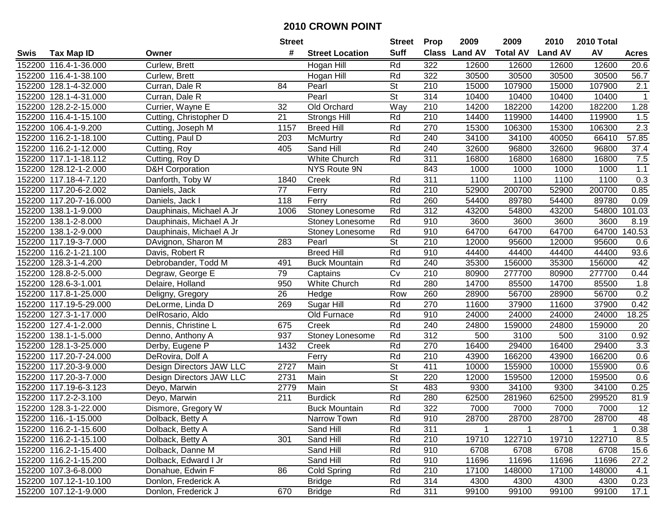|        |                        |                            | <b>Street</b>    |                        | <b>Street</b>            | <b>Prop</b> | 2009          | 2009            | 2010           | 2010 Total |                  |
|--------|------------------------|----------------------------|------------------|------------------------|--------------------------|-------------|---------------|-----------------|----------------|------------|------------------|
| Swis   | <b>Tax Map ID</b>      | Owner                      | #                | <b>Street Location</b> | <b>Suff</b>              |             | Class Land AV | <b>Total AV</b> | <b>Land AV</b> | AV         | <b>Acres</b>     |
|        | 152200 116.4-1-36.000  | Curlew, Brett              |                  | Hogan Hill             | Rd                       | 322         | 12600         | 12600           | 12600          | 12600      | 20.6             |
|        | 152200 116.4-1-38.100  | Curlew, Brett              |                  | Hogan Hill             | Rd                       | 322         | 30500         | 30500           | 30500          | 30500      | 56.7             |
|        | 152200 128.1-4-32.000  | Curran, Dale R             | 84               | Pearl                  | <b>St</b>                | 210         | 15000         | 107900          | 15000          | 107900     | 2.1              |
|        | 152200 128.1-4-31.000  | Curran, Dale R             |                  | Pearl                  | <b>St</b>                | 314         | 10400         | 10400           | 10400          | 10400      | $\mathbf{1}$     |
|        | 152200 128.2-2-15.000  | Currier, Wayne E           | 32               | Old Orchard            | Way                      | 210         | 14200         | 182200          | 14200          | 182200     | 1.28             |
|        | 152200 116.4-1-15.100  | Cutting, Christopher D     | 21               | <b>Strongs Hill</b>    | Rd                       | 210         | 14400         | 119900          | 14400          | 119900     | 1.5              |
|        | 152200 106.4-1-9.200   | Cutting, Joseph M          | 1157             | <b>Breed Hill</b>      | Rd                       | 270         | 15300         | 106300          | 15300          | 106300     | $\overline{2.3}$ |
|        | 152200 116.2-1-18.100  | Cutting, Paul D            | 203              | <b>McMurtry</b>        | Rd                       | 240         | 34100         | 34100           | 40050          | 66410      | 57.85            |
|        | 152200 116.2-1-12.000  | Cutting, Roy               | 405              | Sand Hill              | Rd                       | 240         | 32600         | 96800           | 32600          | 96800      | 37.4             |
|        | 152200 117.1-1-18.112  | Cutting, Roy D             |                  | White Church           | Rd                       | 311         | 16800         | 16800           | 16800          | 16800      | 7.5              |
|        | 152200 128.12-1-2.000  | <b>D&amp;H Corporation</b> |                  | NYS Route 9N           |                          | 843         | 1000          | 1000            | 1000           | 1000       | 1.1              |
|        | 152200 117.18-4-7.120  | Danforth, Toby W           | 1840             | Creek                  | Rd                       | 311         | 1100          | 1100            | 1100           | 1100       | 0.3              |
|        | 152200 117.20-6-2.002  | Daniels, Jack              | 77               | Ferry                  | Rd                       | 210         | 52900         | 200700          | 52900          | 200700     | 0.85             |
|        | 152200 117.20-7-16.000 | Daniels, Jack I            | 118              | Ferry                  | Rd                       | 260         | 54400         | 89780           | 54400          | 89780      | 0.09             |
|        | 152200 138.1-1-9.000   | Dauphinais, Michael A Jr   | 1006             | Stoney Lonesome        | Rd                       | 312         | 43200         | 54800           | 43200          | 54800      | 101.03           |
|        | 152200 138.1-2-8.000   | Dauphinais, Michael A Jr   |                  | Stoney Lonesome        | Rd                       | 910         | 3600          | 3600            | 3600           | 3600       | 8.19             |
| 152200 | 138.1-2-9.000          | Dauphinais, Michael A Jr   |                  | Stoney Lonesome        | Rd                       | 910         | 64700         | 64700           | 64700          | 64700      | 140.53           |
| 152200 | 117.19-3-7.000         | DAvignon, Sharon M         | 283              | Pearl                  | St                       | 210         | 12000         | 95600           | 12000          | 95600      | 0.6              |
|        | 152200 116.2-1-21.100  | Davis, Robert R            |                  | <b>Breed Hill</b>      | Rd                       | 910         | 44400         | 44400           | 44400          | 44400      | 93.6             |
|        | 152200 128.3-1-4.200   | Debrobander, Todd M        | 491              | <b>Buck Mountain</b>   | Rd                       | 240         | 35300         | 156000          | 35300          | 156000     | 42               |
| 152200 | 128.8-2-5.000          | Degraw, George E           | 79               | Captains               | Cv                       | 210         | 80900         | 277700          | 80900          | 277700     | 0.44             |
| 152200 | 128.6-3-1.001          | Delaire, Holland           | 950              | White Church           | Rd                       | 280         | 14700         | 85500           | 14700          | 85500      | 1.8              |
|        | 152200 117.8-1-25.000  | Deligny, Gregory           | 26               | Hedge                  | Row                      | 260         | 28900         | 56700           | 28900          | 56700      | 0.2              |
|        | 152200 117.19-5-29.000 | DeLorme, Linda D           | 269              | Sugar Hill             | Rd                       | 270         | 11600         | 37900           | 11600          | 37900      | 0.42             |
|        | 152200 127.3-1-17.000  | DelRosario, Aldo           |                  | Old Furnace            | Rd                       | 910         | 24000         | 24000           | 24000          | 24000      | 18.25            |
| 152200 | 127.4-1-2.000          | Dennis, Christine L        | 675              | Creek                  | Rd                       | 240         | 24800         | 159000          | 24800          | 159000     | 20               |
|        | 152200 138.1-1-5.000   | Denno, Anthony A           | 937              | <b>Stoney Lonesome</b> | Rd                       | 312         | 500           | 3100            | 500            | 3100       | 0.92             |
|        | 152200 128.1-3-25.000  | Derby, Eugene P            | 1432             | Creek                  | Rd                       | 270         | 16400         | 29400           | 16400          | 29400      | 3.3              |
|        | 152200 117.20-7-24.000 | DeRovira, Dolf A           |                  | Ferry                  | Rd                       | 210         | 43900         | 166200          | 43900          | 166200     | 0.6              |
|        | 152200 117.20-3-9.000  | Design Directors JAW LLC   | 2727             | Main                   | $\overline{\mathsf{St}}$ | 411         | 10000         | 155900          | 10000          | 155900     | 0.6              |
|        | 152200 117.20-3-7.000  | Design Directors JAW LLC   | 2731             | Main                   | $\overline{\mathsf{St}}$ | 220         | 12000         | 159500          | 12000          | 159500     | 0.6              |
|        | 152200 117.19-6-3.123  | Deyo, Marwin               | 2779             | Main                   | $\overline{\mathsf{St}}$ | 483         | 9300          | 34100           | 9300           | 34100      | 0.25             |
|        | 152200 117.2-2-3.100   | Deyo, Marwin               | $\overline{211}$ | <b>Burdick</b>         | Rd                       | 280         | 62500         | 281960          | 62500          | 299520     | 81.9             |
|        | 152200 128.3-1-22.000  | Dismore, Gregory W         |                  | <b>Buck Mountain</b>   | Rd                       | 322         | 7000          | 7000            | 7000           | 7000       | $\overline{12}$  |
|        | 152200 116.-1-15.000   | Dolback, Betty A           |                  | Narrow Town            | Rd                       | 910         | 28700         | 28700           | 28700          | 28700      | 48               |
|        | 152200 116.2-1-15.600  | Dolback, Betty A           |                  | Sand Hill              | Rd                       | 311         | $\mathbf 1$   |                 |                |            | 0.38             |
|        | 152200 116.2-1-15.100  | Dolback, Betty A           | 301              | Sand Hill              | Rd                       | 210         | 19710         | 122710          | 19710          | 122710     | 8.5              |
|        | 152200 116.2-1-15.400  | Dolback, Danne M           |                  | Sand Hill              | Rd                       | 910         | 6708          | 6708            | 6708           | 6708       | 15.6             |
|        | 152200 116.2-1-15.200  | Dolback, Edward I Jr       |                  | Sand Hill              | Rd                       | 910         | 11696         | 11696           | 11696          | 11696      | 27.2             |
|        | 152200 107.3-6-8.000   | Donahue, Edwin F           | 86               | Cold Spring            | Rd                       | 210         | 17100         | 148000          | 17100          | 148000     | 4.1              |
|        | 152200 107.12-1-10.100 | Donlon, Frederick A        |                  | <b>Bridge</b>          | Rd                       | 314         | 4300          | 4300            | 4300           | 4300       | 0.23             |
|        | 152200 107.12-1-9.000  | Donlon, Frederick J        | 670              | <b>Bridge</b>          | Rd                       | 311         | 99100         | 99100           | 99100          | 99100      | 17.1             |
|        |                        |                            |                  |                        |                          |             |               |                 |                |            |                  |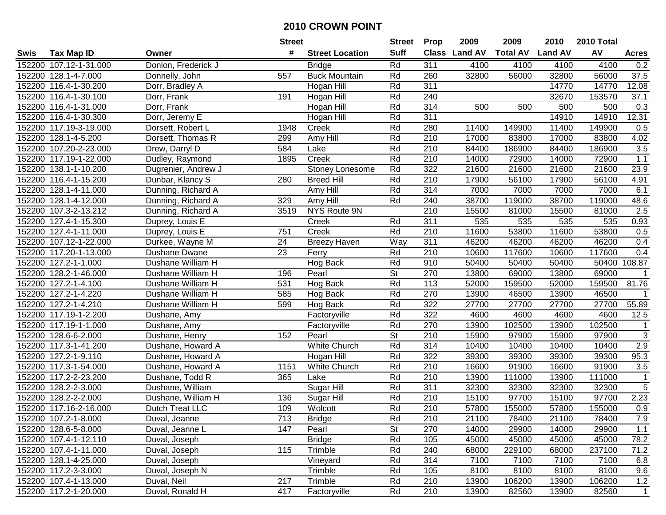|        |                        |                     | <b>Street</b> |                        | <b>Street</b> | <b>Prop</b>      | 2009          | 2009            | 2010           | 2010 Total |                |
|--------|------------------------|---------------------|---------------|------------------------|---------------|------------------|---------------|-----------------|----------------|------------|----------------|
| Swis   | <b>Tax Map ID</b>      | Owner               | #             | <b>Street Location</b> | <b>Suff</b>   |                  | Class Land AV | <b>Total AV</b> | <b>Land AV</b> | AV         | <b>Acres</b>   |
|        | 152200 107.12-1-31.000 | Donlon, Frederick J |               | <b>Bridge</b>          | Rd            | 311              | 4100          | 4100            | 4100           | 4100       | 0.2            |
|        | 152200 128.1-4-7.000   | Donnelly, John      | 557           | <b>Buck Mountain</b>   | Rd            | 260              | 32800         | 56000           | 32800          | 56000      | 37.5           |
|        | 152200 116.4-1-30.200  | Dorr, Bradley A     |               | Hogan Hill             | Rd            | 311              |               |                 | 14770          | 14770      | 12.08          |
|        | 152200 116.4-1-30.100  | Dorr, Frank         | 191           | Hogan Hill             | Rd            | 240              |               |                 | 32670          | 153570     | 37.1           |
|        | 152200 116.4-1-31.000  | Dorr, Frank         |               | Hogan Hill             | Rd            | 314              | 500           | 500             | 500            | 500        | 0.3            |
|        | 152200 116.4-1-30.300  | Dorr, Jeremy E      |               | Hogan Hill             | Rd            | 311              |               |                 | 14910          | 14910      | 12.31          |
|        | 152200 117.19-3-19.000 | Dorsett, Robert L   | 1948          | Creek                  | Rd            | 280              | 11400         | 149900          | 11400          | 149900     | 0.5            |
|        | 152200 128.1-4-5.200   | Dorsett, Thomas R   | 299           | Amy Hill               | Rd            | $\overline{210}$ | 17000         | 83800           | 17000          | 83800      | 4.02           |
|        | 152200 107.20-2-23.000 | Drew, Darryl D      | 584           | Lake                   | Rd            | 210              | 84400         | 186900          | 84400          | 186900     | 3.5            |
|        | 152200 117.19-1-22.000 | Dudley, Raymond     | 1895          | Creek                  | Rd            | 210              | 14000         | 72900           | 14000          | 72900      | 1.1            |
|        | 152200 138.1-1-10.200  | Dugrenier, Andrew J |               | Stoney Lonesome        | Rd            | 322              | 21600         | 21600           | 21600          | 21600      | 23.9           |
|        | 152200 116.4-1-15.200  | Dunbar, Klancy S    | 280           | <b>Breed Hill</b>      | Rd            | 210              | 17900         | 56100           | 17900          | 56100      | 4.91           |
|        | 152200 128.1-4-11.000  | Dunning, Richard A  |               | Amy Hill               | Rd            | 314              | 7000          | 7000            | 7000           | 7000       | 6.1            |
|        | 152200 128.1-4-12.000  | Dunning, Richard A  | 329           | Amy Hill               | Rd            | 240              | 38700         | 119000          | 38700          | 119000     | 48.6           |
|        | 152200 107.3-2-13.212  | Dunning, Richard A  | 3519          | NYS Route 9N           |               | 210              | 15500         | 81000           | 15500          | 81000      | 2.5            |
|        | 152200 127.4-1-15.300  | Duprey, Louis E     |               | Creek                  | Rd            | 311              | 535           | 535             | 535            | 535        | 0.93           |
|        | 152200 127.4-1-11.000  | Duprey, Louis E     | 751           | Creek                  | Rd            | 210              | 11600         | 53800           | 11600          | 53800      | 0.5            |
|        | 152200 107.12-1-22.000 | Durkee, Wayne M     | 24            | <b>Breezy Haven</b>    | Way           | 311              | 46200         | 46200           | 46200          | 46200      | 0.4            |
|        | 152200 117.20-1-13.000 | Dushane Dwane       | 23            | Ferry                  | Rd            | 210              | 10600         | 117600          | 10600          | 117600     | 0.4            |
|        | 152200 127.2-1-1.000   | Dushane William H   |               | Hog Back               | Rd            | 910              | 50400         | 50400           | 50400          |            | 50400 108.87   |
|        | 152200 128.2-1-46.000  | Dushane William H   | 196           | Pearl                  | <b>St</b>     | 270              | 13800         | 69000           | 13800          | 69000      | $\mathbf 1$    |
|        | 152200 127.2-1-4.100   | Dushane William H   | 531           | Hog Back               | Rd            | 113              | 52000         | 159500          | 52000          | 159500     | 81.76          |
|        | 152200 127.2-1-4.220   | Dushane William H   | 585           | Hog Back               | Rd            | 270              | 13900         | 46500           | 13900          | 46500      | $\mathbf{1}$   |
| 152200 | 127.2-1-4.210          | Dushane William H   | 599           | Hog Back               | Rd            | 322              | 27700         | 27700           | 27700          | 27700      | 55.89          |
|        | 152200 117.19-1-2.200  | Dushane, Amy        |               | Factoryville           | Rd            | 322              | 4600          | 4600            | 4600           | 4600       | 12.5           |
|        | 152200 117.19-1-1.000  | Dushane, Amy        |               | Factoryville           | Rd            | 270              | 13900         | 102500          | 13900          | 102500     | $\mathbf{1}$   |
|        | 152200 128.6-6-2.000   | Dushane, Henry      | 152           | Pearl                  | St            | 210              | 15900         | 97900           | 15900          | 97900      | 3              |
|        | 152200 117.3-1-41.200  | Dushane, Howard A   |               | White Church           | Rd            | 314              | 10400         | 10400           | 10400          | 10400      | 2.9            |
|        | 152200 127.2-1-9.110   | Dushane, Howard A   |               | Hogan Hill             | Rd            | 322              | 39300         | 39300           | 39300          | 39300      | 95.3           |
|        | 152200 117.3-1-54.000  | Dushane, Howard A   | 1151          | White Church           | Rd            | 210              | 16600         | 91900           | 16600          | 91900      | 3.5            |
|        | 152200 117.2-2-23.200  | Dushane, Todd R     | 365           | Lake                   | Rd            | $\overline{210}$ | 13900         | 111000          | 13900          | 111000     | $\overline{1}$ |
|        | 152200 128.2-2-3.000   | Dushane, William    |               | Sugar Hill             | Rd            | 311              | 32300         | 32300           | 32300          | 32300      | 5              |
|        | 152200 128.2-2-2.000   | Dushane, William H  | 136           | Sugar Hill             | Rd            | $\overline{210}$ | 15100         | 97700           | 15100          | 97700      | 2.23           |
|        | 152200 117.16-2-16.000 | Dutch Treat LLC     | 109           | Wolcott                | Rd            | 210              | 57800         | 155000          | 57800          | 155000     | 0.9            |
|        | 152200 107.2-1-8.000   | Duval, Jeanne       | 713           | <b>Bridge</b>          | Rd            | 210              | 21100         | 78400           | 21100          | 78400      | 7.9            |
|        | 152200 128.6-5-8.000   | Duval, Jeanne L     | 147           | Pearl                  | St            | 270              | 14000         | 29900           | 14000          | 29900      | 1.1            |
|        | 152200 107.4-1-12.110  | Duval, Joseph       |               | <b>Bridge</b>          | Rd            | 105              | 45000         | 45000           | 45000          | 45000      | 78.2           |
|        | 152200 107.4-1-11.000  | Duval, Joseph       | 115           | Trimble                | Rd            | 240              | 68000         | 229100          | 68000          | 237100     | 71.2           |
|        | 152200 128.1-4-25.000  | Duval, Joseph       |               | Vineyard               | Rd            | 314              | 7100          | 7100            | 7100           | 7100       | 6.8            |
|        | 152200 117.2-3-3.000   | Duval, Joseph N     |               | Trimble                | Rd            | 105              | 8100          | 8100            | 8100           | 8100       | 9.6            |
|        | 152200 107.4-1-13.000  | Duval, Neil         | 217           | Trimble                | Rd            | 210              | 13900         | 106200          | 13900          | 106200     | 1.2            |
|        | 152200 117.2-1-20.000  | Duval, Ronald H     | 417           | Factoryville           | Rd            | 210              | 13900         | 82560           | 13900          | 82560      | $\overline{1}$ |
|        |                        |                     |               |                        |               |                  |               |                 |                |            |                |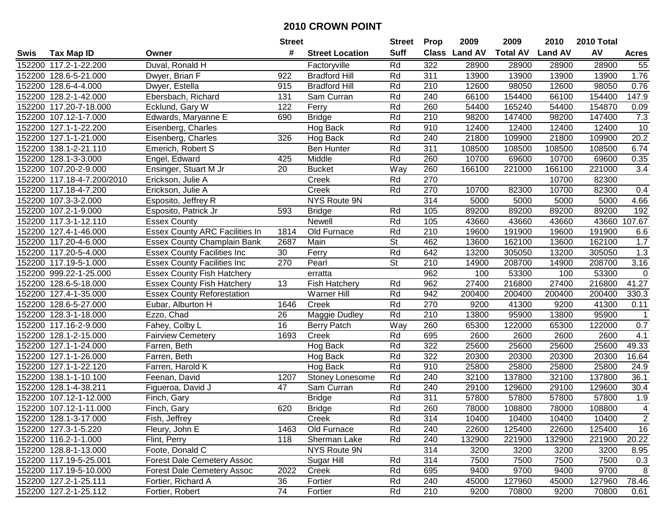|        |                            |                                       | <b>Street</b> |                        | <b>Street</b> | <b>Prop</b> | 2009          | 2009            | 2010           | 2010 Total |                |
|--------|----------------------------|---------------------------------------|---------------|------------------------|---------------|-------------|---------------|-----------------|----------------|------------|----------------|
| Swis   | <b>Tax Map ID</b>          | Owner                                 | #             | <b>Street Location</b> | <b>Suff</b>   |             | Class Land AV | <b>Total AV</b> | <b>Land AV</b> | AV         | <b>Acres</b>   |
|        | 152200 117.2-1-22.200      | Duval, Ronald H                       |               | Factoryville           | Rd            | 322         | 28900         | 28900           | 28900          | 28900      | 55             |
|        | 152200 128.6-5-21.000      | Dwyer, Brian F                        | 922           | <b>Bradford Hill</b>   | Rd            | 311         | 13900         | 13900           | 13900          | 13900      | 1.76           |
|        | 152200 128.6-4-4.000       | Dwyer, Estella                        | 915           | <b>Bradford Hill</b>   | Rd            | 210         | 12600         | 98050           | 12600          | 98050      | 0.76           |
|        | 152200 128.2-1-42.000      | Ebersbach, Richard                    | 131           | Sam Curran             | Rd            | 240         | 66100         | 154400          | 66100          | 154400     | 147.9          |
|        | 152200 117.20-7-18.000     | Ecklund, Gary W                       | 122           | Ferry                  | Rd            | 260         | 54400         | 165240          | 54400          | 154870     | 0.09           |
|        | 152200 107.12-1-7.000      | Edwards, Maryanne E                   | 690           | <b>Bridge</b>          | Rd            | 210         | 98200         | 147400          | 98200          | 147400     | 7.3            |
|        | 152200 127.1-1-22.200      | Eisenberg, Charles                    |               | Hog Back               | Rd            | 910         | 12400         | 12400           | 12400          | 12400      | 10             |
| 152200 | 127.1-1-21.000             | Eisenberg, Charles                    | 326           | Hog Back               | Rd            | 240         | 21800         | 109900          | 21800          | 109900     | 20.2           |
|        | 152200 138.1-2-21.110      | Emerich, Robert S                     |               | Ben Hunter             | Rd            | 311         | 108500        | 108500          | 108500         | 108500     | 6.74           |
|        | 152200 128.1-3-3.000       | Engel, Edward                         | 425           | Middle                 | Rd            | 260         | 10700         | 69600           | 10700          | 69600      | 0.35           |
|        | 152200 107.20-2-9.000      | Ensinger, Stuart M Jr                 | 20            | <b>Bucket</b>          | Way           | 260         | 166100        | 221000          | 166100         | 221000     | 3.4            |
|        | 152200 117.18-4-7.200/2010 | Erickson, Julie A                     |               | Creek                  | Rd            | 270         |               |                 | 10700          | 82300      |                |
|        | 152200 117.18-4-7.200      | Erickson, Julie A                     |               | Creek                  | Rd            | 270         | 10700         | 82300           | 10700          | 82300      | 0.4            |
|        | 152200 107.3-3-2.000       | Esposito, Jeffrey R                   |               | NYS Route 9N           |               | 314         | 5000          | 5000            | 5000           | 5000       | 4.66           |
|        | 152200 107.2-1-9.000       | Esposito, Patrick Jr                  | 593           | <b>Bridge</b>          | Rd            | 105         | 89200         | 89200           | 89200          | 89200      | 192            |
|        | 152200 117.3-1-12.110      | <b>Essex County</b>                   |               | Newell                 | Rd            | 105         | 43660         | 43660           | 43660          | 43660      | 107.67         |
|        | 152200 127.4-1-46.000      | <b>Essex County ARC Facilities In</b> | 1814          | Old Furnace            | Rd            | 210         | 19600         | 191900          | 19600          | 191900     | 6.6            |
|        | 152200 117.20-4-6.000      | <b>Essex County Champlain Bank</b>    | 2687          | Main                   | St            | 462         | 13600         | 162100          | 13600          | 162100     | 1.7            |
|        | 152200 117.20-5-4.000      | <b>Essex County Facilities Inc</b>    | 30            | Ferry                  | Rd            | 642         | 13200         | 305050          | 13200          | 305050     | 1.3            |
|        | 152200 117.19-5-1.000      | <b>Essex County Facilities Inc</b>    | 270           | Pearl                  | <b>St</b>     | 210         | 14900         | 208700          | 14900          | 208700     | 3.16           |
|        | 152200 999.22-1-25.000     | <b>Essex County Fish Hatchery</b>     |               | erratta                |               | 962         | 100           | 53300           | 100            | 53300      | $\pmb{0}$      |
|        | 152200 128.6-5-18.000      | <b>Essex County Fish Hatchery</b>     | 13            | <b>Fish Hatchery</b>   | Rd            | 962         | 27400         | 216800          | 27400          | 216800     | 41.27          |
| 152200 | 127.4-1-35.000             | <b>Essex County Reforestation</b>     |               | <b>Warner Hill</b>     | Rd            | 942         | 200400        | 200400          | 200400         | 200400     | 330.3          |
| 152200 | 128.6-5-27.000             | Eubar, Alburton H                     | 1646          | Creek                  | Rd            | 270         | 9200          | 41300           | 9200           | 41300      | 0.11           |
| 152200 | 128.3-1-18.000             | Ezzo, Chad                            | 26            | Maggie Dudley          | Rd            | 210         | 13800         | 95900           | 13800          | 95900      | $\overline{1}$ |
|        | 152200 117.16-2-9.000      | Fahey, Colby L                        | 16            | Berry Patch            | Way           | 260         | 65300         | 122000          | 65300          | 122000     | 0.7            |
|        | 152200 128.1-2-15.000      | <b>Fairview Cemetery</b>              | 1693          | Creek                  | Rd            | 695         | 2600          | 2600            | 2600           | 2600       | 4.1            |
|        | 152200 127.1-1-24.000      | Farren, Beth                          |               | Hog Back               | Rd            | 322         | 25600         | 25600           | 25600          | 25600      | 49.33          |
|        | 152200 127.1-1-26.000      | Farren, Beth                          |               | Hog Back               | Rd            | 322         | 20300         | 20300           | 20300          | 20300      | 16.64          |
|        | 152200 127.1-1-22.120      | Farren, Harold K                      |               | Hog Back               | Rd            | 910         | 25800         | 25800           | 25800          | 25800      | 24.9           |
| 152200 | 138.1-1-10.100             | Feenan, David                         | 1207          | Stoney Lonesome        | Rd            | 240         | 32100         | 137800          | 32100          | 137800     | 36.1           |
|        | 152200 128.1-4-38.211      | Figueroa, David J                     | 47            | Sam Curran             | Rd            | 240         | 29100         | 129600          | 29100          | 129600     | 30.4           |
|        | 152200 107.12-1-12.000     | Finch, Gary                           |               | <b>Bridge</b>          | Rd            | 311         | 57800         | 57800           | 57800          | 57800      | 1.9            |
|        | 152200 107.12-1-11.000     | Finch, Gary                           | 620           | <b>Bridge</b>          | Rd            | 260         | 78000         | 108800          | 78000          | 108800     | $\overline{4}$ |
|        | 152200 128.1-3-17.000      | Fish, Jeffrey                         |               | Creek                  | Rd            | 314         | 10400         | 10400           | 10400          | 10400      | 2              |
|        | 152200 127.3-1-5.220       | Fleury, John E                        | 1463          | Old Furnace            | Rd            | 240         | 22600         | 125400          | 22600          | 125400     | 16             |
|        | 152200 116.2-1-1.000       | Flint, Perry                          | 118           | Sherman Lake           | Rd            | 240         | 132900        | 221900          | 132900         | 221900     | 20.22          |
|        | 152200 128.8-1-13.000      | Foote, Donald C                       |               | NYS Route 9N           |               | 314         | 3200          | 3200            | 3200           | 3200       | 8.95           |
|        | 152200 117.19-5-25.001     | <b>Forest Dale Cemetery Assoc</b>     |               | Sugar Hill             | Rd            | 314         | 7500          | 7500            | 7500           | 7500       | 0.3            |
|        | 152200 117.19-5-10.000     | <b>Forest Dale Cemetery Assoc</b>     | 2022          | Creek                  | Rd            | 695         | 9400          | 9700            | 9400           | 9700       | 8              |
|        | 152200 127.2-1-25.111      | Fortier, Richard A                    | 36            | Fortier                | Rd            | 240         | 45000         | 127960          | 45000          | 127960     | 78.46          |
|        | 152200 127.2-1-25.112      | Fortier, Robert                       | 74            | Fortier                | Rd            | 210         | 9200          | 70800           | 9200           | 70800      | 0.61           |
|        |                            |                                       |               |                        |               |             |               |                 |                |            |                |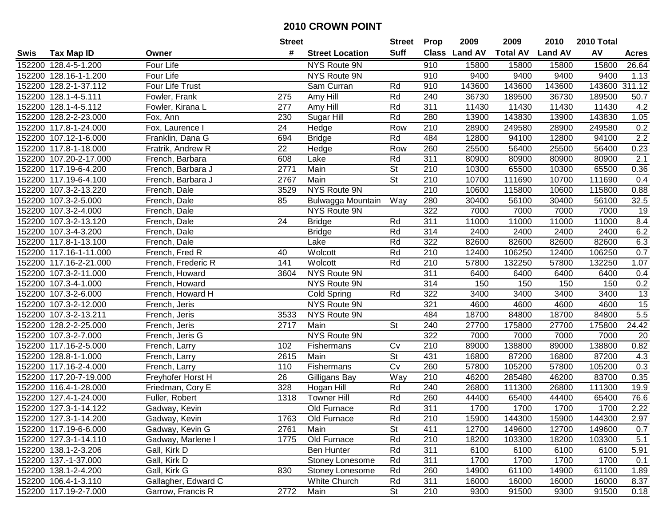|      |                        |                     | <b>Street</b>   |                        | <b>Street</b>            | <b>Prop</b>      | 2009          | 2009            | 2010           | 2010 Total    |                 |
|------|------------------------|---------------------|-----------------|------------------------|--------------------------|------------------|---------------|-----------------|----------------|---------------|-----------------|
| Swis | <b>Tax Map ID</b>      | Owner               | #               | <b>Street Location</b> | Suff                     |                  | Class Land AV | <b>Total AV</b> | <b>Land AV</b> | AV            | <b>Acres</b>    |
|      | 152200 128.4-5-1.200   | Four Life           |                 | NYS Route 9N           |                          | 910              | 15800         | 15800           | 15800          | 15800         | 26.64           |
|      | 152200 128.16-1-1.200  | Four Life           |                 | NYS Route 9N           |                          | 910              | 9400          | 9400            | 9400           | 9400          | 1.13            |
|      | 152200 128.2-1-37.112  | Four Life Trust     |                 | Sam Curran             | Rd                       | 910              | 143600        | 143600          | 143600         | 143600 311.12 |                 |
|      | 152200 128.1-4-5.111   | Fowler, Frank       | 275             | Amy Hill               | Rd                       | 240              | 36730         | 189500          | 36730          | 189500        | 50.7            |
|      | 152200 128.1-4-5.112   | Fowler, Kirana L    | 277             | Amy Hill               | Rd                       | 311              | 11430         | 11430           | 11430          | 11430         | 4.2             |
|      | 152200 128.2-2-23.000  | Fox, Ann            | 230             | Sugar Hill             | Rd                       | 280              | 13900         | 143830          | 13900          | 143830        | 1.05            |
|      | 152200 117.8-1-24.000  | Fox, Laurence I     | 24              | Hedge                  | Row                      | 210              | 28900         | 249580          | 28900          | 249580        | 0.2             |
|      | 152200 107.12-1-6.000  | Franklin, Dana G    | 694             | <b>Bridge</b>          | Rd                       | 484              | 12800         | 94100           | 12800          | 94100         | 2.2             |
|      | 152200 117.8-1-18.000  | Fratrik, Andrew R   | $\overline{22}$ | Hedge                  | Row                      | 260              | 25500         | 56400           | 25500          | 56400         | 0.23            |
|      | 152200 107.20-2-17.000 | French, Barbara     | 608             | Lake                   | Rd                       | 311              | 80900         | 80900           | 80900          | 80900         | 2.1             |
|      | 152200 117.19-6-4.200  | French, Barbara J   | 2771            | Main                   | St                       | 210              | 10300         | 65500           | 10300          | 65500         | 0.36            |
|      | 152200 117.19-6-4.100  | French, Barbara J   | 2767            | Main                   | <b>St</b>                | 210              | 10700         | 111690          | 10700          | 111690        | 0.4             |
|      | 152200 107.3-2-13.220  | French, Dale        | 3529            | NYS Route 9N           |                          | 210              | 10600         | 115800          | 10600          | 115800        | 0.88            |
|      | 152200 107.3-2-5.000   | French, Dale        | 85              | Bulwagga Mountain      | Way                      | 280              | 30400         | 56100           | 30400          | 56100         | 32.5            |
|      | 152200 107.3-2-4.000   | French, Dale        |                 | NYS Route 9N           |                          | 322              | 7000          | 7000            | 7000           | 7000          | 19              |
|      | 152200 107.3-2-13.120  | French, Dale        | 24              | <b>Bridge</b>          | Rd                       | 311              | 11000         | 11000           | 11000          | 11000         | 8.4             |
|      | 152200 107.3-4-3.200   | French, Dale        |                 | <b>Bridge</b>          | Rd                       | 314              | 2400          | 2400            | 2400           | 2400          | 6.2             |
|      | 152200 117.8-1-13.100  | French, Dale        |                 | Lake                   | Rd                       | 322              | 82600         | 82600           | 82600          | 82600         | 6.3             |
|      | 152200 117.16-1-11.000 | French, Fred R      | 40              | Wolcott                | Rd                       | 210              | 12400         | 106250          | 12400          | 106250        | 0.7             |
|      | 152200 117.16-2-21.000 | French, Frederic R  | 141             | Wolcott                | Rd                       | 210              | 57800         | 132250          | 57800          | 132250        | 1.07            |
|      | 152200 107.3-2-11.000  | French, Howard      | 3604            | NYS Route 9N           |                          | 311              | 6400          | 6400            | 6400           | 6400          | 0.4             |
|      | 152200 107.3-4-1.000   | French, Howard      |                 | NYS Route 9N           |                          | 314              | 150           | 150             | 150            | 150           | 0.2             |
|      | 152200 107.3-2-6.000   | French, Howard H    |                 | Cold Spring            | Rd                       | 322              | 3400          | 3400            | 3400           | 3400          | $\overline{13}$ |
|      | 152200 107.3-2-12.000  | French, Jeris       |                 | NYS Route 9N           |                          | 321              | 4600          | 4600            | 4600           | 4600          | 15              |
|      | 152200 107.3-2-13.211  | French, Jeris       | 3533            | NYS Route 9N           |                          | 484              | 18700         | 84800           | 18700          | 84800         | 5.5             |
|      | 152200 128.2-2-25.000  | French, Jeris       | 2717            | Main                   | <b>St</b>                | 240              | 27700         | 175800          | 27700          | 175800        | 24.42           |
|      | 152200 107.3-2-7.000   | French, Jeris G     |                 | NYS Route 9N           |                          | 322              | 7000          | 7000            | 7000           | 7000          | 20              |
|      | 152200 117.16-2-5.000  | French, Larry       | 102             | Fishermans             | Cv                       | 210              | 89000         | 138800          | 89000          | 138800        | 0.82            |
|      | 152200 128.8-1-1.000   | French, Larry       | 2615            | Main                   | $\overline{\mathsf{St}}$ | 431              | 16800         | 87200           | 16800          | 87200         | 4.3             |
|      | 152200 117.16-2-4.000  | French, Larry       | 110             | Fishermans             | Cv                       | 260              | 57800         | 105200          | 57800          | 105200        | 0.3             |
|      | 152200 117.20-7-19.000 | Freyhofer Horst H   | $\overline{26}$ | Gilligans Bay          | Way                      | $\overline{210}$ | 46200         | 285480          | 46200          | 83700         | 0.35            |
|      | 152200 116.4-1-28.000  | Friedman, Cory E    | 328             | Hogan Hill             | Rd                       | 240              | 26800         | 111300          | 26800          | 111300        | 19.9            |
|      | 152200 127.4-1-24.000  | Fuller, Robert      | 1318            | <b>Towner Hill</b>     | Rd                       | 260              | 44400         | 65400           | 44400          | 65400         | 76.6            |
|      | 152200 127.3-1-14.122  | Gadway, Kevin       |                 | Old Furnace            | Rd                       | 311              | 1700          | 1700            | 1700           | 1700          | 2.22            |
|      | 152200 127.3-1-14.200  | Gadway, Kevin       | 1763            | Old Furnace            | Rd                       | 210              | 15900         | 144300          | 15900          | 144300        | 2.97            |
|      | 152200 117.19-6-6.000  | Gadway, Kevin G     | 2761            | Main                   | <b>St</b>                | 411              | 12700         | 149600          | 12700          | 149600        | 0.7             |
|      | 152200 127.3-1-14.110  | Gadway, Marlene I   | 1775            | Old Furnace            | Rd                       | 210              | 18200         | 103300          | 18200          | 103300        | 5.1             |
|      | 152200 138.1-2-3.206   | Gall, Kirk D        |                 | <b>Ben Hunter</b>      | Rd                       | 311              | 6100          | 6100            | 6100           | 6100          | 5.91            |
|      | 152200 137.-1-37.000   | Gall, Kirk D        |                 | Stoney Lonesome        | Rd                       | 311              | 1700          | 1700            | 1700           | 1700          | 0.1             |
|      | 152200 138.1-2-4.200   | Gall, Kirk G        | 830             | Stoney Lonesome        | Rd                       | 260              | 14900         | 61100           | 14900          | 61100         | 1.89            |
|      | 152200 106.4-1-3.110   | Gallagher, Edward C |                 | White Church           | Rd                       | 311              | 16000         | 16000           | 16000          | 16000         | 8.37            |
|      | 152200 117.19-2-7.000  | Garrow, Francis R   | 2772            | Main                   | <b>St</b>                | 210              | 9300          | 91500           | 9300           | 91500         | 0.18            |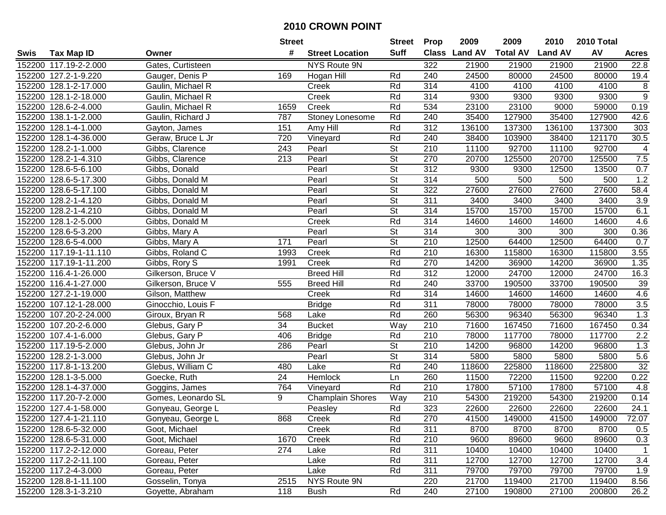|        |                        |                    | <b>Street</b>   |                         | <b>Street</b>            | <b>Prop</b> | 2009          | 2009            | 2010           | 2010 Total |                  |
|--------|------------------------|--------------------|-----------------|-------------------------|--------------------------|-------------|---------------|-----------------|----------------|------------|------------------|
| Swis   | <b>Tax Map ID</b>      | Owner              | #               | <b>Street Location</b>  | <b>Suff</b>              |             | Class Land AV | <b>Total AV</b> | <b>Land AV</b> | AV         | <b>Acres</b>     |
|        | 152200 117.19-2-2.000  | Gates, Curtisteen  |                 | NYS Route 9N            |                          | 322         | 21900         | 21900           | 21900          | 21900      | 22.8             |
|        | 152200 127.2-1-9.220   | Gauger, Denis P    | 169             | Hogan Hill              | Rd                       | 240         | 24500         | 80000           | 24500          | 80000      | 19.4             |
|        | 152200 128.1-2-17.000  | Gaulin, Michael R  |                 | Creek                   | Rd                       | 314         | 4100          | 4100            | 4100           | 4100       | 8                |
|        | 152200 128.1-2-18.000  | Gaulin, Michael R  |                 | Creek                   | Rd                       | 314         | 9300          | 9300            | 9300           | 9300       | $\boldsymbol{9}$ |
|        | 152200 128.6-2-4.000   | Gaulin, Michael R  | 1659            | Creek                   | Rd                       | 534         | 23100         | 23100           | 9000           | 59000      | 0.19             |
|        | 152200 138.1-1-2.000   | Gaulin, Richard J  | 787             | Stoney Lonesome         | Rd                       | 240         | 35400         | 127900          | 35400          | 127900     | 42.6             |
|        | 152200 128.1-4-1.000   | Gayton, James      | 151             | Amy Hill                | Rd                       | 312         | 136100        | 137300          | 136100         | 137300     | 303              |
| 152200 | 128.1-4-36.000         | Geraw, Bruce L Jr  | 720             | Vineyard                | Rd                       | 240         | 38400         | 103900          | 38400          | 121170     | 30.5             |
| 152200 | 128.2-1-1.000          | Gibbs, Clarence    | 243             | Pearl                   | $\overline{\mathsf{St}}$ | 210         | 11100         | 92700           | 11100          | 92700      | 4                |
|        | 152200 128.2-1-4.310   | Gibbs, Clarence    | 213             | Pearl                   | <b>St</b>                | 270         | 20700         | 125500          | 20700          | 125500     | 7.5              |
|        | 152200 128.6-5-6.100   | Gibbs, Donald      |                 | Pearl                   | <b>St</b>                | 312         | 9300          | 9300            | 12500          | 13500      | 0.7              |
|        | 152200 128.6-5-17.300  | Gibbs, Donald M    |                 | Pearl                   | <b>St</b>                | 314         | 500           | 500             | 500            | 500        | 1.2              |
|        | 152200 128.6-5-17.100  | Gibbs, Donald M    |                 | Pearl                   | $\overline{\mathsf{St}}$ | 322         | 27600         | 27600           | 27600          | 27600      | 58.4             |
|        | 152200 128.2-1-4.120   | Gibbs, Donald M    |                 | Pearl                   | <b>St</b>                | 311         | 3400          | 3400            | 3400           | 3400       | 3.9              |
| 152200 | 128.2-1-4.210          | Gibbs, Donald M    |                 | Pearl                   | $\overline{\mathsf{St}}$ | 314         | 15700         | 15700           | 15700          | 15700      | 6.1              |
|        | 152200 128.1-2-5.000   | Gibbs, Donald M    |                 | Creek                   | Rd                       | 314         | 14600         | 14600           | 14600          | 14600      | 4.6              |
| 152200 | 128.6-5-3.200          | Gibbs, Mary A      |                 | Pearl                   | $\overline{\mathsf{St}}$ | 314         | 300           | 300             | 300            | 300        | 0.36             |
|        | 152200 128.6-5-4.000   | Gibbs, Mary A      | 171             | Pearl                   | $\overline{\mathsf{St}}$ | 210         | 12500         | 64400           | 12500          | 64400      | 0.7              |
|        | 152200 117.19-1-11.110 | Gibbs, Roland C    | 1993            | Creek                   | Rd                       | 210         | 16300         | 115800          | 16300          | 115800     | 3.55             |
|        | 152200 117.19-1-11.200 | Gibbs, Rory S      | 1991            | Creek                   | Rd                       | 270         | 14200         | 36900           | 14200          | 36900      | 1.35             |
|        | 152200 116.4-1-26.000  | Gilkerson, Bruce V |                 | <b>Breed Hill</b>       | Rd                       | 312         | 12000         | 24700           | 12000          | 24700      | 16.3             |
|        | 152200 116.4-1-27.000  | Gilkerson, Bruce V | 555             | <b>Breed Hill</b>       | Rd                       | 240         | 33700         | 190500          | 33700          | 190500     | 39               |
|        | 152200 127.2-1-19.000  | Gilson, Matthew    |                 | Creek                   | Rd                       | 314         | 14600         | 14600           | 14600          | 14600      | 4.6              |
|        | 152200 107.12-1-28.000 | Ginocchio, Louis F |                 | <b>Bridge</b>           | Rd                       | 311         | 78000         | 78000           | 78000          | 78000      | 3.5              |
|        | 152200 107.20-2-24.000 | Giroux, Bryan R    | 568             | Lake                    | Rd                       | 260         | 56300         | 96340           | 56300          | 96340      | 1.3              |
|        | 152200 107.20-2-6.000  | Glebus, Gary P     | 34              | <b>Bucket</b>           | Way                      | 210         | 71600         | 167450          | 71600          | 167450     | 0.34             |
|        | 152200 107.4-1-6.000   | Glebus, Gary P     | 406             | <b>Bridge</b>           | Rd                       | 210         | 78000         | 117700          | 78000          | 117700     | 2.2              |
|        | 152200 117.19-5-2.000  | Glebus, John Jr    | 286             | Pearl                   | <b>St</b>                | 210         | 14200         | 96800           | 14200          | 96800      | 1.3              |
|        | 152200 128.2-1-3.000   | Glebus, John Jr    |                 | Pearl                   | $\overline{\mathsf{St}}$ | 314         | 5800          | 5800            | 5800           | 5800       | 5.6              |
|        | 152200 117.8-1-13.200  | Glebus, William C  | 480             | Lake                    | Rd                       | 240         | 118600        | 225800          | 118600         | 225800     | 32               |
|        | 152200 128.1-3-5.000   | Goecke, Ruth       | $\overline{24}$ | <b>Hemlock</b>          | Ln                       | 260         | 11500         | 72200           | 11500          | 92200      | 0.22             |
|        | 152200 128.1-4-37.000  | Goggins, James     | 764             | Vineyard                | Rd                       | 210         | 17800         | 57100           | 17800          | 57100      | 4.8              |
|        | 152200 117.20-7-2.000  | Gomes, Leonardo SL | 9               | <b>Champlain Shores</b> | Way                      | 210         | 54300         | 219200          | 54300          | 219200     | 0.14             |
|        | 152200 127.4-1-58.000  | Gonyeau, George L  |                 | Peasley                 | Rd                       | 323         | 22600         | 22600           | 22600          | 22600      | 24.1             |
|        | 152200 127.4-1-21.110  | Gonyeau, George L  | 868             | Creek                   | Rd                       | 270         | 41500         | 149000          | 41500          | 149000     | 72.07            |
|        | 152200 128.6-5-32.000  | Goot, Michael      |                 | Creek                   | Rd                       | 311         | 8700          | 8700            | 8700           | 8700       | 0.5              |
|        | 152200 128.6-5-31.000  | Goot, Michael      | 1670            | Creek                   | Rd                       | 210         | 9600          | 89600           | 9600           | 89600      | 0.3              |
|        | 152200 117.2-2-12.000  | Goreau, Peter      | 274             | Lake                    | Rd                       | 311         | 10400         | 10400           | 10400          | 10400      | $\mathbf{1}$     |
|        | 152200 117.2-2-11.100  | Goreau, Peter      |                 | Lake                    | Rd                       | 311         | 12700         | 12700           | 12700          | 12700      | 3.4              |
|        | 152200 117.2-4-3.000   | Goreau, Peter      |                 | Lake                    | Rd                       | 311         | 79700         | 79700           | 79700          | 79700      | 1.9              |
|        | 152200 128.8-1-11.100  | Gosselin, Tonya    | 2515            | NYS Route 9N            |                          | 220         | 21700         | 119400          | 21700          | 119400     | 8.56             |
|        | 152200 128.3-1-3.210   | Goyette, Abraham   | 118             | <b>Bush</b>             | Rd                       | 240         | 27100         | 190800          | 27100          | 200800     | 26.2             |
|        |                        |                    |                 |                         |                          |             |               |                 |                |            |                  |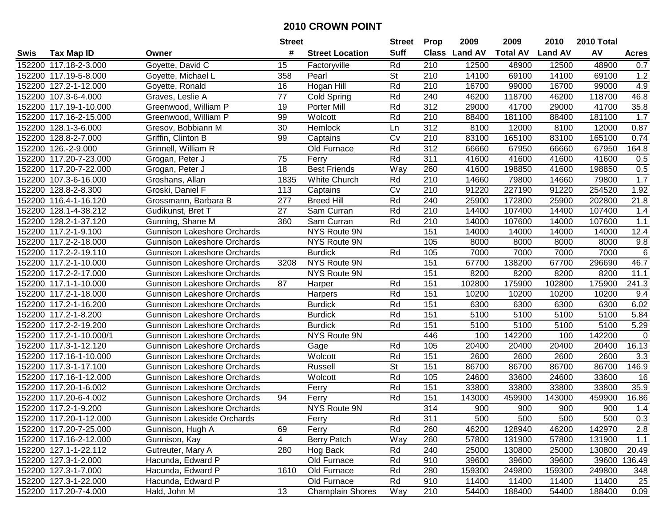|        |                         |                                    | <b>Street</b> |                         | <b>Street</b>            | <b>Prop</b>      | 2009           | 2009            | 2010           | 2010 Total |              |
|--------|-------------------------|------------------------------------|---------------|-------------------------|--------------------------|------------------|----------------|-----------------|----------------|------------|--------------|
| Swis   | <b>Tax Map ID</b>       | Owner                              | #             | <b>Street Location</b>  | <b>Suff</b>              | <b>Class</b>     | <b>Land AV</b> | <b>Total AV</b> | <b>Land AV</b> | AV         | <b>Acres</b> |
|        | 152200 117.18-2-3.000   | Goyette, David C                   | 15            | Factoryville            | Rd                       | 210              | 12500          | 48900           | 12500          | 48900      | 0.7          |
|        | 152200 117.19-5-8.000   | Goyette, Michael L                 | 358           | Pearl                   | St                       | 210              | 14100          | 69100           | 14100          | 69100      | 1.2          |
|        | 152200 127.2-1-12.000   | Goyette, Ronald                    | 16            | Hogan Hill              | Rd                       | 210              | 16700          | 99000           | 16700          | 99000      | 4.9          |
|        | 152200 107.3-6-4.000    | Graves, Leslie A                   | 77            | Cold Spring             | Rd                       | 240              | 46200          | 118700          | 46200          | 118700     | 46.8         |
|        | 152200 117.19-1-10.000  | Greenwood, William P               | 19            | Porter Mill             | Rd                       | 312              | 29000          | 41700           | 29000          | 41700      | 35.8         |
|        | 152200 117.16-2-15.000  | Greenwood, William P               | 99            | Wolcott                 | Rd                       | 210              | 88400          | 181100          | 88400          | 181100     | 1.7          |
|        | 152200 128.1-3-6.000    | Gresov, Bobbiann M                 | 30            | <b>Hemlock</b>          | Ln                       | 312              | 8100           | 12000           | 8100           | 12000      | 0.87         |
| 152200 | 128.8-2-7.000           | Griffin, Clinton B                 | 99            | Captains                | Cv                       | $\overline{210}$ | 83100          | 165100          | 83100          | 165100     | 0.74         |
|        | 152200 126.-2-9.000     | Grinnell, William R                |               | Old Furnace             | Rd                       | $\overline{312}$ | 66660          | 67950           | 66660          | 67950      | 164.8        |
|        | 152200 117.20-7-23.000  | Grogan, Peter J                    | 75            | Ferry                   | Rd                       | 311              | 41600          | 41600           | 41600          | 41600      | 0.5          |
|        | 152200 117.20-7-22.000  | Grogan, Peter J                    | 18            | <b>Best Friends</b>     | Way                      | 260              | 41600          | 198850          | 41600          | 198850     | 0.5          |
|        | 152200 107.3-6-16.000   | Groshans, Allan                    | 1835          | White Church            | Rd                       | 210              | 14660          | 79800           | 14660          | 79800      | 1.7          |
|        | 152200 128.8-2-8.300    | Groski, Daniel F                   | 113           | Captains                | Cv                       | 210              | 91220          | 227190          | 91220          | 254520     | 1.92         |
| 152200 | 116.4-1-16.120          | Grossmann, Barbara B               | 277           | <b>Breed Hill</b>       | Rd                       | 240              | 25900          | 172800          | 25900          | 202800     | 21.8         |
| 152200 | 128.1-4-38.212          | Gudikunst, Bret T                  | 27            | Sam Curran              | Rd                       | 210              | 14400          | 107400          | 14400          | 107400     | 1.4          |
|        | 152200 128.2-1-37.120   | Gunning, Shane M                   | 360           | Sam Curran              | Rd                       | 210              | 14000          | 107600          | 14000          | 107600     | 1.1          |
|        | 152200 117.2-1-9.100    | <b>Gunnison Lakeshore Orchards</b> |               | NYS Route 9N            |                          | 151              | 14000          | 14000           | 14000          | 14000      | 12.4         |
| 152200 | 117.2-2-18.000          | <b>Gunnison Lakeshore Orchards</b> |               | NYS Route 9N            |                          | 105              | 8000           | 8000            | 8000           | 8000       | 9.8          |
|        | 152200 117.2-2-19.110   | <b>Gunnison Lakeshore Orchards</b> |               | <b>Burdick</b>          | Rd                       | 105              | 7000           | 7000            | 7000           | 7000       | 6            |
|        | 152200 117.2-1-10.000   | <b>Gunnison Lakeshore Orchards</b> | 3208          | NYS Route 9N            |                          | 151              | 67700          | 138200          | 67700          | 296690     | 46.7         |
|        | 152200 117.2-2-17.000   | <b>Gunnison Lakeshore Orchards</b> |               | NYS Route 9N            |                          | 151              | 8200           | 8200            | 8200           | 8200       | 11.1         |
|        | 152200 117.1-1-10.000   | <b>Gunnison Lakeshore Orchards</b> | 87            | Harper                  | Rd                       | 151              | 102800         | 175900          | 102800         | 175900     | 241.3        |
|        | 152200 117.2-1-18.000   | <b>Gunnison Lakeshore Orchards</b> |               | Harpers                 | Rd                       | 151              | 10200          | 10200           | 10200          | 10200      | 9.4          |
|        | 152200 117.2-1-16.200   | <b>Gunnison Lakeshore Orchards</b> |               | <b>Burdick</b>          | Rd                       | 151              | 6300           | 6300            | 6300           | 6300       | 6.02         |
|        | 152200 117.2-1-8.200    | <b>Gunnison Lakeshore Orchards</b> |               | <b>Burdick</b>          | Rd                       | 151              | 5100           | 5100            | 5100           | 5100       | 5.84         |
|        | 152200 117.2-2-19.200   | <b>Gunnison Lakeshore Orchards</b> |               | <b>Burdick</b>          | Rd                       | 151              | 5100           | 5100            | 5100           | 5100       | 5.29         |
|        | 152200 117.2-1-10.000/1 | <b>Gunnison Lakeshore Orchards</b> |               | NYS Route 9N            |                          | 446              | 100            | 142200          | 100            | 142200     | $\Omega$     |
|        | 152200 117.3-1-12.120   | <b>Gunnison Lakeshore Orchards</b> |               | Gage                    | Rd                       | 105              | 20400          | 20400           | 20400          | 20400      | 16.13        |
|        | 152200 117.16-1-10.000  | <b>Gunnison Lakeshore Orchards</b> |               | Wolcott                 | Rd                       | 151              | 2600           | 2600            | 2600           | 2600       | 3.3          |
|        | 152200 117.3-1-17.100   | <b>Gunnison Lakeshore Orchards</b> |               | Russell                 | $\overline{\mathsf{St}}$ | 151              | 86700          | 86700           | 86700          | 86700      | 146.9        |
|        | 152200 117.16-1-12.000  | <b>Gunnison Lakeshore Orchards</b> |               | Wolcott                 | Rd                       | 105              | 24600          | 33600           | 24600          | 33600      | 16           |
|        | 152200 117.20-1-6.002   | <b>Gunnison Lakeshore Orchards</b> |               | Ferry                   | Rd                       | 151              | 33800          | 33800           | 33800          | 33800      | 35.9         |
|        | 152200 117.20-6-4.002   | Gunnison Lakeshore Orchards        | 94            | Ferry                   | Rd                       | 151              | 143000         | 459900          | 143000         | 459900     | 16.86        |
|        | 152200 117.2-1-9.200    | <b>Gunnison Lakeshore Orchards</b> |               | NYS Route 9N            |                          | 314              | 900            | 900             | 900            | 900        | 1.4          |
|        | 152200 117.20-1-12.000  | Gunnison Lakeside Orchards         |               | Ferry                   | Rd                       | 311              | 500            | 500             | 500            | 500        | 0.3          |
|        | 152200 117.20-7-25.000  | Gunnison, Hugh A                   | 69            | Ferry                   | Rd                       | 260              | 46200          | 128940          | 46200          | 142970     | 2.8          |
|        | 152200 117.16-2-12.000  | Gunnison, Kay                      | 4             | Berry Patch             | Way                      | 260              | 57800          | 131900          | 57800          | 131900     | 1.1          |
|        | 152200 127.1-1-22.112   | Gutreuter, Mary A                  | 280           | Hog Back                | Rd                       | 240              | 25000          | 130800          | 25000          | 130800     | 20.49        |
|        | 152200 127.3-1-2.000    | Hacunda, Edward P                  |               | Old Furnace             | Rd                       | 910              | 39600          | 39600           | 39600          | 39600      | 136.49       |
|        | 152200 127.3-1-7.000    | Hacunda, Edward P                  | 1610          | Old Furnace             | Rd                       | 280              | 159300         | 249800          | 159300         | 249800     | 348          |
|        | 152200 127.3-1-22.000   | Hacunda, Edward P                  |               | Old Furnace             | Rd                       | 910              | 11400          | 11400           | 11400          | 11400      | 25           |
|        | 152200 117.20-7-4.000   | Hald, John M                       | 13            | <b>Champlain Shores</b> | Way                      | 210              | 54400          | 188400          | 54400          | 188400     | 0.09         |
|        |                         |                                    |               |                         |                          |                  |                |                 |                |            |              |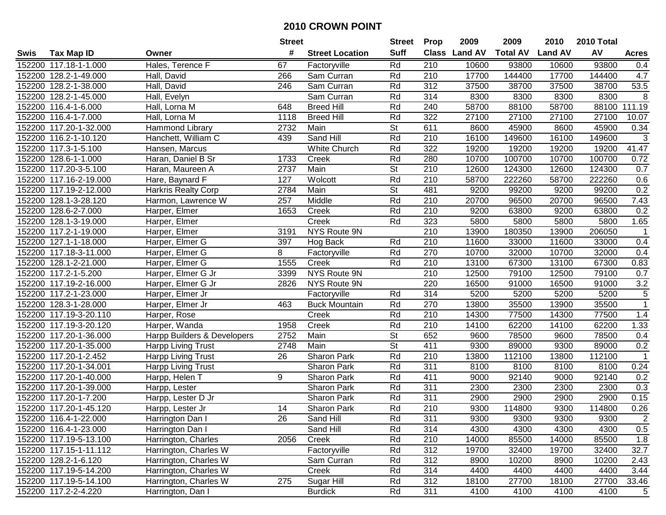|        |                        |                             | <b>Street</b> |                        | <b>Street</b>            | <b>Prop</b>      | 2009          | 2009            | 2010           | 2010 Total |                |
|--------|------------------------|-----------------------------|---------------|------------------------|--------------------------|------------------|---------------|-----------------|----------------|------------|----------------|
| Swis   | <b>Tax Map ID</b>      | Owner                       | #             | <b>Street Location</b> | <b>Suff</b>              |                  | Class Land AV | <b>Total AV</b> | <b>Land AV</b> | AV         | <b>Acres</b>   |
|        | 152200 117.18-1-1.000  | Hales, Terence F            | 67            | Factoryville           | Rd                       | 210              | 10600         | 93800           | 10600          | 93800      | 0.4            |
|        | 152200 128.2-1-49.000  | Hall, David                 | 266           | Sam Curran             | Rd                       | 210              | 17700         | 144400          | 17700          | 144400     | 4.7            |
|        | 152200 128.2-1-38.000  | Hall, David                 | 246           | Sam Curran             | Rd                       | 312              | 37500         | 38700           | 37500          | 38700      | 53.5           |
|        | 152200 128.2-1-45.000  | Hall, Evelyn                |               | Sam Curran             | Rd                       | 314              | 8300          | 8300            | 8300           | 8300       | 8              |
|        | 152200 116.4-1-6.000   | Hall, Lorna M               | 648           | <b>Breed Hill</b>      | Rd                       | 240              | 58700         | 88100           | 58700          | 88100      | 111.19         |
|        | 152200 116.4-1-7.000   | Hall, Lorna M               | 1118          | <b>Breed Hill</b>      | Rd                       | 322              | 27100         | 27100           | 27100          | 27100      | 10.07          |
|        | 152200 117.20-1-32.000 | Hammond Library             | 2732          | Main                   | <b>St</b>                | 611              | 8600          | 45900           | 8600           | 45900      | 0.34           |
|        | 152200 116.2-1-10.120  | Hanchett, William C         | 439           | Sand Hill              | Rd                       | 210              | 16100         | 149600          | 16100          | 149600     | $\overline{3}$ |
|        | 152200 117.3-1-5.100   | Hansen, Marcus              |               | White Church           | Rd                       | 322              | 19200         | 19200           | 19200          | 19200      | 41.47          |
|        | 152200 128.6-1-1.000   | Haran, Daniel B Sr          | 1733          | Creek                  | Rd                       | 280              | 10700         | 100700          | 10700          | 100700     | 0.72           |
|        | 152200 117.20-3-5.100  | Haran, Maureen A            | 2737          | Main                   | <b>St</b>                | 210              | 12600         | 124300          | 12600          | 124300     | 0.7            |
|        | 152200 117.16-2-19.000 | Hare, Baynard F             | 127           | Wolcott                | Rd                       | 210              | 58700         | 222260          | 58700          | 222260     | 0.6            |
|        | 152200 117.19-2-12.000 | Harkris Realty Corp         | 2784          | Main                   | <b>St</b>                | 481              | 9200          | 99200           | 9200           | 99200      | 0.2            |
|        | 152200 128.1-3-28.120  | Harmon, Lawrence W          | 257           | Middle                 | Rd                       | 210              | 20700         | 96500           | 20700          | 96500      | 7.43           |
|        | 152200 128.6-2-7.000   | Harper, Elmer               | 1653          | Creek                  | Rd                       | 210              | 9200          | 63800           | 9200           | 63800      | 0.2            |
|        | 152200 128.1-3-19.000  | Harper, Elmer               |               | Creek                  | Rd                       | 323              | 5800          | 5800            | 5800           | 5800       | 1.65           |
|        | 152200 117.2-1-19.000  | Harper, Elmer               | 3191          | <b>NYS Route 9N</b>    |                          | 210              | 13900         | 180350          | 13900          | 206050     | $\overline{1}$ |
|        | 152200 127.1-1-18.000  | Harper, Elmer G             | 397           | Hog Back               | Rd                       | 210              | 11600         | 33000           | 11600          | 33000      | 0.4            |
|        | 152200 117.18-3-11.000 | Harper, Elmer G             | 8             | Factoryville           | Rd                       | 270              | 10700         | 32000           | 10700          | 32000      | 0.4            |
|        | 152200 128.1-2-21.000  | Harper, Elmer G             | 1555          | Creek                  | Rd                       | 210              | 13100         | 67300           | 13100          | 67300      | 0.83           |
|        | 152200 117.2-1-5.200   | Harper, Elmer G Jr          | 3399          | NYS Route 9N           |                          | 210              | 12500         | 79100           | 12500          | 79100      | 0.7            |
|        | 152200 117.19-2-16.000 | Harper, Elmer G Jr          | 2826          | NYS Route 9N           |                          | 220              | 16500         | 91000           | 16500          | 91000      | 3.2            |
|        | 152200 117.2-1-23.000  | Harper, Elmer Jr            |               | Factoryville           | Rd                       | 314              | 5200          | 5200            | 5200           | 5200       | 5              |
| 152200 | 128.3-1-28.000         | Harper, Elmer Jr            | 463           | <b>Buck Mountain</b>   | Rd                       | 270              | 13800         | 35500           | 13900          | 35500      | $\mathbf{1}$   |
|        | 152200 117.19-3-20.110 | Harper, Rose                |               | Creek                  | Rd                       | 210              | 14300         | 77500           | 14300          | 77500      | 1.4            |
|        | 152200 117.19-3-20.120 | Harper, Wanda               | 1958          | Creek                  | Rd                       | 210              | 14100         | 62200           | 14100          | 62200      | 1.33           |
|        | 152200 117.20-1-36.000 | Harpp Builders & Developers | 2752          | Main                   | $\overline{\mathsf{St}}$ | 652              | 9600          | 78500           | 9600           | 78500      | 0.4            |
|        | 152200 117.20-1-35.000 | Harpp Living Trust          | 2748          | Main                   | <b>St</b>                | 411              | 9300          | 89000           | 9300           | 89000      | 0.2            |
|        | 152200 117.20-1-2.452  | Harpp Living Trust          | 26            | Sharon Park            | Rd                       | $\overline{210}$ | 13800         | 112100          | 13800          | 112100     | $\mathbf{1}$   |
|        | 152200 117.20-1-34.001 | Harpp Living Trust          |               | Sharon Park            | Rd                       | 311              | 8100          | 8100            | 8100           | 8100       | 0.24           |
|        | 152200 117.20-1-40.000 | Harpp, Helen T              | 9             | Sharon Park            | Rd                       | 411              | 9000          | 92140           | 9000           | 92140      | 0.2            |
|        | 152200 117.20-1-39.000 | Harpp, Lester               |               | Sharon Park            | Rd                       | 311              | 2300          | 2300            | 2300           | 2300       | 0.3            |
|        | 152200 117.20-1-7.200  | Harpp, Lester D Jr          |               | Sharon Park            | Rd                       | 311              | 2900          | 2900            | 2900           | 2900       | 0.15           |
|        | 152200 117.20-1-45.120 | Harpp, Lester Jr            | 14            | Sharon Park            | Rd                       | $\overline{210}$ | 9300          | 114800          | 9300           | 114800     | 0.26           |
|        | 152200 116.4-1-22.000  | Harrington Dan I            | 26            | Sand Hill              | Rd                       | 311              | 9300          | 9300            | 9300           | 9300       | 2              |
|        | 152200 116.4-1-23.000  | Harrington Dan I            |               | Sand Hill              | Rd                       | 314              | 4300          | 4300            | 4300           | 4300       | 0.5            |
|        | 152200 117.19-5-13.100 | Harrington, Charles         | 2056          | Creek                  | Rd                       | 210              | 14000         | 85500           | 14000          | 85500      | 1.8            |
|        | 152200 117.15-1-11.112 | Harrington, Charles W       |               | Factoryville           | Rd                       | 312              | 19700         | 32400           | 19700          | 32400      | 32.7           |
|        | 152200 128.2-1-6.120   | Harrington, Charles W       |               | Sam Curran             | Rd                       | 312              | 8900          | 10200           | 8900           | 10200      | 2.43           |
|        | 152200 117.19-5-14.200 | Harrington, Charles W       |               | Creek                  | Rd                       | 314              | 4400          | 4400            | 4400           | 4400       | 3.44           |
|        | 152200 117.19-5-14.100 | Harrington, Charles W       | 275           | Sugar Hill             | Rd                       | 312              | 18100         | 27700           | 18100          | 27700      | 33.46          |
|        | 152200 117.2-2-4.220   | Harrington, Dan I           |               | <b>Burdick</b>         | Rd                       | 311              | 4100          | 4100            | 4100           | 4100       | 5              |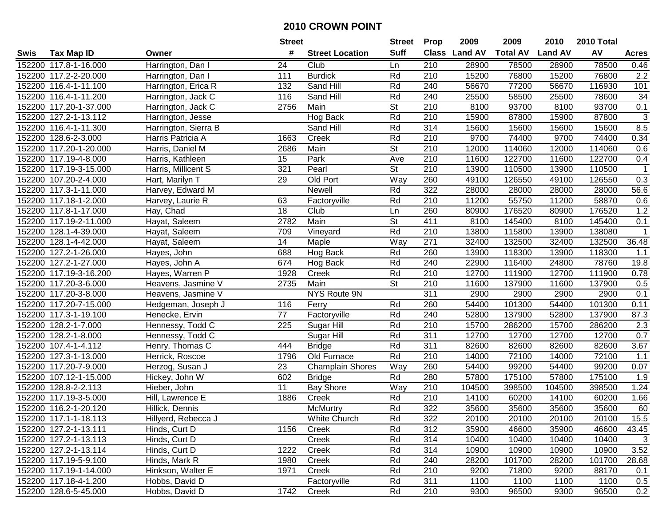|        |                        |                      | <b>Street</b>   |                         | <b>Street</b>            | <b>Prop</b>      | 2009          | 2009            | 2010           | 2010 Total |                 |
|--------|------------------------|----------------------|-----------------|-------------------------|--------------------------|------------------|---------------|-----------------|----------------|------------|-----------------|
| Swis   | <b>Tax Map ID</b>      | Owner                | #               | <b>Street Location</b>  | <b>Suff</b>              |                  | Class Land AV | <b>Total AV</b> | <b>Land AV</b> | AV         | <b>Acres</b>    |
|        | 152200 117.8-1-16.000  | Harrington, Dan I    | 24              | Club                    | Ln                       | 210              | 28900         | 78500           | 28900          | 78500      | 0.46            |
|        | 152200 117.2-2-20.000  | Harrington, Dan I    | 111             | <b>Burdick</b>          | Rd                       | 210              | 15200         | 76800           | 15200          | 76800      | 2.2             |
|        | 152200 116.4-1-11.100  | Harrington, Erica R  | 132             | Sand Hill               | Rd                       | 240              | 56670         | 77200           | 56670          | 116930     | 101             |
|        | 152200 116.4-1-11.200  | Harrington, Jack C   | 116             | Sand Hill               | Rd                       | 240              | 25500         | 58500           | 25500          | 78600      | $\overline{34}$ |
|        | 152200 117.20-1-37.000 | Harrington, Jack C   | 2756            | Main                    | <b>St</b>                | 210              | 8100          | 93700           | 8100           | 93700      | 0.1             |
|        | 152200 127.2-1-13.112  | Harrington, Jesse    |                 | Hog Back                | Rd                       | 210              | 15900         | 87800           | 15900          | 87800      | $\overline{3}$  |
|        | 152200 116.4-1-11.300  | Harrington, Sierra B |                 | Sand Hill               | Rd                       | 314              | 15600         | 15600           | 15600          | 15600      | 8.5             |
|        | 152200 128.6-2-3.000   | Harris Patricia A    | 1663            | Creek                   | Rd                       | $\overline{210}$ | 9700          | 74400           | 9700           | 74400      | 0.34            |
|        | 152200 117.20-1-20.000 | Harris, Daniel M     | 2686            | Main                    | $\overline{\mathsf{St}}$ | 210              | 12000         | 114060          | 12000          | 114060     | 0.6             |
|        | 152200 117.19-4-8.000  | Harris, Kathleen     | 15              | Park                    | Ave                      | 210              | 11600         | 122700          | 11600          | 122700     | 0.4             |
|        | 152200 117.19-3-15.000 | Harris, Millicent S  | 321             | Pearl                   | St                       | 210              | 13900         | 110500          | 13900          | 110500     | $\mathbf{1}$    |
|        | 152200 107.20-2-4.000  | Hart, Marilyn T      | 29              | Old Port                | Way                      | 260              | 49100         | 126550          | 49100          | 126550     | 0.3             |
|        | 152200 117.3-1-11.000  | Harvey, Edward M     |                 | <b>Newell</b>           | Rd                       | 322              | 28000         | 28000           | 28000          | 28000      | 56.6            |
|        | 152200 117.18-1-2.000  | Harvey, Laurie R     | 63              | Factoryville            | Rd                       | 210              | 11200         | 55750           | 11200          | 58870      | 0.6             |
|        | 152200 117.8-1-17.000  | Hay, Chad            | 18              | Club                    | Ln                       | 260              | 80900         | 176520          | 80900          | 176520     | 1.2             |
|        | 152200 117.19-2-11.000 | Hayat, Saleem        | 2782            | Main                    | <b>St</b>                | 411              | 8100          | 145400          | 8100           | 145400     | 0.1             |
|        | 152200 128.1-4-39.000  | Hayat, Saleem        | 709             | Vineyard                | Rd                       | 210              | 13800         | 115800          | 13900          | 138080     | $\mathbf{1}$    |
|        | 152200 128.1-4-42.000  | Hayat, Saleem        | 14              | Maple                   | Way                      | 271              | 32400         | 132500          | 32400          | 132500     | 36.48           |
|        | 152200 127.2-1-26.000  | Hayes, John          | 688             | Hog Back                | Rd                       | 260              | 13900         | 118300          | 13900          | 118300     | 1.1             |
|        | 152200 127.2-1-27.000  | Hayes, John A        | 674             | Hog Back                | Rd                       | 240              | 22900         | 116400          | 24800          | 78760      | 19.8            |
|        | 152200 117.19-3-16.200 | Hayes, Warren P      | 1928            | Creek                   | Rd                       | 210              | 12700         | 111900          | 12700          | 111900     | 0.78            |
|        | 152200 117.20-3-6.000  | Heavens, Jasmine V   | 2735            | Main                    | St                       | 210              | 11600         | 137900          | 11600          | 137900     | 0.5             |
|        | 152200 117.20-3-8.000  | Heavens, Jasmine V   |                 | NYS Route 9N            |                          | 311              | 2900          | 2900            | 2900           | 2900       | 0.1             |
|        | 152200 117.20-7-15.000 | Hedgeman, Joseph J   | 116             | Ferry                   | Rd                       | 260              | 54400         | 101300          | 54400          | 101300     | 0.11            |
|        | 152200 117.3-1-19.100  | Henecke, Ervin       | 77              | Factoryville            | Rd                       | 240              | 52800         | 137900          | 52800          | 137900     | 87.3            |
| 152200 | 128.2-1-7.000          | Hennessy, Todd C     | 225             | Sugar Hill              | Rd                       | 210              | 15700         | 286200          | 15700          | 286200     | 2.3             |
|        | 152200 128.2-1-8.000   | Hennessy, Todd C     |                 | Sugar Hill              | Rd                       | 311              | 12700         | 12700           | 12700          | 12700      | 0.7             |
|        | 152200 107.4-1-4.112   | Henry, Thomas C      | 444             | <b>Bridge</b>           | Rd                       | 311              | 82600         | 82600           | 82600          | 82600      | 3.67            |
|        | 152200 127.3-1-13.000  | Herrick, Roscoe      | 1796            | Old Furnace             | Rd                       | 210              | 14000         | 72100           | 14000          | 72100      | 1.1             |
|        | 152200 117.20-7-9.000  | Herzog, Susan J      | $\overline{23}$ | <b>Champlain Shores</b> | Way                      | 260              | 54400         | 99200           | 54400          | 99200      | 0.07            |
|        | 152200 107.12-1-15.000 | Hickey, John W       | 602             | <b>Bridge</b>           | Rd                       | 280              | 57800         | 175100          | 57800          | 175100     | 1.9             |
|        | 152200 128.8-2-2.113   | Hieber, John         | 11              | <b>Bay Shore</b>        | Way                      | 210              | 104500        | 398500          | 104500         | 398500     | 1.24            |
|        | 152200 117.19-3-5.000  | Hill, Lawrence E     | 1886            | Creek                   | Rd                       | $\overline{210}$ | 14100         | 60200           | 14100          | 60200      | 1.66            |
|        | 152200 116.2-1-20.120  | Hillick, Dennis      |                 | McMurtry                | Rd                       | 322              | 35600         | 35600           | 35600          | 35600      | 60              |
|        | 152200 117.1-1-18.113  | Hillyerd, Rebecca J  |                 | White Church            | Rd                       | 322              | 20100         | 20100           | 20100          | 20100      | 15.5            |
|        | 152200 127.2-1-13.111  | Hinds, Curt D        | 1156            | Creek                   | Rd                       | 312              | 35900         | 46600           | 35900          | 46600      | 43.45           |
|        | 152200 127.2-1-13.113  | Hinds, Curt D        |                 | Creek                   | Rd                       | 314              | 10400         | 10400           | 10400          | 10400      | 3               |
|        | 152200 127.2-1-13.114  | Hinds, Curt D        | 1222            | Creek                   | Rd                       | 314              | 10900         | 10900           | 10900          | 10900      | 3.52            |
|        | 152200 117.19-5-9.100  | Hinds, Mark R        | 1980            | Creek                   | Rd                       | 240              | 28200         | 101700          | 28200          | 101700     | 28.68           |
|        | 152200 117.19-1-14.000 | Hinkson, Walter E    | 1971            | Creek                   | Rd                       | 210              | 9200          | 71800           | 9200           | 88170      | 0.1             |
|        | 152200 117.18-4-1.200  | Hobbs, David D       |                 | Factoryville            | Rd                       | 311              | 1100          | 1100            | 1100           | 1100       | 0.5             |
|        | 152200 128.6-5-45.000  | Hobbs, David D       | 1742            | Creek                   | Rd                       | 210              | 9300          | 96500           | 9300           | 96500      | 0.2             |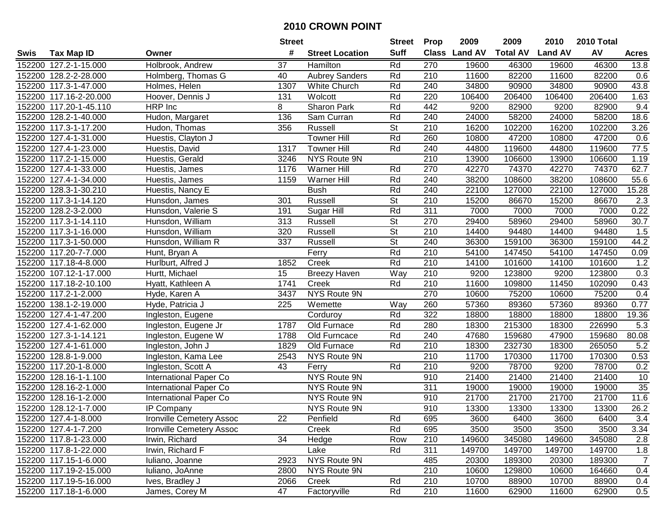|        |                        |                                 | <b>Street</b> |                        | Street                   | <b>Prop</b> | 2009          | 2009            | 2010           | 2010 Total |                |
|--------|------------------------|---------------------------------|---------------|------------------------|--------------------------|-------------|---------------|-----------------|----------------|------------|----------------|
| Swis   | <b>Tax Map ID</b>      | Owner                           | #             | <b>Street Location</b> | <b>Suff</b>              |             | Class Land AV | <b>Total AV</b> | <b>Land AV</b> | AV         | <b>Acres</b>   |
|        | 152200 127.2-1-15.000  | Holbrook, Andrew                | 37            | Hamilton               | Rd                       | 270         | 19600         | 46300           | 19600          | 46300      | 13.8           |
|        | 152200 128.2-2-28.000  | Holmberg, Thomas G              | 40            | <b>Aubrey Sanders</b>  | Rd                       | 210         | 11600         | 82200           | 11600          | 82200      | 0.6            |
|        | 152200 117.3-1-47.000  | Holmes, Helen                   | 1307          | <b>White Church</b>    | Rd                       | 240         | 34800         | 90900           | 34800          | 90900      | 43.8           |
|        | 152200 117.16-2-20.000 | Hoover, Dennis J                | 131           | Wolcott                | Rd                       | 220         | 106400        | 206400          | 106400         | 206400     | 1.63           |
|        | 152200 117.20-1-45.110 | HRP Inc                         | 8             | Sharon Park            | Rd                       | 442         | 9200          | 82900           | 9200           | 82900      | 9.4            |
|        | 152200 128.2-1-40.000  | Hudon, Margaret                 | 136           | Sam Curran             | Rd                       | 240         | 24000         | 58200           | 24000          | 58200      | 18.6           |
|        | 152200 117.3-1-17.200  | Hudon, Thomas                   | 356           | Russell                | <b>St</b>                | 210         | 16200         | 102200          | 16200          | 102200     | 3.26           |
| 152200 | 127.4-1-31.000         | Huestis, Clayton J              |               | <b>Towner Hill</b>     | Rd                       | 260         | 10800         | 47200           | 10800          | 47200      | 0.6            |
|        | 152200 127.4-1-23.000  | Huestis, David                  | 1317          | Towner Hill            | Rd                       | 240         | 44800         | 119600          | 44800          | 119600     | 77.5           |
|        | 152200 117.2-1-15.000  | Huestis, Gerald                 | 3246          | NYS Route 9N           |                          | 210         | 13900         | 106600          | 13900          | 106600     | 1.19           |
|        | 152200 127.4-1-33.000  | Huestis, James                  | 1176          | Warner Hill            | Rd                       | 270         | 42270         | 74370           | 42270          | 74370      | 62.7           |
|        | 152200 127.4-1-34.000  | Huestis, James                  | 1159          | Warner Hill            | Rd                       | 240         | 38200         | 108600          | 38200          | 108600     | 55.6           |
|        | 152200 128.3-1-30.210  | Huestis, Nancy E                |               | <b>Bush</b>            | Rd                       | 240         | 22100         | 127000          | 22100          | 127000     | 15.28          |
|        | 152200 117.3-1-14.120  | Hunsdon, James                  | 301           | Russell                | <b>St</b>                | 210         | 15200         | 86670           | 15200          | 86670      | 2.3            |
| 152200 | 128.2-3-2.000          | Hunsdon, Valerie S              | 191           | Sugar Hill             | Rd                       | 311         | 7000          | 7000            | 7000           | 7000       | 0.22           |
|        | 152200 117.3-1-14.110  | Hunsdon, William                | 313           | Russell                | <b>St</b>                | 270         | 29400         | 58960           | 29400          | 58960      | 30.7           |
|        | 152200 117.3-1-16.000  | Hunsdon, William                | 320           | Russell                | $\overline{\mathsf{St}}$ | 210         | 14400         | 94480           | 14400          | 94480      | 1.5            |
|        | 152200 117.3-1-50.000  | Hunsdon, William R              | 337           | Russell                | $\overline{\mathsf{St}}$ | 240         | 36300         | 159100          | 36300          | 159100     | 44.2           |
|        | 152200 117.20-7-7.000  | Hunt, Bryan A                   |               | Ferry                  | Rd                       | 210         | 54100         | 147450          | 54100          | 147450     | 0.09           |
|        | 152200 117.18-4-8.000  | Hurlburt, Alfred J              | 1852          | Creek                  | Rd                       | 210         | 14100         | 101600          | 14100          | 101600     | 1.2            |
|        | 152200 107.12-1-17.000 | Hurtt, Michael                  | 15            | <b>Breezy Haven</b>    | Way                      | 210         | 9200          | 123800          | 9200           | 123800     | 0.3            |
|        | 152200 117.18-2-10.100 | Hyatt, Kathleen A               | 1741          | Creek                  | Rd                       | 210         | 11600         | 109800          | 11450          | 102090     | 0.43           |
|        | 152200 117.2-1-2.000   | Hyde, Karen A                   | 3437          | NYS Route 9N           |                          | 270         | 10600         | 75200           | 10600          | 75200      | 0.4            |
| 152200 | 138.1-2-19.000         | Hyde, Patricia J                | 225           | Wemette                | Way                      | 260         | 57360         | 89360           | 57360          | 89360      | 0.77           |
| 152200 | 127.4-1-47.200         | Ingleston, Eugene               |               | Corduroy               | Rd                       | 322         | 18800         | 18800           | 18800          | 18800      | 19.36          |
|        | 152200 127.4-1-62.000  | Ingleston, Eugene Jr            | 1787          | Old Furnace            | Rd                       | 280         | 18300         | 215300          | 18300          | 226990     | 5.3            |
|        | 152200 127.3-1-14.121  | Ingleston, Eugene W             | 1788          | Old Furncace           | Rd                       | 240         | 47680         | 159680          | 47900          | 159680     | 80.08          |
|        | 152200 127.4-1-61.000  | Ingleston, John J               | 1829          | Old Furnace            | Rd                       | 210         | 18300         | 232730          | 18300          | 265050     | 5.2            |
|        | 152200 128.8-1-9.000   | Ingleston, Kama Lee             | 2543          | NYS Route 9N           |                          | 210         | 11700         | 170300          | 11700          | 170300     | 0.53           |
|        | 152200 117.20-1-8.000  | Ingleston, Scott A              | 43            | Ferry                  | Rd                       | 210         | 9200          | 78700           | 9200           | 78700      | 0.2            |
|        | 152200 128.16-1-1.100  | International Paper Co          |               | <b>NYS Route 9N</b>    |                          | 910         | 21400         | 21400           | 21400          | 21400      | 10             |
|        | 152200 128.16-2-1.000  | International Paper Co          |               | NYS Route 9N           |                          | 311         | 19000         | 19000           | 19000          | 19000      | 35             |
| 152200 | 128.16-1-2.000         | <b>International Paper Co</b>   |               | NYS Route 9N           |                          | 910         | 21700         | 21700           | 21700          | 21700      | 11.6           |
|        | 152200 128.12-1-7.000  | IP Company                      |               | NYS Route 9N           |                          | 910         | 13300         | 13300           | 13300          | 13300      | 26.2           |
|        | 152200 127.4-1-8.000   | <b>Ironville Cemetery Assoc</b> | 22            | Penfield               | Rd                       | 695         | 3600          | 6400            | 3600           | 6400       | 3.4            |
|        | 152200 127.4-1-7.200   | Ironville Cemetery Assoc        |               | Creek                  | Rd                       | 695         | 3500          | 3500            | 3500           | 3500       | 3.34           |
|        | 152200 117.8-1-23.000  | Irwin, Richard                  | 34            | Hedge                  | Row                      | 210         | 149600        | 345080          | 149600         | 345080     | 2.8            |
|        | 152200 117.8-1-22.000  | Irwin, Richard F                |               | Lake                   | Rd                       | 311         | 149700        | 149700          | 149700         | 149700     | 1.8            |
|        | 152200 117.15-1-6.000  | Iuliano, Joanne                 | 2923          | NYS Route 9N           |                          | 485         | 20300         | 189300          | 20300          | 189300     | $\overline{7}$ |
|        | 152200 117.19-2-15.000 | Iuliano, JoAnne                 | 2800          | NYS Route 9N           |                          | 210         | 10600         | 129800          | 10600          | 164660     | 0.4            |
|        | 152200 117.19-5-16.000 | Ives, Bradley J                 | 2066          | Creek                  | Rd                       | 210         | 10700         | 88900           | 10700          | 88900      | 0.4            |
|        | 152200 117.18-1-6.000  | James, Corey M                  | 47            | Factoryville           | Rd                       | 210         | 11600         | 62900           | 11600          | 62900      | 0.5            |
|        |                        |                                 |               |                        |                          |             |               |                 |                |            |                |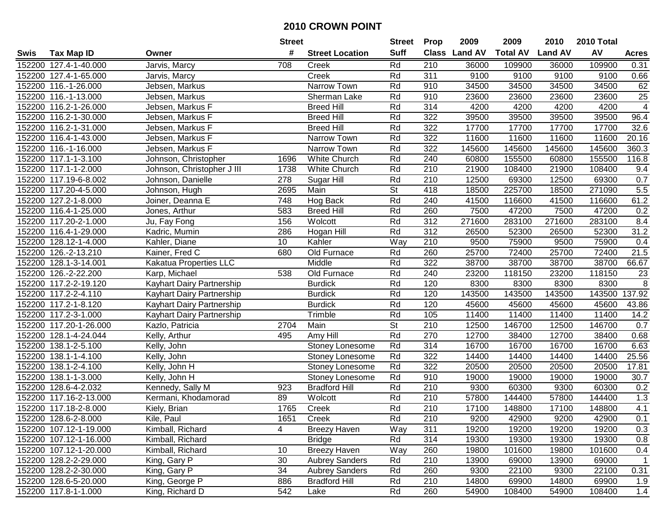| #<br><b>Suff</b><br>Class Land AV<br><b>Total AV</b><br><b>Land AV</b><br><b>Tax Map ID</b><br><b>Street Location</b><br>Swis<br>Owner<br>152200 127.4-1-40.000<br>Jarvis, Marcy<br>708<br>Rd<br>210<br>36000<br>109900<br>Creek<br>Rd<br>311<br>9100<br>152200 127.4-1-65.000<br>Creek<br>9100<br>Jarvis, Marcy<br>152200 116.-1-26.000<br>Jebsen, Markus<br>Narrow Town<br>910<br>34500<br>34500<br>Rd | AV<br>109900<br>36000<br>9100<br>9100<br>34500<br>34500 | <b>Acres</b><br>0.31 |
|----------------------------------------------------------------------------------------------------------------------------------------------------------------------------------------------------------------------------------------------------------------------------------------------------------------------------------------------------------------------------------------------------------|---------------------------------------------------------|----------------------|
|                                                                                                                                                                                                                                                                                                                                                                                                          |                                                         |                      |
|                                                                                                                                                                                                                                                                                                                                                                                                          |                                                         |                      |
|                                                                                                                                                                                                                                                                                                                                                                                                          |                                                         | 0.66                 |
|                                                                                                                                                                                                                                                                                                                                                                                                          |                                                         | 62                   |
| Rd<br>910<br>152200 116.-1-13.000<br>Jebsen, Markus<br>Sherman Lake<br>23600<br>23600                                                                                                                                                                                                                                                                                                                    | 23600<br>23600                                          | $\overline{25}$      |
| 152200 116.2-1-26.000<br><b>Breed Hill</b><br>Rd<br>314<br>4200<br>Jebsen, Markus F<br>4200                                                                                                                                                                                                                                                                                                              | 4200<br>4200                                            | $\overline{4}$       |
| 152200 116.2-1-30.000<br><b>Breed Hill</b><br>Rd<br>322<br>39500<br>39500<br>Jebsen, Markus F                                                                                                                                                                                                                                                                                                            | 39500<br>39500                                          | 96.4                 |
| 152200 116.2-1-31.000<br>322<br>17700<br>17700<br>Jebsen, Markus F<br><b>Breed Hill</b><br>Rd                                                                                                                                                                                                                                                                                                            | 17700<br>17700                                          | 32.6                 |
| 322<br>152200 116.4-1-43.000<br>Jebsen, Markus F<br>Rd<br>11600<br>11600<br>Narrow Town                                                                                                                                                                                                                                                                                                                  | 11600<br>11600                                          | 20.16                |
| 152200 116.-1-16.000<br>Jebsen, Markus F<br>Rd<br>322<br>145600<br>145600<br>Narrow Town                                                                                                                                                                                                                                                                                                                 | 145600<br>145600                                        | 360.3                |
| 152200 117.1-1-3.100<br>1696<br>White Church<br>Rd<br>240<br>60800<br>155500<br>Johnson, Christopher                                                                                                                                                                                                                                                                                                     | 60800<br>155500                                         | 116.8                |
| 152200 117.1-1-2.000<br>1738<br>White Church<br>Rd<br>210<br>21900<br>108400<br>Johnson, Christopher J III                                                                                                                                                                                                                                                                                               | 21900<br>108400                                         | 9.4                  |
| 152200 117.19-6-8.002<br>Johnson, Danielle<br>278<br>Sugar Hill<br>Rd<br>210<br>12500<br>69300                                                                                                                                                                                                                                                                                                           | 12500<br>69300                                          | 0.7                  |
| $\overline{\mathsf{St}}$<br>152200 117.20-4-5.000<br>418<br>225700<br>Johnson, Hugh<br>2695<br>Main<br>18500                                                                                                                                                                                                                                                                                             | 271090<br>18500                                         | 5.5                  |
| 748<br>152200 127.2-1-8.000<br>Hog Back<br>Rd<br>240<br>41500<br>116600<br>Joiner, Deanna E                                                                                                                                                                                                                                                                                                              | 41500<br>116600                                         | 61.2                 |
| <b>Breed Hill</b><br>Rd<br>260<br>47200<br>152200 116.4-1-25.000<br>583<br>7500<br>Jones, Arthur                                                                                                                                                                                                                                                                                                         | 47200<br>7500                                           | 0.2                  |
| 152200 117.20-2-1.000<br>156<br>Rd<br>312<br>271600<br>283100<br>Wolcott<br>Ju, Fay Fong                                                                                                                                                                                                                                                                                                                 | 271600<br>283100                                        | 8.4                  |
| 312<br>Rd<br>52300<br>152200 116.4-1-29.000<br>286<br>26500<br>Kadric, Mumin<br>Hogan Hill                                                                                                                                                                                                                                                                                                               | 26500<br>52300                                          | 31.2                 |
| 10<br>Kahler<br>Way<br>210<br>75900<br>152200 128.12-1-4.000<br>Kahler, Diane<br>9500                                                                                                                                                                                                                                                                                                                    | 9500<br>75900                                           | 0.4                  |
| 152200 126.-2-13.210<br>680<br>Old Furnace<br>260<br>25700<br>72400<br>Kainer, Fred C<br>Rd                                                                                                                                                                                                                                                                                                              | 25700<br>72400                                          | 21.5                 |
| 152200 128.1-3-14.001<br>Kakatua Properties LLC<br>Middle<br>Rd<br>322<br>38700<br>38700                                                                                                                                                                                                                                                                                                                 | 38700<br>38700                                          | 66.67                |
| 152200 126.-2-22.200<br>Old Furnace<br>Rd<br>240<br>118150<br>Karp, Michael<br>538<br>23200                                                                                                                                                                                                                                                                                                              | 118150<br>23200                                         | 23                   |
| 152200 117.2-2-19.120<br>Rd<br>120<br>Kayhart Dairy Partnership<br><b>Burdick</b><br>8300<br>8300                                                                                                                                                                                                                                                                                                        | 8300<br>8300                                            | 8                    |
| 120<br>143500<br>152200 117.2-2-4.110<br><b>Burdick</b><br>Rd<br>143500<br>Kayhart Dairy Partnership                                                                                                                                                                                                                                                                                                     | 143500<br>143500                                        | 137.92               |
| 152200 117.2-1-8.120<br>Rd<br>120<br>45600<br>45600<br>Kayhart Dairy Partnership<br><b>Burdick</b>                                                                                                                                                                                                                                                                                                       | 45600<br>45600                                          | 43.86                |
| 152200 117.2-3-1.000<br>Rd<br>105<br>Trimble<br>11400<br>11400<br>Kayhart Dairy Partnership                                                                                                                                                                                                                                                                                                              | 11400<br>11400                                          | 14.2                 |
| $\overline{\mathsf{St}}$<br>2704<br>152200 117.20-1-26.000<br>Main<br>210<br>12500<br>146700<br>Kazlo, Patricia                                                                                                                                                                                                                                                                                          | 12500<br>146700                                         | 0.7                  |
| Rd<br>152200 128.1-4-24.044<br>495<br>Amy Hill<br>270<br>12700<br>38400<br>Kelly, Arthur                                                                                                                                                                                                                                                                                                                 | 12700<br>38400                                          | 0.68                 |
| 314<br>152200 138.1-2-5.100<br>Rd<br>16700<br>16700<br>Kelly, John<br>Stoney Lonesome                                                                                                                                                                                                                                                                                                                    | 16700<br>16700                                          | 6.63                 |
| 322<br>152200 138.1-1-4.100<br>Rd<br>14400<br>14400<br>Kelly, John<br>Stoney Lonesome                                                                                                                                                                                                                                                                                                                    | 14400<br>14400                                          | 25.56                |
| 322<br>152200 138.1-2-4.100<br>Rd<br>20500<br>20500<br>Kelly, John H<br>Stoney Lonesome                                                                                                                                                                                                                                                                                                                  | 20500<br>20500                                          | 17.81                |
| 910<br>152200 138.1-1-3.000<br>Stoney Lonesome<br>Rd<br>19000<br>19000<br>Kelly, John H                                                                                                                                                                                                                                                                                                                  | 19000<br>19000                                          | 30.7                 |
| 152200 128.6-4-2.032<br>Rd<br>210<br>60300<br>923<br><b>Bradford Hill</b><br>9300<br>Kennedy, Sally M                                                                                                                                                                                                                                                                                                    | 9300<br>60300                                           | 0.2                  |
| 210<br>Kermani, Khodamorad<br>89<br>Rd<br>57800<br>144400<br>152200 117.16-2-13.000<br>Wolcott                                                                                                                                                                                                                                                                                                           | 57800<br>144400                                         | 1.3                  |
| 152200 117.18-2-8.000<br>1765<br>Rd<br>210<br>Kiely, Brian<br>Creek<br>17100<br>148800                                                                                                                                                                                                                                                                                                                   | 17100<br>148800                                         | 4.1                  |
| 152200 128.6-2-8.000<br>Kile, Paul<br>1651<br>Creek<br>Rd<br>210<br>9200<br>42900                                                                                                                                                                                                                                                                                                                        | 9200<br>42900                                           | 0.1                  |
| Way<br>152200 107.12-1-19.000<br>Kimball, Richard<br>4<br><b>Breezy Haven</b><br>311<br>19200<br>19200                                                                                                                                                                                                                                                                                                   | 19200<br>19200                                          | 0.3                  |
| 314<br>152200 107.12-1-16.000<br>Kimball, Richard<br><b>Bridge</b><br>Rd<br>19300<br>19300                                                                                                                                                                                                                                                                                                               | 19300<br>19300                                          | 0.8                  |
| 152200 107.12-1-20.000<br><b>Breezy Haven</b><br>Way<br>260<br>19800<br>101600<br>Kimball, Richard<br>10                                                                                                                                                                                                                                                                                                 | 19800<br>101600                                         | 0.4                  |
| 152200 128.2-2-29.000<br>King, Gary P<br>30<br><b>Aubrey Sanders</b><br>Rd<br>210<br>13900<br>69000                                                                                                                                                                                                                                                                                                      | 13900<br>69000                                          | $\overline{1}$       |
| 152200 128.2-2-30.000<br>King, Gary P<br>34<br><b>Aubrey Sanders</b><br>Rd<br>260<br>9300<br>22100                                                                                                                                                                                                                                                                                                       | 9300<br>22100                                           | 0.31                 |
| 152200 128.6-5-20.000<br>King, George P<br>886<br><b>Bradford Hill</b><br>Rd<br>210<br>14800<br>69900                                                                                                                                                                                                                                                                                                    | 14800<br>69900                                          | 1.9                  |
| 542<br>152200 117.8-1-1.000<br>King, Richard D<br>Rd<br>260<br>54900<br>108400<br>Lake                                                                                                                                                                                                                                                                                                                   | 54900<br>108400                                         | 1.4                  |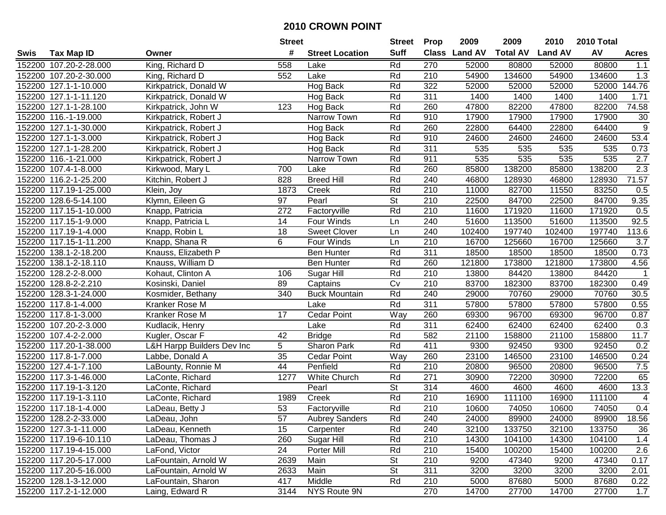|        |                        |                            | <b>Street</b>   |                        | <b>Street</b>            | <b>Prop</b>      | 2009          | 2009            | 2010           | 2010 Total |                |
|--------|------------------------|----------------------------|-----------------|------------------------|--------------------------|------------------|---------------|-----------------|----------------|------------|----------------|
| Swis   | <b>Tax Map ID</b>      | Owner                      | #               | <b>Street Location</b> | <b>Suff</b>              |                  | Class Land AV | <b>Total AV</b> | <b>Land AV</b> | AV         | <b>Acres</b>   |
|        | 152200 107.20-2-28.000 | King, Richard D            | 558             | Lake                   | Rd                       | 270              | 52000         | 80800           | 52000          | 80800      | 1.1            |
|        | 152200 107.20-2-30.000 | King, Richard D            | 552             | Lake                   | Rd                       | 210              | 54900         | 134600          | 54900          | 134600     | 1.3            |
|        | 152200 127.1-1-10.000  | Kirkpatrick, Donald W      |                 | Hog Back               | Rd                       | 322              | 52000         | 52000           | 52000          | 52000      | 144.76         |
|        | 152200 127.1-1-11.120  | Kirkpatrick, Donald W      |                 | Hog Back               | Rd                       | 311              | 1400          | 1400            | 1400           | 1400       | 1.71           |
|        | 152200 127.1-1-28.100  | Kirkpatrick, John W        | 123             | Hog Back               | Rd                       | 260              | 47800         | 82200           | 47800          | 82200      | 74.58          |
|        | 152200 116.-1-19.000   | Kirkpatrick, Robert J      |                 | Narrow Town            | Rd                       | 910              | 17900         | 17900           | 17900          | 17900      | 30             |
|        | 152200 127.1-1-30.000  | Kirkpatrick, Robert J      |                 | Hog Back               | Rd                       | 260              | 22800         | 64400           | 22800          | 64400      | $9\,$          |
|        | 152200 127.1-1-3.000   | Kirkpatrick, Robert J      |                 | Hog Back               | Rd                       | 910              | 24600         | 24600           | 24600          | 24600      | 53.4           |
|        | 152200 127.1-1-28.200  | Kirkpatrick, Robert J      |                 | Hog Back               | Rd                       | 311              | 535           | 535             | 535            | 535        | 0.73           |
|        | 152200 116.-1-21.000   | Kirkpatrick, Robert J      |                 | Narrow Town            | Rd                       | 911              | 535           | 535             | 535            | 535        | 2.7            |
|        | 152200 107.4-1-8.000   | Kirkwood, Mary L           | 700             | Lake                   | Rd                       | 260              | 85800         | 138200          | 85800          | 138200     | 2.3            |
|        | 152200 116.2-1-25.200  | Kitchin, Robert J          | 828             | <b>Breed Hill</b>      | Rd                       | 240              | 46800         | 128930          | 46800          | 128930     | 71.57          |
|        | 152200 117.19-1-25.000 | Klein, Joy                 | 1873            | Creek                  | Rd                       | 210              | 11000         | 82700           | 11550          | 83250      | 0.5            |
|        | 152200 128.6-5-14.100  | Klymn, Eileen G            | 97              | Pearl                  | <b>St</b>                | 210              | 22500         | 84700           | 22500          | 84700      | 9.35           |
| 152200 | 117.15-1-10.000        | Knapp, Patricia            | 272             | Factoryville           | Rd                       | 210              | 11600         | 171920          | 11600          | 171920     | 0.5            |
|        | 152200 117.15-1-9.000  | Knapp, Patricia L          | 14              | Four Winds             | Ln                       | 240              | 51600         | 113500          | 51600          | 113500     | 92.5           |
|        | 152200 117.19-1-4.000  | Knapp, Robin L             | 18              | <b>Sweet Clover</b>    | <b>Ln</b>                | 240              | 102400        | 197740          | 102400         | 197740     | 113.6          |
|        | 152200 117.15-1-11.200 | Knapp, Shana R             | 6               | Four Winds             | Ln                       | 210              | 16700         | 125660          | 16700          | 125660     | 3.7            |
|        | 152200 138.1-2-18.200  | Knauss, Elizabeth P        |                 | <b>Ben Hunter</b>      | Rd                       | 311              | 18500         | 18500           | 18500          | 18500      | 0.73           |
|        | 152200 138.1-2-18.110  | Knauss, William D          |                 | <b>Ben Hunter</b>      | Rd                       | 260              | 121800        | 173800          | 121800         | 173800     | 4.56           |
|        | 152200 128.2-2-8.000   | Kohaut, Clinton A          | 106             | Sugar Hill             | Rd                       | 210              | 13800         | 84420           | 13800          | 84420      | $\mathbf{1}$   |
| 152200 | 128.8-2-2.210          | Kosinski, Daniel           | 89              | Captains               | Cv                       | 210              | 83700         | 182300          | 83700          | 182300     | 0.49           |
| 152200 | 128.3-1-24.000         | Kosmider, Bethany          | 340             | <b>Buck Mountain</b>   | Rd                       | 240              | 29000         | 70760           | 29000          | 70760      | 30.5           |
| 152200 | 117.8-1-4.000          | Kranker Rose M             |                 | Lake                   | Rd                       | 311              | 57800         | 57800           | 57800          | 57800      | 0.55           |
|        | 152200 117.8-1-3.000   | Kranker Rose M             | 17              | <b>Cedar Point</b>     | Way                      | 260              | 69300         | 96700           | 69300          | 96700      | 0.87           |
|        | 152200 107.20-2-3.000  | Kudlacik, Henry            |                 | Lake                   | Rd                       | 311              | 62400         | 62400           | 62400          | 62400      | 0.3            |
|        | 152200 107.4-2-2.000   | Kugler, Oscar F            | 42              | <b>Bridge</b>          | Rd                       | 582              | 21100         | 158800          | 21100          | 158800     | 11.7           |
|        | 152200 117.20-1-38.000 | L&H Harpp Builders Dev Inc | $5\overline{)}$ | Sharon Park            | Rd                       | 411              | 9300          | 92450           | 9300           | 92450      | 0.2            |
|        | 152200 117.8-1-7.000   | Labbe, Donald A            | 35              | <b>Cedar Point</b>     | Way                      | 260              | 23100         | 146500          | 23100          | 146500     | 0.24           |
|        | 152200 127.4-1-7.100   | LaBounty, Ronnie M         | 44              | Penfield               | Rd                       | 210              | 20800         | 96500           | 20800          | 96500      | 7.5            |
|        | 152200 117.3-1-46.000  | LaConte, Richard           | 1277            | <b>White Church</b>    | Rd                       | $\overline{271}$ | 30900         | 72200           | 30900          | 72200      | 65             |
|        | 152200 117.19-1-3.120  | LaConte, Richard           |                 | Pearl                  | $\overline{\mathsf{St}}$ | 314              | 4600          | 4600            | 4600           | 4600       | 13.3           |
|        | 152200 117.19-1-3.110  | LaConte, Richard           | 1989            | Creek                  | Rd                       | 210              | 16900         | 111100          | 16900          | 111100     | $\overline{4}$ |
|        | 152200 117.18-1-4.000  | LaDeau, Betty J            | $\overline{53}$ | Factoryville           | Rd                       | 210              | 10600         | 74050           | 10600          | 74050      | 0.4            |
|        | 152200 128.2-2-33.000  | LaDeau, John               | 57              | <b>Aubrey Sanders</b>  | Rd                       | 240              | 24000         | 89900           | 24000          | 89900      | 18.56          |
|        | 152200 127.3-1-11.000  | LaDeau, Kenneth            | 15              | Carpenter              | Rd                       | 240              | 32100         | 133750          | 32100          | 133750     | 36             |
|        | 152200 117.19-6-10.110 | LaDeau, Thomas J           | 260             | Sugar Hill             | Rd                       | 210              | 14300         | 104100          | 14300          | 104100     | 1.4            |
|        | 152200 117.19-4-15.000 | LaFond, Victor             | 24              | Porter Mill            | Rd                       | 210              | 15400         | 100200          | 15400          | 100200     | 2.6            |
|        | 152200 117.20-5-17.000 | LaFountain, Arnold W       | 2639            | Main                   | St                       | 210              | 9200          | 47340           | 9200           | 47340      | 0.17           |
|        | 152200 117.20-5-16.000 | LaFountain, Arnold W       | 2633            | Main                   | <b>St</b>                | 311              | 3200          | 3200            | 3200           | 3200       | 2.01           |
|        | 152200 128.1-3-12.000  | LaFountain, Sharon         | 417             | Middle                 | Rd                       | 210              | 5000          | 87680           | 5000           | 87680      | 0.22           |
|        | 152200 117.2-1-12.000  | Laing, Edward R            | 3144            | NYS Route 9N           |                          | 270              | 14700         | 27700           | 14700          | 27700      | 1.7            |
|        |                        |                            |                 |                        |                          |                  |               |                 |                |            |                |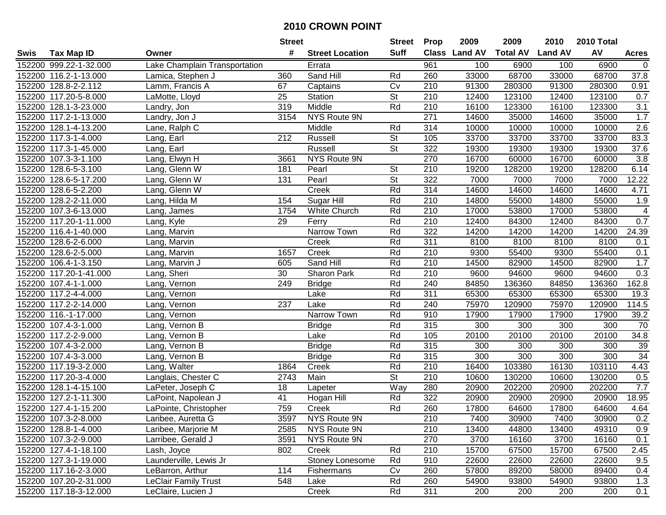|      |                        |                               | <b>Street</b>    |                        | <b>Street</b>            | <b>Prop</b>      | 2009          | 2009            | 2010           | 2010 Total |                          |
|------|------------------------|-------------------------------|------------------|------------------------|--------------------------|------------------|---------------|-----------------|----------------|------------|--------------------------|
| Swis | <b>Tax Map ID</b>      | Owner                         | #                | <b>Street Location</b> | <b>Suff</b>              |                  | Class Land AV | <b>Total AV</b> | <b>Land AV</b> | AV         | <b>Acres</b>             |
|      | 152200 999.22-1-32.000 | Lake Champlain Transportation |                  | Errata                 |                          | 961              | 100           | 6900            | 100            | 6900       | 0                        |
|      | 152200 116.2-1-13.000  | Lamica, Stephen J             | 360              | Sand Hill              | Rd                       | 260              | 33000         | 68700           | 33000          | 68700      | 37.8                     |
|      | 152200 128.8-2-2.112   | Lamm, Francis A               | 67               | Captains               | Cv                       | 210              | 91300         | 280300          | 91300          | 280300     | 0.91                     |
|      | 152200 117.20-5-8.000  | LaMotte, Lloyd                | 25               | Station                | <b>St</b>                | 210              | 12400         | 123100          | 12400          | 123100     | 0.7                      |
|      | 152200 128.1-3-23.000  | Landry, Jon                   | 319              | Middle                 | Rd                       | 210              | 16100         | 123300          | 16100          | 123300     | 3.1                      |
|      | 152200 117.2-1-13.000  | Landry, Jon J                 | 3154             | NYS Route 9N           |                          | $\overline{271}$ | 14600         | 35000           | 14600          | 35000      | 1.7                      |
|      | 152200 128.1-4-13.200  | Lane, Ralph C                 |                  | Middle                 | Rd                       | 314              | 10000         | 10000           | 10000          | 10000      | 2.6                      |
|      | 152200 117.3-1-4.000   | Lang, Earl                    | $\overline{212}$ | Russell                | $\overline{\mathsf{St}}$ | 105              | 33700         | 33700           | 33700          | 33700      | 83.3                     |
|      | 152200 117.3-1-45.000  | Lang, Earl                    |                  | Russell                | $\overline{\mathsf{St}}$ | 322              | 19300         | 19300           | 19300          | 19300      | 37.6                     |
|      | 152200 107.3-3-1.100   | Lang, Elwyn H                 | 3661             | NYS Route 9N           |                          | 270              | 16700         | 60000           | 16700          | 60000      | 3.8                      |
|      | 152200 128.6-5-3.100   | Lang, Glenn W                 | 181              | Pearl                  | <b>St</b>                | 210              | 19200         | 128200          | 19200          | 128200     | 6.14                     |
|      | 152200 128.6-5-17.200  | Lang, Glenn W                 | 131              | Pearl                  | <b>St</b>                | 322              | 7000          | 7000            | 7000           | 7000       | 12.22                    |
|      | 152200 128.6-5-2.200   | Lang, Glenn W                 |                  | Creek                  | Rd                       | 314              | 14600         | 14600           | 14600          | 14600      | 4.71                     |
|      | 152200 128.2-2-11.000  | Lang, Hilda M                 | 154              | Sugar Hill             | Rd                       | 210              | 14800         | 55000           | 14800          | 55000      | 1.9                      |
|      | 152200 107.3-6-13.000  | Lang, James                   | 1754             | <b>White Church</b>    | Rd                       | 210              | 17000         | 53800           | 17000          | 53800      | $\overline{\mathcal{A}}$ |
|      | 152200 117.20-1-11.000 | Lang, Kyle                    | 29               | Ferry                  | Rd                       | 210              | 12400         | 84300           | 12400          | 84300      | 0.7                      |
|      | 152200 116.4-1-40.000  | Lang, Marvin                  |                  | Narrow Town            | Rd                       | 322              | 14200         | 14200           | 14200          | 14200      | 24.39                    |
|      | 152200 128.6-2-6.000   | Lang, Marvin                  |                  | Creek                  | Rd                       | 311              | 8100          | 8100            | 8100           | 8100       | 0.1                      |
|      | 152200 128.6-2-5.000   | Lang, Marvin                  | 1657             | Creek                  | Rd                       | 210              | 9300          | 55400           | 9300           | 55400      | 0.1                      |
|      | 152200 106.4-1-3.150   | Lang, Marvin J                | 605              | Sand Hill              | Rd                       | 210              | 14500         | 82900           | 14500          | 82900      | 1.7                      |
|      | 152200 117.20-1-41.000 | Lang, Sheri                   | 30               | Sharon Park            | Rd                       | 210              | 9600          | 94600           | 9600           | 94600      | 0.3                      |
|      | 152200 107.4-1-1.000   | Lang, Vernon                  | 249              | <b>Bridge</b>          | Rd                       | 240              | 84850         | 136360          | 84850          | 136360     | 162.8                    |
|      | 152200 117.2-4-4.000   | Lang, Vernon                  |                  | Lake                   | Rd                       | 311              | 65300         | 65300           | 65300          | 65300      | 19.3                     |
|      | 152200 117.2-2-14.000  | Lang, Vernon                  | 237              | Lake                   | Rd                       | 240              | 75970         | 120900          | 75970          | 120900     | 114.5                    |
|      | 152200 116.-1-17.000   | Lang, Vernon                  |                  | Narrow Town            | Rd                       | 910              | 17900         | 17900           | 17900          | 17900      | 39.2                     |
|      | 152200 107.4-3-1.000   | Lang, Vernon B                |                  | <b>Bridge</b>          | Rd                       | 315              | 300           | 300             | 300            | 300        | 70                       |
|      | 152200 117.2-2-9.000   | Lang, Vernon B                |                  | Lake                   | Rd                       | 105              | 20100         | 20100           | 20100          | 20100      | 34.8                     |
|      | 152200 107.4-3-2.000   | Lang, Vernon B                |                  | <b>Bridge</b>          | Rd                       | 315              | 300           | 300             | 300            | 300        | 39                       |
|      | 152200 107.4-3-3.000   | Lang, Vernon B                |                  | <b>Bridge</b>          | Rd                       | 315              | 300           | 300             | 300            | 300        | $\overline{34}$          |
|      | 152200 117.19-3-2.000  | Lang, Walter                  | 1864             | Creek                  | Rd                       | $\overline{210}$ | 16400         | 103380          | 16130          | 103110     | 4.43                     |
|      | 152200 117.20-3-4.000  | Langlais, Chester C           | 2743             | Main                   | $\overline{St}$          | $\overline{210}$ | 10600         | 130200          | 10600          | 130200     | 0.5                      |
|      | 152200 128.1-4-15.100  | LaPeter, Joseph C             | 18               | Lapeter                | Way                      | 280              | 20900         | 202200          | 20900          | 202200     | 7.7                      |
|      | 152200 127.2-1-11.300  | LaPoint, Napolean J           | 41               | Hogan Hill             | Rd                       | 322              | 20900         | 20900           | 20900          | 20900      | 18.95                    |
|      | 152200 127.4-1-15.200  | LaPointe, Christopher         | 759              | Creek                  | Rd                       | 260              | 17800         | 64600           | 17800          | 64600      | 4.64                     |
|      | 152200 107.3-2-8.000   | Laribee, Auretta G            | 3597             | NYS Route 9N           |                          | 210              | 7400          | 30900           | 7400           | 30900      | 0.2                      |
|      | 152200 128.8-1-4.000   | Laribee, Marjorie M           | 2585             | NYS Route 9N           |                          | 210              | 13400         | 44800           | 13400          | 49310      | 0.9                      |
|      | 152200 107.3-2-9.000   | Larribee, Gerald J            | 3591             | NYS Route 9N           |                          | 270              | 3700          | 16160           | 3700           | 16160      | 0.1                      |
|      | 152200 127.4-1-18.100  | Lash, Joyce                   | 802              | Creek                  | Rd                       | 210              | 15700         | 67500           | 15700          | 67500      | 2.45                     |
|      | 152200 127.3-1-19.000  | Launderville, Lewis Jr        |                  | Stoney Lonesome        | Rd                       | 910              | 22600         | 22600           | 22600          | 22600      | 9.5                      |
|      | 152200 117.16-2-3.000  | LeBarron, Arthur              | 114              | Fishermans             | Cv                       | 260              | 57800         | 89200           | 58000          | 89400      | 0.4                      |
|      | 152200 107.20-2-31.000 | <b>LeClair Family Trust</b>   | 548              | Lake                   | Rd                       | 260              | 54900         | 93800           | 54900          | 93800      | 1.3                      |
|      | 152200 117.18-3-12.000 | LeClaire, Lucien J            |                  | Creek                  | Rd                       | 311              | 200           | 200             | 200            | 200        | 0.1                      |
|      |                        |                               |                  |                        |                          |                  |               |                 |                |            |                          |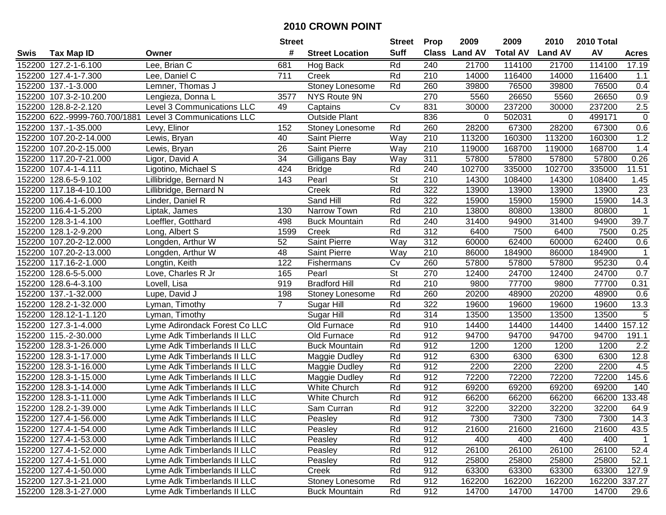| #<br><b>Suff</b><br>AV<br><b>Class</b><br><b>Land AV</b><br><b>Total AV</b><br><b>Land AV</b><br><b>Tax Map ID</b><br><b>Street Location</b><br>Swis<br>Owner<br><b>Acres</b><br>152200 127.2-1-6.100<br>Lee, Brian C<br>Rd<br>240<br>21700<br>114100<br>21700<br>114100<br>17.19<br>681<br>Hog Back<br>711<br>Rd<br>Lee, Daniel C<br>210<br>14000<br>116400<br>14000<br>152200 127.4-1-7.300<br>Creek<br>116400<br>1.1<br>152200 137.-1-3.000<br>260<br>39800<br>76500<br>39800<br>76500<br>0.4<br>Lemner, Thomas J<br>Stoney Lonesome<br>Rd<br>270<br>26650<br>26650<br>0.9<br>152200 107.3-2-10.200<br>Lengieza, Donna L<br>3577<br>NYS Route 9N<br>5560<br>5560<br>$\overline{2.5}$<br>152200 128.8-2-2.120<br>Level 3 Communications LLC<br>831<br>237200<br>30000<br>237200<br>49<br>Captains<br>Cv<br>30000<br>152200 622.-9999-760.700/1881<br>$\pmb{0}$<br>Level 3 Communications LLC<br><b>Outside Plant</b><br>836<br>502031<br>499171<br>0<br>0<br>152<br>28200<br>67300<br>28200<br>0.6<br>152200 137.-1-35.000<br>Levy, Elinor<br>Rd<br>260<br>67300<br>Stoney Lonesome<br>Way<br>$\overline{210}$<br>160300<br>1.2<br>152200 107.20-2-14.000<br>40<br>Saint Pierre<br>113200<br>160300<br>113200<br>Lewis, Bryan<br>152200 107.20-2-15.000<br>26<br>Saint Pierre<br>Way<br>210<br>119000<br>168700<br>119000<br>168700<br>1.4<br>Lewis, Bryan<br>152200 117.20-7-21.000<br>34<br>Way<br>311<br>57800<br>57800<br>57800<br>57800<br>0.26<br>Ligor, David A<br>Gilligans Bay<br>152200 107.4-1-4.111<br>Rd<br>240<br>102700<br>335000<br>102700<br>335000<br>11.51<br>Ligotino, Michael S<br>424<br><b>Bridge</b><br><b>St</b><br>152200 128.6-5-9.102<br>143<br>Pearl<br>210<br>14300<br>108400<br>14300<br>108400<br>Lillibridge, Bernard N<br>1.45<br>Rd<br>322<br>13900<br>13900<br>13900<br>23<br>152200 117.18-4-10.100<br>Lillibridge, Bernard N<br>Creek<br>13900<br>322<br>14.3<br>152200 106.4-1-6.000<br>Sand Hill<br>Rd<br>15900<br>15900<br>15900<br>15900<br>Linder, Daniel R<br>Rd<br>210<br>152200 116.4-1-5.200<br>130<br>Narrow Town<br>13800<br>80800<br>13800<br>80800<br>$\mathbf{1}$<br>Liptak, James<br>Rd<br>240<br>94900<br>31400<br>94900<br>39.7<br>152200 128.3-1-4.100<br>Loeffler, Gotthard<br>498<br><b>Buck Mountain</b><br>31400<br>Rd<br>312<br>0.25<br>152200 128.1-2-9.200<br>1599<br>6400<br>7500<br>6400<br>7500<br>Creek<br>Long, Albert S<br>52<br>Saint Pierre<br>Way<br>312<br>60000<br>62400<br>60000<br>62400<br>0.6<br>152200 107.20-2-12.000<br>Longden, Arthur W<br>152200 107.20-2-13.000<br>210<br>184900<br>86000<br>184900<br>$\mathbf{1}$<br>Longden, Arthur W<br>48<br>Saint Pierre<br>Way<br>86000<br>152200 117.16-2-1.000<br>122<br>260<br>57800<br>57800<br>57800<br>95230<br>Longtin, Keith<br>Cv<br>0.4<br>Fishermans<br><b>St</b><br>270<br>24700<br>24700<br>0.7<br>152200 128.6-5-5.000<br>Love, Charles R Jr<br>165<br>Pearl<br>12400<br>12400<br><b>Bradford Hill</b><br>152200 128.6-4-3.100<br>919<br>Rd<br>210<br>9800<br>77700<br>77700<br>0.31<br>Lovell, Lisa<br>9800<br>137.-1-32.000<br>198<br>Rd<br>260<br>20200<br>48900<br>20200<br>48900<br>0.6<br>152200<br>Lupe, David J<br>Stoney Lonesome<br>$\overline{7}$<br>128.2-1-32.000<br>Rd<br>322<br>19600<br>19600<br>19600<br>13.3<br>152200<br>Lyman, Timothy<br>Sugar Hill<br>19600<br>5<br>Rd<br>314<br>152200<br>128.12-1-1.120<br>Sugar Hill<br>13500<br>13500<br>13500<br>13500<br>Lyman, Timothy<br>152200 127.3-1-4.000<br>Lyme Adirondack Forest Co LLC<br>Old Furnace<br>Rd<br>910<br>14400<br>14400<br>14400<br>14400<br>157.12<br>912<br>152200 115.-2-30.000<br>Old Furnace<br>Rd<br>94700<br>94700<br>94700<br>94700<br>191.1<br>Lyme Adk Timberlands II LLC<br>152200 128.3-1-26.000<br>Lyme Adk Timberlands II LLC<br><b>Buck Mountain</b><br>Rd<br>912<br>1200<br>1200<br>1200<br>1200<br>2.2<br>912<br>Rd<br>6300<br>6300<br>6300<br>6300<br>12.8<br>152200 128.3-1-17.000<br>Lyme Adk Timberlands II LLC<br>Maggie Dudley<br>912<br>2200<br>2200<br>152200 128.3-1-16.000<br>Rd<br>2200<br>2200<br>4.5<br>Lyme Adk Timberlands II LLC<br>Maggie Dudley<br>912<br>72200<br>72200<br>72200<br>72200<br>152200<br>128.3-1-15.000<br>Lyme Adk Timberlands II LLC<br>Rd<br>145.6<br>Maggie Dudley<br>152200 128.3-1-14.000<br>Rd<br>912<br>69200<br>140<br>Lyme Adk Timberlands II LLC<br><b>White Church</b><br>69200<br>69200<br>69200<br>912<br>128.3-1-11.000<br>Rd<br>66200<br>66200<br>66200<br>133.48<br>152200<br>White Church<br>66200<br>Lyme Adk Timberlands II LLC<br>912<br>152200 128.2-1-39.000<br>Sam Curran<br>Rd<br>32200<br>32200<br>32200<br>32200<br>64.9<br>Lyme Adk Timberlands II LLC<br>152200 127.4-1-56.000<br>Lyme Adk Timberlands II LLC<br>Peasley<br>Rd<br>912<br>7300<br>7300<br>7300<br>7300<br>14.3<br>152200 127.4-1-54.000<br>Lyme Adk Timberlands II LLC<br>Peasley<br>Rd<br>912<br>21600<br>21600<br>21600<br>21600<br>43.5<br>152200 127.4-1-53.000<br>Lyme Adk Timberlands II LLC<br>Peasley<br>Rd<br>912<br>400<br>400<br>400<br>400<br>$\overline{1}$<br>152200 127.4-1-52.000<br>Rd<br>912<br>26100<br>26100<br>52.4<br>Lyme Adk Timberlands II LLC<br>Peasley<br>26100<br>26100<br>152200 127.4-1-51.000<br>Lyme Adk Timberlands II LLC<br>Peasley<br>Rd<br>912<br>25800<br>25800<br>25800<br>25800<br>52.1<br>912<br>152200 127.4-1-50.000<br>Lyme Adk Timberlands II LLC<br>Creek<br>Rd<br>63300<br>63300<br>63300<br>63300<br>127.9<br>152200 127.3-1-21.000<br>Lyme Adk Timberlands II LLC<br>Rd<br>912<br>162200<br>162200<br>162200 337.27<br>Stoney Lonesome<br>162200<br>152200 128.3-1-27.000 |  |                             | <b>Street</b> |                      | <b>Street</b> | <b>Prop</b> | 2009  | 2009  | 2010  | 2010 Total |      |
|----------------------------------------------------------------------------------------------------------------------------------------------------------------------------------------------------------------------------------------------------------------------------------------------------------------------------------------------------------------------------------------------------------------------------------------------------------------------------------------------------------------------------------------------------------------------------------------------------------------------------------------------------------------------------------------------------------------------------------------------------------------------------------------------------------------------------------------------------------------------------------------------------------------------------------------------------------------------------------------------------------------------------------------------------------------------------------------------------------------------------------------------------------------------------------------------------------------------------------------------------------------------------------------------------------------------------------------------------------------------------------------------------------------------------------------------------------------------------------------------------------------------------------------------------------------------------------------------------------------------------------------------------------------------------------------------------------------------------------------------------------------------------------------------------------------------------------------------------------------------------------------------------------------------------------------------------------------------------------------------------------------------------------------------------------------------------------------------------------------------------------------------------------------------------------------------------------------------------------------------------------------------------------------------------------------------------------------------------------------------------------------------------------------------------------------------------------------------------------------------------------------------------------------------------------------------------------------------------------------------------------------------------------------------------------------------------------------------------------------------------------------------------------------------------------------------------------------------------------------------------------------------------------------------------------------------------------------------------------------------------------------------------------------------------------------------------------------------------------------------------------------------------------------------------------------------------------------------------------------------------------------------------------------------------------------------------------------------------------------------------------------------------------------------------------------------------------------------------------------------------------------------------------------------------------------------------------------------------------------------------------------------------------------------------------------------------------------------------------------------------------------------------------------------------------------------------------------------------------------------------------------------------------------------------------------------------------------------------------------------------------------------------------------------------------------------------------------------------------------------------------------------------------------------------------------------------------------------------------------------------------------------------------------------------------------------------------------------------------------------------------------------------------------------------------------------------------------------------------------------------------------------------------------------------------------------------------------------------------------------------------------------------------------------------------------------------------------------------------------------------------------------------------------------------------------------------------------------------------------------------------------------------------------------------------------------------------------------------------------------------------------------------------------------------------------------------------------------------------------------------------------------------------------------------------------------------------------------------------------------------------------------------------------------------------------------------------------------------------------------------------------------------------------------------------------------------------------------------------------------------------------------------------------------------------------------------------------------------------|--|-----------------------------|---------------|----------------------|---------------|-------------|-------|-------|-------|------------|------|
|                                                                                                                                                                                                                                                                                                                                                                                                                                                                                                                                                                                                                                                                                                                                                                                                                                                                                                                                                                                                                                                                                                                                                                                                                                                                                                                                                                                                                                                                                                                                                                                                                                                                                                                                                                                                                                                                                                                                                                                                                                                                                                                                                                                                                                                                                                                                                                                                                                                                                                                                                                                                                                                                                                                                                                                                                                                                                                                                                                                                                                                                                                                                                                                                                                                                                                                                                                                                                                                                                                                                                                                                                                                                                                                                                                                                                                                                                                                                                                                                                                                                                                                                                                                                                                                                                                                                                                                                                                                                                                                                                                                                                                                                                                                                                                                                                                                                                                                                                                                                                                                                                                                                                                                                                                                                                                                                                                                                                                                                                                                                                                                                          |  |                             |               |                      |               |             |       |       |       |            |      |
|                                                                                                                                                                                                                                                                                                                                                                                                                                                                                                                                                                                                                                                                                                                                                                                                                                                                                                                                                                                                                                                                                                                                                                                                                                                                                                                                                                                                                                                                                                                                                                                                                                                                                                                                                                                                                                                                                                                                                                                                                                                                                                                                                                                                                                                                                                                                                                                                                                                                                                                                                                                                                                                                                                                                                                                                                                                                                                                                                                                                                                                                                                                                                                                                                                                                                                                                                                                                                                                                                                                                                                                                                                                                                                                                                                                                                                                                                                                                                                                                                                                                                                                                                                                                                                                                                                                                                                                                                                                                                                                                                                                                                                                                                                                                                                                                                                                                                                                                                                                                                                                                                                                                                                                                                                                                                                                                                                                                                                                                                                                                                                                                          |  |                             |               |                      |               |             |       |       |       |            |      |
|                                                                                                                                                                                                                                                                                                                                                                                                                                                                                                                                                                                                                                                                                                                                                                                                                                                                                                                                                                                                                                                                                                                                                                                                                                                                                                                                                                                                                                                                                                                                                                                                                                                                                                                                                                                                                                                                                                                                                                                                                                                                                                                                                                                                                                                                                                                                                                                                                                                                                                                                                                                                                                                                                                                                                                                                                                                                                                                                                                                                                                                                                                                                                                                                                                                                                                                                                                                                                                                                                                                                                                                                                                                                                                                                                                                                                                                                                                                                                                                                                                                                                                                                                                                                                                                                                                                                                                                                                                                                                                                                                                                                                                                                                                                                                                                                                                                                                                                                                                                                                                                                                                                                                                                                                                                                                                                                                                                                                                                                                                                                                                                                          |  |                             |               |                      |               |             |       |       |       |            |      |
|                                                                                                                                                                                                                                                                                                                                                                                                                                                                                                                                                                                                                                                                                                                                                                                                                                                                                                                                                                                                                                                                                                                                                                                                                                                                                                                                                                                                                                                                                                                                                                                                                                                                                                                                                                                                                                                                                                                                                                                                                                                                                                                                                                                                                                                                                                                                                                                                                                                                                                                                                                                                                                                                                                                                                                                                                                                                                                                                                                                                                                                                                                                                                                                                                                                                                                                                                                                                                                                                                                                                                                                                                                                                                                                                                                                                                                                                                                                                                                                                                                                                                                                                                                                                                                                                                                                                                                                                                                                                                                                                                                                                                                                                                                                                                                                                                                                                                                                                                                                                                                                                                                                                                                                                                                                                                                                                                                                                                                                                                                                                                                                                          |  |                             |               |                      |               |             |       |       |       |            |      |
|                                                                                                                                                                                                                                                                                                                                                                                                                                                                                                                                                                                                                                                                                                                                                                                                                                                                                                                                                                                                                                                                                                                                                                                                                                                                                                                                                                                                                                                                                                                                                                                                                                                                                                                                                                                                                                                                                                                                                                                                                                                                                                                                                                                                                                                                                                                                                                                                                                                                                                                                                                                                                                                                                                                                                                                                                                                                                                                                                                                                                                                                                                                                                                                                                                                                                                                                                                                                                                                                                                                                                                                                                                                                                                                                                                                                                                                                                                                                                                                                                                                                                                                                                                                                                                                                                                                                                                                                                                                                                                                                                                                                                                                                                                                                                                                                                                                                                                                                                                                                                                                                                                                                                                                                                                                                                                                                                                                                                                                                                                                                                                                                          |  |                             |               |                      |               |             |       |       |       |            |      |
|                                                                                                                                                                                                                                                                                                                                                                                                                                                                                                                                                                                                                                                                                                                                                                                                                                                                                                                                                                                                                                                                                                                                                                                                                                                                                                                                                                                                                                                                                                                                                                                                                                                                                                                                                                                                                                                                                                                                                                                                                                                                                                                                                                                                                                                                                                                                                                                                                                                                                                                                                                                                                                                                                                                                                                                                                                                                                                                                                                                                                                                                                                                                                                                                                                                                                                                                                                                                                                                                                                                                                                                                                                                                                                                                                                                                                                                                                                                                                                                                                                                                                                                                                                                                                                                                                                                                                                                                                                                                                                                                                                                                                                                                                                                                                                                                                                                                                                                                                                                                                                                                                                                                                                                                                                                                                                                                                                                                                                                                                                                                                                                                          |  |                             |               |                      |               |             |       |       |       |            |      |
|                                                                                                                                                                                                                                                                                                                                                                                                                                                                                                                                                                                                                                                                                                                                                                                                                                                                                                                                                                                                                                                                                                                                                                                                                                                                                                                                                                                                                                                                                                                                                                                                                                                                                                                                                                                                                                                                                                                                                                                                                                                                                                                                                                                                                                                                                                                                                                                                                                                                                                                                                                                                                                                                                                                                                                                                                                                                                                                                                                                                                                                                                                                                                                                                                                                                                                                                                                                                                                                                                                                                                                                                                                                                                                                                                                                                                                                                                                                                                                                                                                                                                                                                                                                                                                                                                                                                                                                                                                                                                                                                                                                                                                                                                                                                                                                                                                                                                                                                                                                                                                                                                                                                                                                                                                                                                                                                                                                                                                                                                                                                                                                                          |  |                             |               |                      |               |             |       |       |       |            |      |
|                                                                                                                                                                                                                                                                                                                                                                                                                                                                                                                                                                                                                                                                                                                                                                                                                                                                                                                                                                                                                                                                                                                                                                                                                                                                                                                                                                                                                                                                                                                                                                                                                                                                                                                                                                                                                                                                                                                                                                                                                                                                                                                                                                                                                                                                                                                                                                                                                                                                                                                                                                                                                                                                                                                                                                                                                                                                                                                                                                                                                                                                                                                                                                                                                                                                                                                                                                                                                                                                                                                                                                                                                                                                                                                                                                                                                                                                                                                                                                                                                                                                                                                                                                                                                                                                                                                                                                                                                                                                                                                                                                                                                                                                                                                                                                                                                                                                                                                                                                                                                                                                                                                                                                                                                                                                                                                                                                                                                                                                                                                                                                                                          |  |                             |               |                      |               |             |       |       |       |            |      |
|                                                                                                                                                                                                                                                                                                                                                                                                                                                                                                                                                                                                                                                                                                                                                                                                                                                                                                                                                                                                                                                                                                                                                                                                                                                                                                                                                                                                                                                                                                                                                                                                                                                                                                                                                                                                                                                                                                                                                                                                                                                                                                                                                                                                                                                                                                                                                                                                                                                                                                                                                                                                                                                                                                                                                                                                                                                                                                                                                                                                                                                                                                                                                                                                                                                                                                                                                                                                                                                                                                                                                                                                                                                                                                                                                                                                                                                                                                                                                                                                                                                                                                                                                                                                                                                                                                                                                                                                                                                                                                                                                                                                                                                                                                                                                                                                                                                                                                                                                                                                                                                                                                                                                                                                                                                                                                                                                                                                                                                                                                                                                                                                          |  |                             |               |                      |               |             |       |       |       |            |      |
|                                                                                                                                                                                                                                                                                                                                                                                                                                                                                                                                                                                                                                                                                                                                                                                                                                                                                                                                                                                                                                                                                                                                                                                                                                                                                                                                                                                                                                                                                                                                                                                                                                                                                                                                                                                                                                                                                                                                                                                                                                                                                                                                                                                                                                                                                                                                                                                                                                                                                                                                                                                                                                                                                                                                                                                                                                                                                                                                                                                                                                                                                                                                                                                                                                                                                                                                                                                                                                                                                                                                                                                                                                                                                                                                                                                                                                                                                                                                                                                                                                                                                                                                                                                                                                                                                                                                                                                                                                                                                                                                                                                                                                                                                                                                                                                                                                                                                                                                                                                                                                                                                                                                                                                                                                                                                                                                                                                                                                                                                                                                                                                                          |  |                             |               |                      |               |             |       |       |       |            |      |
|                                                                                                                                                                                                                                                                                                                                                                                                                                                                                                                                                                                                                                                                                                                                                                                                                                                                                                                                                                                                                                                                                                                                                                                                                                                                                                                                                                                                                                                                                                                                                                                                                                                                                                                                                                                                                                                                                                                                                                                                                                                                                                                                                                                                                                                                                                                                                                                                                                                                                                                                                                                                                                                                                                                                                                                                                                                                                                                                                                                                                                                                                                                                                                                                                                                                                                                                                                                                                                                                                                                                                                                                                                                                                                                                                                                                                                                                                                                                                                                                                                                                                                                                                                                                                                                                                                                                                                                                                                                                                                                                                                                                                                                                                                                                                                                                                                                                                                                                                                                                                                                                                                                                                                                                                                                                                                                                                                                                                                                                                                                                                                                                          |  |                             |               |                      |               |             |       |       |       |            |      |
|                                                                                                                                                                                                                                                                                                                                                                                                                                                                                                                                                                                                                                                                                                                                                                                                                                                                                                                                                                                                                                                                                                                                                                                                                                                                                                                                                                                                                                                                                                                                                                                                                                                                                                                                                                                                                                                                                                                                                                                                                                                                                                                                                                                                                                                                                                                                                                                                                                                                                                                                                                                                                                                                                                                                                                                                                                                                                                                                                                                                                                                                                                                                                                                                                                                                                                                                                                                                                                                                                                                                                                                                                                                                                                                                                                                                                                                                                                                                                                                                                                                                                                                                                                                                                                                                                                                                                                                                                                                                                                                                                                                                                                                                                                                                                                                                                                                                                                                                                                                                                                                                                                                                                                                                                                                                                                                                                                                                                                                                                                                                                                                                          |  |                             |               |                      |               |             |       |       |       |            |      |
|                                                                                                                                                                                                                                                                                                                                                                                                                                                                                                                                                                                                                                                                                                                                                                                                                                                                                                                                                                                                                                                                                                                                                                                                                                                                                                                                                                                                                                                                                                                                                                                                                                                                                                                                                                                                                                                                                                                                                                                                                                                                                                                                                                                                                                                                                                                                                                                                                                                                                                                                                                                                                                                                                                                                                                                                                                                                                                                                                                                                                                                                                                                                                                                                                                                                                                                                                                                                                                                                                                                                                                                                                                                                                                                                                                                                                                                                                                                                                                                                                                                                                                                                                                                                                                                                                                                                                                                                                                                                                                                                                                                                                                                                                                                                                                                                                                                                                                                                                                                                                                                                                                                                                                                                                                                                                                                                                                                                                                                                                                                                                                                                          |  |                             |               |                      |               |             |       |       |       |            |      |
|                                                                                                                                                                                                                                                                                                                                                                                                                                                                                                                                                                                                                                                                                                                                                                                                                                                                                                                                                                                                                                                                                                                                                                                                                                                                                                                                                                                                                                                                                                                                                                                                                                                                                                                                                                                                                                                                                                                                                                                                                                                                                                                                                                                                                                                                                                                                                                                                                                                                                                                                                                                                                                                                                                                                                                                                                                                                                                                                                                                                                                                                                                                                                                                                                                                                                                                                                                                                                                                                                                                                                                                                                                                                                                                                                                                                                                                                                                                                                                                                                                                                                                                                                                                                                                                                                                                                                                                                                                                                                                                                                                                                                                                                                                                                                                                                                                                                                                                                                                                                                                                                                                                                                                                                                                                                                                                                                                                                                                                                                                                                                                                                          |  |                             |               |                      |               |             |       |       |       |            |      |
|                                                                                                                                                                                                                                                                                                                                                                                                                                                                                                                                                                                                                                                                                                                                                                                                                                                                                                                                                                                                                                                                                                                                                                                                                                                                                                                                                                                                                                                                                                                                                                                                                                                                                                                                                                                                                                                                                                                                                                                                                                                                                                                                                                                                                                                                                                                                                                                                                                                                                                                                                                                                                                                                                                                                                                                                                                                                                                                                                                                                                                                                                                                                                                                                                                                                                                                                                                                                                                                                                                                                                                                                                                                                                                                                                                                                                                                                                                                                                                                                                                                                                                                                                                                                                                                                                                                                                                                                                                                                                                                                                                                                                                                                                                                                                                                                                                                                                                                                                                                                                                                                                                                                                                                                                                                                                                                                                                                                                                                                                                                                                                                                          |  |                             |               |                      |               |             |       |       |       |            |      |
|                                                                                                                                                                                                                                                                                                                                                                                                                                                                                                                                                                                                                                                                                                                                                                                                                                                                                                                                                                                                                                                                                                                                                                                                                                                                                                                                                                                                                                                                                                                                                                                                                                                                                                                                                                                                                                                                                                                                                                                                                                                                                                                                                                                                                                                                                                                                                                                                                                                                                                                                                                                                                                                                                                                                                                                                                                                                                                                                                                                                                                                                                                                                                                                                                                                                                                                                                                                                                                                                                                                                                                                                                                                                                                                                                                                                                                                                                                                                                                                                                                                                                                                                                                                                                                                                                                                                                                                                                                                                                                                                                                                                                                                                                                                                                                                                                                                                                                                                                                                                                                                                                                                                                                                                                                                                                                                                                                                                                                                                                                                                                                                                          |  |                             |               |                      |               |             |       |       |       |            |      |
|                                                                                                                                                                                                                                                                                                                                                                                                                                                                                                                                                                                                                                                                                                                                                                                                                                                                                                                                                                                                                                                                                                                                                                                                                                                                                                                                                                                                                                                                                                                                                                                                                                                                                                                                                                                                                                                                                                                                                                                                                                                                                                                                                                                                                                                                                                                                                                                                                                                                                                                                                                                                                                                                                                                                                                                                                                                                                                                                                                                                                                                                                                                                                                                                                                                                                                                                                                                                                                                                                                                                                                                                                                                                                                                                                                                                                                                                                                                                                                                                                                                                                                                                                                                                                                                                                                                                                                                                                                                                                                                                                                                                                                                                                                                                                                                                                                                                                                                                                                                                                                                                                                                                                                                                                                                                                                                                                                                                                                                                                                                                                                                                          |  |                             |               |                      |               |             |       |       |       |            |      |
|                                                                                                                                                                                                                                                                                                                                                                                                                                                                                                                                                                                                                                                                                                                                                                                                                                                                                                                                                                                                                                                                                                                                                                                                                                                                                                                                                                                                                                                                                                                                                                                                                                                                                                                                                                                                                                                                                                                                                                                                                                                                                                                                                                                                                                                                                                                                                                                                                                                                                                                                                                                                                                                                                                                                                                                                                                                                                                                                                                                                                                                                                                                                                                                                                                                                                                                                                                                                                                                                                                                                                                                                                                                                                                                                                                                                                                                                                                                                                                                                                                                                                                                                                                                                                                                                                                                                                                                                                                                                                                                                                                                                                                                                                                                                                                                                                                                                                                                                                                                                                                                                                                                                                                                                                                                                                                                                                                                                                                                                                                                                                                                                          |  |                             |               |                      |               |             |       |       |       |            |      |
|                                                                                                                                                                                                                                                                                                                                                                                                                                                                                                                                                                                                                                                                                                                                                                                                                                                                                                                                                                                                                                                                                                                                                                                                                                                                                                                                                                                                                                                                                                                                                                                                                                                                                                                                                                                                                                                                                                                                                                                                                                                                                                                                                                                                                                                                                                                                                                                                                                                                                                                                                                                                                                                                                                                                                                                                                                                                                                                                                                                                                                                                                                                                                                                                                                                                                                                                                                                                                                                                                                                                                                                                                                                                                                                                                                                                                                                                                                                                                                                                                                                                                                                                                                                                                                                                                                                                                                                                                                                                                                                                                                                                                                                                                                                                                                                                                                                                                                                                                                                                                                                                                                                                                                                                                                                                                                                                                                                                                                                                                                                                                                                                          |  |                             |               |                      |               |             |       |       |       |            |      |
|                                                                                                                                                                                                                                                                                                                                                                                                                                                                                                                                                                                                                                                                                                                                                                                                                                                                                                                                                                                                                                                                                                                                                                                                                                                                                                                                                                                                                                                                                                                                                                                                                                                                                                                                                                                                                                                                                                                                                                                                                                                                                                                                                                                                                                                                                                                                                                                                                                                                                                                                                                                                                                                                                                                                                                                                                                                                                                                                                                                                                                                                                                                                                                                                                                                                                                                                                                                                                                                                                                                                                                                                                                                                                                                                                                                                                                                                                                                                                                                                                                                                                                                                                                                                                                                                                                                                                                                                                                                                                                                                                                                                                                                                                                                                                                                                                                                                                                                                                                                                                                                                                                                                                                                                                                                                                                                                                                                                                                                                                                                                                                                                          |  |                             |               |                      |               |             |       |       |       |            |      |
|                                                                                                                                                                                                                                                                                                                                                                                                                                                                                                                                                                                                                                                                                                                                                                                                                                                                                                                                                                                                                                                                                                                                                                                                                                                                                                                                                                                                                                                                                                                                                                                                                                                                                                                                                                                                                                                                                                                                                                                                                                                                                                                                                                                                                                                                                                                                                                                                                                                                                                                                                                                                                                                                                                                                                                                                                                                                                                                                                                                                                                                                                                                                                                                                                                                                                                                                                                                                                                                                                                                                                                                                                                                                                                                                                                                                                                                                                                                                                                                                                                                                                                                                                                                                                                                                                                                                                                                                                                                                                                                                                                                                                                                                                                                                                                                                                                                                                                                                                                                                                                                                                                                                                                                                                                                                                                                                                                                                                                                                                                                                                                                                          |  |                             |               |                      |               |             |       |       |       |            |      |
|                                                                                                                                                                                                                                                                                                                                                                                                                                                                                                                                                                                                                                                                                                                                                                                                                                                                                                                                                                                                                                                                                                                                                                                                                                                                                                                                                                                                                                                                                                                                                                                                                                                                                                                                                                                                                                                                                                                                                                                                                                                                                                                                                                                                                                                                                                                                                                                                                                                                                                                                                                                                                                                                                                                                                                                                                                                                                                                                                                                                                                                                                                                                                                                                                                                                                                                                                                                                                                                                                                                                                                                                                                                                                                                                                                                                                                                                                                                                                                                                                                                                                                                                                                                                                                                                                                                                                                                                                                                                                                                                                                                                                                                                                                                                                                                                                                                                                                                                                                                                                                                                                                                                                                                                                                                                                                                                                                                                                                                                                                                                                                                                          |  |                             |               |                      |               |             |       |       |       |            |      |
|                                                                                                                                                                                                                                                                                                                                                                                                                                                                                                                                                                                                                                                                                                                                                                                                                                                                                                                                                                                                                                                                                                                                                                                                                                                                                                                                                                                                                                                                                                                                                                                                                                                                                                                                                                                                                                                                                                                                                                                                                                                                                                                                                                                                                                                                                                                                                                                                                                                                                                                                                                                                                                                                                                                                                                                                                                                                                                                                                                                                                                                                                                                                                                                                                                                                                                                                                                                                                                                                                                                                                                                                                                                                                                                                                                                                                                                                                                                                                                                                                                                                                                                                                                                                                                                                                                                                                                                                                                                                                                                                                                                                                                                                                                                                                                                                                                                                                                                                                                                                                                                                                                                                                                                                                                                                                                                                                                                                                                                                                                                                                                                                          |  |                             |               |                      |               |             |       |       |       |            |      |
|                                                                                                                                                                                                                                                                                                                                                                                                                                                                                                                                                                                                                                                                                                                                                                                                                                                                                                                                                                                                                                                                                                                                                                                                                                                                                                                                                                                                                                                                                                                                                                                                                                                                                                                                                                                                                                                                                                                                                                                                                                                                                                                                                                                                                                                                                                                                                                                                                                                                                                                                                                                                                                                                                                                                                                                                                                                                                                                                                                                                                                                                                                                                                                                                                                                                                                                                                                                                                                                                                                                                                                                                                                                                                                                                                                                                                                                                                                                                                                                                                                                                                                                                                                                                                                                                                                                                                                                                                                                                                                                                                                                                                                                                                                                                                                                                                                                                                                                                                                                                                                                                                                                                                                                                                                                                                                                                                                                                                                                                                                                                                                                                          |  |                             |               |                      |               |             |       |       |       |            |      |
|                                                                                                                                                                                                                                                                                                                                                                                                                                                                                                                                                                                                                                                                                                                                                                                                                                                                                                                                                                                                                                                                                                                                                                                                                                                                                                                                                                                                                                                                                                                                                                                                                                                                                                                                                                                                                                                                                                                                                                                                                                                                                                                                                                                                                                                                                                                                                                                                                                                                                                                                                                                                                                                                                                                                                                                                                                                                                                                                                                                                                                                                                                                                                                                                                                                                                                                                                                                                                                                                                                                                                                                                                                                                                                                                                                                                                                                                                                                                                                                                                                                                                                                                                                                                                                                                                                                                                                                                                                                                                                                                                                                                                                                                                                                                                                                                                                                                                                                                                                                                                                                                                                                                                                                                                                                                                                                                                                                                                                                                                                                                                                                                          |  |                             |               |                      |               |             |       |       |       |            |      |
|                                                                                                                                                                                                                                                                                                                                                                                                                                                                                                                                                                                                                                                                                                                                                                                                                                                                                                                                                                                                                                                                                                                                                                                                                                                                                                                                                                                                                                                                                                                                                                                                                                                                                                                                                                                                                                                                                                                                                                                                                                                                                                                                                                                                                                                                                                                                                                                                                                                                                                                                                                                                                                                                                                                                                                                                                                                                                                                                                                                                                                                                                                                                                                                                                                                                                                                                                                                                                                                                                                                                                                                                                                                                                                                                                                                                                                                                                                                                                                                                                                                                                                                                                                                                                                                                                                                                                                                                                                                                                                                                                                                                                                                                                                                                                                                                                                                                                                                                                                                                                                                                                                                                                                                                                                                                                                                                                                                                                                                                                                                                                                                                          |  |                             |               |                      |               |             |       |       |       |            |      |
|                                                                                                                                                                                                                                                                                                                                                                                                                                                                                                                                                                                                                                                                                                                                                                                                                                                                                                                                                                                                                                                                                                                                                                                                                                                                                                                                                                                                                                                                                                                                                                                                                                                                                                                                                                                                                                                                                                                                                                                                                                                                                                                                                                                                                                                                                                                                                                                                                                                                                                                                                                                                                                                                                                                                                                                                                                                                                                                                                                                                                                                                                                                                                                                                                                                                                                                                                                                                                                                                                                                                                                                                                                                                                                                                                                                                                                                                                                                                                                                                                                                                                                                                                                                                                                                                                                                                                                                                                                                                                                                                                                                                                                                                                                                                                                                                                                                                                                                                                                                                                                                                                                                                                                                                                                                                                                                                                                                                                                                                                                                                                                                                          |  |                             |               |                      |               |             |       |       |       |            |      |
|                                                                                                                                                                                                                                                                                                                                                                                                                                                                                                                                                                                                                                                                                                                                                                                                                                                                                                                                                                                                                                                                                                                                                                                                                                                                                                                                                                                                                                                                                                                                                                                                                                                                                                                                                                                                                                                                                                                                                                                                                                                                                                                                                                                                                                                                                                                                                                                                                                                                                                                                                                                                                                                                                                                                                                                                                                                                                                                                                                                                                                                                                                                                                                                                                                                                                                                                                                                                                                                                                                                                                                                                                                                                                                                                                                                                                                                                                                                                                                                                                                                                                                                                                                                                                                                                                                                                                                                                                                                                                                                                                                                                                                                                                                                                                                                                                                                                                                                                                                                                                                                                                                                                                                                                                                                                                                                                                                                                                                                                                                                                                                                                          |  |                             |               |                      |               |             |       |       |       |            |      |
|                                                                                                                                                                                                                                                                                                                                                                                                                                                                                                                                                                                                                                                                                                                                                                                                                                                                                                                                                                                                                                                                                                                                                                                                                                                                                                                                                                                                                                                                                                                                                                                                                                                                                                                                                                                                                                                                                                                                                                                                                                                                                                                                                                                                                                                                                                                                                                                                                                                                                                                                                                                                                                                                                                                                                                                                                                                                                                                                                                                                                                                                                                                                                                                                                                                                                                                                                                                                                                                                                                                                                                                                                                                                                                                                                                                                                                                                                                                                                                                                                                                                                                                                                                                                                                                                                                                                                                                                                                                                                                                                                                                                                                                                                                                                                                                                                                                                                                                                                                                                                                                                                                                                                                                                                                                                                                                                                                                                                                                                                                                                                                                                          |  |                             |               |                      |               |             |       |       |       |            |      |
|                                                                                                                                                                                                                                                                                                                                                                                                                                                                                                                                                                                                                                                                                                                                                                                                                                                                                                                                                                                                                                                                                                                                                                                                                                                                                                                                                                                                                                                                                                                                                                                                                                                                                                                                                                                                                                                                                                                                                                                                                                                                                                                                                                                                                                                                                                                                                                                                                                                                                                                                                                                                                                                                                                                                                                                                                                                                                                                                                                                                                                                                                                                                                                                                                                                                                                                                                                                                                                                                                                                                                                                                                                                                                                                                                                                                                                                                                                                                                                                                                                                                                                                                                                                                                                                                                                                                                                                                                                                                                                                                                                                                                                                                                                                                                                                                                                                                                                                                                                                                                                                                                                                                                                                                                                                                                                                                                                                                                                                                                                                                                                                                          |  |                             |               |                      |               |             |       |       |       |            |      |
|                                                                                                                                                                                                                                                                                                                                                                                                                                                                                                                                                                                                                                                                                                                                                                                                                                                                                                                                                                                                                                                                                                                                                                                                                                                                                                                                                                                                                                                                                                                                                                                                                                                                                                                                                                                                                                                                                                                                                                                                                                                                                                                                                                                                                                                                                                                                                                                                                                                                                                                                                                                                                                                                                                                                                                                                                                                                                                                                                                                                                                                                                                                                                                                                                                                                                                                                                                                                                                                                                                                                                                                                                                                                                                                                                                                                                                                                                                                                                                                                                                                                                                                                                                                                                                                                                                                                                                                                                                                                                                                                                                                                                                                                                                                                                                                                                                                                                                                                                                                                                                                                                                                                                                                                                                                                                                                                                                                                                                                                                                                                                                                                          |  |                             |               |                      |               |             |       |       |       |            |      |
|                                                                                                                                                                                                                                                                                                                                                                                                                                                                                                                                                                                                                                                                                                                                                                                                                                                                                                                                                                                                                                                                                                                                                                                                                                                                                                                                                                                                                                                                                                                                                                                                                                                                                                                                                                                                                                                                                                                                                                                                                                                                                                                                                                                                                                                                                                                                                                                                                                                                                                                                                                                                                                                                                                                                                                                                                                                                                                                                                                                                                                                                                                                                                                                                                                                                                                                                                                                                                                                                                                                                                                                                                                                                                                                                                                                                                                                                                                                                                                                                                                                                                                                                                                                                                                                                                                                                                                                                                                                                                                                                                                                                                                                                                                                                                                                                                                                                                                                                                                                                                                                                                                                                                                                                                                                                                                                                                                                                                                                                                                                                                                                                          |  |                             |               |                      |               |             |       |       |       |            |      |
|                                                                                                                                                                                                                                                                                                                                                                                                                                                                                                                                                                                                                                                                                                                                                                                                                                                                                                                                                                                                                                                                                                                                                                                                                                                                                                                                                                                                                                                                                                                                                                                                                                                                                                                                                                                                                                                                                                                                                                                                                                                                                                                                                                                                                                                                                                                                                                                                                                                                                                                                                                                                                                                                                                                                                                                                                                                                                                                                                                                                                                                                                                                                                                                                                                                                                                                                                                                                                                                                                                                                                                                                                                                                                                                                                                                                                                                                                                                                                                                                                                                                                                                                                                                                                                                                                                                                                                                                                                                                                                                                                                                                                                                                                                                                                                                                                                                                                                                                                                                                                                                                                                                                                                                                                                                                                                                                                                                                                                                                                                                                                                                                          |  |                             |               |                      |               |             |       |       |       |            |      |
|                                                                                                                                                                                                                                                                                                                                                                                                                                                                                                                                                                                                                                                                                                                                                                                                                                                                                                                                                                                                                                                                                                                                                                                                                                                                                                                                                                                                                                                                                                                                                                                                                                                                                                                                                                                                                                                                                                                                                                                                                                                                                                                                                                                                                                                                                                                                                                                                                                                                                                                                                                                                                                                                                                                                                                                                                                                                                                                                                                                                                                                                                                                                                                                                                                                                                                                                                                                                                                                                                                                                                                                                                                                                                                                                                                                                                                                                                                                                                                                                                                                                                                                                                                                                                                                                                                                                                                                                                                                                                                                                                                                                                                                                                                                                                                                                                                                                                                                                                                                                                                                                                                                                                                                                                                                                                                                                                                                                                                                                                                                                                                                                          |  |                             |               |                      |               |             |       |       |       |            |      |
|                                                                                                                                                                                                                                                                                                                                                                                                                                                                                                                                                                                                                                                                                                                                                                                                                                                                                                                                                                                                                                                                                                                                                                                                                                                                                                                                                                                                                                                                                                                                                                                                                                                                                                                                                                                                                                                                                                                                                                                                                                                                                                                                                                                                                                                                                                                                                                                                                                                                                                                                                                                                                                                                                                                                                                                                                                                                                                                                                                                                                                                                                                                                                                                                                                                                                                                                                                                                                                                                                                                                                                                                                                                                                                                                                                                                                                                                                                                                                                                                                                                                                                                                                                                                                                                                                                                                                                                                                                                                                                                                                                                                                                                                                                                                                                                                                                                                                                                                                                                                                                                                                                                                                                                                                                                                                                                                                                                                                                                                                                                                                                                                          |  |                             |               |                      |               |             |       |       |       |            |      |
|                                                                                                                                                                                                                                                                                                                                                                                                                                                                                                                                                                                                                                                                                                                                                                                                                                                                                                                                                                                                                                                                                                                                                                                                                                                                                                                                                                                                                                                                                                                                                                                                                                                                                                                                                                                                                                                                                                                                                                                                                                                                                                                                                                                                                                                                                                                                                                                                                                                                                                                                                                                                                                                                                                                                                                                                                                                                                                                                                                                                                                                                                                                                                                                                                                                                                                                                                                                                                                                                                                                                                                                                                                                                                                                                                                                                                                                                                                                                                                                                                                                                                                                                                                                                                                                                                                                                                                                                                                                                                                                                                                                                                                                                                                                                                                                                                                                                                                                                                                                                                                                                                                                                                                                                                                                                                                                                                                                                                                                                                                                                                                                                          |  |                             |               |                      |               |             |       |       |       |            |      |
|                                                                                                                                                                                                                                                                                                                                                                                                                                                                                                                                                                                                                                                                                                                                                                                                                                                                                                                                                                                                                                                                                                                                                                                                                                                                                                                                                                                                                                                                                                                                                                                                                                                                                                                                                                                                                                                                                                                                                                                                                                                                                                                                                                                                                                                                                                                                                                                                                                                                                                                                                                                                                                                                                                                                                                                                                                                                                                                                                                                                                                                                                                                                                                                                                                                                                                                                                                                                                                                                                                                                                                                                                                                                                                                                                                                                                                                                                                                                                                                                                                                                                                                                                                                                                                                                                                                                                                                                                                                                                                                                                                                                                                                                                                                                                                                                                                                                                                                                                                                                                                                                                                                                                                                                                                                                                                                                                                                                                                                                                                                                                                                                          |  |                             |               |                      |               |             |       |       |       |            |      |
|                                                                                                                                                                                                                                                                                                                                                                                                                                                                                                                                                                                                                                                                                                                                                                                                                                                                                                                                                                                                                                                                                                                                                                                                                                                                                                                                                                                                                                                                                                                                                                                                                                                                                                                                                                                                                                                                                                                                                                                                                                                                                                                                                                                                                                                                                                                                                                                                                                                                                                                                                                                                                                                                                                                                                                                                                                                                                                                                                                                                                                                                                                                                                                                                                                                                                                                                                                                                                                                                                                                                                                                                                                                                                                                                                                                                                                                                                                                                                                                                                                                                                                                                                                                                                                                                                                                                                                                                                                                                                                                                                                                                                                                                                                                                                                                                                                                                                                                                                                                                                                                                                                                                                                                                                                                                                                                                                                                                                                                                                                                                                                                                          |  |                             |               |                      |               |             |       |       |       |            |      |
|                                                                                                                                                                                                                                                                                                                                                                                                                                                                                                                                                                                                                                                                                                                                                                                                                                                                                                                                                                                                                                                                                                                                                                                                                                                                                                                                                                                                                                                                                                                                                                                                                                                                                                                                                                                                                                                                                                                                                                                                                                                                                                                                                                                                                                                                                                                                                                                                                                                                                                                                                                                                                                                                                                                                                                                                                                                                                                                                                                                                                                                                                                                                                                                                                                                                                                                                                                                                                                                                                                                                                                                                                                                                                                                                                                                                                                                                                                                                                                                                                                                                                                                                                                                                                                                                                                                                                                                                                                                                                                                                                                                                                                                                                                                                                                                                                                                                                                                                                                                                                                                                                                                                                                                                                                                                                                                                                                                                                                                                                                                                                                                                          |  |                             |               |                      |               |             |       |       |       |            |      |
|                                                                                                                                                                                                                                                                                                                                                                                                                                                                                                                                                                                                                                                                                                                                                                                                                                                                                                                                                                                                                                                                                                                                                                                                                                                                                                                                                                                                                                                                                                                                                                                                                                                                                                                                                                                                                                                                                                                                                                                                                                                                                                                                                                                                                                                                                                                                                                                                                                                                                                                                                                                                                                                                                                                                                                                                                                                                                                                                                                                                                                                                                                                                                                                                                                                                                                                                                                                                                                                                                                                                                                                                                                                                                                                                                                                                                                                                                                                                                                                                                                                                                                                                                                                                                                                                                                                                                                                                                                                                                                                                                                                                                                                                                                                                                                                                                                                                                                                                                                                                                                                                                                                                                                                                                                                                                                                                                                                                                                                                                                                                                                                                          |  |                             |               |                      |               |             |       |       |       |            |      |
|                                                                                                                                                                                                                                                                                                                                                                                                                                                                                                                                                                                                                                                                                                                                                                                                                                                                                                                                                                                                                                                                                                                                                                                                                                                                                                                                                                                                                                                                                                                                                                                                                                                                                                                                                                                                                                                                                                                                                                                                                                                                                                                                                                                                                                                                                                                                                                                                                                                                                                                                                                                                                                                                                                                                                                                                                                                                                                                                                                                                                                                                                                                                                                                                                                                                                                                                                                                                                                                                                                                                                                                                                                                                                                                                                                                                                                                                                                                                                                                                                                                                                                                                                                                                                                                                                                                                                                                                                                                                                                                                                                                                                                                                                                                                                                                                                                                                                                                                                                                                                                                                                                                                                                                                                                                                                                                                                                                                                                                                                                                                                                                                          |  |                             |               |                      |               |             |       |       |       |            |      |
|                                                                                                                                                                                                                                                                                                                                                                                                                                                                                                                                                                                                                                                                                                                                                                                                                                                                                                                                                                                                                                                                                                                                                                                                                                                                                                                                                                                                                                                                                                                                                                                                                                                                                                                                                                                                                                                                                                                                                                                                                                                                                                                                                                                                                                                                                                                                                                                                                                                                                                                                                                                                                                                                                                                                                                                                                                                                                                                                                                                                                                                                                                                                                                                                                                                                                                                                                                                                                                                                                                                                                                                                                                                                                                                                                                                                                                                                                                                                                                                                                                                                                                                                                                                                                                                                                                                                                                                                                                                                                                                                                                                                                                                                                                                                                                                                                                                                                                                                                                                                                                                                                                                                                                                                                                                                                                                                                                                                                                                                                                                                                                                                          |  |                             |               |                      |               |             |       |       |       |            |      |
|                                                                                                                                                                                                                                                                                                                                                                                                                                                                                                                                                                                                                                                                                                                                                                                                                                                                                                                                                                                                                                                                                                                                                                                                                                                                                                                                                                                                                                                                                                                                                                                                                                                                                                                                                                                                                                                                                                                                                                                                                                                                                                                                                                                                                                                                                                                                                                                                                                                                                                                                                                                                                                                                                                                                                                                                                                                                                                                                                                                                                                                                                                                                                                                                                                                                                                                                                                                                                                                                                                                                                                                                                                                                                                                                                                                                                                                                                                                                                                                                                                                                                                                                                                                                                                                                                                                                                                                                                                                                                                                                                                                                                                                                                                                                                                                                                                                                                                                                                                                                                                                                                                                                                                                                                                                                                                                                                                                                                                                                                                                                                                                                          |  | Lyme Adk Timberlands II LLC |               | <b>Buck Mountain</b> | Rd            | 912         | 14700 | 14700 | 14700 | 14700      | 29.6 |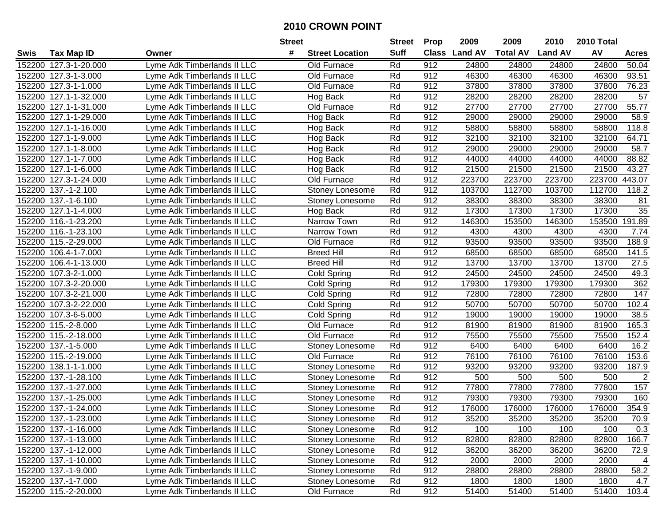|        |                       |                             | <b>Street</b> |                        | <b>Street</b> | <b>Prop</b>      | 2009           | 2009            | 2010           | 2010 Total |                |
|--------|-----------------------|-----------------------------|---------------|------------------------|---------------|------------------|----------------|-----------------|----------------|------------|----------------|
| Swis   | <b>Tax Map ID</b>     | Owner                       | #             | <b>Street Location</b> | <b>Suff</b>   | <b>Class</b>     | <b>Land AV</b> | <b>Total AV</b> | <b>Land AV</b> | AV         | <b>Acres</b>   |
|        | 152200 127.3-1-20.000 | Lyme Adk Timberlands II LLC |               | Old Furnace            | Rd            | 912              | 24800          | 24800           | 24800          | 24800      | 50.04          |
|        | 152200 127.3-1-3.000  | Lyme Adk Timberlands II LLC |               | Old Furnace            | Rd            | 912              | 46300          | 46300           | 46300          | 46300      | 93.51          |
|        | 152200 127.3-1-1.000  | Lyme Adk Timberlands II LLC |               | Old Furnace            | Rd            | 912              | 37800          | 37800           | 37800          | 37800      | 76.23          |
|        | 152200 127.1-1-32.000 | Lyme Adk Timberlands II LLC |               | Hog Back               | Rd            | $91\overline{2}$ | 28200          | 28200           | 28200          | 28200      | 57             |
|        | 152200 127.1-1-31.000 | Lyme Adk Timberlands II LLC |               | Old Furnace            | Rd            | 912              | 27700          | 27700           | 27700          | 27700      | 55.77          |
|        | 152200 127.1-1-29.000 | Lyme Adk Timberlands II LLC |               | Hog Back               | Rd            | 912              | 29000          | 29000           | 29000          | 29000      | 58.9           |
|        | 152200 127.1-1-16.000 | Lyme Adk Timberlands II LLC |               | Hog Back               | Rd            | 912              | 58800          | 58800           | 58800          | 58800      | 118.8          |
| 152200 | 127.1-1-9.000         | Lyme Adk Timberlands II LLC |               | Hog Back               | Rd            | 912              | 32100          | 32100           | 32100          | 32100      | 64.71          |
| 152200 | 127.1-1-8.000         | Lyme Adk Timberlands II LLC |               | Hog Back               | Rd            | 912              | 29000          | 29000           | 29000          | 29000      | 58.7           |
|        | 152200 127.1-1-7.000  | Lyme Adk Timberlands II LLC |               | Hog Back               | Rd            | 912              | 44000          | 44000           | 44000          | 44000      | 88.82          |
|        | 152200 127.1-1-6.000  | Lyme Adk Timberlands II LLC |               | Hog Back               | Rd            | 912              | 21500          | 21500           | 21500          | 21500      | 43.27          |
|        | 152200 127.3-1-24.000 | Lyme Adk Timberlands II LLC |               | Old Furnace            | Rd            | 912              | 223700         | 223700          | 223700         | 223700     | 443.07         |
| 152200 | 137.-1-2.100          | Lyme Adk Timberlands II LLC |               | Stoney Lonesome        | Rd            | 912              | 103700         | 112700          | 103700         | 112700     | 118.2          |
| 152200 | 137.-1-6.100          | Lyme Adk Timberlands II LLC |               | Stoney Lonesome        | Rd            | 912              | 38300          | 38300           | 38300          | 38300      | 81             |
| 152200 | 127.1-1-4.000         | Lyme Adk Timberlands II LLC |               | Hog Back               | Rd            | 912              | 17300          | 17300           | 17300          | 17300      | 35             |
|        | 152200 116.-1-23.200  | Lyme Adk Timberlands II LLC |               | Narrow Town            | Rd            | 912              | 146300         | 153500          | 146300         | 153500     | 191.89         |
|        | 152200 116.-1-23.100  | Lyme Adk Timberlands II LLC |               | Narrow Town            | Rd            | 912              | 4300           | 4300            | 4300           | 4300       | 7.74           |
|        | 152200 115.-2-29.000  | Lyme Adk Timberlands II LLC |               | Old Furnace            | Rd            | 912              | 93500          | 93500           | 93500          | 93500      | 188.9          |
|        | 152200 106.4-1-7.000  | Lyme Adk Timberlands II LLC |               | <b>Breed Hill</b>      | Rd            | 912              | 68500          | 68500           | 68500          | 68500      | 141.5          |
|        | 152200 106.4-1-13.000 | Lyme Adk Timberlands II LLC |               | <b>Breed Hill</b>      | Rd            | 912              | 13700          | 13700           | 13700          | 13700      | 27.5           |
|        | 152200 107.3-2-1.000  | Lyme Adk Timberlands II LLC |               | <b>Cold Spring</b>     | Rd            | 912              | 24500          | 24500           | 24500          | 24500      | 49.3           |
| 152200 | 107.3-2-20.000        | Lyme Adk Timberlands II LLC |               | Cold Spring            | Rd            | 912              | 179300         | 179300          | 179300         | 179300     | 362            |
| 152200 | 107.3-2-21.000        | Lyme Adk Timberlands II LLC |               | <b>Cold Spring</b>     | Rd            | 912              | 72800          | 72800           | 72800          | 72800      | 147            |
| 152200 | 107.3-2-22.000        | Lyme Adk Timberlands II LLC |               | Cold Spring            | Rd            | 912              | 50700          | 50700           | 50700          | 50700      | 102.4          |
|        | 152200 107.3-6-5.000  | Lyme Adk Timberlands II LLC |               | Cold Spring            | Rd            | 912              | 19000          | 19000           | 19000          | 19000      | 38.5           |
|        | 152200 115.-2-8.000   | Lyme Adk Timberlands II LLC |               | Old Furnace            | Rd            | 912              | 81900          | 81900           | 81900          | 81900      | 165.3          |
|        | 152200 115.-2-18.000  | Lyme Adk Timberlands II LLC |               | Old Furnace            | Rd            | 912              | 75500          | 75500           | 75500          | 75500      | 152.4          |
|        | 152200 137.-1-5.000   | Lyme Adk Timberlands II LLC |               | Stoney Lonesome        | Rd            | 912              | 6400           | 6400            | 6400           | 6400       | 16.2           |
|        | 152200 115.-2-19.000  | Lyme Adk Timberlands II LLC |               | Old Furnace            | Rd            | 912              | 76100          | 76100           | 76100          | 76100      | 153.6          |
| 152200 | 138.1-1-1.000         | Lyme Adk Timberlands II LLC |               | Stoney Lonesome        | Rd            | 912              | 93200          | 93200           | 93200          | 93200      | 187.9          |
| 152200 | 137.-1-28.100         | Lyme Adk Timberlands II LLC |               | Stoney Lonesome        | Rd            | 912              | 500            | 500             | 500            | 500        | $\overline{2}$ |
|        | 152200 137.-1-27.000  | Lyme Adk Timberlands II LLC |               | Stoney Lonesome        | Rd            | 912              | 77800          | 77800           | 77800          | 77800      | 157            |
| 152200 | 137.-1-25.000         | Lyme Adk Timberlands II LLC |               | Stoney Lonesome        | Rd            | 912              | 79300          | 79300           | 79300          | 79300      | 160            |
|        | 152200 137.-1-24.000  | Lyme Adk Timberlands II LLC |               | Stoney Lonesome        | Rd            | 912              | 176000         | 176000          | 176000         | 176000     | 354.9          |
|        | 152200 137.-1-23.000  | Lyme Adk Timberlands II LLC |               | Stoney Lonesome        | Rd            | 912              | 35200          | 35200           | 35200          | 35200      | 70.9           |
|        | 152200 137.-1-16.000  | Lyme Adk Timberlands II LLC |               | Stoney Lonesome        | Rd            | 912              | 100            | 100             | 100            | 100        | 0.3            |
|        | 152200 137.-1-13.000  | Lyme Adk Timberlands II LLC |               | Stoney Lonesome        | Rd            | 912              | 82800          | 82800           | 82800          | 82800      | 166.7          |
|        | 152200 137.-1-12.000  | Lyme Adk Timberlands II LLC |               | Stoney Lonesome        | Rd            | 912              | 36200          | 36200           | 36200          | 36200      | 72.9           |
|        | 152200 137.-1-10.000  | Lyme Adk Timberlands II LLC |               | Stoney Lonesome        | Rd            | 912              | 2000           | 2000            | 2000           | 2000       | 4              |
|        | 152200 137.-1-9.000   | Lyme Adk Timberlands II LLC |               | Stoney Lonesome        | Rd            | 912              | 28800          | 28800           | 28800          | 28800      | 58.2           |
|        | 152200 137.-1-7.000   | Lyme Adk Timberlands II LLC |               | Stoney Lonesome        | Rd            | 912              | 1800           | 1800            | 1800           | 1800       | 4.7            |
|        | 152200 115.-2-20.000  | Lyme Adk Timberlands II LLC |               | Old Furnace            | Rd            | 912              | 51400          | 51400           | 51400          | 51400      | 103.4          |
|        |                       |                             |               |                        |               |                  |                |                 |                |            |                |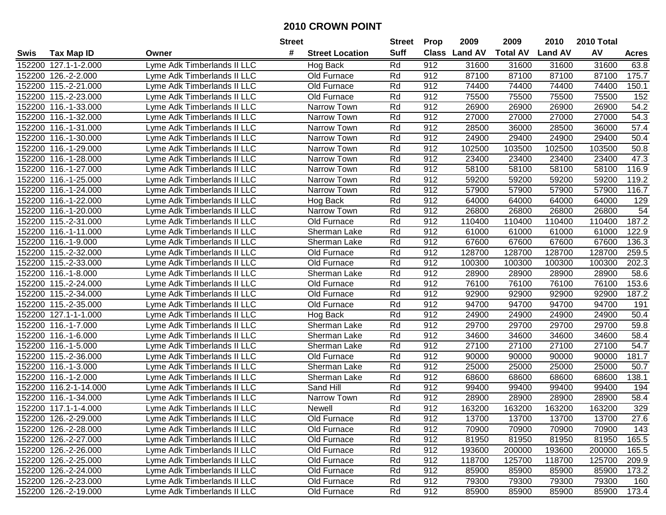|        |                        |                             | <b>Street</b> |                        | <b>Street</b> | <b>Prop</b>  | 2009           | 2009            | 2010           | 2010 Total |              |
|--------|------------------------|-----------------------------|---------------|------------------------|---------------|--------------|----------------|-----------------|----------------|------------|--------------|
| Swis   | <b>Tax Map ID</b>      | Owner                       | #             | <b>Street Location</b> | <b>Suff</b>   | <b>Class</b> | <b>Land AV</b> | <b>Total AV</b> | <b>Land AV</b> | AV         | <b>Acres</b> |
|        | 152200 127.1-1-2.000   | Lyme Adk Timberlands II LLC |               | Hog Back               | Rd            | 912          | 31600          | 31600           | 31600          | 31600      | 63.8         |
|        | 152200 126 .- 2-2.000  | Lyme Adk Timberlands II LLC |               | Old Furnace            | Rd            | 912          | 87100          | 87100           | 87100          | 87100      | 175.7        |
|        | 152200 115.-2-21.000   | Lyme Adk Timberlands II LLC |               | Old Furnace            | Rd            | 912          | 74400          | 74400           | 74400          | 74400      | 150.1        |
|        | 152200 115.-2-23.000   | Lyme Adk Timberlands II LLC |               | Old Furnace            | Rd            | 912          | 75500          | 75500           | 75500          | 75500      | 152          |
|        | 152200 116.-1-33.000   | Lyme Adk Timberlands II LLC |               | Narrow Town            | Rd            | 912          | 26900          | 26900           | 26900          | 26900      | 54.2         |
|        | 152200 116.-1-32.000   | Lyme Adk Timberlands II LLC |               | Narrow Town            | Rd            | 912          | 27000          | 27000           | 27000          | 27000      | 54.3         |
|        | 152200 116.-1-31.000   | Lyme Adk Timberlands II LLC |               | Narrow Town            | Rd            | 912          | 28500          | 36000           | 28500          | 36000      | 57.4         |
|        | 152200 116.-1-30.000   | Lyme Adk Timberlands II LLC |               | Narrow Town            | Rd            | 912          | 24900          | 29400           | 24900          | 29400      | 50.4         |
|        | 152200 116.-1-29.000   | Lyme Adk Timberlands II LLC |               | Narrow Town            | Rd            | 912          | 102500         | 103500          | 102500         | 103500     | 50.8         |
|        | 152200 116.-1-28.000   | Lyme Adk Timberlands II LLC |               | Narrow Town            | Rd            | 912          | 23400          | 23400           | 23400          | 23400      | 47.3         |
|        | 152200 116.-1-27.000   | Lyme Adk Timberlands II LLC |               | Narrow Town            | Rd            | 912          | 58100          | 58100           | 58100          | 58100      | 116.9        |
|        | 152200 116.-1-25.000   | Lyme Adk Timberlands II LLC |               | Narrow Town            | Rd            | 912          | 59200          | 59200           | 59200          | 59200      | 119.2        |
|        | 152200 116.-1-24.000   | Lyme Adk Timberlands II LLC |               | Narrow Town            | Rd            | 912          | 57900          | 57900           | 57900          | 57900      | 116.7        |
|        | 152200 116.-1-22.000   | Lyme Adk Timberlands II LLC |               | Hog Back               | Rd            | 912          | 64000          | 64000           | 64000          | 64000      | 129          |
|        | 152200 116.-1-20.000   | Lyme Adk Timberlands II LLC |               | Narrow Town            | Rd            | 912          | 26800          | 26800           | 26800          | 26800      | 54           |
|        | 152200 115.-2-31.000   | Lyme Adk Timberlands II LLC |               | Old Furnace            | Rd            | 912          | 110400         | 110400          | 110400         | 110400     | 187.2        |
|        | 152200 116.-1-11.000   | Lyme Adk Timberlands II LLC |               | Sherman Lake           | Rd            | 912          | 61000          | 61000           | 61000          | 61000      | 122.9        |
|        | 152200 116.-1-9.000    | Lyme Adk Timberlands II LLC |               | Sherman Lake           | Rd            | 912          | 67600          | 67600           | 67600          | 67600      | 136.3        |
|        | 152200 115.-2-32.000   | Lyme Adk Timberlands II LLC |               | Old Furnace            | Rd            | 912          | 128700         | 128700          | 128700         | 128700     | 259.5        |
|        | 152200 115.-2-33.000   | Lyme Adk Timberlands II LLC |               | Old Furnace            | Rd            | 912          | 100300         | 100300          | 100300         | 100300     | 202.3        |
|        | 152200 116.-1-8.000    | Lyme Adk Timberlands II LLC |               | Sherman Lake           | Rd            | 912          | 28900          | 28900           | 28900          | 28900      | 58.6         |
|        | 152200 115.-2-24.000   | Lyme Adk Timberlands II LLC |               | Old Furnace            | Rd            | 912          | 76100          | 76100           | 76100          | 76100      | 153.6        |
|        | 152200 115.-2-34.000   | Lyme Adk Timberlands II LLC |               | Old Furnace            | Rd            | 912          | 92900          | 92900           | 92900          | 92900      | 187.2        |
|        | 152200 115.-2-35.000   | Lyme Adk Timberlands II LLC |               | Old Furnace            | Rd            | 912          | 94700          | 94700           | 94700          | 94700      | 191          |
| 152200 | 127.1-1-1.000          | Lyme Adk Timberlands II LLC |               | Hog Back               | Rd            | 912          | 24900          | 24900           | 24900          | 24900      | 50.4         |
|        | 152200 116.-1-7.000    | Lyme Adk Timberlands II LLC |               | Sherman Lake           | Rd            | 912          | 29700          | 29700           | 29700          | 29700      | 59.8         |
|        | 152200 116.-1-6.000    | Lyme Adk Timberlands II LLC |               | Sherman Lake           | Rd            | 912          | 34600          | 34600           | 34600          | 34600      | 58.4         |
|        | 152200 116.-1-5.000    | Lyme Adk Timberlands II LLC |               | Sherman Lake           | Rd            | 912          | 27100          | 27100           | 27100          | 27100      | 54.7         |
|        | 152200 115.-2-36.000   | Lyme Adk Timberlands II LLC |               | Old Furnace            | Rd            | 912          | 90000          | 90000           | 90000          | 90000      | 181.7        |
|        | 152200 116.-1-3.000    | Lyme Adk Timberlands II LLC |               | Sherman Lake           | Rd            | 912          | 25000          | 25000           | 25000          | 25000      | 50.7         |
|        | 152200 116.-1-2.000    | Lyme Adk Timberlands II LLC |               | Sherman Lake           | Rd            | 912          | 68600          | 68600           | 68600          | 68600      | 138.1        |
|        | 152200 116.2-1-14.000  | Lyme Adk Timberlands II LLC |               | Sand Hill              | Rd            | 912          | 99400          | 99400           | 99400          | 99400      | 194          |
|        | 152200 116.-1-34.000   | Lyme Adk Timberlands II LLC |               | Narrow Town            | Rd            | 912          | 28900          | 28900           | 28900          | 28900      | 58.4         |
|        | 152200 117.1-1-4.000   | Lyme Adk Timberlands II LLC |               | Newell                 | Rd            | 912          | 163200         | 163200          | 163200         | 163200     | 329          |
|        | 152200 126.-2-29.000   | Lyme Adk Timberlands II LLC |               | Old Furnace            | Rd            | 912          | 13700          | 13700           | 13700          | 13700      | 27.6         |
|        | 152200 126 .- 2-28.000 | Lyme Adk Timberlands II LLC |               | Old Furnace            | Rd            | 912          | 70900          | 70900           | 70900          | 70900      | 143          |
|        | 152200 126.-2-27.000   | Lyme Adk Timberlands II LLC |               | Old Furnace            | Rd            | 912          | 81950          | 81950           | 81950          | 81950      | 165.5        |
|        | 152200 126.-2-26.000   | Lyme Adk Timberlands II LLC |               | Old Furnace            | Rd            | 912          | 193600         | 200000          | 193600         | 200000     | 165.5        |
|        | 152200 126.-2-25.000   | Lyme Adk Timberlands II LLC |               | Old Furnace            | Rd            | 912          | 118700         | 125700          | 118700         | 125700     | 209.9        |
|        | 152200 126.-2-24.000   | Lyme Adk Timberlands II LLC |               | Old Furnace            | Rd            | 912          | 85900          | 85900           | 85900          | 85900      | 173.2        |
|        | 152200 126.-2-23.000   | Lyme Adk Timberlands II LLC |               | Old Furnace            | Rd            | 912          | 79300          | 79300           | 79300          | 79300      | 160          |
|        | 152200 126.-2-19.000   | Lyme Adk Timberlands II LLC |               | Old Furnace            | Rd            | 912          | 85900          | 85900           | 85900          | 85900      | 173.4        |
|        |                        |                             |               |                        |               |              |                |                 |                |            |              |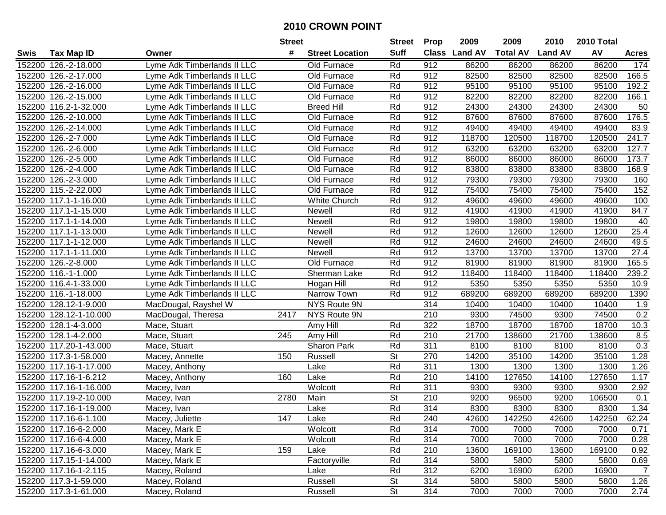|        |                        |                             | <b>Street</b> |                        | <b>Street</b>            | <b>Prop</b>      | 2009           | 2009            | 2010           | 2010 Total |                |
|--------|------------------------|-----------------------------|---------------|------------------------|--------------------------|------------------|----------------|-----------------|----------------|------------|----------------|
| Swis   | <b>Tax Map ID</b>      | Owner                       | #             | <b>Street Location</b> | <b>Suff</b>              | <b>Class</b>     | <b>Land AV</b> | <b>Total AV</b> | <b>Land AV</b> | AV         | <b>Acres</b>   |
|        | 152200 126.-2-18.000   | Lyme Adk Timberlands II LLC |               | Old Furnace            | Rd                       | 912              | 86200          | 86200           | 86200          | 86200      | 174            |
|        | 152200 126.-2-17.000   | Lyme Adk Timberlands II LLC |               | Old Furnace            | Rd                       | 912              | 82500          | 82500           | 82500          | 82500      | 166.5          |
|        | 152200 126.-2-16.000   | Lyme Adk Timberlands II LLC |               | Old Furnace            | Rd                       | 912              | 95100          | 95100           | 95100          | 95100      | 192.2          |
|        | 152200 126.-2-15.000   | Lyme Adk Timberlands II LLC |               | Old Furnace            | Rd                       | 912              | 82200          | 82200           | 82200          | 82200      | 166.1          |
|        | 152200 116.2-1-32.000  | Lyme Adk Timberlands II LLC |               | <b>Breed Hill</b>      | Rd                       | 912              | 24300          | 24300           | 24300          | 24300      | 50             |
|        | 152200 126.-2-10.000   | Lyme Adk Timberlands II LLC |               | Old Furnace            | Rd                       | 912              | 87600          | 87600           | 87600          | 87600      | 176.5          |
|        | 152200 126.-2-14.000   | Lyme Adk Timberlands II LLC |               | Old Furnace            | Rd                       | 912              | 49400          | 49400           | 49400          | 49400      | 83.9           |
| 152200 | 126.-2-7.000           | Lyme Adk Timberlands II LLC |               | Old Furnace            | Rd                       | 912              | 118700         | 120500          | 118700         | 120500     | 241.7          |
| 152200 | 126.-2-6.000           | Lyme Adk Timberlands II LLC |               | Old Furnace            | Rd                       | 912              | 63200          | 63200           | 63200          | 63200      | 127.7          |
|        | 152200 126.-2-5.000    | Lyme Adk Timberlands II LLC |               | Old Furnace            | Rd                       | 912              | 86000          | 86000           | 86000          | 86000      | 173.7          |
|        | 152200 126.-2-4.000    | Lyme Adk Timberlands II LLC |               | Old Furnace            | Rd                       | 912              | 83800          | 83800           | 83800          | 83800      | 168.9          |
|        | 152200 126.-2-3.000    | Lyme Adk Timberlands II LLC |               | Old Furnace            | Rd                       | 912              | 79300          | 79300           | 79300          | 79300      | 160            |
|        | 152200 115.-2-22.000   | Lyme Adk Timberlands II LLC |               | Old Furnace            | Rd                       | 912              | 75400          | 75400           | 75400          | 75400      | 152            |
|        | 152200 117.1-1-16.000  | Lyme Adk Timberlands II LLC |               | White Church           | Rd                       | 912              | 49600          | 49600           | 49600          | 49600      | 100            |
|        | 152200 117.1-1-15.000  | Lyme Adk Timberlands II LLC |               | Newell                 | Rd                       | 912              | 41900          | 41900           | 41900          | 41900      | 84.7           |
|        | 152200 117.1-1-14.000  | Lyme Adk Timberlands II LLC |               | Newell                 | Rd                       | 912              | 19800          | 19800           | 19800          | 19800      | 40             |
|        | 152200 117.1-1-13.000  | Lyme Adk Timberlands II LLC |               | Newell                 | Rd                       | 912              | 12600          | 12600           | 12600          | 12600      | 25.4           |
|        | 152200 117.1-1-12.000  | Lyme Adk Timberlands II LLC |               | Newell                 | Rd                       | 912              | 24600          | 24600           | 24600          | 24600      | 49.5           |
|        | 152200 117.1-1-11.000  | Lyme Adk Timberlands II LLC |               | Newell                 | Rd                       | 912              | 13700          | 13700           | 13700          | 13700      | 27.4           |
|        | 152200 126.-2-8.000    | Lyme Adk Timberlands II LLC |               | Old Furnace            | Rd                       | 912              | 81900          | 81900           | 81900          | 81900      | 165.5          |
|        | 152200 116.-1-1.000    | Lyme Adk Timberlands II LLC |               | Sherman Lake           | Rd                       | 912              | 118400         | 118400          | 118400         | 118400     | 239.2          |
|        | 152200 116.4-1-33.000  | Lyme Adk Timberlands II LLC |               | Hogan Hill             | Rd                       | 912              | 5350           | 5350            | 5350           | 5350       | 10.9           |
|        | 152200 116.-1-18.000   | Lyme Adk Timberlands II LLC |               | Narrow Town            | Rd                       | 912              | 689200         | 689200          | 689200         | 689200     | 1390           |
| 152200 | 128.12-1-9.000         | MacDougal, Rayshel W        |               | NYS Route 9N           |                          | 314              | 10400          | 10400           | 10400          | 10400      | 1.9            |
| 152200 | 128.12-1-10.000        | MacDougal, Theresa          | 2417          | NYS Route 9N           |                          | 210              | 9300           | 74500           | 9300           | 74500      | 0.2            |
|        | 152200 128.1-4-3.000   | Mace, Stuart                |               | Amy Hill               | Rd                       | 322              | 18700          | 18700           | 18700          | 18700      | 10.3           |
|        | 152200 128.1-4-2.000   | Mace, Stuart                | 245           | Amy Hill               | Rd                       | 210              | 21700          | 138600          | 21700          | 138600     | 8.5            |
|        | 152200 117.20-1-43.000 | Mace, Stuart                |               | Sharon Park            | Rd                       | 311              | 8100           | 8100            | 8100           | 8100       | 0.3            |
|        | 152200 117.3-1-58.000  | Macey, Annette              | 150           | Russell                | $\overline{\mathsf{St}}$ | 270              | 14200          | 35100           | 14200          | 35100      | 1.28           |
|        | 152200 117.16-1-17.000 | Macey, Anthony              |               | Lake                   | Rd                       | 311              | 1300           | 1300            | 1300           | 1300       | 1.26           |
|        | 152200 117.16-1-6.212  | Macey, Anthony              | 160           | Lake                   | Rd                       | $\overline{210}$ | 14100          | 127650          | 14100          | 127650     | 1.17           |
|        | 152200 117.16-1-16.000 | Macey, Ivan                 |               | Wolcott                | Rd                       | 311              | 9300           | 9300            | 9300           | 9300       | 2.92           |
|        | 152200 117.19-2-10.000 | Macey, Ivan                 | 2780          | Main                   | $\overline{\mathsf{St}}$ | 210              | 9200           | 96500           | 9200           | 106500     | 0.1            |
|        | 152200 117.16-1-19.000 | Macey, Ivan                 |               | Lake                   | Rd                       | $\overline{314}$ | 8300           | 8300            | 8300           | 8300       | 1.34           |
|        | 152200 117.16-6-1.100  | Macey, Juliette             | 147           | Lake                   | Rd                       | 240              | 42600          | 142250          | 42600          | 142250     | 62.24          |
|        | 152200 117.16-6-2.000  | Macey, Mark E               |               | Wolcott                | Rd                       | 314              | 7000           | 7000            | 7000           | 7000       | 0.71           |
|        | 152200 117.16-6-4.000  | Macey, Mark E               |               | Wolcott                | Rd                       | 314              | 7000           | 7000            | 7000           | 7000       | 0.28           |
|        | 152200 117.16-6-3.000  | Macey, Mark E               | 159           | Lake                   | Rd                       | 210              | 13600          | 169100          | 13600          | 169100     | 0.92           |
|        | 152200 117.15-1-14.000 | Macey, Mark E               |               | Factoryville           | Rd                       | 314              | 5800           | 5800            | 5800           | 5800       | 0.69           |
|        | 152200 117.16-1-2.115  | Macey, Roland               |               | Lake                   | Rd                       | 312              | 6200           | 16900           | 6200           | 16900      | $\overline{7}$ |
|        | 152200 117.3-1-59.000  | Macey, Roland               |               | Russell                | St                       | 314              | 5800           | 5800            | 5800           | 5800       | 1.26           |
|        | 152200 117.3-1-61.000  | Macey, Roland               |               | Russell                | <b>St</b>                | 314              | 7000           | 7000            | 7000           | 7000       | 2.74           |
|        |                        |                             |               |                        |                          |                  |                |                 |                |            |                |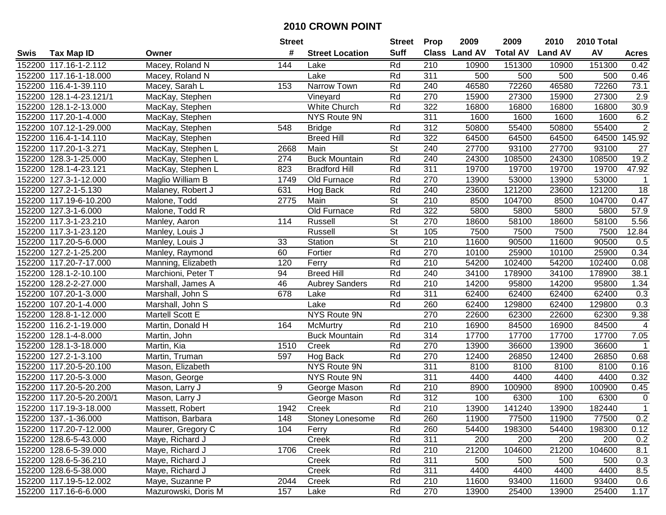|        |                          |                     | <b>Street</b> |                        | <b>Street</b>            | <b>Prop</b>      | 2009          | 2009            | 2010           | 2010 Total |                 |
|--------|--------------------------|---------------------|---------------|------------------------|--------------------------|------------------|---------------|-----------------|----------------|------------|-----------------|
| Swis   | <b>Tax Map ID</b>        | Owner               | #             | <b>Street Location</b> | <b>Suff</b>              |                  | Class Land AV | <b>Total AV</b> | <b>Land AV</b> | AV         | <b>Acres</b>    |
|        | 152200 117.16-1-2.112    | Macey, Roland N     | 144           | Lake                   | Rd                       | 210              | 10900         | 151300          | 10900          | 151300     | 0.42            |
|        | 152200 117.16-1-18.000   | Macey, Roland N     |               | Lake                   | Rd                       | 311              | 500           | 500             | 500            | 500        | 0.46            |
|        | 152200 116.4-1-39.110    | Macey, Sarah L      | 153           | Narrow Town            | Rd                       | 240              | 46580         | 72260           | 46580          | 72260      | 73.1            |
|        | 152200 128.1-4-23.121/1  | MacKay, Stephen     |               | Vineyard               | Rd                       | 270              | 15900         | 27300           | 15900          | 27300      | 2.9             |
|        | 152200 128.1-2-13.000    | MacKay, Stephen     |               | White Church           | Rd                       | 322              | 16800         | 16800           | 16800          | 16800      | 30.9            |
|        | 152200 117.20-1-4.000    | MacKay, Stephen     |               | NYS Route 9N           |                          | 311              | 1600          | 1600            | 1600           | 1600       | 6.2             |
|        | 152200 107.12-1-29.000   | MacKay, Stephen     | 548           | <b>Bridge</b>          | Rd                       | 312              | 50800         | 55400           | 50800          | 55400      | $\overline{2}$  |
|        | 152200 116.4-1-14.110    | MacKay, Stephen     |               | <b>Breed Hill</b>      | Rd                       | 322              | 64500         | 64500           | 64500          | 64500      | 145.92          |
|        | 152200 117.20-1-3.271    | MacKay, Stephen L   | 2668          | Main                   | $\overline{\mathsf{St}}$ | 240              | 27700         | 93100           | 27700          | 93100      | 27              |
|        | 152200 128.3-1-25.000    | MacKay, Stephen L   | 274           | <b>Buck Mountain</b>   | Rd                       | 240              | 24300         | 108500          | 24300          | 108500     | 19.2            |
|        | 152200 128.1-4-23.121    | MacKay, Stephen L   | 823           | <b>Bradford Hill</b>   | Rd                       | 311              | 19700         | 19700           | 19700          | 19700      | 47.92           |
|        | 152200 127.3-1-12.000    | Maglio William B    | 1749          | Old Furnace            | Rd                       | 270              | 13900         | 53000           | 13900          | 53000      | 1               |
|        | 152200 127.2-1-5.130     | Malaney, Robert J   | 631           | Hog Back               | Rd                       | 240              | 23600         | 121200          | 23600          | 121200     | $\overline{18}$ |
|        | 152200 117.19-6-10.200   | Malone, Todd        | 2775          | Main                   | <b>St</b>                | 210              | 8500          | 104700          | 8500           | 104700     | 0.47            |
|        | 152200 127.3-1-6.000     | Malone, Todd R      |               | Old Furnace            | Rd                       | 322              | 5800          | 5800            | 5800           | 5800       | 57.9            |
|        | 152200 117.3-1-23.210    | Manley, Aaron       | 114           | Russell                | <b>St</b>                | 270              | 18600         | 58100           | 18600          | 58100      | 5.56            |
|        | 152200 117.3-1-23.120    | Manley, Louis J     |               | Russell                | $\overline{\mathsf{St}}$ | 105              | 7500          | 7500            | 7500           | 7500       | 12.84           |
|        | 152200 117.20-5-6.000    | Manley, Louis J     | 33            | Station                | $\overline{\mathsf{St}}$ | 210              | 11600         | 90500           | 11600          | 90500      | 0.5             |
|        | 152200 127.2-1-25.200    | Manley, Raymond     | 60            | Fortier                | Rd                       | 270              | 10100         | 25900           | 10100          | 25900      | 0.34            |
|        | 152200 117.20-7-17.000   | Manning, Elizabeth  | 120           | Ferry                  | Rd                       | 210              | 54200         | 102400          | 54200          | 102400     | 0.08            |
|        | 152200 128.1-2-10.100    | Marchioni, Peter T  | 94            | <b>Breed Hill</b>      | Rd                       | 240              | 34100         | 178900          | 34100          | 178900     | 38.1            |
|        | 152200 128.2-2-27.000    | Marshall, James A   | 46            | <b>Aubrey Sanders</b>  | Rd                       | 210              | 14200         | 95800           | 14200          | 95800      | 1.34            |
|        | 152200 107.20-1-3.000    | Marshall, John S    | 678           | Lake                   | Rd                       | 311              | 62400         | 62400           | 62400          | 62400      | 0.3             |
|        | 152200 107.20-1-4.000    | Marshall, John S    |               | Lake                   | Rd                       | 260              | 62400         | 129800          | 62400          | 129800     | 0.3             |
| 152200 | 128.8-1-12.000           | Martell Scott E     |               | NYS Route 9N           |                          | 270              | 22600         | 62300           | 22600          | 62300      | 9.38            |
|        | 152200 116.2-1-19.000    | Martin, Donald H    | 164           | McMurtry               | Rd                       | 210              | 16900         | 84500           | 16900          | 84500      | 4               |
|        | 152200 128.1-4-8.000     | Martin, John        |               | <b>Buck Mountain</b>   | Rd                       | 314              | 17700         | 17700           | 17700          | 17700      | 7.05            |
|        | 152200 128.1-3-18.000    | Martin, Kia         | 1510          | Creek                  | Rd                       | 270              | 13900         | 36600           | 13900          | 36600      | $\mathbf{1}$    |
|        | 152200 127.2-1-3.100     | Martin, Truman      | 597           | Hog Back               | Rd                       | 270              | 12400         | 26850           | 12400          | 26850      | 0.68            |
|        | 152200 117.20-5-20.100   | Mason, Elizabeth    |               | NYS Route 9N           |                          | 311              | 8100          | 8100            | 8100           | 8100       | 0.16            |
|        | 152200 117.20-5-3.000    | Mason, George       |               | NYS Route 9N           |                          | 311              | 4400          | 4400            | 4400           | 4400       | 0.32            |
|        | 152200 117.20-5-20.200   | Mason, Larry J      | 9             | George Mason           | Rd                       | 210              | 8900          | 100900          | 8900           | 100900     | 0.45            |
|        | 152200 117.20-5-20.200/1 | Mason, Larry J      |               | George Mason           | Rd                       | 312              | 100           | 6300            | 100            | 6300       | $\mathbf 0$     |
|        | 152200 117.19-3-18.000   | Massett, Robert     | 1942          | Creek                  | Rd                       | $\overline{210}$ | 13900         | 141240          | 13900          | 182440     | $\mathbf{1}$    |
|        | 152200 137.-1-36.000     | Mattison, Barbara   | 148           | Stoney Lonesome        | Rd                       | 260              | 11900         | 77500           | 11900          | 77500      | 0.2             |
|        | 152200 117.20-7-12.000   | Maurer, Gregory C   | 104           | Ferry                  | Rd                       | 260              | 54400         | 198300          | 54400          | 198300     | 0.12            |
|        | 152200 128.6-5-43.000    | Maye, Richard J     |               | Creek                  | Rd                       | 311              | 200           | 200             | 200            | 200        | 0.2             |
|        | 152200 128.6-5-39.000    | Maye, Richard J     | 1706          | Creek                  | Rd                       | 210              | 21200         | 104600          | 21200          | 104600     | 8.1             |
|        | 152200 128.6-5-36.210    | Maye, Richard J     |               | Creek                  | Rd                       | 311              | 500           | 500             | 500            | 500        | 0.3             |
|        | 152200 128.6-5-38.000    | Maye, Richard J     |               | Creek                  | Rd                       | 311              | 4400          | 4400            | 4400           | 4400       | 8.5             |
|        | 152200 117.19-5-12.002   | Maye, Suzanne P     | 2044          | Creek                  | Rd                       | 210              | 11600         | 93400           | 11600          | 93400      | 0.6             |
|        | 152200 117.16-6-6.000    | Mazurowski, Doris M | 157           | Lake                   | Rd                       | 270              | 13900         | 25400           | 13900          | 25400      | 1.17            |
|        |                          |                     |               |                        |                          |                  |               |                 |                |            |                 |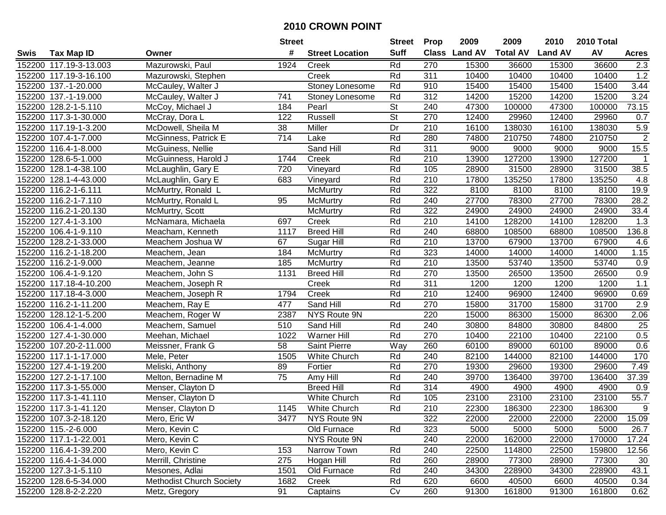|        |                        |                                 | <b>Street</b>    |                        | <b>Street</b>            | <b>Prop</b>  | 2009           | 2009            | 2010           | 2010 Total |                |
|--------|------------------------|---------------------------------|------------------|------------------------|--------------------------|--------------|----------------|-----------------|----------------|------------|----------------|
| Swis   | <b>Tax Map ID</b>      | Owner                           | #                | <b>Street Location</b> | <b>Suff</b>              | <b>Class</b> | <b>Land AV</b> | <b>Total AV</b> | <b>Land AV</b> | AV         | <b>Acres</b>   |
|        | 152200 117.19-3-13.003 | Mazurowski, Paul                | 1924             | Creek                  | Rd                       | 270          | 15300          | 36600           | 15300          | 36600      | 2.3            |
|        | 152200 117.19-3-16.100 | Mazurowski, Stephen             |                  | Creek                  | Rd                       | 311          | 10400          | 10400           | 10400          | 10400      | 1.2            |
|        | 152200 137.-1-20.000   | McCauley, Walter J              |                  | Stoney Lonesome        | Rd                       | 910          | 15400          | 15400           | 15400          | 15400      | 3.44           |
|        | 152200 137.-1-19.000   | McCauley, Walter J              | 741              | Stoney Lonesome        | Rd                       | 312          | 14200          | 15200           | 14200          | 15200      | 3.24           |
|        | 152200 128.2-1-5.110   | McCoy, Michael J                | 184              | Pearl                  | <b>St</b>                | 240          | 47300          | 100000          | 47300          | 100000     | 73.15          |
|        | 152200 117.3-1-30.000  | McCray, Dora L                  | 122              | Russell                | $\overline{\mathsf{St}}$ | 270          | 12400          | 29960           | 12400          | 29960      | 0.7            |
|        | 152200 117.19-1-3.200  | McDowell, Sheila M              | 38               | Miller                 | Dr                       | 210          | 16100          | 138030          | 16100          | 138030     | 5.9            |
|        | 152200 107.4-1-7.000   | McGinness, Patrick E            | $\overline{714}$ | Lake                   | Rd                       | 280          | 74800          | 210750          | 74800          | 210750     | $\overline{2}$ |
|        | 152200 116.4-1-8.000   | McGuiness, Nellie               |                  | Sand Hill              | Rd                       | 311          | 9000           | 9000            | 9000           | 9000       | 15.5           |
|        | 152200 128.6-5-1.000   | McGuinness, Harold J            | 1744             | Creek                  | Rd                       | 210          | 13900          | 127200          | 13900          | 127200     | $\mathbf 1$    |
|        | 152200 128.1-4-38.100  | McLaughlin, Gary E              | 720              | Vineyard               | Rd                       | 105          | 28900          | 31500           | 28900          | 31500      | 38.5           |
|        | 152200 128.1-4-43.000  | McLaughlin, Gary E              | 683              | Vineyard               | Rd                       | 210          | 17800          | 135250          | 17800          | 135250     | 4.8            |
|        | 152200 116.2-1-6.111   | McMurtry, Ronald L              |                  | McMurtry               | Rd                       | 322          | 8100           | 8100            | 8100           | 8100       | 19.9           |
|        | 152200 116.2-1-7.110   | McMurtry, Ronald L              | 95               | McMurtry               | Rd                       | 240          | 27700          | 78300           | 27700          | 78300      | 28.2           |
|        | 152200 116.2-1-20.130  | McMurtry, Scott                 |                  | McMurtry               | Rd                       | 322          | 24900          | 24900           | 24900          | 24900      | 33.4           |
|        | 152200 127.4-1-3.100   | McNamara, Michaela              | 697              | Creek                  | Rd                       | 210          | 14100          | 128200          | 14100          | 128200     | 1.3            |
|        | 152200 106.4-1-9.110   | Meacham, Kenneth                | 1117             | <b>Breed Hill</b>      | Rd                       | 240          | 68800          | 108500          | 68800          | 108500     | 136.8          |
| 152200 | 128.2-1-33.000         | Meachem Joshua W                | 67               | Sugar Hill             | Rd                       | 210          | 13700          | 67900           | 13700          | 67900      | 4.6            |
|        | 152200 116.2-1-18.200  | Meachem, Jean                   | 184              | McMurtry               | Rd                       | 323          | 14000          | 14000           | 14000          | 14000      | 1.15           |
|        | 152200 116.2-1-9.000   | Meachem, Jeanne                 | 185              | <b>McMurtry</b>        | Rd                       | 210          | 13500          | 53740           | 13500          | 53740      | 0.9            |
|        | 152200 106.4-1-9.120   | Meachem, John S                 | 1131             | <b>Breed Hill</b>      | Rd                       | 270          | 13500          | 26500           | 13500          | 26500      | 0.9            |
|        | 152200 117.18-4-10.200 | Meachem, Joseph R               |                  | Creek                  | Rd                       | 311          | 1200           | 1200            | 1200           | 1200       | 1.1            |
|        | 152200 117.18-4-3.000  | Meachem, Joseph R               | 1794             | Creek                  | Rd                       | 210          | 12400          | 96900           | 12400          | 96900      | 0.69           |
| 152200 | 116.2-1-11.200         | Meachem, Ray E                  | 477              | Sand Hill              | Rd                       | 270          | 15800          | 31700           | 15800          | 31700      | 2.9            |
| 152200 | 128.12-1-5.200         | Meachem, Roger W                | 2387             | NYS Route 9N           |                          | 220          | 15000          | 86300           | 15000          | 86300      | 2.06           |
|        | 152200 106.4-1-4.000   | Meachem, Samuel                 | 510              | Sand Hill              | Rd                       | 240          | 30800          | 84800           | 30800          | 84800      | 25             |
|        | 152200 127.4-1-30.000  | Meehan, Michael                 | 1022             | Warner Hill            | Rd                       | 270          | 10400          | 22100           | 10400          | 22100      | 0.5            |
|        | 152200 107.20-2-11.000 | Meissner, Frank G               | 58               | Saint Pierre           | Way                      | 260          | 60100          | 89000           | 60100          | 89000      | 0.6            |
|        | 152200 117.1-1-17.000  | Mele, Peter                     | 1505             | White Church           | Rd                       | 240          | 82100          | 144000          | 82100          | 144000     | 170            |
|        | 152200 127.4-1-19.200  | Meliski, Anthony                | 89               | Fortier                | Rd                       | 270          | 19300          | 29600           | 19300          | 29600      | 7.49           |
|        | 152200 127.2-1-17.100  | Melton, Bernadine M             | $\overline{75}$  | Amy Hill               | Rd                       | 240          | 39700          | 136400          | 39700          | 136400     | 37.39          |
|        | 152200 117.3-1-55.000  | Menser, Clayton D               |                  | <b>Breed Hill</b>      | Rd                       | 314          | 4900           | 4900            | 4900           | 4900       | 0.9            |
|        | 152200 117.3-1-41.110  | Menser, Clayton D               |                  | White Church           | Rd                       | 105          | 23100          | 23100           | 23100          | 23100      | 55.7           |
|        | 152200 117.3-1-41.120  | Menser, Clayton D               | 1145             | White Church           | Rd                       | 210          | 22300          | 186300          | 22300          | 186300     | $9\,$          |
|        | 152200 107.3-2-18.120  | Mero, Eric W                    | 3477             | NYS Route 9N           |                          | 322          | 22000          | 22000           | 22000          | 22000      | 15.09          |
|        | 152200 115.-2-6.000    | Mero, Kevin C                   |                  | Old Furnace            | Rd                       | 323          | 5000           | 5000            | 5000           | 5000       | 26.7           |
|        | 152200 117.1-1-22.001  | Mero, Kevin C                   |                  | NYS Route 9N           |                          | 240          | 22000          | 162000          | 22000          | 170000     | 17.24          |
|        | 152200 116.4-1-39.200  | Mero, Kevin C                   | 153              | Narrow Town            | Rd                       | 240          | 22500          | 114800          | 22500          | 159800     | 12.56          |
|        | 152200 116.4-1-34.000  | Merrill, Christine              | 275              | Hogan Hill             | Rd                       | 260          | 28900          | 77300           | 28900          | 77300      | 30             |
|        | 152200 127.3-1-5.110   | Mesones, Adlai                  | 1501             | Old Furnace            | Rd                       | 240          | 34300          | 228900          | 34300          | 228900     | 43.1           |
|        | 152200 128.6-5-34.000  | <b>Methodist Church Society</b> | 1682             | Creek                  | Rd                       | 620          | 6600           | 40500           | 6600           | 40500      | 0.34           |
|        | 152200 128.8-2-2.220   | Metz, Gregory                   | 91               | Captains               | Cv                       | 260          | 91300          | 161800          | 91300          | 161800     | 0.62           |
|        |                        |                                 |                  |                        |                          |              |                |                 |                |            |                |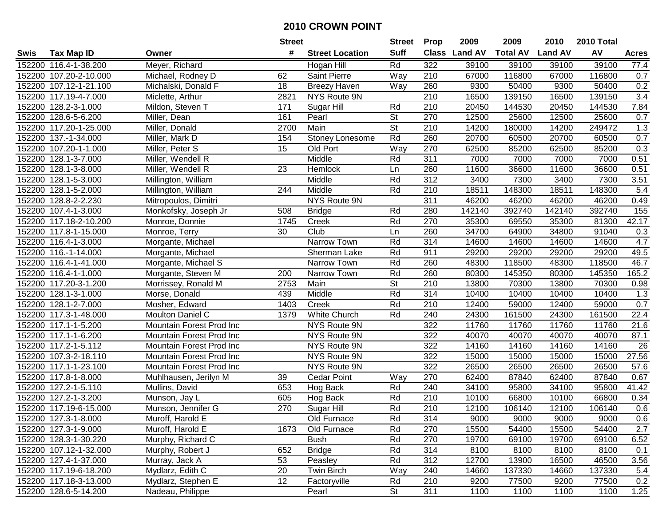|        |                        |                          | <b>Street</b> |                        | <b>Street</b> | <b>Prop</b> | 2009          | 2009            | 2010           | 2010 Total |              |
|--------|------------------------|--------------------------|---------------|------------------------|---------------|-------------|---------------|-----------------|----------------|------------|--------------|
| Swis   | <b>Tax Map ID</b>      | Owner                    | #             | <b>Street Location</b> | <b>Suff</b>   |             | Class Land AV | <b>Total AV</b> | <b>Land AV</b> | AV         | <b>Acres</b> |
|        | 152200 116.4-1-38.200  | Meyer, Richard           |               | Hogan Hill             | Rd            | 322         | 39100         | 39100           | 39100          | 39100      | 77.4         |
|        | 152200 107.20-2-10.000 | Michael, Rodney D        | 62            | Saint Pierre           | Way           | 210         | 67000         | 116800          | 67000          | 116800     | 0.7          |
|        | 152200 107.12-1-21.100 | Michalski, Donald F      | 18            | <b>Breezy Haven</b>    | Way           | 260         | 9300          | 50400           | 9300           | 50400      | 0.2          |
|        | 152200 117.19-4-7.000  | Miclette, Arthur         | 2821          | NYS Route 9N           |               | 210         | 16500         | 139150          | 16500          | 139150     | 3.4          |
|        | 152200 128.2-3-1.000   | Mildon, Steven T         | 171           | Sugar Hill             | Rd            | 210         | 20450         | 144530          | 20450          | 144530     | 7.84         |
|        | 152200 128.6-5-6.200   | Miller, Dean             | 161           | Pearl                  | <b>St</b>     | 270         | 12500         | 25600           | 12500          | 25600      | 0.7          |
|        | 152200 117.20-1-25.000 | Miller, Donald           | 2700          | Main                   | <b>St</b>     | 210         | 14200         | 180000          | 14200          | 249472     | 1.3          |
| 152200 | 137.-1-34.000          | Miller, Mark D           | 154           | Stoney Lonesome        | Rd            | 260         | 20700         | 60500           | 20700          | 60500      | 0.7          |
|        | 152200 107.20-1-1.000  | Miller, Peter S          | 15            | Old Port               | Way           | 270         | 62500         | 85200           | 62500          | 85200      | 0.3          |
|        | 152200 128.1-3-7.000   | Miller, Wendell R        |               | Middle                 | Rd            | 311         | 7000          | 7000            | 7000           | 7000       | 0.51         |
|        | 152200 128.1-3-8.000   | Miller, Wendell R        | 23            | Hemlock                | Ln            | 260         | 11600         | 36600           | 11600          | 36600      | 0.51         |
|        | 152200 128.1-5-3.000   | Millington, William      |               | Middle                 | Rd            | 312         | 3400          | 7300            | 3400           | 7300       | 3.51         |
|        | 152200 128.1-5-2.000   | Millington, William      | 244           | Middle                 | Rd            | 210         | 18511         | 148300          | 18511          | 148300     | 5.4          |
|        | 152200 128.8-2-2.230   | Mitropoulos, Dimitri     |               | NYS Route 9N           |               | 311         | 46200         | 46200           | 46200          | 46200      | 0.49         |
|        | 152200 107.4-1-3.000   | Monkofsky, Joseph Jr     | 508           | <b>Bridge</b>          | Rd            | 280         | 142140        | 392740          | 142140         | 392740     | 155          |
|        | 152200 117.18-2-10.200 | Monroe, Donnie           | 1745          | Creek                  | Rd            | 270         | 35300         | 69550           | 35300          | 81300      | 42.17        |
|        | 152200 117.8-1-15.000  | Monroe, Terry            | 30            | Club                   | Ln            | 260         | 34700         | 64900           | 34800          | 91040      | 0.3          |
|        | 152200 116.4-1-3.000   | Morgante, Michael        |               | Narrow Town            | Rd            | 314         | 14600         | 14600           | 14600          | 14600      | 4.7          |
|        | 152200 116.-1-14.000   | Morgante, Michael        |               | Sherman Lake           | Rd            | 911         | 29200         | 29200           | 29200          | 29200      | 49.5         |
|        | 152200 116.4-1-41.000  | Morgante, Michael S      |               | Narrow Town            | Rd            | 260         | 48300         | 118500          | 48300          | 118500     | 46.7         |
|        | 152200 116.4-1-1.000   | Morgante, Steven M       | 200           | Narrow Town            | Rd            | 260         | 80300         | 145350          | 80300          | 145350     | 165.2        |
| 152200 | 117.20-3-1.200         | Morrissey, Ronald M      | 2753          | Main                   | <b>St</b>     | 210         | 13800         | 70300           | 13800          | 70300      | 0.98         |
| 152200 | 128.1-3-1.000          | Morse, Donald            | 439           | Middle                 | Rd            | 314         | 10400         | 10400           | 10400          | 10400      | 1.3          |
| 152200 | 128.1-2-7.000          | Mosher, Edward           | 1403          | Creek                  | Rd            | 210         | 12400         | 59000           | 12400          | 59000      | 0.7          |
|        | 152200 117.3-1-48.000  | Moulton Daniel C         | 1379          | White Church           | Rd            | 240         | 24300         | 161500          | 24300          | 161500     | 22.4         |
|        | 152200 117.1-1-5.200   | Mountain Forest Prod Inc |               | NYS Route 9N           |               | 322         | 11760         | 11760           | 11760          | 11760      | 21.6         |
|        | 152200 117.1-1-6.200   | Mountain Forest Prod Inc |               | NYS Route 9N           |               | 322         | 40070         | 40070           | 40070          | 40070      | 87.1         |
|        | 152200 117.2-1-5.112   | Mountain Forest Prod Inc |               | NYS Route 9N           |               | 322         | 14160         | 14160           | 14160          | 14160      | 26           |
|        | 152200 107.3-2-18.110  | Mountain Forest Prod Inc |               | NYS Route 9N           |               | 322         | 15000         | 15000           | 15000          | 15000      | 27.56        |
|        | 152200 117.1-1-23.100  | Mountain Forest Prod Inc |               | NYS Route 9N           |               | 322         | 26500         | 26500           | 26500          | 26500      | 57.6         |
|        | 152200 117.8-1-8.000   | Muhlhausen, Jerilyn M    | 39            | <b>Cedar Point</b>     | <b>Way</b>    | 270         | 62400         | 87840           | 62400          | 87840      | 0.67         |
|        | 152200 127.2-1-5.110   | Mullins, David           | 653           | Hog Back               | Rd            | 240         | 34100         | 95800           | 34100          | 95800      | 41.42        |
|        | 152200 127.2-1-3.200   | Munson, Jay L            | 605           | Hog Back               | Rd            | 210         | 10100         | 66800           | 10100          | 66800      | 0.34         |
|        | 152200 117.19-6-15.000 | Munson, Jennifer G       | 270           | Sugar Hill             | Rd            | 210         | 12100         | 106140          | 12100          | 106140     | 0.6          |
|        | 152200 127.3-1-8.000   | Muroff, Harold E         |               | Old Furnace            | Rd            | 314         | 9000          | 9000            | 9000           | 9000       | 0.6          |
|        | 152200 127.3-1-9.000   | Muroff, Harold E         | 1673          | Old Furnace            | Rd            | 270         | 15500         | 54400           | 15500          | 54400      | 2.7          |
|        | 152200 128.3-1-30.220  | Murphy, Richard C        |               | <b>Bush</b>            | Rd            | 270         | 19700         | 69100           | 19700          | 69100      | 6.52         |
|        | 152200 107.12-1-32.000 | Murphy, Robert J         | 652           | <b>Bridge</b>          | Rd            | 314         | 8100          | 8100            | 8100           | 8100       | 0.1          |
|        | 152200 127.4-1-37.000  | Murray, Jack A           | 53            | Peasley                | Rd            | 312         | 12700         | 13900           | 16500          | 46500      | 3.56         |
|        | 152200 117.19-6-18.200 | Mydlarz, Edith C         | 20            | Twin Birch             | Way           | 240         | 14660         | 137330          | 14660          | 137330     | 5.4          |
|        | 152200 117.18-3-13.000 | Mydlarz, Stephen E       | 12            | Factoryville           | Rd            | 210         | 9200          | 77500           | 9200           | 77500      | 0.2          |
|        | 152200 128.6-5-14.200  | Nadeau, Philippe         |               | Pearl                  | <b>St</b>     | 311         | 1100          | 1100            | 1100           | 1100       | 1.25         |
|        |                        |                          |               |                        |               |             |               |                 |                |            |              |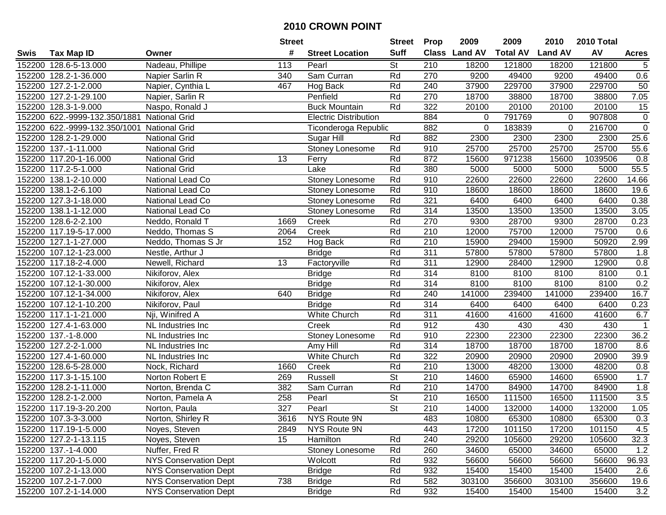|      |                               |                              | <b>Street</b> |                              | <b>Street</b>            | <b>Prop</b>      | 2009          | 2009            | 2010           | 2010 Total |                |
|------|-------------------------------|------------------------------|---------------|------------------------------|--------------------------|------------------|---------------|-----------------|----------------|------------|----------------|
| Swis | <b>Tax Map ID</b>             | Owner                        | #             | <b>Street Location</b>       | <b>Suff</b>              |                  | Class Land AV | <b>Total AV</b> | <b>Land AV</b> | AV         | <b>Acres</b>   |
|      | 152200 128.6-5-13.000         | Nadeau, Phillipe             | 113           | Pearl                        | <b>St</b>                | 210              | 18200         | 121800          | 18200          | 121800     | 5              |
|      | 152200 128.2-1-36.000         | Napier Sarlin R              | 340           | Sam Curran                   | Rd                       | 270              | 9200          | 49400           | 9200           | 49400      | 0.6            |
|      | 152200 127.2-1-2.000          | Napier, Cynthia L            | 467           | Hog Back                     | Rd                       | 240              | 37900         | 229700          | 37900          | 229700     | 50             |
|      | 152200 127.2-1-29.100         | Napier, Sarlin R             |               | Penfield                     | Rd                       | 270              | 18700         | 38800           | 18700          | 38800      | 7.05           |
|      | 152200 128.3-1-9.000          | Naspo, Ronald J              |               | <b>Buck Mountain</b>         | Rd                       | 322              | 20100         | 20100           | 20100          | 20100      | 15             |
|      | 152200 622.-9999-132.350/1881 | <b>National Grid</b>         |               | <b>Electric Distribution</b> |                          | 884              | 0             | 791769          | 0              | 907808     | $\overline{0}$ |
|      | 152200 622.-9999-132.350/1001 | <b>National Grid</b>         |               | Ticonderoga Republic         |                          | 882              | 0             | 183839          | 0              | 216700     | $\overline{0}$ |
|      | 152200 128.2-1-29.000         | <b>National Grid</b>         |               | Sugar Hill                   | Rd                       | 882              | 2300          | 2300            | 2300           | 2300       | 25.6           |
|      | 152200 137.-1-11.000          | <b>National Grid</b>         |               | Stoney Lonesome              | Rd                       | 910              | 25700         | 25700           | 25700          | 25700      | 55.6           |
|      | 152200 117.20-1-16.000        | <b>National Grid</b>         | 13            | Ferry                        | Rd                       | 872              | 15600         | 971238          | 15600          | 1039506    | 0.8            |
|      | 152200 117.2-5-1.000          | <b>National Grid</b>         |               | Lake                         | Rd                       | 380              | 5000          | 5000            | 5000           | 5000       | 55.5           |
|      | 152200 138.1-2-10.000         | National Lead Co             |               | Stoney Lonesome              | Rd                       | 910              | 22600         | 22600           | 22600          | 22600      | 14.66          |
|      | 152200 138.1-2-6.100          | National Lead Co             |               | Stoney Lonesome              | Rd                       | 910              | 18600         | 18600           | 18600          | 18600      | 19.6           |
|      | 152200 127.3-1-18.000         | National Lead Co             |               | Stoney Lonesome              | Rd                       | 321              | 6400          | 6400            | 6400           | 6400       | 0.38           |
|      | 152200 138.1-1-12.000         | National Lead Co             |               | Stoney Lonesome              | Rd                       | 314              | 13500         | 13500           | 13500          | 13500      | 3.05           |
|      | 152200 128.6-2-2.100          | Neddo, Ronald T              | 1669          | Creek                        | Rd                       | 270              | 9300          | 28700           | 9300           | 28700      | 0.23           |
|      | 152200 117.19-5-17.000        | Neddo, Thomas S              | 2064          | Creek                        | Rd                       | 210              | 12000         | 75700           | 12000          | 75700      | 0.6            |
|      | 152200 127.1-1-27.000         | Neddo, Thomas S Jr           | 152           | Hog Back                     | Rd                       | 210              | 15900         | 29400           | 15900          | 50920      | 2.99           |
|      | 152200 107.12-1-23.000        | Nestle, Arthur J             |               | <b>Bridge</b>                | Rd                       | 311              | 57800         | 57800           | 57800          | 57800      | 1.8            |
|      | 152200 117.18-2-4.000         | Newell, Richard              | 13            | Factoryville                 | Rd                       | 311              | 12900         | 28400           | 12900          | 12900      | 0.8            |
|      | 152200 107.12-1-33.000        | Nikiforov, Alex              |               | <b>Bridge</b>                | Rd                       | 314              | 8100          | 8100            | 8100           | 8100       | 0.1            |
|      | 152200 107.12-1-30.000        | Nikiforov, Alex              |               | <b>Bridge</b>                | Rd                       | 314              | 8100          | 8100            | 8100           | 8100       | 0.2            |
|      | 152200 107.12-1-34.000        | Nikiforov, Alex              | 640           | <b>Bridge</b>                | Rd                       | 240              | 141000        | 239400          | 141000         | 239400     | 16.7           |
|      | 152200 107.12-1-10.200        | Nikiforov, Paul              |               | <b>Bridge</b>                | Rd                       | 314              | 6400          | 6400            | 6400           | 6400       | 0.23           |
|      | 152200 117.1-1-21.000         | Nji, Winifred A              |               | White Church                 | Rd                       | 311              | 41600         | 41600           | 41600          | 41600      | 6.7            |
|      | 152200 127.4-1-63.000         | NL Industries Inc            |               | Creek                        | Rd                       | 912              | 430           | 430             | 430            | 430        | $\mathbf{1}$   |
|      | 152200 137.-1-8.000           | NL Industries Inc            |               | Stoney Lonesome              | Rd                       | 910              | 22300         | 22300           | 22300          | 22300      | 36.2           |
|      | 152200 127.2-2-1.000          | NL Industries Inc            |               | Amy Hill                     | Rd                       | 314              | 18700         | 18700           | 18700          | 18700      | 8.6            |
|      | 152200 127.4-1-60.000         | NL Industries Inc            |               | <b>White Church</b>          | Rd                       | 322              | 20900         | 20900           | 20900          | 20900      | 39.9           |
|      | 152200 128.6-5-28.000         | Nock, Richard                | 1660          | Creek                        | Rd                       | $\overline{210}$ | 13000         | 48200           | 13000          | 48200      | 0.8            |
|      | 152200 117.3-1-15.100         | Norton Robert E              | 269           | Russell                      | $\overline{St}$          | 210              | 14600         | 65900           | 14600          | 65900      | 1.7            |
|      | 152200 128.2-1-11.000         | Norton, Brenda C             | 382           | Sam Curran                   | Rd                       | 210              | 14700         | 84900           | 14700          | 84900      | 1.8            |
|      | 152200 128.2-1-2.000          | Norton, Pamela A             | 258           | Pearl                        | $\overline{\mathsf{St}}$ | 210              | 16500         | 111500          | 16500          | 111500     | 3.5            |
|      | 152200 117.19-3-20.200        | Norton, Paula                | 327           | Pearl                        | $\overline{St}$          | $\overline{210}$ | 14000         | 132000          | 14000          | 132000     | 1.05           |
|      | 152200 107.3-3-3.000          | Norton, Shirley R            | 3616          | NYS Route 9N                 |                          | 483              | 10800         | 65300           | 10800          | 65300      | 0.3            |
|      | 152200 117.19-1-5.000         | Noyes, Steven                | 2849          | NYS Route 9N                 |                          | 443              | 17200         | 101150          | 17200          | 101150     | 4.5            |
|      | 152200 127.2-1-13.115         | Noyes, Steven                | 15            | Hamilton                     | Rd                       | 240              | 29200         | 105600          | 29200          | 105600     | 32.3           |
|      | 152200 137.-1-4.000           | Nuffer, Fred R               |               | Stoney Lonesome              | Rd                       | 260              | 34600         | 65000           | 34600          | 65000      | 1.2            |
|      | 152200 117.20-1-5.000         | <b>NYS Conservation Dept</b> |               | Wolcott                      | Rd                       | 932              | 56600         | 56600           | 56600          | 56600      | 96.93          |
|      | 152200 107.2-1-13.000         | <b>NYS Conservation Dept</b> |               | <b>Bridge</b>                | Rd                       | 932              | 15400         | 15400           | 15400          | 15400      | 2.6            |
|      | 152200 107.2-1-7.000          | <b>NYS Conservation Dept</b> | 738           | <b>Bridge</b>                | Rd                       | 582              | 303100        | 356600          | 303100         | 356600     | 19.6           |
|      | 152200 107.2-1-14.000         | <b>NYS Conservation Dept</b> |               | <b>Bridge</b>                | Rd                       | 932              | 15400         | 15400           | 15400          | 15400      | 3.2            |
|      |                               |                              |               |                              |                          |                  |               |                 |                |            |                |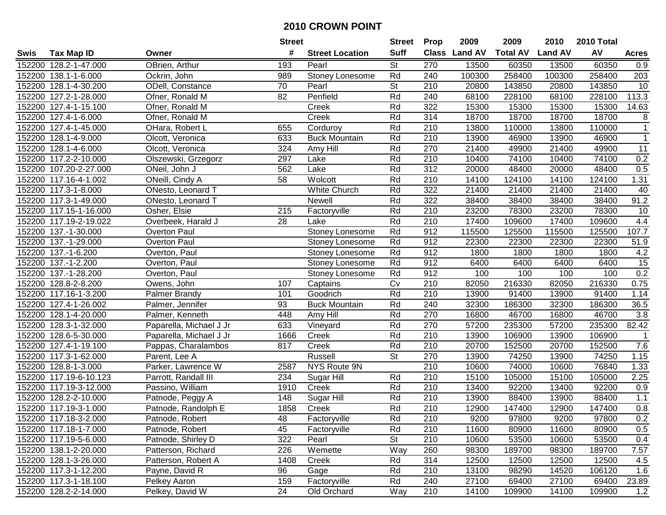|        |                        |                         | <b>Street</b> |                        | <b>Street</b>            | <b>Prop</b>      | 2009           | 2009            | 2010           | 2010 Total |              |
|--------|------------------------|-------------------------|---------------|------------------------|--------------------------|------------------|----------------|-----------------|----------------|------------|--------------|
| Swis   | <b>Tax Map ID</b>      | Owner                   | #             | <b>Street Location</b> | <b>Suff</b>              | <b>Class</b>     | <b>Land AV</b> | <b>Total AV</b> | <b>Land AV</b> | AV         | <b>Acres</b> |
|        | 152200 128.2-1-47.000  | OBrien, Arthur          | 193           | Pearl                  | St                       | 270              | 13500          | 60350           | 13500          | 60350      | 0.9          |
|        | 152200 138.1-1-6.000   | Ockrin, John            | 989           | Stoney Lonesome        | Rd                       | 240              | 100300         | 258400          | 100300         | 258400     | 203          |
|        | 152200 128.1-4-30.200  | ODell, Constance        | 70            | Pearl                  | <b>St</b>                | 210              | 20800          | 143850          | 20800          | 143850     | 10           |
|        | 152200 127.2-1-28.000  | Ofner, Ronald M         | 82            | Penfield               | Rd                       | 240              | 68100          | 228100          | 68100          | 228100     | 113.3        |
|        | 152200 127.4-1-15.100  | Ofner, Ronald M         |               | Creek                  | Rd                       | 322              | 15300          | 15300           | 15300          | 15300      | 14.63        |
|        | 152200 127.4-1-6.000   | Ofner, Ronald M         |               | Creek                  | Rd                       | 314              | 18700          | 18700           | 18700          | 18700      | 8            |
|        | 152200 127.4-1-45.000  | OHara, Robert L         | 655           | Corduroy               | Rd                       | 210              | 13800          | 110000          | 13800          | 110000     | $\mathbf{1}$ |
| 152200 | 128.1-4-9.000          | Olcott, Veronica        | 633           | <b>Buck Mountain</b>   | Rd                       | $\overline{210}$ | 13900          | 46900           | 13900          | 46900      | $\mathbf{1}$ |
|        | 152200 128.1-4-6.000   | Olcott, Veronica        | 324           | Amy Hill               | Rd                       | 270              | 21400          | 49900           | 21400          | 49900      | 11           |
|        | 152200 117.2-2-10.000  | Olszewski, Grzegorz     | 297           | Lake                   | Rd                       | 210              | 10400          | 74100           | 10400          | 74100      | 0.2          |
|        | 152200 107.20-2-27.000 | ONeil, John J           | 562           | Lake                   | Rd                       | 312              | 20000          | 48400           | 20000          | 48400      | 0.5          |
|        | 152200 117.16-4-1.002  | ONeill, Cindy A         | 58            | Wolcott                | Rd                       | 210              | 14100          | 124100          | 14100          | 124100     | 1.31         |
|        | 152200 117.3-1-8.000   | ONesto, Leonard T       |               | White Church           | Rd                       | 322              | 21400          | 21400           | 21400          | 21400      | 40           |
|        | 152200 117.3-1-49.000  | ONesto, Leonard T       |               | Newell                 | Rd                       | 322              | 38400          | 38400           | 38400          | 38400      | 91.2         |
| 152200 | 117.15-1-16.000        | Osher, Elsie            | 215           | Factoryville           | Rd                       | 210              | 23200          | 78300           | 23200          | 78300      | 10           |
|        | 152200 117.19-2-19.022 | Overbeek, Harald J      | 28            | Lake                   | Rd                       | 210              | 17400          | 109600          | 17400          | 109600     | 4.4          |
|        | 152200 137.-1-30.000   | Overton Paul            |               | Stoney Lonesome        | Rd                       | 912              | 115500         | 125500          | 115500         | 125500     | 107.7        |
| 152200 | 137.-1-29.000          | Overton Paul            |               | Stoney Lonesome        | Rd                       | 912              | 22300          | 22300           | 22300          | 22300      | 51.9         |
|        | 152200 137.-1-6.200    | Overton, Paul           |               | Stoney Lonesome        | Rd                       | 912              | 1800           | 1800            | 1800           | 1800       | 4.2          |
|        | 152200 137.-1-2.200    | Overton, Paul           |               | Stoney Lonesome        | Rd                       | 912              | 6400           | 6400            | 6400           | 6400       | 15           |
| 152200 | 137.-1-28.200          | Overton, Paul           |               | Stoney Lonesome        | Rd                       | 912              | 100            | 100             | 100            | 100        | 0.2          |
| 152200 | 128.8-2-8.200          | Owens, John             | 107           | Captains               | Cv                       | 210              | 82050          | 216330          | 82050          | 216330     | 0.75         |
| 152200 | 117.16-1-3.200         | <b>Palmer Brandy</b>    | 101           | Goodrich               | Rd                       | 210              | 13900          | 91400           | 13900          | 91400      | 1.14         |
| 152200 | 127.4-1-26.002         | Palmer, Jennifer        | 93            | <b>Buck Mountain</b>   | Rd                       | 240              | 32300          | 186300          | 32300          | 186300     | 36.5         |
| 152200 | 128.1-4-20.000         | Palmer, Kenneth         | 448           | Amy Hill               | Rd                       | 270              | 16800          | 46700           | 16800          | 46700      | 3.8          |
| 152200 | 128.3-1-32.000         | Paparella, Michael J Jr | 633           | Vineyard               | Rd                       | 270              | 57200          | 235300          | 57200          | 235300     | 82.42        |
|        | 152200 128.6-5-30.000  | Paparella, Michael J Jr | 1666          | Creek                  | Rd                       | 210              | 13900          | 106900          | 13900          | 106900     | $\mathbf 1$  |
|        | 152200 127.4-1-19.100  | Pappas, Charalambos     | 817           | Creek                  | Rd                       | 210              | 20700          | 152500          | 20700          | 152500     | 7.6          |
|        | 152200 117.3-1-62.000  | Parent, Lee A           |               | Russell                | $\overline{\mathsf{St}}$ | 270              | 13900          | 74250           | 13900          | 74250      | 1.15         |
|        | 152200 128.8-1-3.000   | Parker, Lawrence W      | 2587          | NYS Route 9N           |                          | 210              | 10600          | 74000           | 10600          | 76840      | 1.33         |
|        | 152200 117.19-6-10.123 | Parrott, Randall III    | 234           | Sugar Hill             | Rd                       | $\overline{210}$ | 15100          | 105000          | 15100          | 105000     | 2.25         |
|        | 152200 117.19-3-12.000 | Passino, William        | 1910          | Creek                  | Rd                       | 210              | 13400          | 92200           | 13400          | 92200      | 0.9          |
|        | 152200 128.2-2-10.000  | Patnode, Peggy A        | 148           | Sugar Hill             | Rd                       | $\overline{210}$ | 13900          | 88400           | 13900          | 88400      | 1.1          |
|        | 152200 117.19-3-1.000  | Patnode, Randolph E     | 1858          | Creek                  | Rd                       | 210              | 12900          | 147400          | 12900          | 147400     | 0.8          |
|        | 152200 117.18-3-2.000  | Patnode, Robert         | 48            | Factoryville           | Rd                       | 210              | 9200           | 97800           | 9200           | 97800      | 0.2          |
|        | 152200 117.18-1-7.000  | Patnode, Robert         | 45            | Factoryville           | Rd                       | 210              | 11600          | 80900           | 11600          | 80900      | 0.5          |
|        | 152200 117.19-5-6.000  | Patnode, Shirley D      | 322           | Pearl                  | St                       | 210              | 10600          | 53500           | 10600          | 53500      | 0.4          |
|        | 152200 138.1-2-20.000  | Patterson, Richard      | 226           | Wemette                | Way                      | 260              | 98300          | 189700          | 98300          | 189700     | 7.57         |
|        | 152200 128.1-3-26.000  | Patterson, Robert A     | 1408          | Creek                  | Rd                       | 314              | 12500          | 12500           | 12500          | 12500      | 4.5          |
|        | 152200 117.3-1-12.200  | Payne, David R          | 96            | Gage                   | Rd                       | 210              | 13100          | 98290           | 14520          | 106120     | 1.6          |
|        | 152200 117.3-1-18.100  | Pelkey Aaron            | 159           | Factoryville           | Rd                       | 240              | 27100          | 69400           | 27100          | 69400      | 23.89        |
|        | 152200 128.2-2-14.000  | Pelkey, David W         | 24            | Old Orchard            | Way                      | 210              | 14100          | 109900          | 14100          | 109900     | 1.2          |
|        |                        |                         |               |                        |                          |                  |                |                 |                |            |              |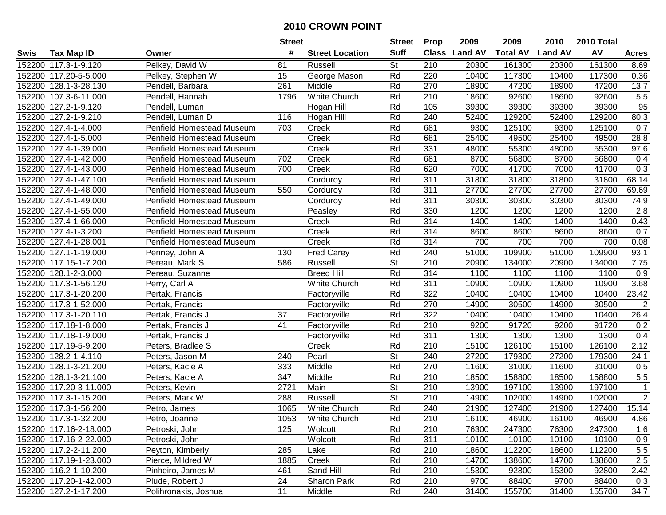|        |                        |                                  | <b>Street</b>    |                        | <b>Street</b>            | <b>Prop</b>      | 2009           | 2009            | 2010           | 2010 Total |                |
|--------|------------------------|----------------------------------|------------------|------------------------|--------------------------|------------------|----------------|-----------------|----------------|------------|----------------|
| Swis   | <b>Tax Map ID</b>      | Owner                            | #                | <b>Street Location</b> | <b>Suff</b>              | <b>Class</b>     | <b>Land AV</b> | <b>Total AV</b> | <b>Land AV</b> | AV         | <b>Acres</b>   |
|        | 152200 117.3-1-9.120   | Pelkey, David W                  | 81               | Russell                | St                       | 210              | 20300          | 161300          | 20300          | 161300     | 8.69           |
|        | 152200 117.20-5-5.000  | Pelkey, Stephen W                | 15               | George Mason           | Rd                       | 220              | 10400          | 117300          | 10400          | 117300     | 0.36           |
|        | 152200 128.1-3-28.130  | Pendell, Barbara                 | 261              | Middle                 | Rd                       | 270              | 18900          | 47200           | 18900          | 47200      | 13.7           |
|        | 152200 107.3-6-11.000  | Pendell, Hannah                  | 1796             | White Church           | Rd                       | 210              | 18600          | 92600           | 18600          | 92600      | 5.5            |
|        | 152200 127.2-1-9.120   | Pendell, Luman                   |                  | Hogan Hill             | Rd                       | 105              | 39300          | 39300           | 39300          | 39300      | 95             |
| 152200 | 127.2-1-9.210          | Pendell, Luman D                 | 116              | Hogan Hill             | Rd                       | 240              | 52400          | 129200          | 52400          | 129200     | 80.3           |
|        | 152200 127.4-1-4.000   | <b>Penfield Homestead Museum</b> | 703              | Creek                  | Rd                       | 681              | 9300           | 125100          | 9300           | 125100     | 0.7            |
| 152200 | 127.4-1-5.000          | <b>Penfield Homestead Museum</b> |                  | Creek                  | Rd                       | 681              | 25400          | 49500           | 25400          | 49500      | 28.8           |
| 152200 | 127.4-1-39.000         | <b>Penfield Homestead Museum</b> |                  | Creek                  | Rd                       | 331              | 48000          | 55300           | 48000          | 55300      | 97.6           |
| 152200 | 127.4-1-42.000         | <b>Penfield Homestead Museum</b> | 702              | Creek                  | Rd                       | 681              | 8700           | 56800           | 8700           | 56800      | 0.4            |
| 152200 | 127.4-1-43.000         | <b>Penfield Homestead Museum</b> | 700              | Creek                  | Rd                       | 620              | 7000           | 41700           | 7000           | 41700      | 0.3            |
| 152200 | 127.4-1-47.100         | <b>Penfield Homestead Museum</b> |                  | Corduroy               | Rd                       | 311              | 31800          | 31800           | 31800          | 31800      | 68.14          |
| 152200 | 127.4-1-48.000         | Penfield Homestead Museum        | 550              | Corduroy               | Rd                       | 311              | 27700          | 27700           | 27700          | 27700      | 69.69          |
| 152200 | 127.4-1-49.000         | Penfield Homestead Museum        |                  | Corduroy               | Rd                       | 311              | 30300          | 30300           | 30300          | 30300      | 74.9           |
| 152200 | 127.4-1-55.000         | <b>Penfield Homestead Museum</b> |                  | Peasley                | Rd                       | 330              | 1200           | 1200            | 1200           | 1200       | 2.8            |
| 152200 | 127.4-1-66.000         | <b>Penfield Homestead Museum</b> |                  | Creek                  | Rd                       | 314              | 1400           | 1400            | 1400           | 1400       | 0.43           |
| 152200 | 127.4-1-3.200          | <b>Penfield Homestead Museum</b> |                  | Creek                  | Rd                       | 314              | 8600           | 8600            | 8600           | 8600       | 0.7            |
| 152200 | 127.4-1-28.001         | Penfield Homestead Museum        |                  | Creek                  | Rd                       | 314              | 700            | 700             | 700            | 700        | 0.08           |
| 152200 | 127.1-1-19.000         | Penney, John A                   | 130              | <b>Fred Carey</b>      | Rd                       | 240              | 51000          | 109900          | 51000          | 109900     | 93.1           |
|        | 152200 117.15-1-7.200  | Pereau, Mark S                   | 586              | <b>Russell</b>         | <b>St</b>                | 210              | 20900          | 134000          | 20900          | 134000     | 7.75           |
| 152200 | 128.1-2-3.000          | Pereau, Suzanne                  |                  | <b>Breed Hill</b>      | Rd                       | 314              | 1100           | 1100            | 1100           | 1100       | 0.9            |
| 152200 | 117.3-1-56.120         | Perry, Carl A                    |                  | White Church           | Rd                       | 311              | 10900          | 10900           | 10900          | 10900      | 3.68           |
| 152200 | 117.3-1-20.200         | Pertak, Francis                  |                  | Factoryville           | Rd                       | 322              | 10400          | 10400           | 10400          | 10400      | 23.42          |
| 152200 | 117.3-1-52.000         | Pertak, Francis                  |                  | Factoryville           | Rd                       | 270              | 14900          | 30500           | 14900          | 30500      | $\overline{2}$ |
| 152200 | 117.3-1-20.110         | Pertak, Francis J                | 37               | Factoryville           | Rd                       | 322              | 10400          | 10400           | 10400          | 10400      | 26.4           |
| 152200 | 117.18-1-8.000         | Pertak, Francis J                | 41               | Factoryville           | Rd                       | 210              | 9200           | 91720           | 9200           | 91720      | 0.2            |
|        | 152200 117.18-1-9.000  | Pertak, Francis J                |                  | Factoryville           | Rd                       | 311              | 1300           | 1300            | 1300           | 1300       | 0.4            |
|        | 152200 117.19-5-9.200  | Peters, Bradlee S                |                  | Creek                  | Rd                       | 210              | 15100          | 126100          | 15100          | 126100     | 2.12           |
| 152200 | 128.2-1-4.110          | Peters, Jason M                  | 240              | Pearl                  | $\overline{\mathsf{St}}$ | 240              | 27200          | 179300          | 27200          | 179300     | 24.1           |
| 152200 | 128.1-3-21.200         | Peters, Kacie A                  | 333              | Middle                 | Rd                       | 270              | 11600          | 31000           | 11600          | 31000      | 0.5            |
| 152200 | 128.1-3-21.100         | Peters, Kacie A                  | $\overline{347}$ | Middle                 | Rd                       | $\overline{210}$ | 18500          | 158800          | 18500          | 158800     | 5.5            |
|        | 152200 117.20-3-11.000 | Peters, Kevin                    | 2721             | Main                   | $\overline{\mathsf{St}}$ | 210              | 13900          | 197100          | 13900          | 197100     | $\mathbf 1$    |
|        | 152200 117.3-1-15.200  | Peters, Mark W                   | 288              | Russell                | $\overline{\mathsf{St}}$ | $\overline{210}$ | 14900          | 102000          | 14900          | 102000     | $\overline{2}$ |
|        | 152200 117.3-1-56.200  | Petro, James                     | 1065             | White Church           | Rd                       | 240              | 21900          | 127400          | 21900          | 127400     | 15.14          |
|        | 152200 117.3-1-32.200  | Petro, Joanne                    | 1053             | White Church           | Rd                       | 210              | 16100          | 46900           | 16100          | 46900      | 4.86           |
|        | 152200 117.16-2-18.000 | Petroski, John                   | 125              | Wolcott                | Rd                       | 210              | 76300          | 247300          | 76300          | 247300     | 1.6            |
|        | 152200 117.16-2-22.000 | Petroski, John                   |                  | Wolcott                | Rd                       | 311              | 10100          | 10100           | 10100          | 10100      | 0.9            |
|        | 152200 117.2-2-11.200  | Peyton, Kimberly                 | 285              | Lake                   | Rd                       | 210              | 18600          | 112200          | 18600          | 112200     | 5.5            |
|        | 152200 117.19-1-23.000 | Pierce, Mildred W                | 1885             | Creek                  | Rd                       | 210              | 14700          | 138600          | 14700          | 138600     | 2.5            |
|        | 152200 116.2-1-10.200  | Pinheiro, James M                | 461              | Sand Hill              | Rd                       | 210              | 15300          | 92800           | 15300          | 92800      | 2.42           |
|        | 152200 117.20-1-42.000 | Plude, Robert J                  | 24               | Sharon Park            | Rd                       | 210              | 9700           | 88400           | 9700           | 88400      | 0.3            |
|        | 152200 127.2-1-17.200  | Polihronakis, Joshua             | 11               | Middle                 | Rd                       | 240              | 31400          | 155700          | 31400          | 155700     | 34.7           |
|        |                        |                                  |                  |                        |                          |                  |                |                 |                |            |                |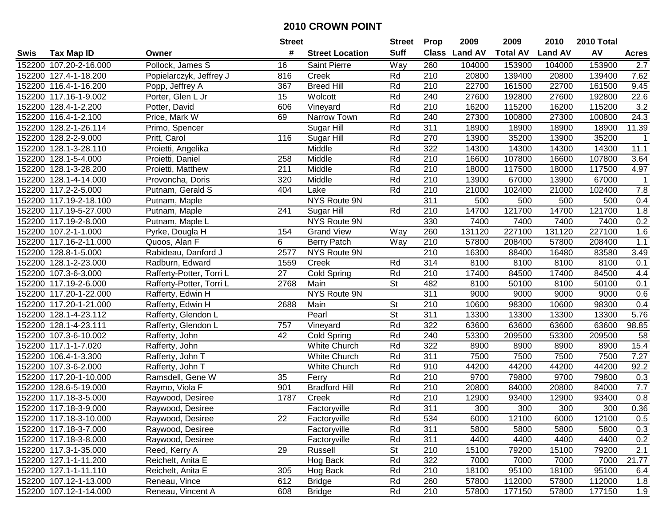|        |                        |                          | <b>Street</b>   |                        | <b>Street</b>            | <b>Prop</b>      | 2009           | 2009            | 2010           | 2010 Total |              |
|--------|------------------------|--------------------------|-----------------|------------------------|--------------------------|------------------|----------------|-----------------|----------------|------------|--------------|
| Swis   | <b>Tax Map ID</b>      | Owner                    | #               | <b>Street Location</b> | <b>Suff</b>              | <b>Class</b>     | <b>Land AV</b> | <b>Total AV</b> | <b>Land AV</b> | AV         | <b>Acres</b> |
|        | 152200 107.20-2-16.000 | Pollock, James S         | 16              | Saint Pierre           | Way                      | 260              | 104000         | 153900          | 104000         | 153900     | 2.7          |
|        | 152200 127.4-1-18.200  | Popielarczyk, Jeffrey J  | 816             | Creek                  | Rd                       | 210              | 20800          | 139400          | 20800          | 139400     | 7.62         |
|        | 152200 116.4-1-16.200  | Popp, Jeffrey A          | 367             | <b>Breed Hill</b>      | Rd                       | 210              | 22700          | 161500          | 22700          | 161500     | 9.45         |
|        | 152200 117.16-1-9.002  | Porter, Glen L Jr        | 15              | Wolcott                | Rd                       | 240              | 27600          | 192800          | 27600          | 192800     | 22.6         |
|        | 152200 128.4-1-2.200   | Potter, David            | 606             | Vineyard               | Rd                       | 210              | 16200          | 115200          | 16200          | 115200     | 3.2          |
|        | 152200 116.4-1-2.100   | Price, Mark W            | 69              | Narrow Town            | Rd                       | 240              | 27300          | 100800          | 27300          | 100800     | 24.3         |
|        | 152200 128.2-1-26.114  | Primo, Spencer           |                 | Sugar Hill             | Rd                       | 311              | 18900          | 18900           | 18900          | 18900      | 11.39        |
| 152200 | 128.2-2-9.000          | Pritt, Carol             | 116             | Sugar Hill             | Rd                       | 270              | 13900          | 35200           | 13900          | 35200      | $\mathbf{1}$ |
|        | 152200 128.1-3-28.110  | Proietti, Angelika       |                 | Middle                 | Rd                       | 322              | 14300          | 14300           | 14300          | 14300      | 11.1         |
|        | 152200 128.1-5-4.000   | Proietti, Daniel         | 258             | Middle                 | Rd                       | 210              | 16600          | 107800          | 16600          | 107800     | 3.64         |
|        | 152200 128.1-3-28.200  | Proietti, Matthew        | 211             | Middle                 | Rd                       | 210              | 18000          | 117500          | 18000          | 117500     | 4.97         |
|        | 152200 128.1-4-14.000  | Provoncha, Doris         | 320             | Middle                 | Rd                       | 210              | 13900          | 67000           | 13900          | 67000      | $\mathbf 1$  |
|        | 152200 117.2-2-5.000   | Putnam, Gerald S         | 404             | Lake                   | Rd                       | 210              | 21000          | 102400          | 21000          | 102400     | 7.8          |
|        | 152200 117.19-2-18.100 | Putnam, Maple            |                 | NYS Route 9N           |                          | 311              | 500            | 500             | 500            | 500        | 0.4          |
|        | 152200 117.19-5-27.000 | Putnam, Maple            | 241             | Sugar Hill             | Rd                       | 210              | 14700          | 121700          | 14700          | 121700     | 1.8          |
|        | 152200 117.19-2-8.000  | Putnam, Maple L          |                 | NYS Route 9N           |                          | 330              | 7400           | 7400            | 7400           | 7400       | 0.2          |
|        | 152200 107.2-1-1.000   | Pyrke, Dougla H          | 154             | <b>Grand View</b>      | Way                      | 260              | 131120         | 227100          | 131120         | 227100     | 1.6          |
|        | 152200 117.16-2-11.000 | Quoos, Alan F            | 6               | <b>Berry Patch</b>     | Way                      | 210              | 57800          | 208400          | 57800          | 208400     | 1.1          |
|        | 152200 128.8-1-5.000   | Rabideau, Danford J      | 2577            | NYS Route 9N           |                          | 210              | 16300          | 88400           | 16480          | 83580      | 3.49         |
|        | 152200 128.1-2-23.000  | Radburn, Edward          | 1559            | Creek                  | Rd                       | 314              | 8100           | 8100            | 8100           | 8100       | 0.1          |
|        | 152200 107.3-6-3.000   | Rafferty-Potter, Torri L | 27              | Cold Spring            | Rd                       | 210              | 17400          | 84500           | 17400          | 84500      | 4.4          |
|        | 152200 117.19-2-6.000  | Rafferty-Potter, Torri L | 2768            | Main                   | <b>St</b>                | 482              | 8100           | 50100           | 8100           | 50100      | 0.1          |
|        | 152200 117.20-1-22.000 | Rafferty, Edwin H        |                 | NYS Route 9N           |                          | 311              | 9000           | 9000            | 9000           | 9000       | 0.6          |
|        | 152200 117.20-1-21.000 | Rafferty, Edwin H        | 2688            | Main                   | <b>St</b>                | 210              | 10600          | 98300           | 10600          | 98300      | 0.4          |
|        | 152200 128.1-4-23.112  | Rafferty, Glendon L      |                 | Pearl                  | $\overline{\mathsf{St}}$ | 311              | 13300          | 13300           | 13300          | 13300      | 5.76         |
|        | 152200 128.1-4-23.111  | Rafferty, Glendon L      | 757             | Vineyard               | Rd                       | 322              | 63600          | 63600           | 63600          | 63600      | 98.85        |
|        | 152200 107.3-6-10.002  | Rafferty, John           | 42              | Cold Spring            | Rd                       | 240              | 53300          | 209500          | 53300          | 209500     | 58           |
|        | 152200 117.1-1-7.020   | Rafferty, John           |                 | White Church           | Rd                       | 322              | 8900           | 8900            | 8900           | 8900       | 15.4         |
|        | 152200 106.4-1-3.300   | Rafferty, John T         |                 | White Church           | Rd                       | 311              | 7500           | 7500            | 7500           | 7500       | 7.27         |
|        | 152200 107.3-6-2.000   | Rafferty, John T         |                 | White Church           | Rd                       | 910              | 44200          | 44200           | 44200          | 44200      | 92.2         |
|        | 152200 117.20-1-10.000 | Ramsdell, Gene W         | $\overline{35}$ | Ferry                  | Rd                       | $\overline{210}$ | 9700           | 79800           | 9700           | 79800      | 0.3          |
|        | 152200 128.6-5-19.000  | Raymo, Viola F           | 901             | <b>Bradford Hill</b>   | Rd                       | 210              | 20800          | 84000           | 20800          | 84000      | 7.7          |
|        | 152200 117.18-3-5.000  | Raywood, Desiree         | 1787            | Creek                  | Rd                       | $\overline{210}$ | 12900          | 93400           | 12900          | 93400      | 0.8          |
|        | 152200 117.18-3-9.000  | Raywood, Desiree         |                 | Factoryville           | Rd                       | 311              | 300            | 300             | 300            | 300        | 0.36         |
|        | 152200 117.18-3-10.000 | Raywood, Desiree         | 22              | Factoryville           | Rd                       | 534              | 6000           | 12100           | 6000           | 12100      | 0.5          |
|        | 152200 117.18-3-7.000  | Raywood, Desiree         |                 | Factoryville           | Rd                       | 311              | 5800           | 5800            | 5800           | 5800       | 0.3          |
|        | 152200 117.18-3-8.000  | Raywood, Desiree         |                 | Factoryville           | Rd                       | 311              | 4400           | 4400            | 4400           | 4400       | 0.2          |
|        | 152200 117.3-1-35.000  | Reed, Kerry A            | 29              | Russell                | <b>St</b>                | 210              | 15100          | 79200           | 15100          | 79200      | 2.1          |
|        | 152200 127.1-1-11.200  | Reichelt, Anita E        |                 | Hog Back               | Rd                       | 322              | 7000           | 7000            | 7000           | 7000       | 21.77        |
|        | 152200 127.1-1-11.110  | Reichelt, Anita E        | 305             | Hog Back               | Rd                       | 210              | 18100          | 95100           | 18100          | 95100      | 6.4          |
|        | 152200 107.12-1-13.000 | Reneau, Vince            | 612             | <b>Bridge</b>          | Rd                       | 260              | 57800          | 112000          | 57800          | 112000     | 1.8          |
|        | 152200 107.12-1-14.000 | Reneau, Vincent A        | 608             | <b>Bridge</b>          | Rd                       | 210              | 57800          | 177150          | 57800          | 177150     | 1.9          |
|        |                        |                          |                 |                        |                          |                  |                |                 |                |            |              |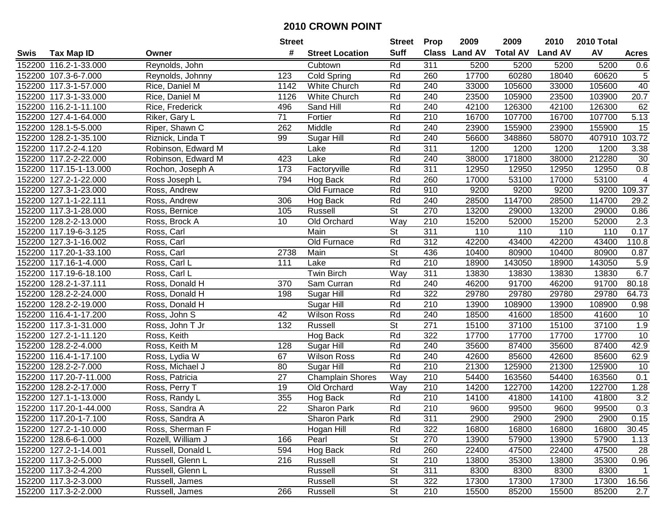|        |                        |                    | <b>Street</b>   |                         | <b>Street</b>            | <b>Prop</b>      | 2009          | 2009            | 2010           | 2010 Total |                  |
|--------|------------------------|--------------------|-----------------|-------------------------|--------------------------|------------------|---------------|-----------------|----------------|------------|------------------|
| Swis   | <b>Tax Map ID</b>      | Owner              | #               | <b>Street Location</b>  | <b>Suff</b>              |                  | Class Land AV | <b>Total AV</b> | <b>Land AV</b> | AV         | <b>Acres</b>     |
|        | 152200 116.2-1-33.000  | Reynolds, John     |                 | Cubtown                 | Rd                       | 311              | 5200          | 5200            | 5200           | 5200       | 0.6              |
|        | 152200 107.3-6-7.000   | Reynolds, Johnny   | 123             | <b>Cold Spring</b>      | Rd                       | 260              | 17700         | 60280           | 18040          | 60620      | 5                |
|        | 152200 117.3-1-57.000  | Rice, Daniel M     | 1142            | White Church            | Rd                       | 240              | 33000         | 105600          | 33000          | 105600     | 40               |
|        | 152200 117.3-1-33.000  | Rice, Daniel M     | 1126            | White Church            | Rd                       | 240              | 23500         | 105900          | 23500          | 103900     | 20.7             |
|        | 152200 116.2-1-11.100  | Rice, Frederick    | 496             | Sand Hill               | Rd                       | 240              | 42100         | 126300          | 42100          | 126300     | 62               |
|        | 152200 127.4-1-64.000  | Riker, Gary L      | 71              | Fortier                 | Rd                       | 210              | 16700         | 107700          | 16700          | 107700     | 5.13             |
|        | 152200 128.1-5-5.000   | Riper, Shawn C     | 262             | Middle                  | Rd                       | 240              | 23900         | 155900          | 23900          | 155900     | 15               |
| 152200 | 128.2-1-35.100         | Riznick, Linda T   | 99              | <b>Sugar Hill</b>       | Rd                       | 240              | 56600         | 348860          | 58070          | 407910     | 103.72           |
|        | 152200 117.2-2-4.120   | Robinson, Edward M |                 | Lake                    | Rd                       | 311              | 1200          | 1200            | 1200           | 1200       | 3.38             |
|        | 152200 117.2-2-22.000  | Robinson, Edward M | 423             | Lake                    | Rd                       | 240              | 38000         | 171800          | 38000          | 212280     | 30               |
|        | 152200 117.15-1-13.000 | Rochon, Joseph A   | 173             | Factoryville            | Rd                       | 311              | 12950         | 12950           | 12950          | 12950      | 0.8              |
|        | 152200 127.2-1-22.000  | Ross Joseph L      | 794             | Hog Back                | Rd                       | 260              | 17000         | 53100           | 17000          | 53100      | 4                |
|        | 152200 127.3-1-23.000  | Ross, Andrew       |                 | Old Furnace             | Rd                       | 910              | 9200          | 9200            | 9200           | 9200       | 109.37           |
|        | 152200 127.1-1-22.111  | Ross, Andrew       | 306             | Hog Back                | Rd                       | 240              | 28500         | 114700          | 28500          | 114700     | 29.2             |
|        | 152200 117.3-1-28.000  | Ross, Bernice      | 105             | Russell                 | $\overline{\mathsf{St}}$ | 270              | 13200         | 29000           | 13200          | 29000      | 0.86             |
|        | 152200 128.2-2-13.000  | Ross, Brock A      | 10              | Old Orchard             | Way                      | 210              | 15200         | 52000           | 15200          | 52000      | 2.3              |
|        | 152200 117.19-6-3.125  | Ross, Carl         |                 | Main                    | <b>St</b>                | 311              | 110           | 110             | 110            | 110        | 0.17             |
|        | 152200 127.3-1-16.002  | Ross, Carl         |                 | Old Furnace             | Rd                       | 312              | 42200         | 43400           | 42200          | 43400      | 110.8            |
|        | 152200 117.20-1-33.100 | Ross, Carl         | 2738            | Main                    | <b>St</b>                | 436              | 10400         | 80900           | 10400          | 80900      | 0.87             |
|        | 152200 117.16-1-4.000  | Ross, Carl L       | 111             | Lake                    | Rd                       | 210              | 18900         | 143050          | 18900          | 143050     | 5.9              |
|        | 152200 117.19-6-18.100 | Ross, Carl L       |                 | <b>Twin Birch</b>       | Way                      | 311              | 13830         | 13830           | 13830          | 13830      | 6.7              |
|        | 152200 128.2-1-37.111  | Ross, Donald H     | 370             | Sam Curran              | Rd                       | 240              | 46200         | 91700           | 46200          | 91700      | 80.18            |
| 152200 | 128.2-2-24.000         | Ross, Donald H     | 198             | Sugar Hill              | Rd                       | 322              | 29780         | 29780           | 29780          | 29780      | 64.73            |
| 152200 | 128.2-2-19.000         | Ross, Donald H     |                 | Sugar Hill              | Rd                       | 210              | 13900         | 108900          | 13900          | 108900     | 0.98             |
|        | 152200 116.4-1-17.200  | Ross, John S       | 42              | <b>Wilson Ross</b>      | Rd                       | 240              | 18500         | 41600           | 18500          | 41600      | 10               |
|        | 152200 117.3-1-31.000  | Ross, John T Jr    | 132             | Russell                 | $\overline{\mathsf{St}}$ | 271              | 15100         | 37100           | 15100          | 37100      | 1.9              |
|        | 152200 127.2-1-11.120  | Ross, Keith        |                 | Hog Back                | Rd                       | 322              | 17700         | 17700           | 17700          | 17700      | 10               |
|        | 152200 128.2-2-4.000   | Ross, Keith M      | 128             | Sugar Hill              | Rd                       | 240              | 35600         | 87400           | 35600          | 87400      | 42.9             |
|        | 152200 116.4-1-17.100  | Ross, Lydia W      | 67              | <b>Wilson Ross</b>      | Rd                       | 240              | 42600         | 85600           | 42600          | 85600      | 62.9             |
|        | 152200 128.2-2-7.000   | Ross, Michael J    | 80              | Sugar Hill              | Rd                       | 210              | 21300         | 125900          | 21300          | 125900     | 10               |
|        | 152200 117.20-7-11.000 | Ross, Patricia     | $\overline{27}$ | <b>Champlain Shores</b> | Way                      | 210              | 54400         | 163560          | 54400          | 163560     | 0.1              |
|        | 152200 128.2-2-17.000  | Ross, Perry T      | 19              | Old Orchard             | Way                      | 210              | 14200         | 122700          | 14200          | 122700     | 1.28             |
|        | 152200 127.1-1-13.000  | Ross, Randy L      | 355             | Hog Back                | Rd                       | 210              | 14100         | 41800           | 14100          | 41800      | $\overline{3.2}$ |
|        | 152200 117.20-1-44.000 | Ross, Sandra A     | $\overline{22}$ | Sharon Park             | Rd                       | $\overline{210}$ | 9600          | 99500           | 9600           | 99500      | 0.3              |
|        | 152200 117.20-1-7.100  | Ross, Sandra A     |                 | Sharon Park             | Rd                       | 311              | 2900          | 2900            | 2900           | 2900       | 0.15             |
|        | 152200 127.2-1-10.000  | Ross, Sherman F    |                 | Hogan Hill              | Rd                       | 322              | 16800         | 16800           | 16800          | 16800      | 30.45            |
|        | 152200 128.6-6-1.000   | Rozell, William J  | 166             | Pearl                   | St                       | 270              | 13900         | 57900           | 13900          | 57900      | 1.13             |
|        | 152200 127.2-1-14.001  | Russell, Donald L  | 594             | Hog Back                | Rd                       | 260              | 22400         | 47500           | 22400          | 47500      | 28               |
|        | 152200 117.3-2-5.000   | Russell, Glenn L   | 216             | Russell                 | <b>St</b>                | 210              | 13800         | 35300           | 13800          | 35300      | 0.96             |
|        | 152200 117.3-2-4.200   | Russell, Glenn L   |                 | Russell                 | <b>St</b>                | 311              | 8300          | 8300            | 8300           | 8300       | $\mathbf{1}$     |
|        | 152200 117.3-2-3.000   | Russell, James     |                 | Russell                 | <b>St</b>                | 322              | 17300         | 17300           | 17300          | 17300      | 16.56            |
|        | 152200 117.3-2-2.000   | Russell, James     | 266             | Russell                 | <b>St</b>                | 210              | 15500         | 85200           | 15500          | 85200      | 2.7              |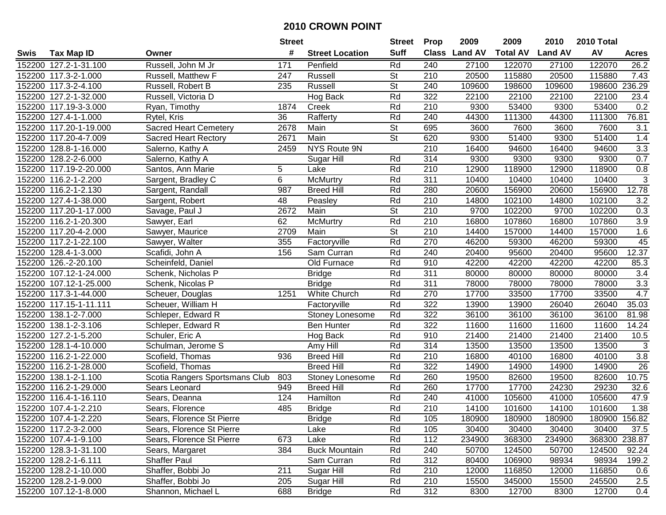|      |                        |                                | <b>Street</b> |                        | <b>Street</b>            | <b>Prop</b> | 2009          | 2009            | 2010           | 2010 Total |               |
|------|------------------------|--------------------------------|---------------|------------------------|--------------------------|-------------|---------------|-----------------|----------------|------------|---------------|
| Swis | <b>Tax Map ID</b>      | Owner                          | #             | <b>Street Location</b> | <b>Suff</b>              |             | Class Land AV | <b>Total AV</b> | <b>Land AV</b> | AV         | <b>Acres</b>  |
|      | 152200 127.2-1-31.100  | Russell, John M Jr             | 171           | Penfield               | Rd                       | 240         | 27100         | 122070          | 27100          | 122070     | 26.2          |
|      | 152200 117.3-2-1.000   | Russell, Matthew F             | 247           | Russell                | <b>St</b>                | 210         | 20500         | 115880          | 20500          | 115880     | 7.43          |
|      | 152200 117.3-2-4.100   | Russell, Robert B              | 235           | Russell                | <b>St</b>                | 240         | 109600        | 198600          | 109600         | 198600     | 236.29        |
|      | 152200 127.2-1-32.000  | Russell, Victoria D            |               | Hog Back               | Rd                       | 322         | 22100         | 22100           | 22100          | 22100      | 23.4          |
|      | 152200 117.19-3-3.000  | Ryan, Timothy                  | 1874          | Creek                  | Rd                       | 210         | 9300          | 53400           | 9300           | 53400      | 0.2           |
|      | 152200 127.4-1-1.000   | Rytel, Kris                    | 36            | Rafferty               | Rd                       | 240         | 44300         | 111300          | 44300          | 111300     | 76.81         |
|      | 152200 117.20-1-19.000 | <b>Sacred Heart Cemetery</b>   | 2678          | Main                   | <b>St</b>                | 695         | 3600          | 7600            | 3600           | 7600       | 3.1           |
|      | 152200 117.20-4-7.009  | <b>Sacred Heart Rectory</b>    | 2671          | Main                   | $\overline{\mathsf{St}}$ | 620         | 9300          | 51400           | 9300           | 51400      | 1.4           |
|      | 152200 128.8-1-16.000  | Salerno, Kathy A               | 2459          | NYS Route 9N           |                          | 210         | 16400         | 94600           | 16400          | 94600      | 3.3           |
|      | 152200 128.2-2-6.000   | Salerno, Kathy A               |               | Sugar Hill             | Rd                       | 314         | 9300          | 9300            | 9300           | 9300       | 0.7           |
|      | 152200 117.19-2-20.000 | Santos, Ann Marie              | 5             | Lake                   | Rd                       | 210         | 12900         | 118900          | 12900          | 118900     | 0.8           |
|      | 152200 116.2-1-2.200   | Sargent, Bradley C             | 6             | McMurtry               | Rd                       | 311         | 10400         | 10400           | 10400          | 10400      | 3             |
|      | 152200 116.2-1-2.130   | Sargent, Randall               | 987           | <b>Breed Hill</b>      | Rd                       | 280         | 20600         | 156900          | 20600          | 156900     | 12.78         |
|      | 152200 127.4-1-38.000  | Sargent, Robert                | 48            | Peasley                | Rd                       | 210         | 14800         | 102100          | 14800          | 102100     | 3.2           |
|      | 152200 117.20-1-17.000 | Savage, Paul J                 | 2672          | Main                   | $\overline{\mathsf{St}}$ | 210         | 9700          | 102200          | 9700           | 102200     | 0.3           |
|      | 152200 116.2-1-20.300  | Sawyer, Earl                   | 62            | <b>McMurtry</b>        | Rd                       | 210         | 16800         | 107860          | 16800          | 107860     | 3.9           |
|      | 152200 117.20-4-2.000  | Sawyer, Maurice                | 2709          | Main                   | $\overline{\mathsf{St}}$ | 210         | 14400         | 157000          | 14400          | 157000     | 1.6           |
|      | 152200 117.2-1-22.100  | Sawyer, Walter                 | 355           | Factoryville           | Rd                       | 270         | 46200         | 59300           | 46200          | 59300      | 45            |
|      | 152200 128.4-1-3.000   | Scafidi, John A                | 156           | Sam Curran             | Rd                       | 240         | 20400         | 95600           | 20400          | 95600      | 12.37         |
|      | 152200 126.-2-20.100   | Scheinfeld, Daniel             |               | Old Furnace            | Rd                       | 910         | 42200         | 42200           | 42200          | 42200      | 85.3          |
|      | 152200 107.12-1-24.000 | Schenk, Nicholas P             |               | <b>Bridge</b>          | Rd                       | 311         | 80000         | 80000           | 80000          | 80000      | 3.4           |
|      | 152200 107.12-1-25.000 | Schenk, Nicolas P              |               | <b>Bridge</b>          | Rd                       | 311         | 78000         | 78000           | 78000          | 78000      | 3.3           |
|      | 152200 117.3-1-44.000  | Scheuer, Douglas               | 1251          | White Church           | Rd                       | 270         | 17700         | 33500           | 17700          | 33500      | 4.7           |
|      | 152200 117.15-1-11.111 | Scheuer, William H             |               | Factoryville           | Rd                       | 322         | 13900         | 13900           | 26040          | 26040      | 35.03         |
|      | 152200 138.1-2-7.000   | Schleper, Edward R             |               | Stoney Lonesome        | Rd                       | 322         | 36100         | 36100           | 36100          | 36100      | 81.98         |
|      | 152200 138.1-2-3.106   | Schleper, Edward R             |               | <b>Ben Hunter</b>      | Rd                       | 322         | 11600         | 11600           | 11600          | 11600      | 14.24         |
|      | 152200 127.2-1-5.200   | Schuler, Eric A                |               | Hog Back               | Rd                       | 910         | 21400         | 21400           | 21400          | 21400      | 10.5          |
|      | 152200 128.1-4-10.000  | Schulman, Jerome S             |               | Amy Hill               | Rd                       | 314         | 13500         | 13500           | 13500          | 13500      | 3             |
|      | 152200 116.2-1-22.000  | Scofield, Thomas               | 936           | <b>Breed Hill</b>      | Rd                       | 210         | 16800         | 40100           | 16800          | 40100      | 3.8           |
|      | 152200 116.2-1-28.000  | Scofield, Thomas               |               | <b>Breed Hill</b>      | Rd                       | 322         | 14900         | 14900           | 14900          | 14900      | 26            |
|      | 152200 138.1-2-1.100   | Scotia Rangers Sportsmans Club | 803           | Stoney Lonesome        | Rd                       | 260         | 19500         | 82600           | 19500          | 82600      | 10.75         |
|      | 152200 116.2-1-29.000  | Sears Leonard                  | 949           | <b>Breed Hill</b>      | Rd                       | 260         | 17700         | 17700           | 24230          | 29230      | 32.6          |
|      | 152200 116.4-1-16.110  | Sears, Deanna                  | 124           | Hamilton               | Rd                       | 240         | 41000         | 105600          | 41000          | 105600     | 47.9          |
|      | 152200 107.4-1-2.210   | Sears, Florence                | 485           | <b>Bridge</b>          | Rd                       | 210         | 14100         | 101600          | 14100          | 101600     | 1.38          |
|      | 152200 107.4-1-2.220   | Sears, Florence St Pierre      |               | <b>Bridge</b>          | Rd                       | 105         | 180900        | 180900          | 180900         |            | 180900 156.82 |
|      | 152200 117.2-3-2.000   | Sears, Florence St Pierre      |               | Lake                   | Rd                       | 105         | 30400         | 30400           | 30400          | 30400      | 37.5          |
|      | 152200 107.4-1-9.100   | Sears, Florence St Pierre      | 673           | Lake                   | Rd                       | 112         | 234900        | 368300          | 234900         |            | 368300 238.87 |
|      | 152200 128.3-1-31.100  | Sears, Margaret                | 384           | <b>Buck Mountain</b>   | Rd                       | 240         | 50700         | 124500          | 50700          | 124500     | 92.24         |
|      | 152200 128.2-1-6.111   | <b>Shaffer Paul</b>            |               | Sam Curran             | Rd                       | 312         | 80400         | 106900          | 98934          | 98934      | 199.2         |
|      | 152200 128.2-1-10.000  | Shaffer, Bobbi Jo              | 211           | Sugar Hill             | Rd                       | 210         | 12000         | 116850          | 12000          | 116850     | 0.6           |
|      | 152200 128.2-1-9.000   | Shaffer, Bobbi Jo              | 205           | Sugar Hill             | Rd                       | 210         | 15500         | 345000          | 15500          | 245500     | 2.5           |
|      | 152200 107.12-1-8.000  | Shannon, Michael L             | 688           | <b>Bridge</b>          | Rd                       | 312         | 8300          | 12700           | 8300           | 12700      | 0.4           |
|      |                        |                                |               |                        |                          |             |               |                 |                |            |               |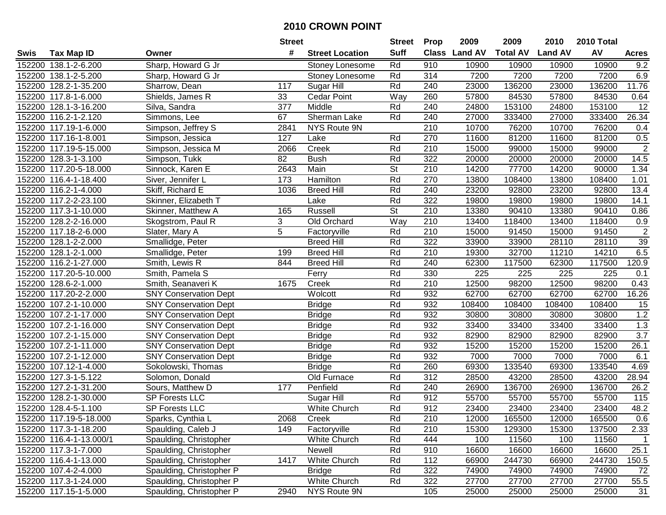|        |                         |                              | <b>Street</b>  |                        | <b>Street</b>            | <b>Prop</b>      | 2009          | 2009            | 2010           | 2010 Total |                  |
|--------|-------------------------|------------------------------|----------------|------------------------|--------------------------|------------------|---------------|-----------------|----------------|------------|------------------|
| Swis   | Tax Map ID              | Owner                        | #              | <b>Street Location</b> | <b>Suff</b>              |                  | Class Land AV | <b>Total AV</b> | <b>Land AV</b> | AV         | <b>Acres</b>     |
|        | 152200 138.1-2-6.200    | Sharp, Howard G Jr           |                | Stoney Lonesome        | Rd                       | 910              | 10900         | 10900           | 10900          | 10900      | 9.2              |
|        | 152200 138.1-2-5.200    | Sharp, Howard G Jr           |                | Stoney Lonesome        | Rd                       | 314              | 7200          | 7200            | 7200           | 7200       | 6.9              |
|        | 152200 128.2-1-35.200   | Sharrow, Dean                | 117            | Sugar Hill             | Rd                       | 240              | 23000         | 136200          | 23000          | 136200     | 11.76            |
|        | 152200 117.8-1-6.000    | Shields, James R             | 33             | <b>Cedar Point</b>     | Way                      | 260              | 57800         | 84530           | 57800          | 84530      | 0.64             |
|        | 152200 128.1-3-16.200   | Silva, Sandra                | 377            | Middle                 | Rd                       | 240              | 24800         | 153100          | 24800          | 153100     | 12               |
| 152200 | 116.2-1-2.120           | Simmons, Lee                 | 67             | Sherman Lake           | Rd                       | 240              | 27000         | 333400          | 27000          | 333400     | 26.34            |
|        | 152200 117.19-1-6.000   | Simpson, Jeffrey S           | 2841           | NYS Route 9N           |                          | 210              | 10700         | 76200           | 10700          | 76200      | 0.4              |
|        | 152200 117.16-1-8.001   | Simpson, Jessica             | 127            | Lake                   | Rd                       | 270              | 11600         | 81200           | 11600          | 81200      | 0.5              |
|        | 152200 117.19-5-15.000  | Simpson, Jessica M           | 2066           | Creek                  | Rd                       | 210              | 15000         | 99000           | 15000          | 99000      | $\overline{2}$   |
| 152200 | 128.3-1-3.100           | Simpson, Tukk                | 82             | <b>Bush</b>            | Rd                       | 322              | 20000         | 20000           | 20000          | 20000      | 14.5             |
|        | 152200 117.20-5-18.000  | Sinnock, Karen E             | 2643           | Main                   | St                       | 210              | 14200         | 77700           | 14200          | 90000      | 1.34             |
|        | 152200 116.4-1-18.400   | Siver, Jennifer L            | 173            | Hamilton               | Rd                       | 270              | 13800         | 108400          | 13800          | 108400     | 1.01             |
|        | 152200 116.2-1-4.000    | Skiff, Richard E             | 1036           | <b>Breed Hill</b>      | Rd                       | 240              | 23200         | 92800           | 23200          | 92800      | 13.4             |
| 152200 | 117.2-2-23.100          | Skinner, Elizabeth T         |                | Lake                   | Rd                       | 322              | 19800         | 19800           | 19800          | 19800      | 14.1             |
| 152200 | 117.3-1-10.000          | Skinner, Matthew A           | 165            | Russell                | $\overline{\mathsf{St}}$ | 210              | 13380         | 90410           | 13380          | 90410      | 0.86             |
|        | 152200 128.2-2-16.000   | Skogstrom, Paul R            | 3              | Old Orchard            | Way                      | 210              | 13400         | 118400          | 13400          | 118400     | 0.9              |
| 152200 | 117.18-2-6.000          | Slater, Mary A               | $\overline{5}$ | Factoryville           | Rd                       | 210              | 15000         | 91450           | 15000          | 91450      | $\overline{2}$   |
| 152200 | 128.1-2-2.000           | Smallidge, Peter             |                | <b>Breed Hill</b>      | Rd                       | 322              | 33900         | 33900           | 28110          | 28110      | 39               |
|        | 152200 128.1-2-1.000    | Smallidge, Peter             | 199            | <b>Breed Hill</b>      | Rd                       | 210              | 19300         | 32700           | 11210          | 14210      | 6.5              |
|        | 152200 116.2-1-27.000   | Smith, Lewis R               | 844            | <b>Breed Hill</b>      | Rd                       | 240              | 62300         | 117500          | 62300          | 117500     | 120.9            |
| 152200 | 117.20-5-10.000         | Smith, Pamela S              |                | Ferry                  | Rd                       | 330              | 225           | 225             | 225            | 225        | 0.1              |
|        | 152200 128.6-2-1.000    | Smith, Seanaveri K           | 1675           | Creek                  | Rd                       | 210              | 12500         | 98200           | 12500          | 98200      | 0.43             |
| 152200 | 117.20-2-2.000          | <b>SNY Conservation Dept</b> |                | Wolcott                | Rd                       | 932              | 62700         | 62700           | 62700          | 62700      | 16.26            |
|        | 152200 107.2-1-10.000   | <b>SNY Conservation Dept</b> |                | <b>Bridge</b>          | Rd                       | 932              | 108400        | 108400          | 108400         | 108400     | 15               |
|        | 152200 107.2-1-17.000   | <b>SNY Conservation Dept</b> |                | <b>Bridge</b>          | Rd                       | 932              | 30800         | 30800           | 30800          | 30800      | 1.2              |
|        | 152200 107.2-1-16.000   | <b>SNY Conservation Dept</b> |                | <b>Bridge</b>          | Rd                       | 932              | 33400         | 33400           | 33400          | 33400      | 1.3              |
|        | 152200 107.2-1-15.000   | <b>SNY Conservation Dept</b> |                | <b>Bridge</b>          | Rd                       | 932              | 82900         | 82900           | 82900          | 82900      | $\overline{3.7}$ |
|        | 152200 107.2-1-11.000   | <b>SNY Conservation Dept</b> |                | <b>Bridge</b>          | Rd                       | 932              | 15200         | 15200           | 15200          | 15200      | 26.1             |
|        | 152200 107.2-1-12.000   | <b>SNY Conservation Dept</b> |                | <b>Bridge</b>          | Rd                       | 932              | 7000          | 7000            | 7000           | 7000       | 6.1              |
|        | 152200 107.12-1-4.000   | Sokolowski, Thomas           |                | <b>Bridge</b>          | Rd                       | 260              | 69300         | 133540          | 69300          | 133540     | 4.69             |
|        | 152200 127.3-1-5.122    | Solomon, Donald              |                | Old Furnace            | Rd                       | $\overline{312}$ | 28500         | 43200           | 28500          | 43200      | 28.94            |
|        | 152200 127.2-1-31.200   | Sours, Matthew D             | 177            | Penfield               | Rd                       | 240              | 26900         | 136700          | 26900          | 136700     | 26.2             |
|        | 152200 128.2-1-30.000   | <b>SP Forests LLC</b>        |                | Sugar Hill             | Rd                       | 912              | 55700         | 55700           | 55700          | 55700      | 115              |
|        | 152200 128.4-5-1.100    | <b>SP Forests LLC</b>        |                | <b>White Church</b>    | Rd                       | 912              | 23400         | 23400           | 23400          | 23400      | 48.2             |
|        | 152200 117.19-5-18.000  | Sparks, Cynthia L            | 2068           | Creek                  | Rd                       | 210              | 12000         | 165500          | 12000          | 165500     | 0.6              |
|        | 152200 117.3-1-18.200   | Spaulding, Caleb J           | 149            | Factoryville           | Rd                       | 210              | 15300         | 129300          | 15300          | 137500     | 2.33             |
|        | 152200 116.4-1-13.000/1 | Spaulding, Christopher       |                | White Church           | Rd                       | 444              | 100           | 11560           | 100            | 11560      | $\overline{1}$   |
|        | 152200 117.3-1-7.000    | Spaulding, Christopher       |                | Newell                 | Rd                       | 910              | 16600         | 16600           | 16600          | 16600      | 25.1             |
|        | 152200 116.4-1-13.000   | Spaulding, Christopher       | 1417           | White Church           | Rd                       | 112              | 66900         | 244730          | 66900          | 244730     | 150.5            |
|        | 152200 107.4-2-4.000    | Spaulding, Christopher P     |                | <b>Bridge</b>          | Rd                       | 322              | 74900         | 74900           | 74900          | 74900      | 72               |
|        | 152200 117.3-1-24.000   | Spaulding, Christopher P     |                | White Church           | Rd                       | 322              | 27700         | 27700           | 27700          | 27700      | 55.5             |
|        | 152200 117.15-1-5.000   | Spaulding, Christopher P     | 2940           | NYS Route 9N           |                          | 105              | 25000         | 25000           | 25000          | 25000      | 31               |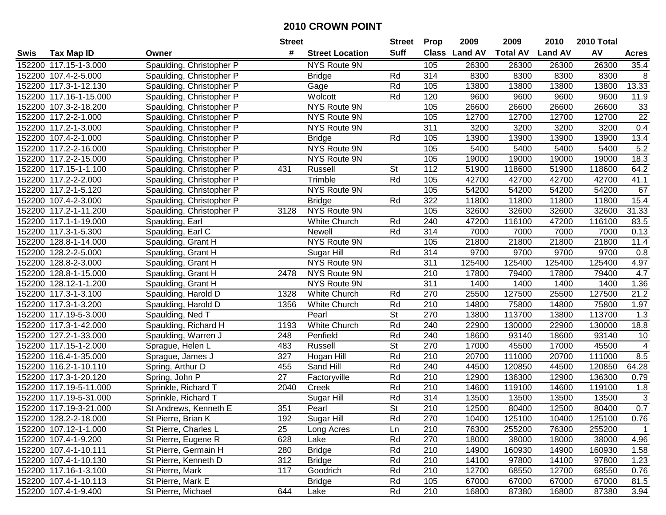|        |                        |                          | <b>Street</b>   |                        | <b>Street</b>            | <b>Prop</b>      | 2009           | 2009            | 2010           | 2010 Total |                 |
|--------|------------------------|--------------------------|-----------------|------------------------|--------------------------|------------------|----------------|-----------------|----------------|------------|-----------------|
| Swis   | <b>Tax Map ID</b>      | Owner                    | #               | <b>Street Location</b> | <b>Suff</b>              | <b>Class</b>     | <b>Land AV</b> | <b>Total AV</b> | <b>Land AV</b> | AV         | Acres           |
|        | 152200 117.15-1-3.000  | Spaulding, Christopher P |                 | NYS Route 9N           |                          | 105              | 26300          | 26300           | 26300          | 26300      | 35.4            |
|        | 152200 107.4-2-5.000   | Spaulding, Christopher P |                 | <b>Bridge</b>          | Rd                       | 314              | 8300           | 8300            | 8300           | 8300       | 8               |
|        | 152200 117.3-1-12.130  | Spaulding, Christopher P |                 | Gage                   | Rd                       | 105              | 13800          | 13800           | 13800          | 13800      | 13.33           |
|        | 152200 117.16-1-15.000 | Spaulding, Christopher P |                 | Wolcott                | Rd                       | 120              | 9600           | 9600            | 9600           | 9600       | 11.9            |
|        | 152200 107.3-2-18.200  | Spaulding, Christopher P |                 | NYS Route 9N           |                          | 105              | 26600          | 26600           | 26600          | 26600      | 33              |
|        | 152200 117.2-2-1.000   | Spaulding, Christopher P |                 | NYS Route 9N           |                          | 105              | 12700          | 12700           | 12700          | 12700      | $\overline{22}$ |
|        | 152200 117.2-1-3.000   | Spaulding, Christopher P |                 | NYS Route 9N           |                          | 311              | 3200           | 3200            | 3200           | 3200       | 0.4             |
|        | 152200 107.4-2-1.000   | Spaulding, Christopher P |                 | <b>Bridge</b>          | Rd                       | 105              | 13900          | 13900           | 13900          | 13900      | 13.4            |
|        | 152200 117.2-2-16.000  | Spaulding, Christopher P |                 | NYS Route 9N           |                          | 105              | 5400           | 5400            | 5400           | 5400       | 5.2             |
|        | 152200 117.2-2-15.000  | Spaulding, Christopher P |                 | NYS Route 9N           |                          | 105              | 19000          | 19000           | 19000          | 19000      | 18.3            |
|        | 152200 117.15-1-1.100  | Spaulding, Christopher P | 431             | Russell                | <b>St</b>                | 112              | 51900          | 118600          | 51900          | 118600     | 64.2            |
|        | 152200 117.2-2-2.000   | Spaulding, Christopher P |                 | Trimble                | Rd                       | 105              | 42700          | 42700           | 42700          | 42700      | 41.1            |
|        | 152200 117.2-1-5.120   | Spaulding, Christopher P |                 | NYS Route 9N           |                          | 105              | 54200          | 54200           | 54200          | 54200      | 67              |
|        | 152200 107.4-2-3.000   | Spaulding, Christopher P |                 | <b>Bridge</b>          | Rd                       | 322              | 11800          | 11800           | 11800          | 11800      | 15.4            |
| 152200 | 117.2-1-11.200         | Spaulding, Christopher P | 3128            | NYS Route 9N           |                          | 105              | 32600          | 32600           | 32600          | 32600      | 31.33           |
|        | 152200 117.1-1-19.000  | Spaulding, Earl          |                 | White Church           | Rd                       | 240              | 47200          | 116100          | 47200          | 116100     | 83.5            |
|        | 152200 117.3-1-5.300   | Spaulding, Earl C        |                 | Newell                 | Rd                       | 314              | 7000           | 7000            | 7000           | 7000       | 0.13            |
| 152200 | 128.8-1-14.000         | Spaulding, Grant H       |                 | NYS Route 9N           |                          | 105              | 21800          | 21800           | 21800          | 21800      | 11.4            |
|        | 152200 128.2-2-5.000   | Spaulding, Grant H       |                 | Sugar Hill             | Rd                       | 314              | 9700           | 9700            | 9700           | 9700       | 0.8             |
|        | 152200 128.8-2-3.000   | Spaulding, Grant H       |                 | NYS Route 9N           |                          | 311              | 125400         | 125400          | 125400         | 125400     | 4.97            |
|        | 152200 128.8-1-15.000  | Spaulding, Grant H       | 2478            | NYS Route 9N           |                          | 210              | 17800          | 79400           | 17800          | 79400      | 4.7             |
| 152200 | 128.12-1-1.200         | Spaulding, Grant H       |                 | NYS Route 9N           |                          | 311              | 1400           | 1400            | 1400           | 1400       | 1.36            |
|        | 152200 117.3-1-3.100   | Spaulding, Harold D      | 1328            | White Church           | Rd                       | 270              | 25500          | 127500          | 25500          | 127500     | 21.2            |
|        | 152200 117.3-1-3.200   | Spaulding, Harold D      | 1356            | White Church           | Rd                       | 210              | 14800          | 75800           | 14800          | 75800      | 1.97            |
|        | 152200 117.19-5-3.000  | Spaulding, Ned T         |                 | Pearl                  | <b>St</b>                | 270              | 13800          | 113700          | 13800          | 113700     | 1.3             |
|        | 152200 117.3-1-42.000  | Spaulding, Richard H     | 1193            | White Church           | Rd                       | 240              | 22900          | 130000          | 22900          | 130000     | 18.8            |
|        | 152200 127.2-1-33.000  | Spaulding, Warren J      | 248             | Penfield               | Rd                       | 240              | 18600          | 93140           | 18600          | 93140      | 10              |
|        | 152200 117.15-1-2.000  | Sprague, Helen L         | 483             | Russell                | <b>St</b>                | 270              | 17000          | 45500           | 17000          | 45500      | $\overline{4}$  |
|        | 152200 116.4-1-35.000  | Sprague, James J         | 327             | Hogan Hill             | Rd                       | 210              | 20700          | 111000          | 20700          | 111000     | 8.5             |
|        | 152200 116.2-1-10.110  | Spring, Arthur D         | 455             | Sand Hill              | Rd                       | 240              | 44500          | 120850          | 44500          | 120850     | 64.28           |
|        | 152200 117.3-1-20.120  | Spring, John P           | $\overline{27}$ | Factoryville           | Rd                       | $\overline{210}$ | 12900          | 136300          | 12900          | 136300     | 0.79            |
|        | 152200 117.19-5-11.000 | Sprinkle, Richard T      | 2040            | Creek                  | Rd                       | 210              | 14600          | 119100          | 14600          | 119100     | 1.8             |
|        | 152200 117.19-5-31.000 | Sprinkle, Richard T      |                 | Sugar Hill             | Rd                       | 314              | 13500          | 13500           | 13500          | 13500      | $\sqrt{3}$      |
|        | 152200 117.19-3-21.000 | St Andrews, Kenneth E    | 351             | Pearl                  | $\overline{\mathsf{St}}$ | $\overline{210}$ | 12500          | 80400           | 12500          | 80400      | 0.7             |
|        | 152200 128.2-2-18.000  | St Pierre, Brian K       | 192             | Sugar Hill             | Rd                       | 270              | 10400          | 125100          | 10400          | 125100     | 0.76            |
|        | 152200 107.12-1-1.000  | St Pierre, Charles L     | 25              | Long Acres             | Ln                       | 210              | 76300          | 255200          | 76300          | 255200     | $\mathbf 1$     |
|        | 152200 107.4-1-9.200   | St Pierre, Eugene R      | 628             | Lake                   | Rd                       | 270              | 18000          | 38000           | 18000          | 38000      | 4.96            |
|        | 152200 107.4-1-10.111  | St Pierre, Germain H     | 280             | <b>Bridge</b>          | Rd                       | 210              | 14900          | 160930          | 14900          | 160930     | 1.58            |
|        | 152200 107.4-1-10.130  | St Pierre, Kenneth D     | 312             | <b>Bridge</b>          | Rd                       | 210              | 14100          | 97800           | 14100          | 97800      | 1.23            |
|        | 152200 117.16-1-3.100  | St Pierre, Mark          | 117             | Goodrich               | Rd                       | 210              | 12700          | 68550           | 12700          | 68550      | 0.76            |
|        | 152200 107.4-1-10.113  | St Pierre, Mark E        |                 | <b>Bridge</b>          | Rd                       | 105              | 67000          | 67000           | 67000          | 67000      | 81.5            |
|        | 152200 107.4-1-9.400   | St Pierre, Michael       | 644             | Lake                   | Rd                       | 210              | 16800          | 87380           | 16800          | 87380      | 3.94            |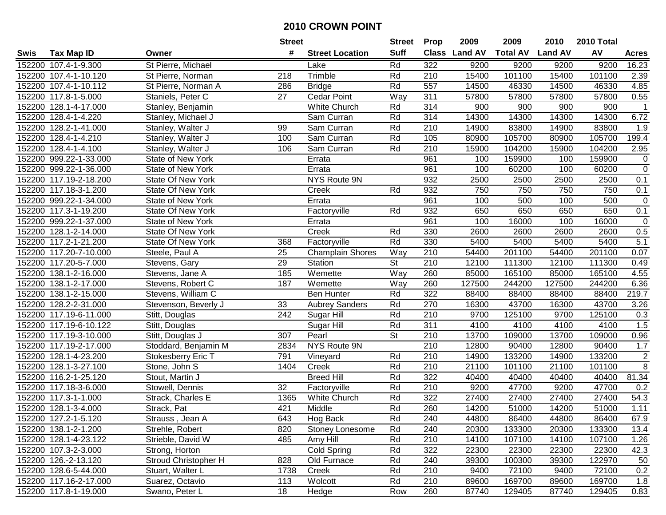|        |                        |                          | <b>Street</b> |                         | <b>Street</b> | <b>Prop</b> | 2009          | 2009            | 2010           | 2010 Total |                |
|--------|------------------------|--------------------------|---------------|-------------------------|---------------|-------------|---------------|-----------------|----------------|------------|----------------|
| Swis   | <b>Tax Map ID</b>      | Owner                    | #             | <b>Street Location</b>  | <b>Suff</b>   |             | Class Land AV | <b>Total AV</b> | <b>Land AV</b> | AV         | <b>Acres</b>   |
|        | 152200 107.4-1-9.300   | St Pierre, Michael       |               | Lake                    | Rd            | 322         | 9200          | 9200            | 9200           | 9200       | 16.23          |
|        | 152200 107.4-1-10.120  | St Pierre, Norman        | 218           | Trimble                 | Rd            | 210         | 15400         | 101100          | 15400          | 101100     | 2.39           |
|        | 152200 107.4-1-10.112  | St Pierre, Norman A      | 286           | <b>Bridge</b>           | Rd            | 557         | 14500         | 46330           | 14500          | 46330      | 4.85           |
|        | 152200 117.8-1-5.000   | Staniels, Peter C        | 27            | Cedar Point             | Way           | 311         | 57800         | 57800           | 57800          | 57800      | 0.55           |
|        | 152200 128.1-4-17.000  | Stanley, Benjamin        |               | White Church            | Rd            | 314         | 900           | 900             | 900            | 900        | $\mathbf{1}$   |
|        | 152200 128.4-1-4.220   | Stanley, Michael J       |               | Sam Curran              | Rd            | 314         | 14300         | 14300           | 14300          | 14300      | 6.72           |
|        | 152200 128.2-1-41.000  | Stanley, Walter J        | 99            | Sam Curran              | Rd            | 210         | 14900         | 83800           | 14900          | 83800      | 1.9            |
| 152200 | 128.4-1-4.210          | Stanley, Walter J        | 100           | Sam Curran              | Rd            | 105         | 80900         | 105700          | 80900          | 105700     | 199.4          |
|        | 152200 128.4-1-4.100   | Stanley, Walter J        | 106           | Sam Curran              | Rd            | 210         | 15900         | 104200          | 15900          | 104200     | 2.95           |
|        | 152200 999.22-1-33.000 | State of New York        |               | Errata                  |               | 961         | 100           | 159900          | 100            | 159900     | $\mathbf 0$    |
|        | 152200 999.22-1-36.000 | State of New York        |               | Errata                  |               | 961         | 100           | 60200           | 100            | 60200      | $\mathbf 0$    |
|        | 152200 117.19-2-18.200 | <b>State Of New York</b> |               | NYS Route 9N            |               | 932         | 2500          | 2500            | 2500           | 2500       | 0.1            |
|        | 152200 117.18-3-1.200  | State Of New York        |               | Creek                   | Rd            | 932         | 750           | 750             | 750            | 750        | 0.1            |
|        | 152200 999.22-1-34.000 | State of New York        |               | Errata                  |               | 961         | 100           | 500             | 100            | 500        | $\mathbf 0$    |
|        | 152200 117.3-1-19.200  | State Of New York        |               | Factoryville            | Rd            | 932         | 650           | 650             | 650            | 650        | 0.1            |
|        | 152200 999.22-1-37.000 | State of New York        |               | Errata                  |               | 961         | 100           | 16000           | 100            | 16000      | $\mathbf 0$    |
|        | 152200 128.1-2-14.000  | State Of New York        |               | Creek                   | Rd            | 330         | 2600          | 2600            | 2600           | 2600       | 0.5            |
|        | 152200 117.2-1-21.200  | State Of New York        | 368           | Factoryville            | Rd            | 330         | 5400          | 5400            | 5400           | 5400       | 5.1            |
|        | 152200 117.20-7-10.000 | Steele, Paul A           | 25            | <b>Champlain Shores</b> | Way           | 210         | 54400         | 201100          | 54400          | 201100     | 0.07           |
|        | 152200 117.20-5-7.000  | Stevens, Gary            | 29            | Station                 | <b>St</b>     | 210         | 12100         | 111300          | 12100          | 111300     | 0.49           |
|        | 152200 138.1-2-16.000  | Stevens, Jane A          | 185           | Wemette                 | Way           | 260         | 85000         | 165100          | 85000          | 165100     | 4.55           |
|        | 152200 138.1-2-17.000  | Stevens, Robert C        | 187           | Wemette                 | Way           | 260         | 127500        | 244200          | 127500         | 244200     | 6.36           |
| 152200 | 138.1-2-15.000         | Stevens, William C       |               | <b>Ben Hunter</b>       | Rd            | 322         | 88400         | 88400           | 88400          | 88400      | 219.7          |
| 152200 | 128.2-2-31.000         | Stevenson, Beverly J     | 33            | <b>Aubrey Sanders</b>   | Rd            | 270         | 16300         | 43700           | 16300          | 43700      | 3.26           |
|        | 152200 117.19-6-11.000 | Stitt, Douglas           | 242           | Sugar Hill              | Rd            | 210         | 9700          | 125100          | 9700           | 125100     | 0.3            |
|        | 152200 117.19-6-10.122 | Stitt, Douglas           |               | Sugar Hill              | Rd            | 311         | 4100          | 4100            | 4100           | 4100       | 1.5            |
|        | 152200 117.19-3-10.000 | Stitt, Douglas J         | 307           | Pearl                   | <b>St</b>     | 210         | 13700         | 109000          | 13700          | 109000     | 0.96           |
|        | 152200 117.19-2-17.000 | Stoddard, Benjamin M     | 2834          | NYS Route 9N            |               | 210         | 12800         | 90400           | 12800          | 90400      | 1.7            |
|        | 152200 128.1-4-23.200  | Stokesberry Eric T       | 791           | Vineyard                | Rd            | 210         | 14900         | 133200          | 14900          | 133200     | $\mathbf 2$    |
|        | 152200 128.1-3-27.100  | Stone, John S            | 1404          | Creek                   | Rd            | 210         | 21100         | 101100          | 21100          | 101100     | $\overline{8}$ |
|        | 152200 116.2-1-25.120  | Stout, Martin J          |               | <b>Breed Hill</b>       | Rd            | 322         | 40400         | 40400           | 40400          | 40400      | 81.34          |
|        | 152200 117.18-3-6.000  | Stowell, Dennis          | 32            | Factoryville            | Rd            | 210         | 9200          | 47700           | 9200           | 47700      | 0.2            |
|        | 152200 117.3-1-1.000   | Strack, Charles E        | 1365          | <b>White Church</b>     | Rd            | 322         | 27400         | 27400           | 27400          | 27400      | 54.3           |
|        | 152200 128.1-3-4.000   | Strack, Pat              | 421           | Middle                  | Rd            | 260         | 14200         | 51000           | 14200          | 51000      | 1.11           |
|        | 152200 127.2-1-5.120   | Strauss, Jean A          | 643           | Hog Back                | Rd            | 240         | 44800         | 86400           | 44800          | 86400      | 67.9           |
|        | 152200 138.1-2-1.200   | Strehle, Robert          | 820           | Stoney Lonesome         | Rd            | 240         | 20300         | 133300          | 20300          | 133300     | 13.4           |
|        | 152200 128.1-4-23.122  | Strieble, David W        | 485           | Amy Hill                | Rd            | 210         | 14100         | 107100          | 14100          | 107100     | 1.26           |
|        | 152200 107.3-2-3.000   | Strong, Horton           |               | Cold Spring             | Rd            | 322         | 22300         | 22300           | 22300          | 22300      | 42.3           |
|        | 152200 126.-2-13.120   | Stroud Christopher H     | 828           | Old Furnace             | Rd            | 240         | 39300         | 100300          | 39300          | 122970     | 50             |
|        | 152200 128.6-5-44.000  | Stuart, Walter L         | 1738          | Creek                   | Rd            | 210         | 9400          | 72100           | 9400           | 72100      | 0.2            |
|        | 152200 117.16-2-17.000 | Suarez, Octavio          | 113           | Wolcott                 | Rd            | 210         | 89600         | 169700          | 89600          | 169700     | 1.8            |
|        | 152200 117.8-1-19.000  | Swano, Peter L           | 18            | Hedge                   | Row           | 260         | 87740         | 129405          | 87740          | 129405     | 0.83           |
|        |                        |                          |               |                         |               |             |               |                 |                |            |                |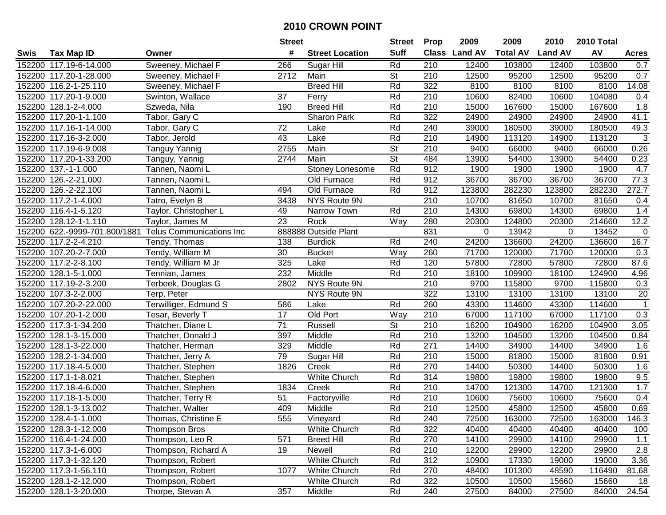|        |                               |                                 | <b>Street</b>   |                        |                          | <b>Prop</b>      | 2009          | 2009            | 2010           | 2010 Total |                |
|--------|-------------------------------|---------------------------------|-----------------|------------------------|--------------------------|------------------|---------------|-----------------|----------------|------------|----------------|
| Swis   | <b>Tax Map ID</b>             | Owner                           | #               | <b>Street Location</b> | <b>Suff</b>              |                  | Class Land AV | <b>Total AV</b> | <b>Land AV</b> | AV         | <b>Acres</b>   |
|        | 152200 117.19-6-14.000        | Sweeney, Michael F              | 266             | Sugar Hill             | Rd                       | 210              | 12400         | 103800          | 12400          | 103800     | 0.7            |
|        | 152200 117.20-1-28.000        | Sweeney, Michael F              | 2712            | Main                   | <b>St</b>                | 210              | 12500         | 95200           | 12500          | 95200      | 0.7            |
|        | 152200 116.2-1-25.110         | Sweeney, Michael F              |                 | <b>Breed Hill</b>      | Rd                       | 322              | 8100          | 8100            | 8100           | 8100       | 14.08          |
|        | 152200 117.20-1-9.000         | Swinton, Wallace                | 37              | Ferry                  | Rd                       | 210              | 10600         | 82400           | 10600          | 104080     | 0.4            |
|        | 152200 128.1-2-4.000          | Szweda, Nila                    | 190             | <b>Breed Hill</b>      | Rd                       | 210              | 15000         | 167600          | 15000          | 167600     | 1.8            |
|        | 152200 117.20-1-1.100         | Tabor, Gary C                   |                 | Sharon Park            | Rd                       | 322              | 24900         | 24900           | 24900          | 24900      | 41.1           |
|        | 152200 117.16-1-14.000        | Tabor, Gary C                   | 72              | Lake                   | Rd                       | 240              | 39000         | 180500          | 39000          | 180500     | 49.3           |
|        | 152200 117.16-3-2.000         | Tabor, Jerold                   | $\overline{43}$ | Lake                   | Rd                       | $\overline{210}$ | 14900         | 113120          | 14900          | 113120     | $\overline{3}$ |
|        | 152200 117.19-6-9.008         | Tanguy Yannig                   | 2755            | Main                   | $\overline{\mathsf{St}}$ | 210              | 9400          | 66000           | 9400           | 66000      | 0.26           |
|        | 152200 117.20-1-33.200        | Tanguy, Yannig                  | 2744            | Main                   | <b>St</b>                | 484              | 13900         | 54400           | 13900          | 54400      | 0.23           |
|        | 152200 137.-1-1.000           | Tannen, Naomi L                 |                 | Stoney Lonesome        | Rd                       | 912              | 1900          | 1900            | 1900           | 1900       | 4.7            |
|        | 152200 126.-2-21.000          | Tannen, Naomi L                 |                 | Old Furnace            | Rd                       | 912              | 36700         | 36700           | 36700          | 36700      | 77.3           |
|        | 152200 126.-2-22.100          | Tannen, Naomi L                 | 494             | Old Furnace            | Rd                       | 912              | 123800        | 282230          | 123800         | 282230     | 272.7          |
|        | 152200 117.2-1-4.000          | Tatro, Evelyn B                 | 3438            | NYS Route 9N           |                          | 210              | 10700         | 81650           | 10700          | 81650      | 0.4            |
|        | 152200 116.4-1-5.120          | Taylor, Christopher L           | 49              | Narrow Town            | Rd                       | 210              | 14300         | 69800           | 14300          | 69800      | 1.4            |
|        | 152200 128.12-1-1.110         | Taylor, James M                 | 23              | Rock                   | Way                      | 280              | 20300         | 124800          | 20300          | 214660     | 12.2           |
|        | 152200 622.-9999-701.800/1881 | <b>Telus Communications Inc</b> |                 | 888888 Outside Plant   |                          | 831              | 0             | 13942           | 0              | 13452      | 0              |
|        | 152200 117.2-2-4.210          | Tendy, Thomas                   | 138             | <b>Burdick</b>         | Rd                       | 240              | 24200         | 136600          | 24200          | 136600     | 16.7           |
|        | 152200 107.20-2-7.000         | Tendy, William M                | 30              | <b>Bucket</b>          | Way                      | 260              | 71700         | 120000          | 71700          | 120000     | 0.3            |
|        | 152200 117.2-2-8.100          | Tendy, William M Jr             | 325             | Lake                   | Rd                       | 120              | 57800         | 72800           | 57800          | 72800      | 87.6           |
|        | 152200 128.1-5-1.000          | Tennian, James                  | 232             | Middle                 | Rd                       | 210              | 18100         | 109900          | 18100          | 124900     | 4.96           |
|        | 152200 117.19-2-3.200         | Terbeek, Douglas G              | 2802            | NYS Route 9N           |                          | 210              | 9700          | 115800          | 9700           | 115800     | 0.3            |
|        | 152200 107.3-2-2.000          | Terp, Peter                     |                 | NYS Route 9N           |                          | 322              | 13100         | 13100           | 13100          | 13100      | 20             |
| 152200 | 107.20-2-22.000               | Terwilliger, Edmund S           | 586             | Lake                   | Rd                       | 260              | 43300         | 114600          | 43300          | 114600     | $\mathbf{1}$   |
|        | 152200 107.20-1-2.000         | Tesar, Beverly T                | 17              | Old Port               | Way                      | 210              | 67000         | 117100          | 67000          | 117100     | 0.3            |
|        | 152200 117.3-1-34.200         | Thatcher, Diane L               | $\overline{71}$ | Russell                | <b>St</b>                | 210              | 16200         | 104900          | 16200          | 104900     | 3.05           |
|        | 152200 128.1-3-15.000         | Thatcher, Donald J              | 397             | Middle                 | Rd                       | 210              | 13200         | 104500          | 13200          | 104500     | 0.84           |
|        | 152200 128.1-3-22.000         | Thatcher, Herman                | 329             | Middle                 | Rd                       | 271              | 14400         | 34900           | 14400          | 34900      | 1.6            |
|        | 152200 128.2-1-34.000         | Thatcher, Jerry A               | 79              | Sugar Hill             | Rd                       | 210              | 15000         | 81800           | 15000          | 81800      | 0.91           |
|        | 152200 117.18-4-5.000         | Thatcher, Stephen               | 1826            | Creek                  | Rd                       | 270              | 14400         | 50300           | 14400          | 50300      | 1.6            |
|        | 152200 117.1-1-8.021          | Thatcher, Stephen               |                 | <b>White Church</b>    | Rd                       | 314              | 19800         | 19800           | 19800          | 19800      | 9.5            |
|        | 152200 117.18-4-6.000         | Thatcher, Stephen               | 1834            | Creek                  | Rd                       | 210              | 14700         | 121300          | 14700          | 121300     | 1.7            |
|        | 152200 117.18-1-5.000         | Thatcher, Terry R               | $\overline{51}$ | Factoryville           | Rd                       | 210              | 10600         | 75600           | 10600          | 75600      | 0.4            |
|        | 152200 128.1-3-13.002         | Thatcher, Walter                | 409             | Middle                 | Rd                       | 210              | 12500         | 45800           | 12500          | 45800      | 0.69           |
|        | 152200 128.4-1-1.000          | Thomas, Christine E             | 555             | Vineyard               | Rd                       | 240              | 72500         | 163000          | 72500          | 163000     | 146.3          |
|        | 152200 128.3-1-12.000         | <b>Thompson Bros</b>            |                 | White Church           | Rd                       | 322              | 40400         | 40400           | 40400          | 40400      | 100            |
|        | 152200 116.4-1-24.000         | Thompson, Leo R                 | 571             | <b>Breed Hill</b>      | Rd                       | 270              | 14100         | 29900           | 14100          | 29900      | 1.1            |
|        | 152200 117.3-1-6.000          | Thompson, Richard A             | 19              | Newell                 | Rd                       | 210              | 12200         | 29900           | 12200          | 29900      | 2.8            |
|        | 152200 117.3-1-32.120         | Thompson, Robert                |                 | White Church           | Rd                       | 312              | 10900         | 17330           | 19000          | 19000      | 3.36           |
|        | 152200 117.3-1-56.110         | Thompson, Robert                | 1077            | White Church           | Rd                       | 270              | 48400         | 101300          | 48590          | 116490     | 81.68          |
|        | 152200 128.1-2-12.000         | Thompson, Robert                |                 | White Church           | Rd                       | 322              | 10500         | 10500           | 15660          | 15660      | 18             |
|        | 152200 128.1-3-20.000         | Thorpe, Stevan A                | 357             | Middle                 | Rd                       | 240              | 27500         | 84000           | 27500          | 84000      | 24.54          |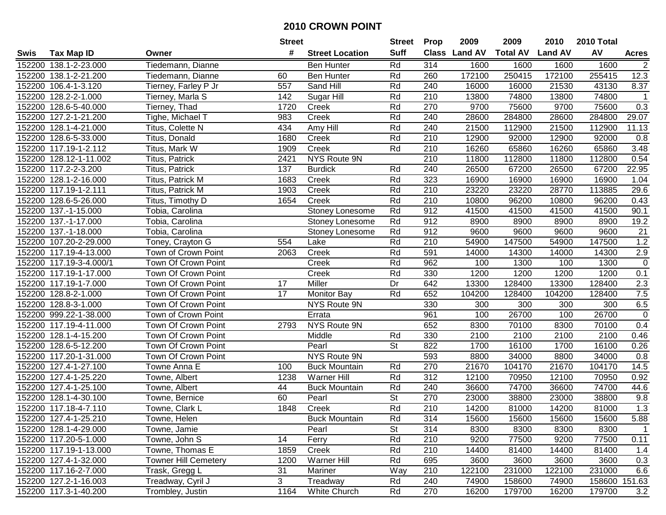|      |                         |                             |      | <b>Street</b>          |                          | <b>Prop</b>      | 2009          | 2009            | 2010           | 2010 Total |               |
|------|-------------------------|-----------------------------|------|------------------------|--------------------------|------------------|---------------|-----------------|----------------|------------|---------------|
| Swis | <b>Tax Map ID</b>       | Owner                       | #    | <b>Street Location</b> | <b>Suff</b>              |                  | Class Land AV | <b>Total AV</b> | <b>Land AV</b> | AV         | <b>Acres</b>  |
|      | 152200 138.1-2-23.000   | Tiedemann, Dianne           |      | <b>Ben Hunter</b>      | Rd                       | 314              | 1600          | 1600            | 1600           | 1600       | $\mathbf{2}$  |
|      | 152200 138.1-2-21.200   | Tiedemann, Dianne           | 60   | <b>Ben Hunter</b>      | Rd                       | 260              | 172100        | 250415          | 172100         | 255415     | 12.3          |
|      | 152200 106.4-1-3.120    | Tierney, Farley P Jr        | 557  | Sand Hill              | Rd                       | 240              | 16000         | 16000           | 21530          | 43130      | 8.37          |
|      | 152200 128.2-2-1.000    | Tierney, Marla S            | 142  | Sugar Hill             | Rd                       | 210              | 13800         | 74800           | 13800          | 74800      |               |
|      | 152200 128.6-5-40.000   | Tierney, Thad               | 1720 | Creek                  | Rd                       | 270              | 9700          | 75600           | 9700           | 75600      | 0.3           |
|      | 152200 127.2-1-21.200   | Tighe, Michael T            | 983  | Creek                  | Rd                       | 240              | 28600         | 284800          | 28600          | 284800     | 29.07         |
|      | 152200 128.1-4-21.000   | Titus, Colette N            | 434  | Amy Hill               | Rd                       | 240              | 21500         | 112900          | 21500          | 112900     | 11.13         |
|      | 152200 128.6-5-33.000   | Titus, Donald               | 1680 | Creek                  | Rd                       | $\overline{210}$ | 12900         | 92000           | 12900          | 92000      | 0.8           |
|      | 152200 117.19-1-2.112   | Titus, Mark W               | 1909 | Creek                  | Rd                       | 210              | 16260         | 65860           | 16260          | 65860      | 3.48          |
|      | 152200 128.12-1-11.002  | Titus, Patrick              | 2421 | NYS Route 9N           |                          | 210              | 11800         | 112800          | 11800          | 112800     | 0.54          |
|      | 152200 117.2-2-3.200    | Titus, Patrick              | 137  | <b>Burdick</b>         | Rd                       | 240              | 26500         | 67200           | 26500          | 67200      | 22.95         |
|      | 152200 128.1-2-16.000   | Titus, Patrick M            | 1683 | Creek                  | Rd                       | 323              | 16900         | 16900           | 16900          | 16900      | 1.04          |
|      | 152200 117.19-1-2.111   | Titus, Patrick M            | 1903 | Creek                  | Rd                       | 210              | 23220         | 23220           | 28770          | 113885     | 29.6          |
|      | 152200 128.6-5-26.000   | Titus, Timothy D            | 1654 | Creek                  | Rd                       | 210              | 10800         | 96200           | 10800          | 96200      | 0.43          |
|      | 152200 137.-1-15.000    | Tobia, Carolina             |      | Stoney Lonesome        | Rd                       | 912              | 41500         | 41500           | 41500          | 41500      | 90.1          |
|      | 152200 137.-1-17.000    | Tobia, Carolina             |      | Stoney Lonesome        | Rd                       | 912              | 8900          | 8900            | 8900           | 8900       | 19.2          |
|      | 152200 137.-1-18.000    | Tobia, Carolina             |      | Stoney Lonesome        | Rd                       | 912              | 9600          | 9600            | 9600           | 9600       | 21            |
|      | 152200 107.20-2-29.000  | Toney, Crayton G            | 554  | Lake                   | Rd                       | 210              | 54900         | 147500          | 54900          | 147500     | 1.2           |
|      | 152200 117.19-4-13.000  | Town of Crown Point         | 2063 | Creek                  | Rd                       | 591              | 14000         | 14300           | 14000          | 14300      | $2.9$         |
|      | 152200 117.19-3-4.000/1 | Town Of Crown Point         |      | Creek                  | Rd                       | 962              | 100           | 1300            | 100            | 1300       | $\pmb{0}$     |
|      | 152200 117.19-1-17.000  | Town Of Crown Point         |      | Creek                  | Rd                       | 330              | 1200          | 1200            | 1200           | 1200       | 0.1           |
|      | 152200 117.19-1-7.000   | Town Of Crown Point         | 17   | Miller                 | Dr                       | 642              | 13300         | 128400          | 13300          | 128400     | 2.3           |
|      | 152200 128.8-2-1.000    | Town Of Crown Point         | 17   | <b>Monitor Bay</b>     | Rd                       | 652              | 104200        | 128400          | 104200         | 128400     | 7.5           |
|      | 152200 128.8-3-1.000    | Town Of Crown Point         |      | NYS Route 9N           |                          | 330              | 300           | 300             | 300            | 300        | 6.5           |
|      | 152200 999.22-1-38.000  | Town of Crown Point         |      | Errata                 |                          | 961              | 100           | 26700           | 100            | 26700      | $\pmb{0}$     |
|      | 152200 117.19-4-11.000  | Town Of Crown Point         | 2793 | NYS Route 9N           |                          | 652              | 8300          | 70100           | 8300           | 70100      | 0.4           |
|      | 152200 128.1-4-15.200   | Town Of Crown Point         |      | Middle                 | Rd                       | 330              | 2100          | 2100            | 2100           | 2100       | 0.46          |
|      | 152200 128.6-5-12.200   | Town Of Crown Point         |      | Pearl                  | <b>St</b>                | 822              | 1700          | 16100           | 1700           | 16100      | 0.26          |
|      | 152200 117.20-1-31.000  | Town Of Crown Point         |      | NYS Route 9N           |                          | 593              | 8800          | 34000           | 8800           | 34000      | 0.8           |
|      | 152200 127.4-1-27.100   | Towne Anna E                | 100  | <b>Buck Mountain</b>   | Rd                       | 270              | 21670         | 104170          | 21670          | 104170     | 14.5          |
|      | 152200 127.4-1-25.220   | Towne, Albert               | 1238 | Warner Hill            | Rd                       | $\overline{312}$ | 12100         | 70950           | 12100          | 70950      | 0.92          |
|      | 152200 127.4-1-25.100   | Towne, Albert               | 44   | <b>Buck Mountain</b>   | Rd                       | 240              | 36600         | 74700           | 36600          | 74700      | 44.6          |
|      | 152200 128.1-4-30.100   | Towne, Bernice              | 60   | Pearl                  | $\overline{\mathsf{St}}$ | 270              | 23000         | 38800           | 23000          | 38800      | 9.8           |
|      | 152200 117.18-4-7.110   | Towne, Clark L              | 1848 | Creek                  | Rd                       | 210              | 14200         | 81000           | 14200          | 81000      | 1.3           |
|      | 152200 127.4-1-25.210   | Towne, Helen                |      | <b>Buck Mountain</b>   | Rd                       | 314              | 15600         | 15600           | 15600          | 15600      | 5.88          |
|      | 152200 128.1-4-29.000   | Towne, Jamie                |      | Pearl                  | <b>St</b>                | 314              | 8300          | 8300            | 8300           | 8300       | 1             |
|      | 152200 117.20-5-1.000   | Towne, John S               | 14   | Ferry                  | Rd                       | 210              | 9200          | 77500           | 9200           | 77500      | 0.11          |
|      | 152200 117.19-1-13.000  | Towne, Thomas E             | 1859 | Creek                  | Rd                       | 210              | 14400         | 81400           | 14400          | 81400      | 1.4           |
|      | 152200 127.4-1-32.000   | <b>Towner Hill Cemetery</b> | 1200 | <b>Warner Hill</b>     | Rd                       | 695              | 3600          | 3600            | 3600           | 3600       | 0.3           |
|      | 152200 117.16-2-7.000   | Trask, Gregg L              | 31   | Mariner                | Way                      | 210              | 122100        | 231000          | 122100         | 231000     | 6.6           |
|      | 152200 127.2-1-16.003   | Treadway, Cyril J           | 3    | Treadway               | Rd                       | 240              | 74900         | 158600          | 74900          |            | 158600 151.63 |
|      | 152200 117.3-1-40.200   | Trombley, Justin            | 1164 | White Church           | Rd                       | 270              | 16200         | 179700          | 16200          | 179700     | 3.2           |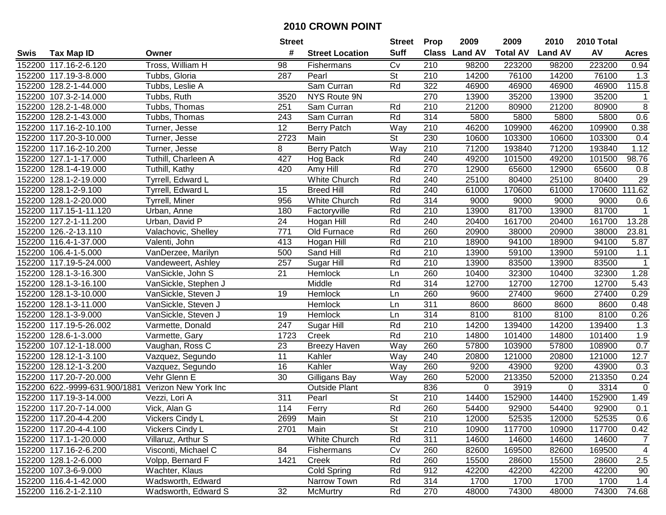| #<br><b>Suff</b><br>AV<br>Class Land AV<br><b>Total AV</b><br><b>Land AV</b><br><b>Tax Map ID</b><br><b>Street Location</b><br>Swis<br>Owner<br><b>Acres</b><br>Tross, William H<br>152200 117.16-2-6.120<br>Cv<br>210<br>98200<br>223200<br>98200<br>223200<br>0.94<br>98<br>Fishermans<br>St<br>152200 117.19-3-8.000<br>Pearl<br>210<br>14200<br>76100<br>14200<br>76100<br>Tubbs, Gloria<br>287<br>1.3<br>152200 128.2-1-44.000<br>Tubbs, Leslie A<br>Sam Curran<br>322<br>46900<br>46900<br>46900<br>46900<br>115.8<br>Rd<br>152200 107.3-2-14.000<br>NYS Route 9N<br>270<br>35200<br>35200<br>Tubbs, Ruth<br>3520<br>13900<br>13900<br>$\mathbf{1}$<br>8<br>152200 128.2-1-48.000<br>210<br>21200<br>21200<br>Tubbs, Thomas<br>251<br>Sam Curran<br>Rd<br>80900<br>80900<br>0.6<br>152200 128.2-1-43.000<br>243<br>Sam Curran<br>Rd<br>314<br>5800<br>5800<br>5800<br>5800<br>Tubbs, Thomas<br>152200 117.16-2-10.100<br>46200<br>46200<br>0.38<br>12<br><b>Berry Patch</b><br>210<br>109900<br>109900<br>Turner, Jesse<br>Way<br>2723<br>$\overline{St}$<br>230<br>152200 117.20-3-10.000<br>Main<br>10600<br>103300<br>10600<br>103300<br>0.4<br>Turner, Jesse<br>152200 117.16-2-10.200<br>8<br><b>Berry Patch</b><br>Way<br>210<br>71200<br>193840<br>71200<br>193840<br>1.12<br>Turner, Jesse<br>427<br>152200 127.1-1-17.000<br>Tuthill, Charleen A<br>Rd<br>240<br>101500<br>49200<br>101500<br>98.76<br>Hog Back<br>49200<br>152200 128.1-4-19.000<br>Tuthill, Kathy<br>420<br>Rd<br>270<br>12900<br>65600<br>12900<br>65600<br>Amy Hill<br>0.8<br>152200 128.1-2-19.000<br>Tyrrell, Edward L<br>White Church<br>Rd<br>240<br>25100<br>80400<br>25100<br>80400<br>29<br><b>Breed Hill</b><br>Rd<br>240<br>170600<br>111.62<br>152200 128.1-2-9.100<br>Tyrrell, Edward L<br>15<br>61000<br>170600<br>61000<br>956<br>White Church<br>Rd<br>314<br>9000<br>9000<br>152200 128.1-2-20.000<br>Tyrrell, Miner<br>9000<br>9000<br>0.6<br>210<br>81700<br>81700<br>152200 117.15-1-11.120<br>180<br>Factoryville<br>Rd<br>13900<br>13900<br>$\mathbf{1}$<br>Urban, Anne<br>24<br>Rd<br>240<br>161700<br>20400<br>13.28<br>152200 127.2-1-11.200<br>Urban, David P<br>Hogan Hill<br>20400<br>161700<br>771<br>260<br>152200 126.-2-13.110<br>Old Furnace<br>Rd<br>20900<br>38000<br>20900<br>38000<br>23.81<br>Valachovic, Shelley<br>Valenti, John<br>413<br>Rd<br>210<br>94100<br>94100<br>152200 116.4-1-37.000<br>Hogan Hill<br>18900<br>18900<br>5.87<br>VanDerzee, Marilyn<br>500<br>Sand Hill<br>Rd<br>210<br>59100<br>152200 106.4-1-5.000<br>13900<br>59100<br>13900<br>1.1<br>152200 117.19-5-24.000<br>Rd<br>210<br>13900<br>83500<br>13900<br>$\mathbf{1}$<br>Vandeweert, Ashley<br>257<br>Sugar Hill<br>83500<br>21<br>32300<br>32300<br>1.28<br>152200 128.1-3-16.300<br>VanSickle, John S<br>Hemlock<br>260<br>10400<br>10400<br>Ln<br>152200 128.1-3-16.100<br>Middle<br>Rd<br>314<br>12700<br>12700<br>12700<br>12700<br>5.43<br>VanSickle, Stephen J<br>0.29<br>128.1-3-10.000<br>19<br>Hemlock<br>260<br>9600<br>27400<br>27400<br>152200<br>VanSickle, Steven J<br>9600<br>Ln<br>311<br>8600<br>0.48<br>152200<br>128.1-3-11.000<br>VanSickle, Steven J<br>Hemlock<br>8600<br>8600<br>8600<br>Ln<br>314<br>8100<br>0.26<br>152200 128.1-3-9.000<br>VanSickle, Steven J<br>19<br>8100<br>8100<br>8100<br>Hemlock<br>Ln<br>247<br>Rd<br>210<br>14200<br>139400<br>14200<br>139400<br>1.3<br>152200 117.19-5-26.002<br>Varmette, Donald<br>Sugar Hill<br>Rd<br>210<br>152200 128.6-1-3.000<br>1723<br>Creek<br>14800<br>101400<br>14800<br>101400<br>1.9<br>Varmette, Gary<br>152200 107.12-1-18.000<br>23<br>Way<br>260<br>57800<br>103900<br>57800<br>108900<br>0.7<br>Vaughan, Ross C<br><b>Breezy Haven</b><br>$\overline{11}$<br>152200 128.12-1-3.100<br>Way<br>240<br>121000<br>121000<br>12.7<br>Vazquez, Segundo<br>Kahler<br>20800<br>20800<br>260<br>152200 128.12-1-3.200<br>16<br>Kahler<br>Way<br>9200<br>43900<br>9200<br>43900<br>0.3<br>Vazquez, Segundo<br>152200 117.20-7-20.000<br>Vehr Glenn E<br>$\overline{30}$<br>260<br>213350<br>213350<br>Way<br>52000<br>52000<br>0.24<br>Gilligans Bay<br>836<br>3314<br>152200 622.-9999-631.900/1881<br>Verizon New York Inc<br><b>Outside Plant</b><br>0<br>3919<br>$\mathbf 0$<br>$\mathbf 0$<br>$\overline{St}$<br>$\overline{210}$<br>152900<br>152900<br>152200 117.19-3-14.000<br>311<br>Pearl<br>14400<br>14400<br>1.49<br>Vezzi, Lori A<br>Rd<br>152200 117.20-7-14.000<br>114<br>Ferry<br>260<br>54400<br>54400<br>92900<br>0.1<br>Vick, Alan G<br>92900<br>152200 117.20-4-4.200<br>Vickers Cindy L<br>2699<br>Main<br>St<br>210<br>12000<br>52535<br>12000<br>52535<br>0.6<br><b>St</b><br>117700<br>117700<br>152200 117.20-4-4.100<br>Vickers Cindy L<br>2701<br>Main<br>210<br>10900<br>10900<br>0.42<br>White Church<br>311<br>152200 117.1-1-20.000<br>Villaruz, Arthur S<br>Rd<br>14600<br>14600<br>14600<br>14600<br>$\overline{7}$<br>152200 117.16-2-6.200<br>84<br>Cv<br>260<br>82600<br>169500<br>82600<br>169500<br>4<br>Visconti, Michael C<br>Fishermans<br>Volpp, Bernard F<br>1421<br>Rd<br>152200 128.1-2-6.000<br>Creek<br>260<br>15500<br>28600<br>15500<br>28600<br>2.5<br>Rd<br>912<br>152200 107.3-6-9.000<br>Wachter, Klaus<br>Cold Spring<br>42200<br>42200<br>42200<br>42200<br>90<br>152200 116.4-1-42.000<br>Wadsworth, Edward<br>Narrow Town<br>Rd<br>314<br>1700<br>1700<br>1700<br>1700<br>1.4<br>152200 116.2-1-2.110<br>32<br>Wadsworth, Edward S<br>McMurtry<br>Rd<br>270<br>48000<br>74300<br>48000<br>74300<br>74.68 |  | <b>Street</b> |  |  | <b>Prop</b> | 2009 | 2009 | 2010 | 2010 Total |  |
|----------------------------------------------------------------------------------------------------------------------------------------------------------------------------------------------------------------------------------------------------------------------------------------------------------------------------------------------------------------------------------------------------------------------------------------------------------------------------------------------------------------------------------------------------------------------------------------------------------------------------------------------------------------------------------------------------------------------------------------------------------------------------------------------------------------------------------------------------------------------------------------------------------------------------------------------------------------------------------------------------------------------------------------------------------------------------------------------------------------------------------------------------------------------------------------------------------------------------------------------------------------------------------------------------------------------------------------------------------------------------------------------------------------------------------------------------------------------------------------------------------------------------------------------------------------------------------------------------------------------------------------------------------------------------------------------------------------------------------------------------------------------------------------------------------------------------------------------------------------------------------------------------------------------------------------------------------------------------------------------------------------------------------------------------------------------------------------------------------------------------------------------------------------------------------------------------------------------------------------------------------------------------------------------------------------------------------------------------------------------------------------------------------------------------------------------------------------------------------------------------------------------------------------------------------------------------------------------------------------------------------------------------------------------------------------------------------------------------------------------------------------------------------------------------------------------------------------------------------------------------------------------------------------------------------------------------------------------------------------------------------------------------------------------------------------------------------------------------------------------------------------------------------------------------------------------------------------------------------------------------------------------------------------------------------------------------------------------------------------------------------------------------------------------------------------------------------------------------------------------------------------------------------------------------------------------------------------------------------------------------------------------------------------------------------------------------------------------------------------------------------------------------------------------------------------------------------------------------------------------------------------------------------------------------------------------------------------------------------------------------------------------------------------------------------------------------------------------------------------------------------------------------------------------------------------------------------------------------------------------------------------------------------------------------------------------------------------------------------------------------------------------------------------------------------------------------------------------------------------------------------------------------------------------------------------------------------------------------------------------------------------------------------------------------------------------------------------------------------------------------------------------------------------------------------------------------------------------------------------------------------------------------------------------------------------------------------------------------------------------------------------------------------------------------------------------------------------------------------------------------------------------------------------------------------------------------------------------------------------------------------------------------------------------------------------------------------------------------------------------------------------------------------------------------------------------------------------------------------------------------------------------------------------------------------|--|---------------|--|--|-------------|------|------|------|------------|--|
|                                                                                                                                                                                                                                                                                                                                                                                                                                                                                                                                                                                                                                                                                                                                                                                                                                                                                                                                                                                                                                                                                                                                                                                                                                                                                                                                                                                                                                                                                                                                                                                                                                                                                                                                                                                                                                                                                                                                                                                                                                                                                                                                                                                                                                                                                                                                                                                                                                                                                                                                                                                                                                                                                                                                                                                                                                                                                                                                                                                                                                                                                                                                                                                                                                                                                                                                                                                                                                                                                                                                                                                                                                                                                                                                                                                                                                                                                                                                                                                                                                                                                                                                                                                                                                                                                                                                                                                                                                                                                                                                                                                                                                                                                                                                                                                                                                                                                                                                                                                                                                                                                                                                                                                                                                                                                                                                                                                                                                                                                                                                                          |  |               |  |  |             |      |      |      |            |  |
|                                                                                                                                                                                                                                                                                                                                                                                                                                                                                                                                                                                                                                                                                                                                                                                                                                                                                                                                                                                                                                                                                                                                                                                                                                                                                                                                                                                                                                                                                                                                                                                                                                                                                                                                                                                                                                                                                                                                                                                                                                                                                                                                                                                                                                                                                                                                                                                                                                                                                                                                                                                                                                                                                                                                                                                                                                                                                                                                                                                                                                                                                                                                                                                                                                                                                                                                                                                                                                                                                                                                                                                                                                                                                                                                                                                                                                                                                                                                                                                                                                                                                                                                                                                                                                                                                                                                                                                                                                                                                                                                                                                                                                                                                                                                                                                                                                                                                                                                                                                                                                                                                                                                                                                                                                                                                                                                                                                                                                                                                                                                                          |  |               |  |  |             |      |      |      |            |  |
|                                                                                                                                                                                                                                                                                                                                                                                                                                                                                                                                                                                                                                                                                                                                                                                                                                                                                                                                                                                                                                                                                                                                                                                                                                                                                                                                                                                                                                                                                                                                                                                                                                                                                                                                                                                                                                                                                                                                                                                                                                                                                                                                                                                                                                                                                                                                                                                                                                                                                                                                                                                                                                                                                                                                                                                                                                                                                                                                                                                                                                                                                                                                                                                                                                                                                                                                                                                                                                                                                                                                                                                                                                                                                                                                                                                                                                                                                                                                                                                                                                                                                                                                                                                                                                                                                                                                                                                                                                                                                                                                                                                                                                                                                                                                                                                                                                                                                                                                                                                                                                                                                                                                                                                                                                                                                                                                                                                                                                                                                                                                                          |  |               |  |  |             |      |      |      |            |  |
|                                                                                                                                                                                                                                                                                                                                                                                                                                                                                                                                                                                                                                                                                                                                                                                                                                                                                                                                                                                                                                                                                                                                                                                                                                                                                                                                                                                                                                                                                                                                                                                                                                                                                                                                                                                                                                                                                                                                                                                                                                                                                                                                                                                                                                                                                                                                                                                                                                                                                                                                                                                                                                                                                                                                                                                                                                                                                                                                                                                                                                                                                                                                                                                                                                                                                                                                                                                                                                                                                                                                                                                                                                                                                                                                                                                                                                                                                                                                                                                                                                                                                                                                                                                                                                                                                                                                                                                                                                                                                                                                                                                                                                                                                                                                                                                                                                                                                                                                                                                                                                                                                                                                                                                                                                                                                                                                                                                                                                                                                                                                                          |  |               |  |  |             |      |      |      |            |  |
|                                                                                                                                                                                                                                                                                                                                                                                                                                                                                                                                                                                                                                                                                                                                                                                                                                                                                                                                                                                                                                                                                                                                                                                                                                                                                                                                                                                                                                                                                                                                                                                                                                                                                                                                                                                                                                                                                                                                                                                                                                                                                                                                                                                                                                                                                                                                                                                                                                                                                                                                                                                                                                                                                                                                                                                                                                                                                                                                                                                                                                                                                                                                                                                                                                                                                                                                                                                                                                                                                                                                                                                                                                                                                                                                                                                                                                                                                                                                                                                                                                                                                                                                                                                                                                                                                                                                                                                                                                                                                                                                                                                                                                                                                                                                                                                                                                                                                                                                                                                                                                                                                                                                                                                                                                                                                                                                                                                                                                                                                                                                                          |  |               |  |  |             |      |      |      |            |  |
|                                                                                                                                                                                                                                                                                                                                                                                                                                                                                                                                                                                                                                                                                                                                                                                                                                                                                                                                                                                                                                                                                                                                                                                                                                                                                                                                                                                                                                                                                                                                                                                                                                                                                                                                                                                                                                                                                                                                                                                                                                                                                                                                                                                                                                                                                                                                                                                                                                                                                                                                                                                                                                                                                                                                                                                                                                                                                                                                                                                                                                                                                                                                                                                                                                                                                                                                                                                                                                                                                                                                                                                                                                                                                                                                                                                                                                                                                                                                                                                                                                                                                                                                                                                                                                                                                                                                                                                                                                                                                                                                                                                                                                                                                                                                                                                                                                                                                                                                                                                                                                                                                                                                                                                                                                                                                                                                                                                                                                                                                                                                                          |  |               |  |  |             |      |      |      |            |  |
|                                                                                                                                                                                                                                                                                                                                                                                                                                                                                                                                                                                                                                                                                                                                                                                                                                                                                                                                                                                                                                                                                                                                                                                                                                                                                                                                                                                                                                                                                                                                                                                                                                                                                                                                                                                                                                                                                                                                                                                                                                                                                                                                                                                                                                                                                                                                                                                                                                                                                                                                                                                                                                                                                                                                                                                                                                                                                                                                                                                                                                                                                                                                                                                                                                                                                                                                                                                                                                                                                                                                                                                                                                                                                                                                                                                                                                                                                                                                                                                                                                                                                                                                                                                                                                                                                                                                                                                                                                                                                                                                                                                                                                                                                                                                                                                                                                                                                                                                                                                                                                                                                                                                                                                                                                                                                                                                                                                                                                                                                                                                                          |  |               |  |  |             |      |      |      |            |  |
|                                                                                                                                                                                                                                                                                                                                                                                                                                                                                                                                                                                                                                                                                                                                                                                                                                                                                                                                                                                                                                                                                                                                                                                                                                                                                                                                                                                                                                                                                                                                                                                                                                                                                                                                                                                                                                                                                                                                                                                                                                                                                                                                                                                                                                                                                                                                                                                                                                                                                                                                                                                                                                                                                                                                                                                                                                                                                                                                                                                                                                                                                                                                                                                                                                                                                                                                                                                                                                                                                                                                                                                                                                                                                                                                                                                                                                                                                                                                                                                                                                                                                                                                                                                                                                                                                                                                                                                                                                                                                                                                                                                                                                                                                                                                                                                                                                                                                                                                                                                                                                                                                                                                                                                                                                                                                                                                                                                                                                                                                                                                                          |  |               |  |  |             |      |      |      |            |  |
|                                                                                                                                                                                                                                                                                                                                                                                                                                                                                                                                                                                                                                                                                                                                                                                                                                                                                                                                                                                                                                                                                                                                                                                                                                                                                                                                                                                                                                                                                                                                                                                                                                                                                                                                                                                                                                                                                                                                                                                                                                                                                                                                                                                                                                                                                                                                                                                                                                                                                                                                                                                                                                                                                                                                                                                                                                                                                                                                                                                                                                                                                                                                                                                                                                                                                                                                                                                                                                                                                                                                                                                                                                                                                                                                                                                                                                                                                                                                                                                                                                                                                                                                                                                                                                                                                                                                                                                                                                                                                                                                                                                                                                                                                                                                                                                                                                                                                                                                                                                                                                                                                                                                                                                                                                                                                                                                                                                                                                                                                                                                                          |  |               |  |  |             |      |      |      |            |  |
|                                                                                                                                                                                                                                                                                                                                                                                                                                                                                                                                                                                                                                                                                                                                                                                                                                                                                                                                                                                                                                                                                                                                                                                                                                                                                                                                                                                                                                                                                                                                                                                                                                                                                                                                                                                                                                                                                                                                                                                                                                                                                                                                                                                                                                                                                                                                                                                                                                                                                                                                                                                                                                                                                                                                                                                                                                                                                                                                                                                                                                                                                                                                                                                                                                                                                                                                                                                                                                                                                                                                                                                                                                                                                                                                                                                                                                                                                                                                                                                                                                                                                                                                                                                                                                                                                                                                                                                                                                                                                                                                                                                                                                                                                                                                                                                                                                                                                                                                                                                                                                                                                                                                                                                                                                                                                                                                                                                                                                                                                                                                                          |  |               |  |  |             |      |      |      |            |  |
|                                                                                                                                                                                                                                                                                                                                                                                                                                                                                                                                                                                                                                                                                                                                                                                                                                                                                                                                                                                                                                                                                                                                                                                                                                                                                                                                                                                                                                                                                                                                                                                                                                                                                                                                                                                                                                                                                                                                                                                                                                                                                                                                                                                                                                                                                                                                                                                                                                                                                                                                                                                                                                                                                                                                                                                                                                                                                                                                                                                                                                                                                                                                                                                                                                                                                                                                                                                                                                                                                                                                                                                                                                                                                                                                                                                                                                                                                                                                                                                                                                                                                                                                                                                                                                                                                                                                                                                                                                                                                                                                                                                                                                                                                                                                                                                                                                                                                                                                                                                                                                                                                                                                                                                                                                                                                                                                                                                                                                                                                                                                                          |  |               |  |  |             |      |      |      |            |  |
|                                                                                                                                                                                                                                                                                                                                                                                                                                                                                                                                                                                                                                                                                                                                                                                                                                                                                                                                                                                                                                                                                                                                                                                                                                                                                                                                                                                                                                                                                                                                                                                                                                                                                                                                                                                                                                                                                                                                                                                                                                                                                                                                                                                                                                                                                                                                                                                                                                                                                                                                                                                                                                                                                                                                                                                                                                                                                                                                                                                                                                                                                                                                                                                                                                                                                                                                                                                                                                                                                                                                                                                                                                                                                                                                                                                                                                                                                                                                                                                                                                                                                                                                                                                                                                                                                                                                                                                                                                                                                                                                                                                                                                                                                                                                                                                                                                                                                                                                                                                                                                                                                                                                                                                                                                                                                                                                                                                                                                                                                                                                                          |  |               |  |  |             |      |      |      |            |  |
|                                                                                                                                                                                                                                                                                                                                                                                                                                                                                                                                                                                                                                                                                                                                                                                                                                                                                                                                                                                                                                                                                                                                                                                                                                                                                                                                                                                                                                                                                                                                                                                                                                                                                                                                                                                                                                                                                                                                                                                                                                                                                                                                                                                                                                                                                                                                                                                                                                                                                                                                                                                                                                                                                                                                                                                                                                                                                                                                                                                                                                                                                                                                                                                                                                                                                                                                                                                                                                                                                                                                                                                                                                                                                                                                                                                                                                                                                                                                                                                                                                                                                                                                                                                                                                                                                                                                                                                                                                                                                                                                                                                                                                                                                                                                                                                                                                                                                                                                                                                                                                                                                                                                                                                                                                                                                                                                                                                                                                                                                                                                                          |  |               |  |  |             |      |      |      |            |  |
|                                                                                                                                                                                                                                                                                                                                                                                                                                                                                                                                                                                                                                                                                                                                                                                                                                                                                                                                                                                                                                                                                                                                                                                                                                                                                                                                                                                                                                                                                                                                                                                                                                                                                                                                                                                                                                                                                                                                                                                                                                                                                                                                                                                                                                                                                                                                                                                                                                                                                                                                                                                                                                                                                                                                                                                                                                                                                                                                                                                                                                                                                                                                                                                                                                                                                                                                                                                                                                                                                                                                                                                                                                                                                                                                                                                                                                                                                                                                                                                                                                                                                                                                                                                                                                                                                                                                                                                                                                                                                                                                                                                                                                                                                                                                                                                                                                                                                                                                                                                                                                                                                                                                                                                                                                                                                                                                                                                                                                                                                                                                                          |  |               |  |  |             |      |      |      |            |  |
|                                                                                                                                                                                                                                                                                                                                                                                                                                                                                                                                                                                                                                                                                                                                                                                                                                                                                                                                                                                                                                                                                                                                                                                                                                                                                                                                                                                                                                                                                                                                                                                                                                                                                                                                                                                                                                                                                                                                                                                                                                                                                                                                                                                                                                                                                                                                                                                                                                                                                                                                                                                                                                                                                                                                                                                                                                                                                                                                                                                                                                                                                                                                                                                                                                                                                                                                                                                                                                                                                                                                                                                                                                                                                                                                                                                                                                                                                                                                                                                                                                                                                                                                                                                                                                                                                                                                                                                                                                                                                                                                                                                                                                                                                                                                                                                                                                                                                                                                                                                                                                                                                                                                                                                                                                                                                                                                                                                                                                                                                                                                                          |  |               |  |  |             |      |      |      |            |  |
|                                                                                                                                                                                                                                                                                                                                                                                                                                                                                                                                                                                                                                                                                                                                                                                                                                                                                                                                                                                                                                                                                                                                                                                                                                                                                                                                                                                                                                                                                                                                                                                                                                                                                                                                                                                                                                                                                                                                                                                                                                                                                                                                                                                                                                                                                                                                                                                                                                                                                                                                                                                                                                                                                                                                                                                                                                                                                                                                                                                                                                                                                                                                                                                                                                                                                                                                                                                                                                                                                                                                                                                                                                                                                                                                                                                                                                                                                                                                                                                                                                                                                                                                                                                                                                                                                                                                                                                                                                                                                                                                                                                                                                                                                                                                                                                                                                                                                                                                                                                                                                                                                                                                                                                                                                                                                                                                                                                                                                                                                                                                                          |  |               |  |  |             |      |      |      |            |  |
|                                                                                                                                                                                                                                                                                                                                                                                                                                                                                                                                                                                                                                                                                                                                                                                                                                                                                                                                                                                                                                                                                                                                                                                                                                                                                                                                                                                                                                                                                                                                                                                                                                                                                                                                                                                                                                                                                                                                                                                                                                                                                                                                                                                                                                                                                                                                                                                                                                                                                                                                                                                                                                                                                                                                                                                                                                                                                                                                                                                                                                                                                                                                                                                                                                                                                                                                                                                                                                                                                                                                                                                                                                                                                                                                                                                                                                                                                                                                                                                                                                                                                                                                                                                                                                                                                                                                                                                                                                                                                                                                                                                                                                                                                                                                                                                                                                                                                                                                                                                                                                                                                                                                                                                                                                                                                                                                                                                                                                                                                                                                                          |  |               |  |  |             |      |      |      |            |  |
|                                                                                                                                                                                                                                                                                                                                                                                                                                                                                                                                                                                                                                                                                                                                                                                                                                                                                                                                                                                                                                                                                                                                                                                                                                                                                                                                                                                                                                                                                                                                                                                                                                                                                                                                                                                                                                                                                                                                                                                                                                                                                                                                                                                                                                                                                                                                                                                                                                                                                                                                                                                                                                                                                                                                                                                                                                                                                                                                                                                                                                                                                                                                                                                                                                                                                                                                                                                                                                                                                                                                                                                                                                                                                                                                                                                                                                                                                                                                                                                                                                                                                                                                                                                                                                                                                                                                                                                                                                                                                                                                                                                                                                                                                                                                                                                                                                                                                                                                                                                                                                                                                                                                                                                                                                                                                                                                                                                                                                                                                                                                                          |  |               |  |  |             |      |      |      |            |  |
|                                                                                                                                                                                                                                                                                                                                                                                                                                                                                                                                                                                                                                                                                                                                                                                                                                                                                                                                                                                                                                                                                                                                                                                                                                                                                                                                                                                                                                                                                                                                                                                                                                                                                                                                                                                                                                                                                                                                                                                                                                                                                                                                                                                                                                                                                                                                                                                                                                                                                                                                                                                                                                                                                                                                                                                                                                                                                                                                                                                                                                                                                                                                                                                                                                                                                                                                                                                                                                                                                                                                                                                                                                                                                                                                                                                                                                                                                                                                                                                                                                                                                                                                                                                                                                                                                                                                                                                                                                                                                                                                                                                                                                                                                                                                                                                                                                                                                                                                                                                                                                                                                                                                                                                                                                                                                                                                                                                                                                                                                                                                                          |  |               |  |  |             |      |      |      |            |  |
|                                                                                                                                                                                                                                                                                                                                                                                                                                                                                                                                                                                                                                                                                                                                                                                                                                                                                                                                                                                                                                                                                                                                                                                                                                                                                                                                                                                                                                                                                                                                                                                                                                                                                                                                                                                                                                                                                                                                                                                                                                                                                                                                                                                                                                                                                                                                                                                                                                                                                                                                                                                                                                                                                                                                                                                                                                                                                                                                                                                                                                                                                                                                                                                                                                                                                                                                                                                                                                                                                                                                                                                                                                                                                                                                                                                                                                                                                                                                                                                                                                                                                                                                                                                                                                                                                                                                                                                                                                                                                                                                                                                                                                                                                                                                                                                                                                                                                                                                                                                                                                                                                                                                                                                                                                                                                                                                                                                                                                                                                                                                                          |  |               |  |  |             |      |      |      |            |  |
|                                                                                                                                                                                                                                                                                                                                                                                                                                                                                                                                                                                                                                                                                                                                                                                                                                                                                                                                                                                                                                                                                                                                                                                                                                                                                                                                                                                                                                                                                                                                                                                                                                                                                                                                                                                                                                                                                                                                                                                                                                                                                                                                                                                                                                                                                                                                                                                                                                                                                                                                                                                                                                                                                                                                                                                                                                                                                                                                                                                                                                                                                                                                                                                                                                                                                                                                                                                                                                                                                                                                                                                                                                                                                                                                                                                                                                                                                                                                                                                                                                                                                                                                                                                                                                                                                                                                                                                                                                                                                                                                                                                                                                                                                                                                                                                                                                                                                                                                                                                                                                                                                                                                                                                                                                                                                                                                                                                                                                                                                                                                                          |  |               |  |  |             |      |      |      |            |  |
|                                                                                                                                                                                                                                                                                                                                                                                                                                                                                                                                                                                                                                                                                                                                                                                                                                                                                                                                                                                                                                                                                                                                                                                                                                                                                                                                                                                                                                                                                                                                                                                                                                                                                                                                                                                                                                                                                                                                                                                                                                                                                                                                                                                                                                                                                                                                                                                                                                                                                                                                                                                                                                                                                                                                                                                                                                                                                                                                                                                                                                                                                                                                                                                                                                                                                                                                                                                                                                                                                                                                                                                                                                                                                                                                                                                                                                                                                                                                                                                                                                                                                                                                                                                                                                                                                                                                                                                                                                                                                                                                                                                                                                                                                                                                                                                                                                                                                                                                                                                                                                                                                                                                                                                                                                                                                                                                                                                                                                                                                                                                                          |  |               |  |  |             |      |      |      |            |  |
|                                                                                                                                                                                                                                                                                                                                                                                                                                                                                                                                                                                                                                                                                                                                                                                                                                                                                                                                                                                                                                                                                                                                                                                                                                                                                                                                                                                                                                                                                                                                                                                                                                                                                                                                                                                                                                                                                                                                                                                                                                                                                                                                                                                                                                                                                                                                                                                                                                                                                                                                                                                                                                                                                                                                                                                                                                                                                                                                                                                                                                                                                                                                                                                                                                                                                                                                                                                                                                                                                                                                                                                                                                                                                                                                                                                                                                                                                                                                                                                                                                                                                                                                                                                                                                                                                                                                                                                                                                                                                                                                                                                                                                                                                                                                                                                                                                                                                                                                                                                                                                                                                                                                                                                                                                                                                                                                                                                                                                                                                                                                                          |  |               |  |  |             |      |      |      |            |  |
|                                                                                                                                                                                                                                                                                                                                                                                                                                                                                                                                                                                                                                                                                                                                                                                                                                                                                                                                                                                                                                                                                                                                                                                                                                                                                                                                                                                                                                                                                                                                                                                                                                                                                                                                                                                                                                                                                                                                                                                                                                                                                                                                                                                                                                                                                                                                                                                                                                                                                                                                                                                                                                                                                                                                                                                                                                                                                                                                                                                                                                                                                                                                                                                                                                                                                                                                                                                                                                                                                                                                                                                                                                                                                                                                                                                                                                                                                                                                                                                                                                                                                                                                                                                                                                                                                                                                                                                                                                                                                                                                                                                                                                                                                                                                                                                                                                                                                                                                                                                                                                                                                                                                                                                                                                                                                                                                                                                                                                                                                                                                                          |  |               |  |  |             |      |      |      |            |  |
|                                                                                                                                                                                                                                                                                                                                                                                                                                                                                                                                                                                                                                                                                                                                                                                                                                                                                                                                                                                                                                                                                                                                                                                                                                                                                                                                                                                                                                                                                                                                                                                                                                                                                                                                                                                                                                                                                                                                                                                                                                                                                                                                                                                                                                                                                                                                                                                                                                                                                                                                                                                                                                                                                                                                                                                                                                                                                                                                                                                                                                                                                                                                                                                                                                                                                                                                                                                                                                                                                                                                                                                                                                                                                                                                                                                                                                                                                                                                                                                                                                                                                                                                                                                                                                                                                                                                                                                                                                                                                                                                                                                                                                                                                                                                                                                                                                                                                                                                                                                                                                                                                                                                                                                                                                                                                                                                                                                                                                                                                                                                                          |  |               |  |  |             |      |      |      |            |  |
|                                                                                                                                                                                                                                                                                                                                                                                                                                                                                                                                                                                                                                                                                                                                                                                                                                                                                                                                                                                                                                                                                                                                                                                                                                                                                                                                                                                                                                                                                                                                                                                                                                                                                                                                                                                                                                                                                                                                                                                                                                                                                                                                                                                                                                                                                                                                                                                                                                                                                                                                                                                                                                                                                                                                                                                                                                                                                                                                                                                                                                                                                                                                                                                                                                                                                                                                                                                                                                                                                                                                                                                                                                                                                                                                                                                                                                                                                                                                                                                                                                                                                                                                                                                                                                                                                                                                                                                                                                                                                                                                                                                                                                                                                                                                                                                                                                                                                                                                                                                                                                                                                                                                                                                                                                                                                                                                                                                                                                                                                                                                                          |  |               |  |  |             |      |      |      |            |  |
|                                                                                                                                                                                                                                                                                                                                                                                                                                                                                                                                                                                                                                                                                                                                                                                                                                                                                                                                                                                                                                                                                                                                                                                                                                                                                                                                                                                                                                                                                                                                                                                                                                                                                                                                                                                                                                                                                                                                                                                                                                                                                                                                                                                                                                                                                                                                                                                                                                                                                                                                                                                                                                                                                                                                                                                                                                                                                                                                                                                                                                                                                                                                                                                                                                                                                                                                                                                                                                                                                                                                                                                                                                                                                                                                                                                                                                                                                                                                                                                                                                                                                                                                                                                                                                                                                                                                                                                                                                                                                                                                                                                                                                                                                                                                                                                                                                                                                                                                                                                                                                                                                                                                                                                                                                                                                                                                                                                                                                                                                                                                                          |  |               |  |  |             |      |      |      |            |  |
|                                                                                                                                                                                                                                                                                                                                                                                                                                                                                                                                                                                                                                                                                                                                                                                                                                                                                                                                                                                                                                                                                                                                                                                                                                                                                                                                                                                                                                                                                                                                                                                                                                                                                                                                                                                                                                                                                                                                                                                                                                                                                                                                                                                                                                                                                                                                                                                                                                                                                                                                                                                                                                                                                                                                                                                                                                                                                                                                                                                                                                                                                                                                                                                                                                                                                                                                                                                                                                                                                                                                                                                                                                                                                                                                                                                                                                                                                                                                                                                                                                                                                                                                                                                                                                                                                                                                                                                                                                                                                                                                                                                                                                                                                                                                                                                                                                                                                                                                                                                                                                                                                                                                                                                                                                                                                                                                                                                                                                                                                                                                                          |  |               |  |  |             |      |      |      |            |  |
|                                                                                                                                                                                                                                                                                                                                                                                                                                                                                                                                                                                                                                                                                                                                                                                                                                                                                                                                                                                                                                                                                                                                                                                                                                                                                                                                                                                                                                                                                                                                                                                                                                                                                                                                                                                                                                                                                                                                                                                                                                                                                                                                                                                                                                                                                                                                                                                                                                                                                                                                                                                                                                                                                                                                                                                                                                                                                                                                                                                                                                                                                                                                                                                                                                                                                                                                                                                                                                                                                                                                                                                                                                                                                                                                                                                                                                                                                                                                                                                                                                                                                                                                                                                                                                                                                                                                                                                                                                                                                                                                                                                                                                                                                                                                                                                                                                                                                                                                                                                                                                                                                                                                                                                                                                                                                                                                                                                                                                                                                                                                                          |  |               |  |  |             |      |      |      |            |  |
|                                                                                                                                                                                                                                                                                                                                                                                                                                                                                                                                                                                                                                                                                                                                                                                                                                                                                                                                                                                                                                                                                                                                                                                                                                                                                                                                                                                                                                                                                                                                                                                                                                                                                                                                                                                                                                                                                                                                                                                                                                                                                                                                                                                                                                                                                                                                                                                                                                                                                                                                                                                                                                                                                                                                                                                                                                                                                                                                                                                                                                                                                                                                                                                                                                                                                                                                                                                                                                                                                                                                                                                                                                                                                                                                                                                                                                                                                                                                                                                                                                                                                                                                                                                                                                                                                                                                                                                                                                                                                                                                                                                                                                                                                                                                                                                                                                                                                                                                                                                                                                                                                                                                                                                                                                                                                                                                                                                                                                                                                                                                                          |  |               |  |  |             |      |      |      |            |  |
|                                                                                                                                                                                                                                                                                                                                                                                                                                                                                                                                                                                                                                                                                                                                                                                                                                                                                                                                                                                                                                                                                                                                                                                                                                                                                                                                                                                                                                                                                                                                                                                                                                                                                                                                                                                                                                                                                                                                                                                                                                                                                                                                                                                                                                                                                                                                                                                                                                                                                                                                                                                                                                                                                                                                                                                                                                                                                                                                                                                                                                                                                                                                                                                                                                                                                                                                                                                                                                                                                                                                                                                                                                                                                                                                                                                                                                                                                                                                                                                                                                                                                                                                                                                                                                                                                                                                                                                                                                                                                                                                                                                                                                                                                                                                                                                                                                                                                                                                                                                                                                                                                                                                                                                                                                                                                                                                                                                                                                                                                                                                                          |  |               |  |  |             |      |      |      |            |  |
|                                                                                                                                                                                                                                                                                                                                                                                                                                                                                                                                                                                                                                                                                                                                                                                                                                                                                                                                                                                                                                                                                                                                                                                                                                                                                                                                                                                                                                                                                                                                                                                                                                                                                                                                                                                                                                                                                                                                                                                                                                                                                                                                                                                                                                                                                                                                                                                                                                                                                                                                                                                                                                                                                                                                                                                                                                                                                                                                                                                                                                                                                                                                                                                                                                                                                                                                                                                                                                                                                                                                                                                                                                                                                                                                                                                                                                                                                                                                                                                                                                                                                                                                                                                                                                                                                                                                                                                                                                                                                                                                                                                                                                                                                                                                                                                                                                                                                                                                                                                                                                                                                                                                                                                                                                                                                                                                                                                                                                                                                                                                                          |  |               |  |  |             |      |      |      |            |  |
|                                                                                                                                                                                                                                                                                                                                                                                                                                                                                                                                                                                                                                                                                                                                                                                                                                                                                                                                                                                                                                                                                                                                                                                                                                                                                                                                                                                                                                                                                                                                                                                                                                                                                                                                                                                                                                                                                                                                                                                                                                                                                                                                                                                                                                                                                                                                                                                                                                                                                                                                                                                                                                                                                                                                                                                                                                                                                                                                                                                                                                                                                                                                                                                                                                                                                                                                                                                                                                                                                                                                                                                                                                                                                                                                                                                                                                                                                                                                                                                                                                                                                                                                                                                                                                                                                                                                                                                                                                                                                                                                                                                                                                                                                                                                                                                                                                                                                                                                                                                                                                                                                                                                                                                                                                                                                                                                                                                                                                                                                                                                                          |  |               |  |  |             |      |      |      |            |  |
|                                                                                                                                                                                                                                                                                                                                                                                                                                                                                                                                                                                                                                                                                                                                                                                                                                                                                                                                                                                                                                                                                                                                                                                                                                                                                                                                                                                                                                                                                                                                                                                                                                                                                                                                                                                                                                                                                                                                                                                                                                                                                                                                                                                                                                                                                                                                                                                                                                                                                                                                                                                                                                                                                                                                                                                                                                                                                                                                                                                                                                                                                                                                                                                                                                                                                                                                                                                                                                                                                                                                                                                                                                                                                                                                                                                                                                                                                                                                                                                                                                                                                                                                                                                                                                                                                                                                                                                                                                                                                                                                                                                                                                                                                                                                                                                                                                                                                                                                                                                                                                                                                                                                                                                                                                                                                                                                                                                                                                                                                                                                                          |  |               |  |  |             |      |      |      |            |  |
|                                                                                                                                                                                                                                                                                                                                                                                                                                                                                                                                                                                                                                                                                                                                                                                                                                                                                                                                                                                                                                                                                                                                                                                                                                                                                                                                                                                                                                                                                                                                                                                                                                                                                                                                                                                                                                                                                                                                                                                                                                                                                                                                                                                                                                                                                                                                                                                                                                                                                                                                                                                                                                                                                                                                                                                                                                                                                                                                                                                                                                                                                                                                                                                                                                                                                                                                                                                                                                                                                                                                                                                                                                                                                                                                                                                                                                                                                                                                                                                                                                                                                                                                                                                                                                                                                                                                                                                                                                                                                                                                                                                                                                                                                                                                                                                                                                                                                                                                                                                                                                                                                                                                                                                                                                                                                                                                                                                                                                                                                                                                                          |  |               |  |  |             |      |      |      |            |  |
|                                                                                                                                                                                                                                                                                                                                                                                                                                                                                                                                                                                                                                                                                                                                                                                                                                                                                                                                                                                                                                                                                                                                                                                                                                                                                                                                                                                                                                                                                                                                                                                                                                                                                                                                                                                                                                                                                                                                                                                                                                                                                                                                                                                                                                                                                                                                                                                                                                                                                                                                                                                                                                                                                                                                                                                                                                                                                                                                                                                                                                                                                                                                                                                                                                                                                                                                                                                                                                                                                                                                                                                                                                                                                                                                                                                                                                                                                                                                                                                                                                                                                                                                                                                                                                                                                                                                                                                                                                                                                                                                                                                                                                                                                                                                                                                                                                                                                                                                                                                                                                                                                                                                                                                                                                                                                                                                                                                                                                                                                                                                                          |  |               |  |  |             |      |      |      |            |  |
|                                                                                                                                                                                                                                                                                                                                                                                                                                                                                                                                                                                                                                                                                                                                                                                                                                                                                                                                                                                                                                                                                                                                                                                                                                                                                                                                                                                                                                                                                                                                                                                                                                                                                                                                                                                                                                                                                                                                                                                                                                                                                                                                                                                                                                                                                                                                                                                                                                                                                                                                                                                                                                                                                                                                                                                                                                                                                                                                                                                                                                                                                                                                                                                                                                                                                                                                                                                                                                                                                                                                                                                                                                                                                                                                                                                                                                                                                                                                                                                                                                                                                                                                                                                                                                                                                                                                                                                                                                                                                                                                                                                                                                                                                                                                                                                                                                                                                                                                                                                                                                                                                                                                                                                                                                                                                                                                                                                                                                                                                                                                                          |  |               |  |  |             |      |      |      |            |  |
|                                                                                                                                                                                                                                                                                                                                                                                                                                                                                                                                                                                                                                                                                                                                                                                                                                                                                                                                                                                                                                                                                                                                                                                                                                                                                                                                                                                                                                                                                                                                                                                                                                                                                                                                                                                                                                                                                                                                                                                                                                                                                                                                                                                                                                                                                                                                                                                                                                                                                                                                                                                                                                                                                                                                                                                                                                                                                                                                                                                                                                                                                                                                                                                                                                                                                                                                                                                                                                                                                                                                                                                                                                                                                                                                                                                                                                                                                                                                                                                                                                                                                                                                                                                                                                                                                                                                                                                                                                                                                                                                                                                                                                                                                                                                                                                                                                                                                                                                                                                                                                                                                                                                                                                                                                                                                                                                                                                                                                                                                                                                                          |  |               |  |  |             |      |      |      |            |  |
|                                                                                                                                                                                                                                                                                                                                                                                                                                                                                                                                                                                                                                                                                                                                                                                                                                                                                                                                                                                                                                                                                                                                                                                                                                                                                                                                                                                                                                                                                                                                                                                                                                                                                                                                                                                                                                                                                                                                                                                                                                                                                                                                                                                                                                                                                                                                                                                                                                                                                                                                                                                                                                                                                                                                                                                                                                                                                                                                                                                                                                                                                                                                                                                                                                                                                                                                                                                                                                                                                                                                                                                                                                                                                                                                                                                                                                                                                                                                                                                                                                                                                                                                                                                                                                                                                                                                                                                                                                                                                                                                                                                                                                                                                                                                                                                                                                                                                                                                                                                                                                                                                                                                                                                                                                                                                                                                                                                                                                                                                                                                                          |  |               |  |  |             |      |      |      |            |  |
|                                                                                                                                                                                                                                                                                                                                                                                                                                                                                                                                                                                                                                                                                                                                                                                                                                                                                                                                                                                                                                                                                                                                                                                                                                                                                                                                                                                                                                                                                                                                                                                                                                                                                                                                                                                                                                                                                                                                                                                                                                                                                                                                                                                                                                                                                                                                                                                                                                                                                                                                                                                                                                                                                                                                                                                                                                                                                                                                                                                                                                                                                                                                                                                                                                                                                                                                                                                                                                                                                                                                                                                                                                                                                                                                                                                                                                                                                                                                                                                                                                                                                                                                                                                                                                                                                                                                                                                                                                                                                                                                                                                                                                                                                                                                                                                                                                                                                                                                                                                                                                                                                                                                                                                                                                                                                                                                                                                                                                                                                                                                                          |  |               |  |  |             |      |      |      |            |  |
|                                                                                                                                                                                                                                                                                                                                                                                                                                                                                                                                                                                                                                                                                                                                                                                                                                                                                                                                                                                                                                                                                                                                                                                                                                                                                                                                                                                                                                                                                                                                                                                                                                                                                                                                                                                                                                                                                                                                                                                                                                                                                                                                                                                                                                                                                                                                                                                                                                                                                                                                                                                                                                                                                                                                                                                                                                                                                                                                                                                                                                                                                                                                                                                                                                                                                                                                                                                                                                                                                                                                                                                                                                                                                                                                                                                                                                                                                                                                                                                                                                                                                                                                                                                                                                                                                                                                                                                                                                                                                                                                                                                                                                                                                                                                                                                                                                                                                                                                                                                                                                                                                                                                                                                                                                                                                                                                                                                                                                                                                                                                                          |  |               |  |  |             |      |      |      |            |  |
|                                                                                                                                                                                                                                                                                                                                                                                                                                                                                                                                                                                                                                                                                                                                                                                                                                                                                                                                                                                                                                                                                                                                                                                                                                                                                                                                                                                                                                                                                                                                                                                                                                                                                                                                                                                                                                                                                                                                                                                                                                                                                                                                                                                                                                                                                                                                                                                                                                                                                                                                                                                                                                                                                                                                                                                                                                                                                                                                                                                                                                                                                                                                                                                                                                                                                                                                                                                                                                                                                                                                                                                                                                                                                                                                                                                                                                                                                                                                                                                                                                                                                                                                                                                                                                                                                                                                                                                                                                                                                                                                                                                                                                                                                                                                                                                                                                                                                                                                                                                                                                                                                                                                                                                                                                                                                                                                                                                                                                                                                                                                                          |  |               |  |  |             |      |      |      |            |  |
|                                                                                                                                                                                                                                                                                                                                                                                                                                                                                                                                                                                                                                                                                                                                                                                                                                                                                                                                                                                                                                                                                                                                                                                                                                                                                                                                                                                                                                                                                                                                                                                                                                                                                                                                                                                                                                                                                                                                                                                                                                                                                                                                                                                                                                                                                                                                                                                                                                                                                                                                                                                                                                                                                                                                                                                                                                                                                                                                                                                                                                                                                                                                                                                                                                                                                                                                                                                                                                                                                                                                                                                                                                                                                                                                                                                                                                                                                                                                                                                                                                                                                                                                                                                                                                                                                                                                                                                                                                                                                                                                                                                                                                                                                                                                                                                                                                                                                                                                                                                                                                                                                                                                                                                                                                                                                                                                                                                                                                                                                                                                                          |  |               |  |  |             |      |      |      |            |  |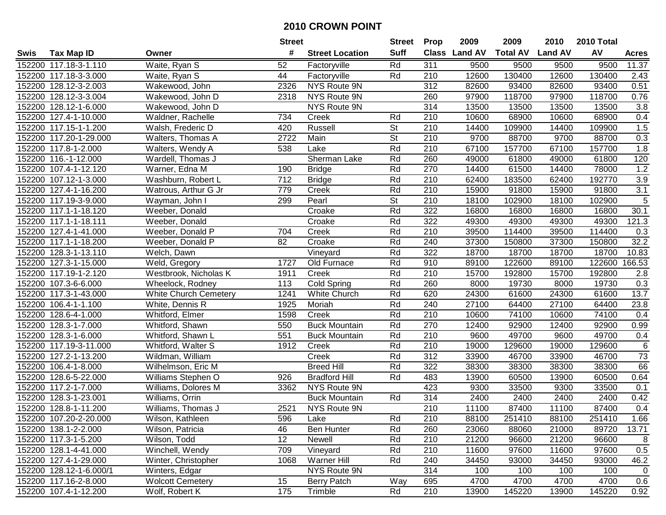|        |                         |                          |      | <b>Street</b>          |                          | <b>Prop</b>      | 2009          | 2009            | 2010           | 2010 Total |                   |
|--------|-------------------------|--------------------------|------|------------------------|--------------------------|------------------|---------------|-----------------|----------------|------------|-------------------|
| Swis   | <b>Tax Map ID</b>       | Owner                    | #    | <b>Street Location</b> | <b>Suff</b>              |                  | Class Land AV | <b>Total AV</b> | <b>Land AV</b> | AV         | <b>Acres</b>      |
|        | 152200 117.18-3-1.110   | Waite, Ryan S            | 52   | Factoryville           | Rd                       | 311              | 9500          | 9500            | 9500           | 9500       | 11.37             |
|        | 152200 117.18-3-3.000   | Waite, Ryan S            | 44   | Factoryville           | Rd                       | 210              | 12600         | 130400          | 12600          | 130400     | 2.43              |
|        | 152200 128.12-3-2.003   | Wakewood, John           | 2326 | NYS Route 9N           |                          | 312              | 82600         | 93400           | 82600          | 93400      | 0.51              |
|        | 152200 128.12-3-3.004   | Wakewood, John D         | 2318 | NYS Route 9N           |                          | 260              | 97900         | 118700          | 97900          | 118700     | 0.76              |
|        | 152200 128.12-1-6.000   | Wakewood, John D         |      | NYS Route 9N           |                          | 314              | 13500         | 13500           | 13500          | 13500      | 3.8               |
|        | 152200 127.4-1-10.000   | Waldner, Rachelle        | 734  | Creek                  | Rd                       | 210              | 10600         | 68900           | 10600          | 68900      | 0.4               |
|        | 152200 117.15-1-1.200   | Walsh, Frederic D        | 420  | Russell                | <b>St</b>                | 210              | 14400         | 109900          | 14400          | 109900     | 1.5               |
|        | 152200 117.20-1-29.000  | <b>Walters, Thomas A</b> | 2722 | Main                   | $\overline{\mathsf{St}}$ | $\overline{210}$ | 9700          | 88700           | 9700           | 88700      | 0.3               |
|        | 152200 117.8-1-2.000    | Walters, Wendy A         | 538  | Lake                   | Rd                       | 210              | 67100         | 157700          | 67100          | 157700     | 1.8               |
|        | 152200 116.-1-12.000    | Wardell, Thomas J        |      | Sherman Lake           | Rd                       | 260              | 49000         | 61800           | 49000          | 61800      | 120               |
|        | 152200 107.4-1-12.120   | Warner, Edna M           | 190  | <b>Bridge</b>          | Rd                       | 270              | 14400         | 61500           | 14400          | 78000      | 1.2               |
|        | 152200 107.12-1-3.000   | Washburn, Robert L       | 712  | <b>Bridge</b>          | Rd                       | 210              | 62400         | 183500          | 62400          | 192770     | 3.9               |
|        | 152200 127.4-1-16.200   | Watrous, Arthur G Jr     | 779  | Creek                  | Rd                       | 210              | 15900         | 91800           | 15900          | 91800      | $\overline{3.1}$  |
|        | 152200 117.19-3-9.000   | Wayman, John I           | 299  | Pearl                  | <b>St</b>                | 210              | 18100         | 102900          | 18100          | 102900     | 5                 |
|        | 152200 117.1-1-18.120   | Weeber, Donald           |      | Croake                 | Rd                       | 322              | 16800         | 16800           | 16800          | 16800      | $\overline{30.1}$ |
|        | 152200 117.1-1-18.111   | Weeber, Donald           |      | Croake                 | Rd                       | 322              | 49300         | 49300           | 49300          | 49300      | 121.3             |
|        | 152200 127.4-1-41.000   | Weeber, Donald P         | 704  | Creek                  | Rd                       | 210              | 39500         | 114400          | 39500          | 114400     | 0.3               |
|        | 152200 117.1-1-18.200   | Weeber, Donald P         | 82   | Croake                 | Rd                       | 240              | 37300         | 150800          | 37300          | 150800     | 32.2              |
|        | 152200 128.3-1-13.110   | Welch, Dawn              |      | Vineyard               | Rd                       | 322              | 18700         | 18700           | 18700          | 18700      | 10.83             |
|        | 152200 127.3-1-15.000   | Weld, Gregory            | 1727 | Old Furnace            | Rd                       | 910              | 89100         | 122600          | 89100          | 122600     | 166.53            |
|        | 152200 117.19-1-2.120   | Westbrook, Nicholas K    | 1911 | Creek                  | Rd                       | 210              | 15700         | 192800          | 15700          | 192800     | 2.8               |
|        | 152200 107.3-6-6.000    | Wheelock, Rodney         | 113  | Cold Spring            | Rd                       | 260              | 8000          | 19730           | 8000           | 19730      | 0.3               |
|        | 152200 117.3-1-43.000   | White Church Cemetery    | 1241 | White Church           | Rd                       | 620              | 24300         | 61600           | 24300          | 61600      | 13.7              |
|        | 152200 106.4-1-1.100    | White, Dennis R          | 1925 | Moriah                 | Rd                       | 240              | 27100         | 64400           | 27100          | 64400      | 23.8              |
| 152200 | 128.6-4-1.000           | Whitford, Elmer          | 1598 | Creek                  | Rd                       | 210              | 10600         | 74100           | 10600          | 74100      | 0.4               |
|        | 152200 128.3-1-7.000    | Whitford, Shawn          | 550  | <b>Buck Mountain</b>   | Rd                       | 270              | 12400         | 92900           | 12400          | 92900      | 0.99              |
|        | 152200 128.3-1-6.000    | Whitford, Shawn L        | 551  | <b>Buck Mountain</b>   | Rd                       | 210              | 9600          | 49700           | 9600           | 49700      | 0.4               |
|        | 152200 117.19-3-11.000  | Whitford, Walter S       | 1912 | Creek                  | Rd                       | 210              | 19000         | 129600          | 19000          | 129600     | 6                 |
|        | 152200 127.2-1-13.200   | Wildman, William         |      | Creek                  | Rd                       | 312              | 33900         | 46700           | 33900          | 46700      | 73                |
|        | 152200 106.4-1-8.000    | Wilhelmson, Eric M       |      | <b>Breed Hill</b>      | Rd                       | 322              | 38300         | 38300           | 38300          | 38300      | 66                |
|        | 152200 128.6-5-22.000   | Williams Stephen O       | 926  | <b>Bradford Hill</b>   | Rd                       | 483              | 13900         | 60500           | 13900          | 60500      | 0.64              |
|        | 152200 117.2-1-7.000    | Williams, Dolores M      | 3362 | NYS Route 9N           |                          | 423              | 9300          | 33500           | 9300           | 33500      | 0.1               |
|        | 152200 128.3-1-23.001   | Williams, Orrin          |      | <b>Buck Mountain</b>   | Rd                       | 314              | 2400          | 2400            | 2400           | 2400       | 0.42              |
|        | 152200 128.8-1-11.200   | Williams, Thomas J       | 2521 | NYS Route 9N           |                          | 210              | 11100         | 87400           | 11100          | 87400      | 0.4               |
|        | 152200 107.20-2-20.000  | Wilson, Kathleen         | 596  | Lake                   | Rd                       | 210              | 88100         | 251410          | 88100          | 251410     | 1.66              |
|        | 152200 138.1-2-2.000    | Wilson, Patricia         | 46   | <b>Ben Hunter</b>      | Rd                       | 260              | 23060         | 88060           | 21000          | 89720      | 13.71             |
|        | 152200 117.3-1-5.200    | Wilson, Todd             | 12   | Newell                 | Rd                       | 210              | 21200         | 96600           | 21200          | 96600      | 8                 |
|        | 152200 128.1-4-41.000   | Winchell, Wendy          | 709  | Vineyard               | Rd                       | 210              | 11600         | 97600           | 11600          | 97600      | 0.5               |
|        | 152200 127.4-1-29.000   | Winter, Christopher      | 1068 | Warner Hill            | Rd                       | 240              | 34450         | 93000           | 34450          | 93000      | 46.2              |
|        | 152200 128.12-1-6.000/1 | Winters, Edgar           |      | NYS Route 9N           |                          | 314              | 100           | 100             | 100            | 100        | 0                 |
|        | 152200 117.16-2-8.000   | <b>Wolcott Cemetery</b>  | 15   | Berry Patch            | Way                      | 695              | 4700          | 4700            | 4700           | 4700       | 0.6               |
|        | 152200 107.4-1-12.200   | Wolf, Robert K           | 175  | Trimble                | Rd                       | 210              | 13900         | 145220          | 13900          | 145220     | 0.92              |
|        |                         |                          |      |                        |                          |                  |               |                 |                |            |                   |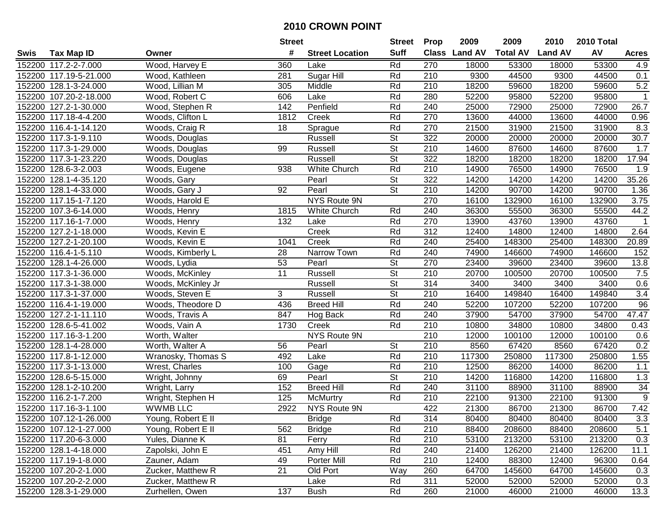| #<br><b>Suff</b><br>Class Land AV<br>AV<br><b>Total AV</b><br><b>Land AV</b><br><b>Tax Map ID</b><br><b>Street Location</b><br>Swis<br>Owner<br><b>Acres</b><br>152200 117.2-2-7.000<br>Wood, Harvey E<br>360<br>Rd<br>270<br>18000<br>53300<br>53300<br>Lake<br>18000<br>4.9<br>Sugar Hill<br>44500<br>152200 117.19-5-21.000<br>281<br>Rd<br>210<br>9300<br>9300<br>44500<br>0.1<br>Wood, Kathleen<br>5.2<br>152200 128.1-3-24.000<br>210<br>59600<br>18200<br>59600<br>Wood, Lillian M<br>305<br>Middle<br>Rd<br>18200<br>Rd<br>95800<br>152200 107.20-2-18.000<br>Wood, Robert C<br>606<br>Lake<br>280<br>52200<br>95800<br>52200<br>$\mathbf{1}$<br>152200 127.2-1-30.000<br>Penfield<br>Rd<br>240<br>25000<br>72900<br>25000<br>72900<br>26.7<br>Wood, Stephen R<br>142<br>152200 117.18-4-4.200<br>Woods, Clifton L<br>1812<br>Rd<br>270<br>13600<br>44000<br>13600<br>44000<br>0.96<br>Creek<br>21500<br>8.3<br>152200 116.4-1-14.120<br>Woods, Craig R<br>18<br>Sprague<br>Rd<br>270<br>21500<br>31900<br>31900<br>$\overline{\mathsf{St}}$<br>322<br>$\overline{30.7}$<br>152200 117.3-1-9.110<br>Russell<br>20000<br>20000<br>20000<br>20000<br>Woods, Douglas<br>$\overline{\mathsf{St}}$<br>152200 117.3-1-29.000<br>99<br>210<br>14600<br>87600<br>14600<br>87600<br>1.7<br>Woods, Douglas<br>Russell<br><b>St</b><br>322<br>17.94<br>152200 117.3-1-23.220<br>Russell<br>18200<br>18200<br>18200<br>18200<br>Woods, Douglas<br>152200 128.6-3-2.003<br><b>White Church</b><br>Rd<br>210<br>14900<br>76500<br>14900<br>76500<br>Woods, Eugene<br>938<br>1.9<br><b>St</b><br>35.26<br>152200 128.1-4-35.120<br>Pearl<br>322<br>14200<br>14200<br>14200<br>14200<br>Woods, Gary<br>$\overline{\mathsf{St}}$<br>210<br>14200<br>90700<br>152200 128.1-4-33.000<br>92<br>Pearl<br>14200<br>90700<br>1.36<br>Woods, Gary J<br>270<br>152200 117.15-1-7.120<br>NYS Route 9N<br>16100<br>132900<br>16100<br>132900<br>3.75<br>Woods, Harold E<br>240<br>44.2<br>152200 107.3-6-14.000<br>1815<br><b>White Church</b><br>Rd<br>36300<br>55500<br>36300<br>55500<br>Woods, Henry<br>152200 117.16-1-7.000<br>132<br>Rd<br>270<br>13900<br>43760<br>13900<br>43760<br>Woods, Henry<br>Lake<br>$\mathbf 1$<br>Rd<br>312<br>2.64<br>152200 127.2-1-18.000<br>Creek<br>14800<br>12400<br>14800<br>12400<br>Woods, Kevin E<br>Rd<br>1041<br>Creek<br>240<br>25400<br>148300<br>20.89<br>152200 127.2-1-20.100<br>Woods, Kevin E<br>25400<br>148300<br>152200 116.4-1-5.110<br>Rd<br>74900<br>146600<br>Woods, Kimberly L<br>28<br>Narrow Town<br>240<br>74900<br>146600<br>152<br>152200 128.1-4-26.000<br>53<br>Pearl<br><b>St</b><br>270<br>39600<br>23400<br>39600<br>13.8<br>Woods, Lydia<br>23400<br>11<br><b>St</b><br>210<br>7.5<br>152200 117.3-1-36.000<br>Woods, McKinley<br>Russell<br>20700<br>100500<br>20700<br>100500<br>152200 117.3-1-38.000<br><b>St</b><br>314<br>3400<br>3400<br>0.6<br>Woods, McKinley Jr<br>Russell<br>3400<br>3400<br>3<br><b>St</b><br>3.4<br>152200 117.3-1-37.000<br>Woods, Steven E<br>Russell<br>210<br>16400<br>149840<br>16400<br>149840<br>436<br>Rd<br>240<br>52200<br>107200<br>52200<br>107200<br>96<br>152200 116.4-1-19.000<br>Woods, Theodore D<br><b>Breed Hill</b><br>47.47<br>127.2-1-11.110<br>847<br>Rd<br>240<br>54700<br>54700<br>152200<br>37900<br>37900<br>Woods, Travis A<br>Hog Back<br>34800<br>34800<br>152200 128.6-5-41.002<br>1730<br>Creek<br>Rd<br>210<br>10800<br>10800<br>0.43<br>Woods, Vain A<br>210<br>152200 117.16-3-1.200<br>Worth, Walter<br>NYS Route 9N<br>12000<br>100100<br>100100<br>12000<br>0.6<br>152200 128.1-4-28.000<br>Worth, Walter A<br>Pearl<br><b>St</b><br>210<br>8560<br>67420<br>8560<br>67420<br>0.2<br>56<br>Rd<br>152200 117.8-1-12.000<br>492<br>Lake<br>210<br>117300<br>250800<br>117300<br>250800<br>1.55<br>Wranosky, Thomas S<br>Rd<br>86200<br>152200 117.3-1-13.000<br>100<br>210<br>12500<br>86200<br>14000<br>Wrest, Charles<br>Gage<br>1.1<br>$\overline{\mathsf{St}}$<br>$\overline{210}$<br>116800<br>116800<br>152200 128.6-5-15.000<br>69<br>Pearl<br>14200<br>14200<br>1.3<br>Wright, Johnny<br>152200 128.1-2-10.200<br>152<br>Rd<br>240<br>31100<br>34<br><b>Breed Hill</b><br>31100<br>88900<br>88900<br>Wright, Larry<br>$\overline{9}$<br>152200 116.2-1-7.200<br>125<br>210<br>22100<br>91300<br>22100<br>91300<br><b>McMurtry</b><br>Rd<br>Wright, Stephen H<br>NYS Route 9N<br>7.42<br>152200 117.16-3-1.100<br><b>WWMB LLC</b><br>2922<br>422<br>21300<br>86700<br>21300<br>86700<br>152200 107.12-1-26.000<br>Young, Robert E II<br><b>Bridge</b><br>Rd<br>314<br>80400<br>80400<br>80400<br>80400<br>3.3<br>Rd<br>5.1<br>152200 107.12-1-27.000<br>Young, Robert E II<br>562<br><b>Bridge</b><br>210<br>88400<br>208600<br>88400<br>208600<br>Rd<br>152200 117.20-6-3.000<br>Yules, Dianne K<br>81<br>Ferry<br>210<br>53100<br>213200<br>53100<br>213200<br>0.3<br>Rd<br>152200 128.1-4-18.000<br>451<br>240<br>126200<br>126200<br>11.1<br>Zapolski, John E<br>Amy Hill<br>21400<br>21400<br>Rd<br>152200 117.19-1-8.000<br>Zauner, Adam<br>49<br>Porter Mill<br>210<br>12400<br>88300<br>12400<br>96300<br>0.64<br>21<br>152200 107.20-2-1.000<br>Zucker, Matthew R<br>Old Port<br>Way<br>260<br>64700<br>145600<br>64700<br>145600<br>0.3<br>311<br>152200 107.20-2-2.000<br>Zucker, Matthew R<br>Rd<br>52000<br>52000<br>52000<br>52000<br>0.3<br>Lake<br>137<br>152200 128.3-1-29.000<br>Zurhellen, Owen<br><b>Bush</b><br>Rd<br>260<br>21000<br>21000<br>46000<br>13.3<br>46000 |  |  | <b>Street</b> |  | <b>Prop</b> | 2009 | 2009 | 2010 | 2010 Total |  |
|-------------------------------------------------------------------------------------------------------------------------------------------------------------------------------------------------------------------------------------------------------------------------------------------------------------------------------------------------------------------------------------------------------------------------------------------------------------------------------------------------------------------------------------------------------------------------------------------------------------------------------------------------------------------------------------------------------------------------------------------------------------------------------------------------------------------------------------------------------------------------------------------------------------------------------------------------------------------------------------------------------------------------------------------------------------------------------------------------------------------------------------------------------------------------------------------------------------------------------------------------------------------------------------------------------------------------------------------------------------------------------------------------------------------------------------------------------------------------------------------------------------------------------------------------------------------------------------------------------------------------------------------------------------------------------------------------------------------------------------------------------------------------------------------------------------------------------------------------------------------------------------------------------------------------------------------------------------------------------------------------------------------------------------------------------------------------------------------------------------------------------------------------------------------------------------------------------------------------------------------------------------------------------------------------------------------------------------------------------------------------------------------------------------------------------------------------------------------------------------------------------------------------------------------------------------------------------------------------------------------------------------------------------------------------------------------------------------------------------------------------------------------------------------------------------------------------------------------------------------------------------------------------------------------------------------------------------------------------------------------------------------------------------------------------------------------------------------------------------------------------------------------------------------------------------------------------------------------------------------------------------------------------------------------------------------------------------------------------------------------------------------------------------------------------------------------------------------------------------------------------------------------------------------------------------------------------------------------------------------------------------------------------------------------------------------------------------------------------------------------------------------------------------------------------------------------------------------------------------------------------------------------------------------------------------------------------------------------------------------------------------------------------------------------------------------------------------------------------------------------------------------------------------------------------------------------------------------------------------------------------------------------------------------------------------------------------------------------------------------------------------------------------------------------------------------------------------------------------------------------------------------------------------------------------------------------------------------------------------------------------------------------------------------------------------------------------------------------------------------------------------------------------------------------------------------------------------------------------------------------------------------------------------------------------------------------------------------------------------------------------------------------------------------------------------------------------------------------------------------------------------------------------------------------------------------------------------------------------------------------------------------------------------------------------------------------------------------------------------------------------------------------------------------------------------------------------------------------------------------------------------------------------|--|--|---------------|--|-------------|------|------|------|------------|--|
|                                                                                                                                                                                                                                                                                                                                                                                                                                                                                                                                                                                                                                                                                                                                                                                                                                                                                                                                                                                                                                                                                                                                                                                                                                                                                                                                                                                                                                                                                                                                                                                                                                                                                                                                                                                                                                                                                                                                                                                                                                                                                                                                                                                                                                                                                                                                                                                                                                                                                                                                                                                                                                                                                                                                                                                                                                                                                                                                                                                                                                                                                                                                                                                                                                                                                                                                                                                                                                                                                                                                                                                                                                                                                                                                                                                                                                                                                                                                                                                                                                                                                                                                                                                                                                                                                                                                                                                                                                                                                                                                                                                                                                                                                                                                                                                                                                                                                                                                                                                                                                                                                                                                                                                                                                                                                                                                                                                                                                                                                                                         |  |  |               |  |             |      |      |      |            |  |
|                                                                                                                                                                                                                                                                                                                                                                                                                                                                                                                                                                                                                                                                                                                                                                                                                                                                                                                                                                                                                                                                                                                                                                                                                                                                                                                                                                                                                                                                                                                                                                                                                                                                                                                                                                                                                                                                                                                                                                                                                                                                                                                                                                                                                                                                                                                                                                                                                                                                                                                                                                                                                                                                                                                                                                                                                                                                                                                                                                                                                                                                                                                                                                                                                                                                                                                                                                                                                                                                                                                                                                                                                                                                                                                                                                                                                                                                                                                                                                                                                                                                                                                                                                                                                                                                                                                                                                                                                                                                                                                                                                                                                                                                                                                                                                                                                                                                                                                                                                                                                                                                                                                                                                                                                                                                                                                                                                                                                                                                                                                         |  |  |               |  |             |      |      |      |            |  |
|                                                                                                                                                                                                                                                                                                                                                                                                                                                                                                                                                                                                                                                                                                                                                                                                                                                                                                                                                                                                                                                                                                                                                                                                                                                                                                                                                                                                                                                                                                                                                                                                                                                                                                                                                                                                                                                                                                                                                                                                                                                                                                                                                                                                                                                                                                                                                                                                                                                                                                                                                                                                                                                                                                                                                                                                                                                                                                                                                                                                                                                                                                                                                                                                                                                                                                                                                                                                                                                                                                                                                                                                                                                                                                                                                                                                                                                                                                                                                                                                                                                                                                                                                                                                                                                                                                                                                                                                                                                                                                                                                                                                                                                                                                                                                                                                                                                                                                                                                                                                                                                                                                                                                                                                                                                                                                                                                                                                                                                                                                                         |  |  |               |  |             |      |      |      |            |  |
|                                                                                                                                                                                                                                                                                                                                                                                                                                                                                                                                                                                                                                                                                                                                                                                                                                                                                                                                                                                                                                                                                                                                                                                                                                                                                                                                                                                                                                                                                                                                                                                                                                                                                                                                                                                                                                                                                                                                                                                                                                                                                                                                                                                                                                                                                                                                                                                                                                                                                                                                                                                                                                                                                                                                                                                                                                                                                                                                                                                                                                                                                                                                                                                                                                                                                                                                                                                                                                                                                                                                                                                                                                                                                                                                                                                                                                                                                                                                                                                                                                                                                                                                                                                                                                                                                                                                                                                                                                                                                                                                                                                                                                                                                                                                                                                                                                                                                                                                                                                                                                                                                                                                                                                                                                                                                                                                                                                                                                                                                                                         |  |  |               |  |             |      |      |      |            |  |
|                                                                                                                                                                                                                                                                                                                                                                                                                                                                                                                                                                                                                                                                                                                                                                                                                                                                                                                                                                                                                                                                                                                                                                                                                                                                                                                                                                                                                                                                                                                                                                                                                                                                                                                                                                                                                                                                                                                                                                                                                                                                                                                                                                                                                                                                                                                                                                                                                                                                                                                                                                                                                                                                                                                                                                                                                                                                                                                                                                                                                                                                                                                                                                                                                                                                                                                                                                                                                                                                                                                                                                                                                                                                                                                                                                                                                                                                                                                                                                                                                                                                                                                                                                                                                                                                                                                                                                                                                                                                                                                                                                                                                                                                                                                                                                                                                                                                                                                                                                                                                                                                                                                                                                                                                                                                                                                                                                                                                                                                                                                         |  |  |               |  |             |      |      |      |            |  |
|                                                                                                                                                                                                                                                                                                                                                                                                                                                                                                                                                                                                                                                                                                                                                                                                                                                                                                                                                                                                                                                                                                                                                                                                                                                                                                                                                                                                                                                                                                                                                                                                                                                                                                                                                                                                                                                                                                                                                                                                                                                                                                                                                                                                                                                                                                                                                                                                                                                                                                                                                                                                                                                                                                                                                                                                                                                                                                                                                                                                                                                                                                                                                                                                                                                                                                                                                                                                                                                                                                                                                                                                                                                                                                                                                                                                                                                                                                                                                                                                                                                                                                                                                                                                                                                                                                                                                                                                                                                                                                                                                                                                                                                                                                                                                                                                                                                                                                                                                                                                                                                                                                                                                                                                                                                                                                                                                                                                                                                                                                                         |  |  |               |  |             |      |      |      |            |  |
|                                                                                                                                                                                                                                                                                                                                                                                                                                                                                                                                                                                                                                                                                                                                                                                                                                                                                                                                                                                                                                                                                                                                                                                                                                                                                                                                                                                                                                                                                                                                                                                                                                                                                                                                                                                                                                                                                                                                                                                                                                                                                                                                                                                                                                                                                                                                                                                                                                                                                                                                                                                                                                                                                                                                                                                                                                                                                                                                                                                                                                                                                                                                                                                                                                                                                                                                                                                                                                                                                                                                                                                                                                                                                                                                                                                                                                                                                                                                                                                                                                                                                                                                                                                                                                                                                                                                                                                                                                                                                                                                                                                                                                                                                                                                                                                                                                                                                                                                                                                                                                                                                                                                                                                                                                                                                                                                                                                                                                                                                                                         |  |  |               |  |             |      |      |      |            |  |
|                                                                                                                                                                                                                                                                                                                                                                                                                                                                                                                                                                                                                                                                                                                                                                                                                                                                                                                                                                                                                                                                                                                                                                                                                                                                                                                                                                                                                                                                                                                                                                                                                                                                                                                                                                                                                                                                                                                                                                                                                                                                                                                                                                                                                                                                                                                                                                                                                                                                                                                                                                                                                                                                                                                                                                                                                                                                                                                                                                                                                                                                                                                                                                                                                                                                                                                                                                                                                                                                                                                                                                                                                                                                                                                                                                                                                                                                                                                                                                                                                                                                                                                                                                                                                                                                                                                                                                                                                                                                                                                                                                                                                                                                                                                                                                                                                                                                                                                                                                                                                                                                                                                                                                                                                                                                                                                                                                                                                                                                                                                         |  |  |               |  |             |      |      |      |            |  |
|                                                                                                                                                                                                                                                                                                                                                                                                                                                                                                                                                                                                                                                                                                                                                                                                                                                                                                                                                                                                                                                                                                                                                                                                                                                                                                                                                                                                                                                                                                                                                                                                                                                                                                                                                                                                                                                                                                                                                                                                                                                                                                                                                                                                                                                                                                                                                                                                                                                                                                                                                                                                                                                                                                                                                                                                                                                                                                                                                                                                                                                                                                                                                                                                                                                                                                                                                                                                                                                                                                                                                                                                                                                                                                                                                                                                                                                                                                                                                                                                                                                                                                                                                                                                                                                                                                                                                                                                                                                                                                                                                                                                                                                                                                                                                                                                                                                                                                                                                                                                                                                                                                                                                                                                                                                                                                                                                                                                                                                                                                                         |  |  |               |  |             |      |      |      |            |  |
|                                                                                                                                                                                                                                                                                                                                                                                                                                                                                                                                                                                                                                                                                                                                                                                                                                                                                                                                                                                                                                                                                                                                                                                                                                                                                                                                                                                                                                                                                                                                                                                                                                                                                                                                                                                                                                                                                                                                                                                                                                                                                                                                                                                                                                                                                                                                                                                                                                                                                                                                                                                                                                                                                                                                                                                                                                                                                                                                                                                                                                                                                                                                                                                                                                                                                                                                                                                                                                                                                                                                                                                                                                                                                                                                                                                                                                                                                                                                                                                                                                                                                                                                                                                                                                                                                                                                                                                                                                                                                                                                                                                                                                                                                                                                                                                                                                                                                                                                                                                                                                                                                                                                                                                                                                                                                                                                                                                                                                                                                                                         |  |  |               |  |             |      |      |      |            |  |
|                                                                                                                                                                                                                                                                                                                                                                                                                                                                                                                                                                                                                                                                                                                                                                                                                                                                                                                                                                                                                                                                                                                                                                                                                                                                                                                                                                                                                                                                                                                                                                                                                                                                                                                                                                                                                                                                                                                                                                                                                                                                                                                                                                                                                                                                                                                                                                                                                                                                                                                                                                                                                                                                                                                                                                                                                                                                                                                                                                                                                                                                                                                                                                                                                                                                                                                                                                                                                                                                                                                                                                                                                                                                                                                                                                                                                                                                                                                                                                                                                                                                                                                                                                                                                                                                                                                                                                                                                                                                                                                                                                                                                                                                                                                                                                                                                                                                                                                                                                                                                                                                                                                                                                                                                                                                                                                                                                                                                                                                                                                         |  |  |               |  |             |      |      |      |            |  |
|                                                                                                                                                                                                                                                                                                                                                                                                                                                                                                                                                                                                                                                                                                                                                                                                                                                                                                                                                                                                                                                                                                                                                                                                                                                                                                                                                                                                                                                                                                                                                                                                                                                                                                                                                                                                                                                                                                                                                                                                                                                                                                                                                                                                                                                                                                                                                                                                                                                                                                                                                                                                                                                                                                                                                                                                                                                                                                                                                                                                                                                                                                                                                                                                                                                                                                                                                                                                                                                                                                                                                                                                                                                                                                                                                                                                                                                                                                                                                                                                                                                                                                                                                                                                                                                                                                                                                                                                                                                                                                                                                                                                                                                                                                                                                                                                                                                                                                                                                                                                                                                                                                                                                                                                                                                                                                                                                                                                                                                                                                                         |  |  |               |  |             |      |      |      |            |  |
|                                                                                                                                                                                                                                                                                                                                                                                                                                                                                                                                                                                                                                                                                                                                                                                                                                                                                                                                                                                                                                                                                                                                                                                                                                                                                                                                                                                                                                                                                                                                                                                                                                                                                                                                                                                                                                                                                                                                                                                                                                                                                                                                                                                                                                                                                                                                                                                                                                                                                                                                                                                                                                                                                                                                                                                                                                                                                                                                                                                                                                                                                                                                                                                                                                                                                                                                                                                                                                                                                                                                                                                                                                                                                                                                                                                                                                                                                                                                                                                                                                                                                                                                                                                                                                                                                                                                                                                                                                                                                                                                                                                                                                                                                                                                                                                                                                                                                                                                                                                                                                                                                                                                                                                                                                                                                                                                                                                                                                                                                                                         |  |  |               |  |             |      |      |      |            |  |
|                                                                                                                                                                                                                                                                                                                                                                                                                                                                                                                                                                                                                                                                                                                                                                                                                                                                                                                                                                                                                                                                                                                                                                                                                                                                                                                                                                                                                                                                                                                                                                                                                                                                                                                                                                                                                                                                                                                                                                                                                                                                                                                                                                                                                                                                                                                                                                                                                                                                                                                                                                                                                                                                                                                                                                                                                                                                                                                                                                                                                                                                                                                                                                                                                                                                                                                                                                                                                                                                                                                                                                                                                                                                                                                                                                                                                                                                                                                                                                                                                                                                                                                                                                                                                                                                                                                                                                                                                                                                                                                                                                                                                                                                                                                                                                                                                                                                                                                                                                                                                                                                                                                                                                                                                                                                                                                                                                                                                                                                                                                         |  |  |               |  |             |      |      |      |            |  |
|                                                                                                                                                                                                                                                                                                                                                                                                                                                                                                                                                                                                                                                                                                                                                                                                                                                                                                                                                                                                                                                                                                                                                                                                                                                                                                                                                                                                                                                                                                                                                                                                                                                                                                                                                                                                                                                                                                                                                                                                                                                                                                                                                                                                                                                                                                                                                                                                                                                                                                                                                                                                                                                                                                                                                                                                                                                                                                                                                                                                                                                                                                                                                                                                                                                                                                                                                                                                                                                                                                                                                                                                                                                                                                                                                                                                                                                                                                                                                                                                                                                                                                                                                                                                                                                                                                                                                                                                                                                                                                                                                                                                                                                                                                                                                                                                                                                                                                                                                                                                                                                                                                                                                                                                                                                                                                                                                                                                                                                                                                                         |  |  |               |  |             |      |      |      |            |  |
|                                                                                                                                                                                                                                                                                                                                                                                                                                                                                                                                                                                                                                                                                                                                                                                                                                                                                                                                                                                                                                                                                                                                                                                                                                                                                                                                                                                                                                                                                                                                                                                                                                                                                                                                                                                                                                                                                                                                                                                                                                                                                                                                                                                                                                                                                                                                                                                                                                                                                                                                                                                                                                                                                                                                                                                                                                                                                                                                                                                                                                                                                                                                                                                                                                                                                                                                                                                                                                                                                                                                                                                                                                                                                                                                                                                                                                                                                                                                                                                                                                                                                                                                                                                                                                                                                                                                                                                                                                                                                                                                                                                                                                                                                                                                                                                                                                                                                                                                                                                                                                                                                                                                                                                                                                                                                                                                                                                                                                                                                                                         |  |  |               |  |             |      |      |      |            |  |
|                                                                                                                                                                                                                                                                                                                                                                                                                                                                                                                                                                                                                                                                                                                                                                                                                                                                                                                                                                                                                                                                                                                                                                                                                                                                                                                                                                                                                                                                                                                                                                                                                                                                                                                                                                                                                                                                                                                                                                                                                                                                                                                                                                                                                                                                                                                                                                                                                                                                                                                                                                                                                                                                                                                                                                                                                                                                                                                                                                                                                                                                                                                                                                                                                                                                                                                                                                                                                                                                                                                                                                                                                                                                                                                                                                                                                                                                                                                                                                                                                                                                                                                                                                                                                                                                                                                                                                                                                                                                                                                                                                                                                                                                                                                                                                                                                                                                                                                                                                                                                                                                                                                                                                                                                                                                                                                                                                                                                                                                                                                         |  |  |               |  |             |      |      |      |            |  |
|                                                                                                                                                                                                                                                                                                                                                                                                                                                                                                                                                                                                                                                                                                                                                                                                                                                                                                                                                                                                                                                                                                                                                                                                                                                                                                                                                                                                                                                                                                                                                                                                                                                                                                                                                                                                                                                                                                                                                                                                                                                                                                                                                                                                                                                                                                                                                                                                                                                                                                                                                                                                                                                                                                                                                                                                                                                                                                                                                                                                                                                                                                                                                                                                                                                                                                                                                                                                                                                                                                                                                                                                                                                                                                                                                                                                                                                                                                                                                                                                                                                                                                                                                                                                                                                                                                                                                                                                                                                                                                                                                                                                                                                                                                                                                                                                                                                                                                                                                                                                                                                                                                                                                                                                                                                                                                                                                                                                                                                                                                                         |  |  |               |  |             |      |      |      |            |  |
|                                                                                                                                                                                                                                                                                                                                                                                                                                                                                                                                                                                                                                                                                                                                                                                                                                                                                                                                                                                                                                                                                                                                                                                                                                                                                                                                                                                                                                                                                                                                                                                                                                                                                                                                                                                                                                                                                                                                                                                                                                                                                                                                                                                                                                                                                                                                                                                                                                                                                                                                                                                                                                                                                                                                                                                                                                                                                                                                                                                                                                                                                                                                                                                                                                                                                                                                                                                                                                                                                                                                                                                                                                                                                                                                                                                                                                                                                                                                                                                                                                                                                                                                                                                                                                                                                                                                                                                                                                                                                                                                                                                                                                                                                                                                                                                                                                                                                                                                                                                                                                                                                                                                                                                                                                                                                                                                                                                                                                                                                                                         |  |  |               |  |             |      |      |      |            |  |
|                                                                                                                                                                                                                                                                                                                                                                                                                                                                                                                                                                                                                                                                                                                                                                                                                                                                                                                                                                                                                                                                                                                                                                                                                                                                                                                                                                                                                                                                                                                                                                                                                                                                                                                                                                                                                                                                                                                                                                                                                                                                                                                                                                                                                                                                                                                                                                                                                                                                                                                                                                                                                                                                                                                                                                                                                                                                                                                                                                                                                                                                                                                                                                                                                                                                                                                                                                                                                                                                                                                                                                                                                                                                                                                                                                                                                                                                                                                                                                                                                                                                                                                                                                                                                                                                                                                                                                                                                                                                                                                                                                                                                                                                                                                                                                                                                                                                                                                                                                                                                                                                                                                                                                                                                                                                                                                                                                                                                                                                                                                         |  |  |               |  |             |      |      |      |            |  |
|                                                                                                                                                                                                                                                                                                                                                                                                                                                                                                                                                                                                                                                                                                                                                                                                                                                                                                                                                                                                                                                                                                                                                                                                                                                                                                                                                                                                                                                                                                                                                                                                                                                                                                                                                                                                                                                                                                                                                                                                                                                                                                                                                                                                                                                                                                                                                                                                                                                                                                                                                                                                                                                                                                                                                                                                                                                                                                                                                                                                                                                                                                                                                                                                                                                                                                                                                                                                                                                                                                                                                                                                                                                                                                                                                                                                                                                                                                                                                                                                                                                                                                                                                                                                                                                                                                                                                                                                                                                                                                                                                                                                                                                                                                                                                                                                                                                                                                                                                                                                                                                                                                                                                                                                                                                                                                                                                                                                                                                                                                                         |  |  |               |  |             |      |      |      |            |  |
|                                                                                                                                                                                                                                                                                                                                                                                                                                                                                                                                                                                                                                                                                                                                                                                                                                                                                                                                                                                                                                                                                                                                                                                                                                                                                                                                                                                                                                                                                                                                                                                                                                                                                                                                                                                                                                                                                                                                                                                                                                                                                                                                                                                                                                                                                                                                                                                                                                                                                                                                                                                                                                                                                                                                                                                                                                                                                                                                                                                                                                                                                                                                                                                                                                                                                                                                                                                                                                                                                                                                                                                                                                                                                                                                                                                                                                                                                                                                                                                                                                                                                                                                                                                                                                                                                                                                                                                                                                                                                                                                                                                                                                                                                                                                                                                                                                                                                                                                                                                                                                                                                                                                                                                                                                                                                                                                                                                                                                                                                                                         |  |  |               |  |             |      |      |      |            |  |
|                                                                                                                                                                                                                                                                                                                                                                                                                                                                                                                                                                                                                                                                                                                                                                                                                                                                                                                                                                                                                                                                                                                                                                                                                                                                                                                                                                                                                                                                                                                                                                                                                                                                                                                                                                                                                                                                                                                                                                                                                                                                                                                                                                                                                                                                                                                                                                                                                                                                                                                                                                                                                                                                                                                                                                                                                                                                                                                                                                                                                                                                                                                                                                                                                                                                                                                                                                                                                                                                                                                                                                                                                                                                                                                                                                                                                                                                                                                                                                                                                                                                                                                                                                                                                                                                                                                                                                                                                                                                                                                                                                                                                                                                                                                                                                                                                                                                                                                                                                                                                                                                                                                                                                                                                                                                                                                                                                                                                                                                                                                         |  |  |               |  |             |      |      |      |            |  |
|                                                                                                                                                                                                                                                                                                                                                                                                                                                                                                                                                                                                                                                                                                                                                                                                                                                                                                                                                                                                                                                                                                                                                                                                                                                                                                                                                                                                                                                                                                                                                                                                                                                                                                                                                                                                                                                                                                                                                                                                                                                                                                                                                                                                                                                                                                                                                                                                                                                                                                                                                                                                                                                                                                                                                                                                                                                                                                                                                                                                                                                                                                                                                                                                                                                                                                                                                                                                                                                                                                                                                                                                                                                                                                                                                                                                                                                                                                                                                                                                                                                                                                                                                                                                                                                                                                                                                                                                                                                                                                                                                                                                                                                                                                                                                                                                                                                                                                                                                                                                                                                                                                                                                                                                                                                                                                                                                                                                                                                                                                                         |  |  |               |  |             |      |      |      |            |  |
|                                                                                                                                                                                                                                                                                                                                                                                                                                                                                                                                                                                                                                                                                                                                                                                                                                                                                                                                                                                                                                                                                                                                                                                                                                                                                                                                                                                                                                                                                                                                                                                                                                                                                                                                                                                                                                                                                                                                                                                                                                                                                                                                                                                                                                                                                                                                                                                                                                                                                                                                                                                                                                                                                                                                                                                                                                                                                                                                                                                                                                                                                                                                                                                                                                                                                                                                                                                                                                                                                                                                                                                                                                                                                                                                                                                                                                                                                                                                                                                                                                                                                                                                                                                                                                                                                                                                                                                                                                                                                                                                                                                                                                                                                                                                                                                                                                                                                                                                                                                                                                                                                                                                                                                                                                                                                                                                                                                                                                                                                                                         |  |  |               |  |             |      |      |      |            |  |
|                                                                                                                                                                                                                                                                                                                                                                                                                                                                                                                                                                                                                                                                                                                                                                                                                                                                                                                                                                                                                                                                                                                                                                                                                                                                                                                                                                                                                                                                                                                                                                                                                                                                                                                                                                                                                                                                                                                                                                                                                                                                                                                                                                                                                                                                                                                                                                                                                                                                                                                                                                                                                                                                                                                                                                                                                                                                                                                                                                                                                                                                                                                                                                                                                                                                                                                                                                                                                                                                                                                                                                                                                                                                                                                                                                                                                                                                                                                                                                                                                                                                                                                                                                                                                                                                                                                                                                                                                                                                                                                                                                                                                                                                                                                                                                                                                                                                                                                                                                                                                                                                                                                                                                                                                                                                                                                                                                                                                                                                                                                         |  |  |               |  |             |      |      |      |            |  |
|                                                                                                                                                                                                                                                                                                                                                                                                                                                                                                                                                                                                                                                                                                                                                                                                                                                                                                                                                                                                                                                                                                                                                                                                                                                                                                                                                                                                                                                                                                                                                                                                                                                                                                                                                                                                                                                                                                                                                                                                                                                                                                                                                                                                                                                                                                                                                                                                                                                                                                                                                                                                                                                                                                                                                                                                                                                                                                                                                                                                                                                                                                                                                                                                                                                                                                                                                                                                                                                                                                                                                                                                                                                                                                                                                                                                                                                                                                                                                                                                                                                                                                                                                                                                                                                                                                                                                                                                                                                                                                                                                                                                                                                                                                                                                                                                                                                                                                                                                                                                                                                                                                                                                                                                                                                                                                                                                                                                                                                                                                                         |  |  |               |  |             |      |      |      |            |  |
|                                                                                                                                                                                                                                                                                                                                                                                                                                                                                                                                                                                                                                                                                                                                                                                                                                                                                                                                                                                                                                                                                                                                                                                                                                                                                                                                                                                                                                                                                                                                                                                                                                                                                                                                                                                                                                                                                                                                                                                                                                                                                                                                                                                                                                                                                                                                                                                                                                                                                                                                                                                                                                                                                                                                                                                                                                                                                                                                                                                                                                                                                                                                                                                                                                                                                                                                                                                                                                                                                                                                                                                                                                                                                                                                                                                                                                                                                                                                                                                                                                                                                                                                                                                                                                                                                                                                                                                                                                                                                                                                                                                                                                                                                                                                                                                                                                                                                                                                                                                                                                                                                                                                                                                                                                                                                                                                                                                                                                                                                                                         |  |  |               |  |             |      |      |      |            |  |
|                                                                                                                                                                                                                                                                                                                                                                                                                                                                                                                                                                                                                                                                                                                                                                                                                                                                                                                                                                                                                                                                                                                                                                                                                                                                                                                                                                                                                                                                                                                                                                                                                                                                                                                                                                                                                                                                                                                                                                                                                                                                                                                                                                                                                                                                                                                                                                                                                                                                                                                                                                                                                                                                                                                                                                                                                                                                                                                                                                                                                                                                                                                                                                                                                                                                                                                                                                                                                                                                                                                                                                                                                                                                                                                                                                                                                                                                                                                                                                                                                                                                                                                                                                                                                                                                                                                                                                                                                                                                                                                                                                                                                                                                                                                                                                                                                                                                                                                                                                                                                                                                                                                                                                                                                                                                                                                                                                                                                                                                                                                         |  |  |               |  |             |      |      |      |            |  |
|                                                                                                                                                                                                                                                                                                                                                                                                                                                                                                                                                                                                                                                                                                                                                                                                                                                                                                                                                                                                                                                                                                                                                                                                                                                                                                                                                                                                                                                                                                                                                                                                                                                                                                                                                                                                                                                                                                                                                                                                                                                                                                                                                                                                                                                                                                                                                                                                                                                                                                                                                                                                                                                                                                                                                                                                                                                                                                                                                                                                                                                                                                                                                                                                                                                                                                                                                                                                                                                                                                                                                                                                                                                                                                                                                                                                                                                                                                                                                                                                                                                                                                                                                                                                                                                                                                                                                                                                                                                                                                                                                                                                                                                                                                                                                                                                                                                                                                                                                                                                                                                                                                                                                                                                                                                                                                                                                                                                                                                                                                                         |  |  |               |  |             |      |      |      |            |  |
|                                                                                                                                                                                                                                                                                                                                                                                                                                                                                                                                                                                                                                                                                                                                                                                                                                                                                                                                                                                                                                                                                                                                                                                                                                                                                                                                                                                                                                                                                                                                                                                                                                                                                                                                                                                                                                                                                                                                                                                                                                                                                                                                                                                                                                                                                                                                                                                                                                                                                                                                                                                                                                                                                                                                                                                                                                                                                                                                                                                                                                                                                                                                                                                                                                                                                                                                                                                                                                                                                                                                                                                                                                                                                                                                                                                                                                                                                                                                                                                                                                                                                                                                                                                                                                                                                                                                                                                                                                                                                                                                                                                                                                                                                                                                                                                                                                                                                                                                                                                                                                                                                                                                                                                                                                                                                                                                                                                                                                                                                                                         |  |  |               |  |             |      |      |      |            |  |
|                                                                                                                                                                                                                                                                                                                                                                                                                                                                                                                                                                                                                                                                                                                                                                                                                                                                                                                                                                                                                                                                                                                                                                                                                                                                                                                                                                                                                                                                                                                                                                                                                                                                                                                                                                                                                                                                                                                                                                                                                                                                                                                                                                                                                                                                                                                                                                                                                                                                                                                                                                                                                                                                                                                                                                                                                                                                                                                                                                                                                                                                                                                                                                                                                                                                                                                                                                                                                                                                                                                                                                                                                                                                                                                                                                                                                                                                                                                                                                                                                                                                                                                                                                                                                                                                                                                                                                                                                                                                                                                                                                                                                                                                                                                                                                                                                                                                                                                                                                                                                                                                                                                                                                                                                                                                                                                                                                                                                                                                                                                         |  |  |               |  |             |      |      |      |            |  |
|                                                                                                                                                                                                                                                                                                                                                                                                                                                                                                                                                                                                                                                                                                                                                                                                                                                                                                                                                                                                                                                                                                                                                                                                                                                                                                                                                                                                                                                                                                                                                                                                                                                                                                                                                                                                                                                                                                                                                                                                                                                                                                                                                                                                                                                                                                                                                                                                                                                                                                                                                                                                                                                                                                                                                                                                                                                                                                                                                                                                                                                                                                                                                                                                                                                                                                                                                                                                                                                                                                                                                                                                                                                                                                                                                                                                                                                                                                                                                                                                                                                                                                                                                                                                                                                                                                                                                                                                                                                                                                                                                                                                                                                                                                                                                                                                                                                                                                                                                                                                                                                                                                                                                                                                                                                                                                                                                                                                                                                                                                                         |  |  |               |  |             |      |      |      |            |  |
|                                                                                                                                                                                                                                                                                                                                                                                                                                                                                                                                                                                                                                                                                                                                                                                                                                                                                                                                                                                                                                                                                                                                                                                                                                                                                                                                                                                                                                                                                                                                                                                                                                                                                                                                                                                                                                                                                                                                                                                                                                                                                                                                                                                                                                                                                                                                                                                                                                                                                                                                                                                                                                                                                                                                                                                                                                                                                                                                                                                                                                                                                                                                                                                                                                                                                                                                                                                                                                                                                                                                                                                                                                                                                                                                                                                                                                                                                                                                                                                                                                                                                                                                                                                                                                                                                                                                                                                                                                                                                                                                                                                                                                                                                                                                                                                                                                                                                                                                                                                                                                                                                                                                                                                                                                                                                                                                                                                                                                                                                                                         |  |  |               |  |             |      |      |      |            |  |
|                                                                                                                                                                                                                                                                                                                                                                                                                                                                                                                                                                                                                                                                                                                                                                                                                                                                                                                                                                                                                                                                                                                                                                                                                                                                                                                                                                                                                                                                                                                                                                                                                                                                                                                                                                                                                                                                                                                                                                                                                                                                                                                                                                                                                                                                                                                                                                                                                                                                                                                                                                                                                                                                                                                                                                                                                                                                                                                                                                                                                                                                                                                                                                                                                                                                                                                                                                                                                                                                                                                                                                                                                                                                                                                                                                                                                                                                                                                                                                                                                                                                                                                                                                                                                                                                                                                                                                                                                                                                                                                                                                                                                                                                                                                                                                                                                                                                                                                                                                                                                                                                                                                                                                                                                                                                                                                                                                                                                                                                                                                         |  |  |               |  |             |      |      |      |            |  |
|                                                                                                                                                                                                                                                                                                                                                                                                                                                                                                                                                                                                                                                                                                                                                                                                                                                                                                                                                                                                                                                                                                                                                                                                                                                                                                                                                                                                                                                                                                                                                                                                                                                                                                                                                                                                                                                                                                                                                                                                                                                                                                                                                                                                                                                                                                                                                                                                                                                                                                                                                                                                                                                                                                                                                                                                                                                                                                                                                                                                                                                                                                                                                                                                                                                                                                                                                                                                                                                                                                                                                                                                                                                                                                                                                                                                                                                                                                                                                                                                                                                                                                                                                                                                                                                                                                                                                                                                                                                                                                                                                                                                                                                                                                                                                                                                                                                                                                                                                                                                                                                                                                                                                                                                                                                                                                                                                                                                                                                                                                                         |  |  |               |  |             |      |      |      |            |  |
|                                                                                                                                                                                                                                                                                                                                                                                                                                                                                                                                                                                                                                                                                                                                                                                                                                                                                                                                                                                                                                                                                                                                                                                                                                                                                                                                                                                                                                                                                                                                                                                                                                                                                                                                                                                                                                                                                                                                                                                                                                                                                                                                                                                                                                                                                                                                                                                                                                                                                                                                                                                                                                                                                                                                                                                                                                                                                                                                                                                                                                                                                                                                                                                                                                                                                                                                                                                                                                                                                                                                                                                                                                                                                                                                                                                                                                                                                                                                                                                                                                                                                                                                                                                                                                                                                                                                                                                                                                                                                                                                                                                                                                                                                                                                                                                                                                                                                                                                                                                                                                                                                                                                                                                                                                                                                                                                                                                                                                                                                                                         |  |  |               |  |             |      |      |      |            |  |
|                                                                                                                                                                                                                                                                                                                                                                                                                                                                                                                                                                                                                                                                                                                                                                                                                                                                                                                                                                                                                                                                                                                                                                                                                                                                                                                                                                                                                                                                                                                                                                                                                                                                                                                                                                                                                                                                                                                                                                                                                                                                                                                                                                                                                                                                                                                                                                                                                                                                                                                                                                                                                                                                                                                                                                                                                                                                                                                                                                                                                                                                                                                                                                                                                                                                                                                                                                                                                                                                                                                                                                                                                                                                                                                                                                                                                                                                                                                                                                                                                                                                                                                                                                                                                                                                                                                                                                                                                                                                                                                                                                                                                                                                                                                                                                                                                                                                                                                                                                                                                                                                                                                                                                                                                                                                                                                                                                                                                                                                                                                         |  |  |               |  |             |      |      |      |            |  |
|                                                                                                                                                                                                                                                                                                                                                                                                                                                                                                                                                                                                                                                                                                                                                                                                                                                                                                                                                                                                                                                                                                                                                                                                                                                                                                                                                                                                                                                                                                                                                                                                                                                                                                                                                                                                                                                                                                                                                                                                                                                                                                                                                                                                                                                                                                                                                                                                                                                                                                                                                                                                                                                                                                                                                                                                                                                                                                                                                                                                                                                                                                                                                                                                                                                                                                                                                                                                                                                                                                                                                                                                                                                                                                                                                                                                                                                                                                                                                                                                                                                                                                                                                                                                                                                                                                                                                                                                                                                                                                                                                                                                                                                                                                                                                                                                                                                                                                                                                                                                                                                                                                                                                                                                                                                                                                                                                                                                                                                                                                                         |  |  |               |  |             |      |      |      |            |  |
|                                                                                                                                                                                                                                                                                                                                                                                                                                                                                                                                                                                                                                                                                                                                                                                                                                                                                                                                                                                                                                                                                                                                                                                                                                                                                                                                                                                                                                                                                                                                                                                                                                                                                                                                                                                                                                                                                                                                                                                                                                                                                                                                                                                                                                                                                                                                                                                                                                                                                                                                                                                                                                                                                                                                                                                                                                                                                                                                                                                                                                                                                                                                                                                                                                                                                                                                                                                                                                                                                                                                                                                                                                                                                                                                                                                                                                                                                                                                                                                                                                                                                                                                                                                                                                                                                                                                                                                                                                                                                                                                                                                                                                                                                                                                                                                                                                                                                                                                                                                                                                                                                                                                                                                                                                                                                                                                                                                                                                                                                                                         |  |  |               |  |             |      |      |      |            |  |
|                                                                                                                                                                                                                                                                                                                                                                                                                                                                                                                                                                                                                                                                                                                                                                                                                                                                                                                                                                                                                                                                                                                                                                                                                                                                                                                                                                                                                                                                                                                                                                                                                                                                                                                                                                                                                                                                                                                                                                                                                                                                                                                                                                                                                                                                                                                                                                                                                                                                                                                                                                                                                                                                                                                                                                                                                                                                                                                                                                                                                                                                                                                                                                                                                                                                                                                                                                                                                                                                                                                                                                                                                                                                                                                                                                                                                                                                                                                                                                                                                                                                                                                                                                                                                                                                                                                                                                                                                                                                                                                                                                                                                                                                                                                                                                                                                                                                                                                                                                                                                                                                                                                                                                                                                                                                                                                                                                                                                                                                                                                         |  |  |               |  |             |      |      |      |            |  |
|                                                                                                                                                                                                                                                                                                                                                                                                                                                                                                                                                                                                                                                                                                                                                                                                                                                                                                                                                                                                                                                                                                                                                                                                                                                                                                                                                                                                                                                                                                                                                                                                                                                                                                                                                                                                                                                                                                                                                                                                                                                                                                                                                                                                                                                                                                                                                                                                                                                                                                                                                                                                                                                                                                                                                                                                                                                                                                                                                                                                                                                                                                                                                                                                                                                                                                                                                                                                                                                                                                                                                                                                                                                                                                                                                                                                                                                                                                                                                                                                                                                                                                                                                                                                                                                                                                                                                                                                                                                                                                                                                                                                                                                                                                                                                                                                                                                                                                                                                                                                                                                                                                                                                                                                                                                                                                                                                                                                                                                                                                                         |  |  |               |  |             |      |      |      |            |  |
|                                                                                                                                                                                                                                                                                                                                                                                                                                                                                                                                                                                                                                                                                                                                                                                                                                                                                                                                                                                                                                                                                                                                                                                                                                                                                                                                                                                                                                                                                                                                                                                                                                                                                                                                                                                                                                                                                                                                                                                                                                                                                                                                                                                                                                                                                                                                                                                                                                                                                                                                                                                                                                                                                                                                                                                                                                                                                                                                                                                                                                                                                                                                                                                                                                                                                                                                                                                                                                                                                                                                                                                                                                                                                                                                                                                                                                                                                                                                                                                                                                                                                                                                                                                                                                                                                                                                                                                                                                                                                                                                                                                                                                                                                                                                                                                                                                                                                                                                                                                                                                                                                                                                                                                                                                                                                                                                                                                                                                                                                                                         |  |  |               |  |             |      |      |      |            |  |